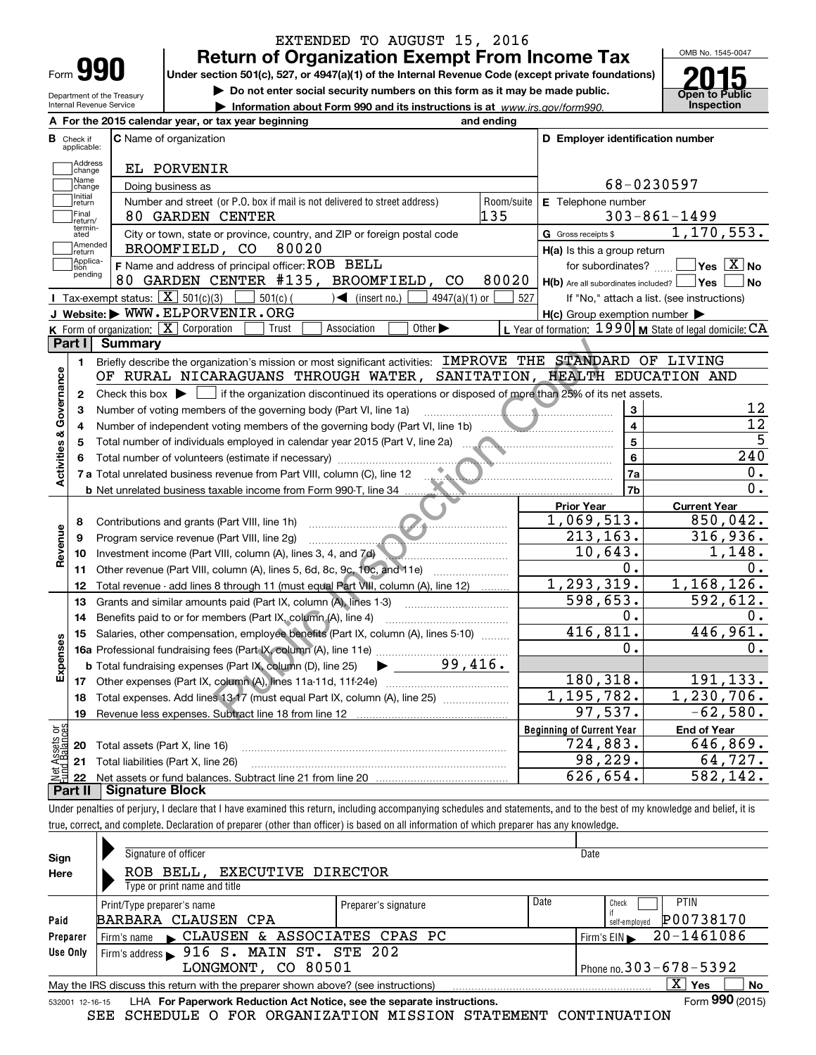| Form |  |
|------|--|
|      |  |

### **Return of Organization Exempt From Income Tax** EXTENDED TO AUGUST 15, 2016

OMB No. 1545-0047

Department of the Treasury Internal Revenue Service

**Under section 501(c), 527, or 4947(a)(1) of the Internal Revenue Code (except private foundations)**

**| Do not enter social security numbers on this form as it may be made public.**

**| Information about Form 990 and its instructions is at www.irs.gov/form990.** | Inspection



 **For the 2015 calendar year, or tax year beginning and ending AC** Name of organization **<sup>C</sup> <sup>D</sup> Employer identification number B**Check if applicable:**Address**<br>Change EL PORVENIR Name<br>Change 68-0230597 Doing business as Initial<br>
return **E** Telephone number (or P.O. box if mail is not delivered to street address) Room/suite Number and street Telephone number Final return/ 80 GARDEN CENTER 135 135 303-861-1499 termin-ated1,170,553. G Gross receipts \$  $\overline{e}$  City or town, state or province, country, and ZIP or foreign postal code  $\overline{G}$  Gross receipts \$ **communisment**<br> **return** BROOMFIELD, CO 80020 **H(a)** Is this a group return Applica-tion pending **WEBEFALL THE SET OF STATE SET OF STATE SET OF SUBSORDER THE SET OF SUBSTITUTE SET OF SUBSTITUTE PRINTER #135, BROOMFIELD, CO 80020 <b>H(b)** Are all subordinates? **WEBEFALL** Person and address of principal officer: ROB BELL for subordinates?  $Yes \overline{X}$  No **F**Name and address of principal officer: for subordinates? ~~ Are all subordinates included? **H(b)Yes** Are all subordinates included?  $\fbox{Yes} \fbox{S}$  f "No," attach a list. (see instructions)  **No J** Tax-exempt status:  $\boxed{\mathbf{X}}$  501(c)(3) 501(c)(501) 501(c) + (insert no.)  $\boxed{\phantom{0}}$  4947(a)(1) or 527<br>**J Website: WWW.ELPORVENIR.ORG** Tax-exempt status:  $\boxed{\text{X}}$ **H(c)** Group exemption number Form of organization: X Corporation Form of organization: <u>[X]</u> Corporation **Candidation Confluence CA** Corporation: 1990 M State of legal domicile: CA<br>**art I L. Summary** Trust Association **KLPart I Summary** mization's mission or most significant activities:  $\frac{IMPROVE \text{ THE STANDARARGUANS} \text{ FIREOUGH WATER, SANTITATION, HERALTH} }{NIRALCHH}$ <br>
If the organization discontinued its operations or disposed of more than 25% of its<br>
employed in calcular year 2015 (Par Briefly describe the organization's mission or most significant activities:  $\,$  <code>IMPROVE THE STANDARD OF LIVING</code> **1Activities & Governance Activities & Governance** OF RURAL NICARAGUANS THROUGH WATER, SANITATION, HEALTH EDUCATION AND Check this box  $\blacktriangleright$  if the organization discontinued its operations or disposed of more than 25% of its net assets. **2**Check this box  $\blacktriangleright$ 12 Number of voting members of the governing body (Part VI, line 1a) **33**~~~~~~~~~~~~~~~~~~~~12 Number of independent voting members of the governing body (Part VI, line 1b) **44**~~~~~~~~~~~~~~5 **5**Total number of individuals employed in calendar year 2015 (Part V, line 2a) **5**~~~~~~~~~~~~~~~~Total number of volunteers (estimate if necessary) 240 **66**~~~~~~~~~~~~~~~~~~~~~~~~~~~~~0. **7a7a**Total unrelated business revenue from Part VIII, column (C), line 12 ~~~~~~~~~~~~~~~~~~~~**7b**0. **b** Net unrelated business taxable income from Form 990-T, line 34 **Prior Year Current Year** 1,069,513. 850,042. Contributions and grants (Part VIII, line 1h)<br>Program service revenue (Part VIII, line 2g) **8**Revenue **Revenue** 316,936. **9**213,163. Program service revenue (Part VIII, line 2g) ~~~~~~~~~~~~~~~~~~~~~ Investment income (Part VIII, column (A), lines 3, 4, and 7d) ~~~~~~~~~~~~~ 10,643. 1,148. **1011**Other revenue (Part VIII, column (A), lines 5, 6d, 8c, 9c, 10c, and 11e) 0. 0. 1,293,319. 1,168,126. Total revenue - add lines 8 through 11 (must equal Part VIII, column (A), line 12) **12**Grants and similar amounts paid (Part IX, column (A), lines 1-3) 598,653. 592,612. **13**0. 0. **14**Benefits paid to or for members (Part IX, column (A), line 4) 416,811. 446,961. **15**Salaries, other compensation, employee benefits (Part IX, column (A), lines 5-10)  $\quad \, \ldots \ldots \,$ **Expenses** 0. 0. **16a** Professional fundraising fees (Part IX, column (A), line 11e) ………………………………… 99,416. **b**Total fundraising expenses (Part IX, column (D), line 25)  $\blacktriangleright$ 180,318. 191,133. **17**Other expenses (Part IX, column (A), lines 11a 11d, 11f 24e) ……………………………… 1,195,782. 1,230,706.<br>−62,580. 1−62,580. **18**Total expenses. Add lines 13·17 (must equal Part IX, column (A), line 25)  $\ldots\ldots\ldots\ldots\ldots\ldots$  $-62$ ,580. **19**Revenue less expenses. Subtract line 18 from line 12 **Beginning of Current Year** vet Assets or<br>und Balances **End of Year** Total assets (Part X, line 16) 724,883. 646,869. **20**<mark>64,727.</mark><br>582,142. **21**Total liabilities (Part X, line 26) **22**Net assets or fund balances. Subtract line 21 from line 20 626,654. **Part II Signature Block**

Under penalties of perjury, I declare that I have examined this return, including accompanying schedules and statements, and to the best of my knowledge and belief, it is true, correct, and complete. Declaration of preparer (other than officer) is based on all information of which preparer has any knowledge.

| Sign            | Signature of officer                                                              |                      |                            | Date                       |
|-----------------|-----------------------------------------------------------------------------------|----------------------|----------------------------|----------------------------|
| Here            | ROB BELL, EXECUTIVE DIRECTOR                                                      |                      |                            |                            |
|                 | Type or print name and title                                                      |                      |                            |                            |
|                 | Print/Type preparer's name                                                        | Preparer's signature | Date                       | <b>PTIN</b><br>Check       |
| Paid            | BARBARA CLAUSEN CPA                                                               |                      |                            | P00738170<br>self-employed |
| Preparer        | Firm's name CLAUSEN & ASSOCIATES CPAS PC                                          |                      |                            | 20-1461086<br>Firm's EIN   |
| Use Only        | Firm's address > 916 S. MAIN ST. STE 202                                          |                      |                            |                            |
|                 | LONGMONT, CO 80501                                                                |                      | Phone no. 303 - 678 - 5392 |                            |
|                 | May the IRS discuss this return with the preparer shown above? (see instructions) |                      |                            | $X \mid Y$ es<br>No        |
| 532001 12-16-15 | LHA For Paperwork Reduction Act Notice, see the separate instructions.            |                      |                            | Form 990 (2015)            |

-16-15 LHA For Paperwork Reduction Act Notice, see the separate instructions. Form 990 (2015)<br>SEE SCHEDULE O FOR ORGANIZATION MISSION STATEMENT CONTINUATION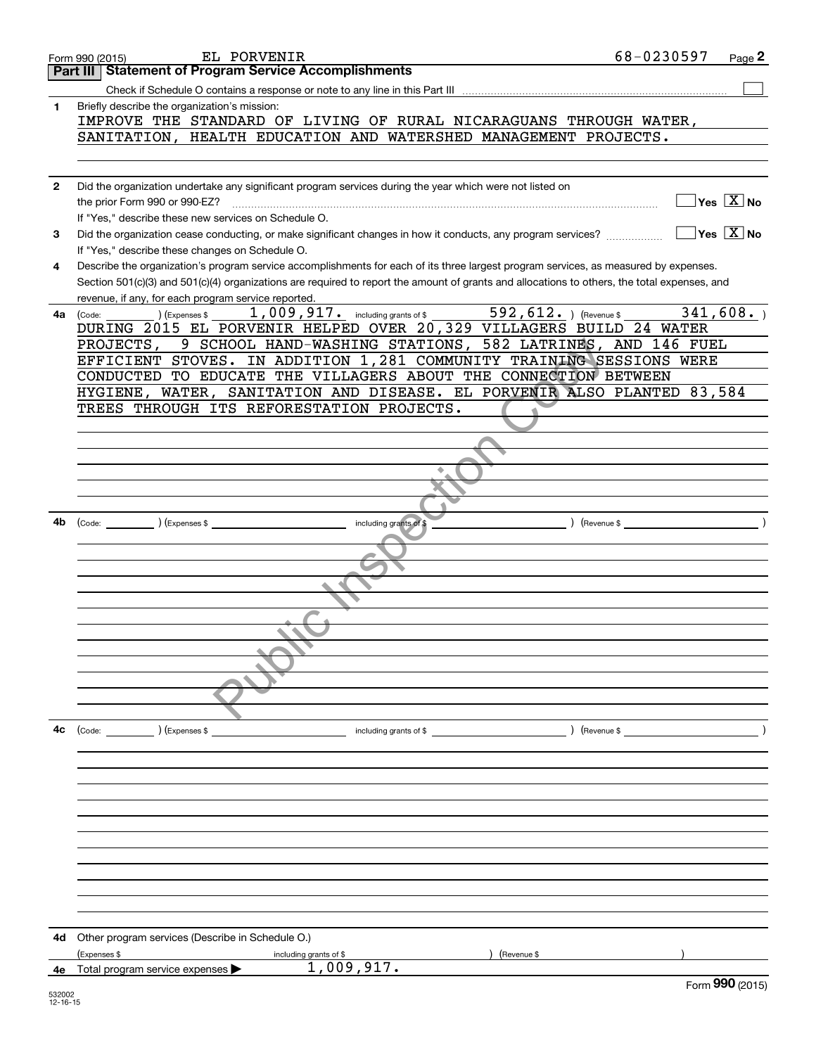|              | EL PORVENIR<br>Form 990 (2015)                                                                                                               | 68-0230597<br>Page 2                            |
|--------------|----------------------------------------------------------------------------------------------------------------------------------------------|-------------------------------------------------|
|              | Part III   Statement of Program Service Accomplishments                                                                                      |                                                 |
|              |                                                                                                                                              |                                                 |
| 1            | Briefly describe the organization's mission:                                                                                                 |                                                 |
|              | IMPROVE THE STANDARD OF LIVING OF RURAL NICARAGUANS THROUGH WATER,                                                                           |                                                 |
|              | SANITATION, HEALTH EDUCATION AND WATERSHED MANAGEMENT PROJECTS.                                                                              |                                                 |
|              |                                                                                                                                              |                                                 |
|              |                                                                                                                                              |                                                 |
| $\mathbf{2}$ | Did the organization undertake any significant program services during the year which were not listed on                                     |                                                 |
|              |                                                                                                                                              | $\boxed{\phantom{1}}$ Yes $\boxed{\text{X}}$ No |
|              | If "Yes," describe these new services on Schedule O.                                                                                         |                                                 |
| 3            | Did the organization cease conducting, or make significant changes in how it conducts, any program services?                                 | $\sqrt{\mathsf{Yes}[\mathbf{X}]}\mathsf{No}$    |
|              | If "Yes," describe these changes on Schedule O.                                                                                              |                                                 |
| 4            | Describe the organization's program service accomplishments for each of its three largest program services, as measured by expenses.         |                                                 |
|              | Section 501(c)(3) and 501(c)(4) organizations are required to report the amount of grants and allocations to others, the total expenses, and |                                                 |
|              | revenue, if any, for each program service reported.                                                                                          |                                                 |
| 4a l         | 1,009,917. including grants of \$ 592,612. $($ Revenue \$<br>(Expenses \$<br>(Code:                                                          | 341,608.                                        |
|              | DURING 2015 EL PORVENIR HELPED OVER 20,329 VILLAGERS BUILD 24 WATER<br>PROJECTS, 9 SCHOOL HAND-WASHING STATIONS, 582 LATRINES, AND 146 FUEL  |                                                 |
|              | EFFICIENT STOVES. IN ADDITION 1,281 COMMUNITY TRAINING SESSIONS WERE                                                                         |                                                 |
|              | CONDUCTED TO EDUCATE THE VILLAGERS ABOUT THE CONNECTION BETWEEN                                                                              |                                                 |
|              | HYGIENE, WATER, SANITATION AND DISEASE. EL PORVENIR ALSO PLANTED 83,584                                                                      |                                                 |
|              | TREES THROUGH ITS REFORESTATION PROJECTS.                                                                                                    |                                                 |
|              |                                                                                                                                              |                                                 |
|              |                                                                                                                                              |                                                 |
|              |                                                                                                                                              |                                                 |
|              |                                                                                                                                              |                                                 |
|              |                                                                                                                                              |                                                 |
|              |                                                                                                                                              |                                                 |
| 4b           | (Code: ) (Expenses \$<br>including grants of \$                                                                                              | $($ Revenue \$                                  |
|              |                                                                                                                                              |                                                 |
|              |                                                                                                                                              |                                                 |
|              |                                                                                                                                              |                                                 |
|              |                                                                                                                                              |                                                 |
|              |                                                                                                                                              |                                                 |
|              |                                                                                                                                              |                                                 |
|              |                                                                                                                                              |                                                 |
|              |                                                                                                                                              |                                                 |
|              |                                                                                                                                              |                                                 |
|              |                                                                                                                                              |                                                 |
|              |                                                                                                                                              |                                                 |
|              |                                                                                                                                              |                                                 |
| 4c           | (Code: ) (Expenses \$<br>including grants of \$                                                                                              | ) (Revenue \$                                   |
|              |                                                                                                                                              |                                                 |
|              |                                                                                                                                              |                                                 |
|              |                                                                                                                                              |                                                 |
|              |                                                                                                                                              |                                                 |
|              |                                                                                                                                              |                                                 |
|              |                                                                                                                                              |                                                 |
|              |                                                                                                                                              |                                                 |
|              |                                                                                                                                              |                                                 |
|              |                                                                                                                                              |                                                 |
|              |                                                                                                                                              |                                                 |
|              |                                                                                                                                              |                                                 |
| 4d           | Other program services (Describe in Schedule O.)                                                                                             |                                                 |
|              | (Revenue \$<br>(Expenses \$<br>including grants of \$                                                                                        |                                                 |
| 4е           | 1,009,917.<br>Total program service expenses $\blacktriangleright$                                                                           |                                                 |
|              |                                                                                                                                              | Form 990 (2015)                                 |
| 532002       |                                                                                                                                              |                                                 |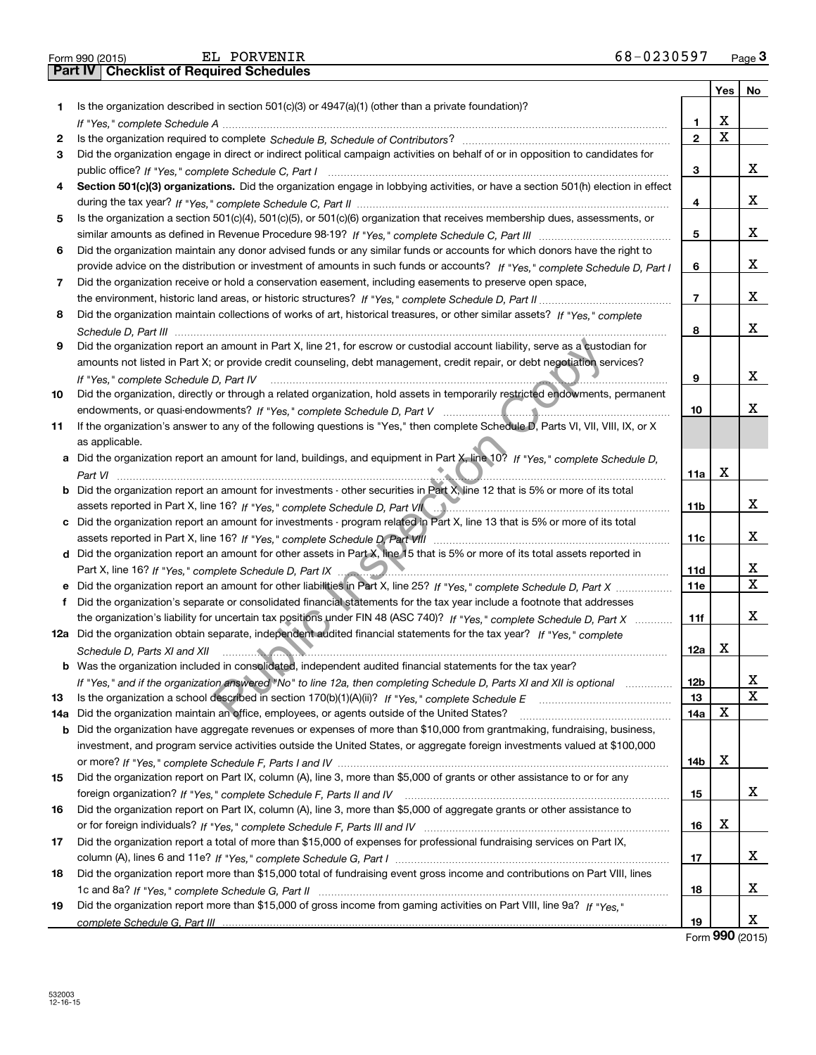| 68-0230597 | Page $3$ |
|------------|----------|
|------------|----------|

| Part IV<br>Yes<br>Is the organization described in section $501(c)(3)$ or $4947(a)(1)$ (other than a private foundation)?<br>1.<br>х<br>1<br>X<br>$\mathbf{2}$<br>2<br>Did the organization engage in direct or indirect political campaign activities on behalf of or in opposition to candidates for<br>3<br>3<br>Section 501(c)(3) organizations. Did the organization engage in lobbying activities, or have a section 501(h) election in effect<br>4<br>4<br>Is the organization a section 501(c)(4), 501(c)(5), or 501(c)(6) organization that receives membership dues, assessments, or<br>5<br>5<br>Did the organization maintain any donor advised funds or any similar funds or accounts for which donors have the right to<br>6<br>provide advice on the distribution or investment of amounts in such funds or accounts? If "Yes," complete Schedule D, Part I<br>6<br>Did the organization receive or hold a conservation easement, including easements to preserve open space,<br>7<br>$\overline{7}$<br>Did the organization maintain collections of works of art, historical treasures, or other similar assets? If "Yes," complete<br>8<br>8<br>Did the organization report an amount in Part X, line 21, for escrow or custodial account liability, serve as a custodian for<br>9<br>amounts not listed in Part X; or provide credit counseling, debt management, credit repair, or debt negotiation services?<br>9<br>If "Yes." complete Schedule D, Part IV<br>Did the organization, directly or through a related organization, hold assets in temporarily restricted endowments, permanent<br>10<br>10<br>If the organization's answer to any of the following questions is "Yes," then complete Schedule D, Parts VI, VII, VIII, IX, or X<br>11<br>as applicable.<br>Did the organization report an amount for land, buildings, and equipment in Part X, line 10? If "Yes," complete Schedule D,<br>а<br>х<br>11a<br>Did the organization report an amount for investments - other securities in Part X, line 12 that is 5% or more of its total<br>11 <sub>b</sub><br>assets reported in Part X, line 16? If "Yes," complete Schedule D, Part Villection material content content of the material content of the material content of the material content of the set of the set of the set of the se<br>Did the organization report an amount for investments - program related in Part X, line 13 that is 5% or more of its total<br>с<br>11c<br>d Did the organization report an amount for other assets in Part X, line 15 that is 5% or more of its total assets reported in<br>11d<br>11e<br>Did the organization's separate or consolidated financial statements for the tax year include a footnote that addresses<br>f<br>the organization's liability for uncertain tax positions under FIN 48 (ASC 740)? If "Yes," complete Schedule D, Part X<br>11f<br>12a Did the organization obtain separate, independent audited financial statements for the tax year? If "Yes," complete<br>X<br>12a<br>Schedule D, Parts XI and XII <b>continued to the continuum of the continuum of the continuum of the continuum of the continuum of the continuum of the continuum of the continuum of the continuum of the continuum of the conti</b><br><b>b</b> Was the organization included in consolidated, independent audited financial statements for the tax year?<br><b>12b</b><br>If "Yes," and if the organization answered "No" to line 12a, then completing Schedule D, Parts XI and XII is optional<br>13<br>13<br>х<br>Did the organization maintain an office, employees, or agents outside of the United States?<br>14a<br>14a<br>Did the organization have aggregate revenues or expenses of more than \$10,000 from grantmaking, fundraising, business,<br>b<br>investment, and program service activities outside the United States, or aggregate foreign investments valued at \$100,000<br>х<br>14b<br>Did the organization report on Part IX, column (A), line 3, more than \$5,000 of grants or other assistance to or for any<br>15<br>15<br>Did the organization report on Part IX, column (A), line 3, more than \$5,000 of aggregate grants or other assistance to<br>16<br>x<br>16<br>Did the organization report a total of more than \$15,000 of expenses for professional fundraising services on Part IX,<br>17<br>17<br>Did the organization report more than \$15,000 total of fundraising event gross income and contributions on Part VIII, lines<br>18<br>18<br>Did the organization report more than \$15,000 of gross income from gaming activities on Part VIII, line 9a? If "Yes."<br>19<br>19 | 68-0230597<br>EL PORVENIR<br>Form 990 (2015) |  | Page <sub>3</sub> |
|------------------------------------------------------------------------------------------------------------------------------------------------------------------------------------------------------------------------------------------------------------------------------------------------------------------------------------------------------------------------------------------------------------------------------------------------------------------------------------------------------------------------------------------------------------------------------------------------------------------------------------------------------------------------------------------------------------------------------------------------------------------------------------------------------------------------------------------------------------------------------------------------------------------------------------------------------------------------------------------------------------------------------------------------------------------------------------------------------------------------------------------------------------------------------------------------------------------------------------------------------------------------------------------------------------------------------------------------------------------------------------------------------------------------------------------------------------------------------------------------------------------------------------------------------------------------------------------------------------------------------------------------------------------------------------------------------------------------------------------------------------------------------------------------------------------------------------------------------------------------------------------------------------------------------------------------------------------------------------------------------------------------------------------------------------------------------------------------------------------------------------------------------------------------------------------------------------------------------------------------------------------------------------------------------------------------------------------------------------------------------------------------------------------------------------------------------------------------------------------------------------------------------------------------------------------------------------------------------------------------------------------------------------------------------------------------------------------------------------------------------------------------------------------------------------------------------------------------------------------------------------------------------------------------------------------------------------------------------------------------------------------------------------------------------------------------------------------------------------------------------------------------------------------------------------------------------------------------------------------------------------------------------------------------------------------------------------------------------------------------------------------------------------------------------------------------------------------------------------------------------------------------------------------------------------------------------------------------------------------------------------------------------------------------------------------------------------------------------------------------------------------------------------------------------------------------------------------------------------------------------------------------------------------------------------------------------------------------------------------------------------------------------------------------------------------------------------------------------------------------------------------------------------------------------------------------------------------------------------------------------------------------------------------------------------------------------------------------------------------------------------------------------------------------------------------------------------------------------------------------------------------------------------------------------------------------------------------------------------------------------------------------------------|----------------------------------------------|--|-------------------|
|                                                                                                                                                                                                                                                                                                                                                                                                                                                                                                                                                                                                                                                                                                                                                                                                                                                                                                                                                                                                                                                                                                                                                                                                                                                                                                                                                                                                                                                                                                                                                                                                                                                                                                                                                                                                                                                                                                                                                                                                                                                                                                                                                                                                                                                                                                                                                                                                                                                                                                                                                                                                                                                                                                                                                                                                                                                                                                                                                                                                                                                                                                                                                                                                                                                                                                                                                                                                                                                                                                                                                                                                                                                                                                                                                                                                                                                                                                                                                                                                                                                                                                                                                                                                                                                                                                                                                                                                                                                                                                                                                                                                                                                            | <b>Checklist of Required Schedules</b>       |  |                   |
|                                                                                                                                                                                                                                                                                                                                                                                                                                                                                                                                                                                                                                                                                                                                                                                                                                                                                                                                                                                                                                                                                                                                                                                                                                                                                                                                                                                                                                                                                                                                                                                                                                                                                                                                                                                                                                                                                                                                                                                                                                                                                                                                                                                                                                                                                                                                                                                                                                                                                                                                                                                                                                                                                                                                                                                                                                                                                                                                                                                                                                                                                                                                                                                                                                                                                                                                                                                                                                                                                                                                                                                                                                                                                                                                                                                                                                                                                                                                                                                                                                                                                                                                                                                                                                                                                                                                                                                                                                                                                                                                                                                                                                                            |                                              |  | No                |
|                                                                                                                                                                                                                                                                                                                                                                                                                                                                                                                                                                                                                                                                                                                                                                                                                                                                                                                                                                                                                                                                                                                                                                                                                                                                                                                                                                                                                                                                                                                                                                                                                                                                                                                                                                                                                                                                                                                                                                                                                                                                                                                                                                                                                                                                                                                                                                                                                                                                                                                                                                                                                                                                                                                                                                                                                                                                                                                                                                                                                                                                                                                                                                                                                                                                                                                                                                                                                                                                                                                                                                                                                                                                                                                                                                                                                                                                                                                                                                                                                                                                                                                                                                                                                                                                                                                                                                                                                                                                                                                                                                                                                                                            |                                              |  |                   |
|                                                                                                                                                                                                                                                                                                                                                                                                                                                                                                                                                                                                                                                                                                                                                                                                                                                                                                                                                                                                                                                                                                                                                                                                                                                                                                                                                                                                                                                                                                                                                                                                                                                                                                                                                                                                                                                                                                                                                                                                                                                                                                                                                                                                                                                                                                                                                                                                                                                                                                                                                                                                                                                                                                                                                                                                                                                                                                                                                                                                                                                                                                                                                                                                                                                                                                                                                                                                                                                                                                                                                                                                                                                                                                                                                                                                                                                                                                                                                                                                                                                                                                                                                                                                                                                                                                                                                                                                                                                                                                                                                                                                                                                            |                                              |  |                   |
|                                                                                                                                                                                                                                                                                                                                                                                                                                                                                                                                                                                                                                                                                                                                                                                                                                                                                                                                                                                                                                                                                                                                                                                                                                                                                                                                                                                                                                                                                                                                                                                                                                                                                                                                                                                                                                                                                                                                                                                                                                                                                                                                                                                                                                                                                                                                                                                                                                                                                                                                                                                                                                                                                                                                                                                                                                                                                                                                                                                                                                                                                                                                                                                                                                                                                                                                                                                                                                                                                                                                                                                                                                                                                                                                                                                                                                                                                                                                                                                                                                                                                                                                                                                                                                                                                                                                                                                                                                                                                                                                                                                                                                                            |                                              |  |                   |
|                                                                                                                                                                                                                                                                                                                                                                                                                                                                                                                                                                                                                                                                                                                                                                                                                                                                                                                                                                                                                                                                                                                                                                                                                                                                                                                                                                                                                                                                                                                                                                                                                                                                                                                                                                                                                                                                                                                                                                                                                                                                                                                                                                                                                                                                                                                                                                                                                                                                                                                                                                                                                                                                                                                                                                                                                                                                                                                                                                                                                                                                                                                                                                                                                                                                                                                                                                                                                                                                                                                                                                                                                                                                                                                                                                                                                                                                                                                                                                                                                                                                                                                                                                                                                                                                                                                                                                                                                                                                                                                                                                                                                                                            |                                              |  |                   |
|                                                                                                                                                                                                                                                                                                                                                                                                                                                                                                                                                                                                                                                                                                                                                                                                                                                                                                                                                                                                                                                                                                                                                                                                                                                                                                                                                                                                                                                                                                                                                                                                                                                                                                                                                                                                                                                                                                                                                                                                                                                                                                                                                                                                                                                                                                                                                                                                                                                                                                                                                                                                                                                                                                                                                                                                                                                                                                                                                                                                                                                                                                                                                                                                                                                                                                                                                                                                                                                                                                                                                                                                                                                                                                                                                                                                                                                                                                                                                                                                                                                                                                                                                                                                                                                                                                                                                                                                                                                                                                                                                                                                                                                            |                                              |  | x                 |
|                                                                                                                                                                                                                                                                                                                                                                                                                                                                                                                                                                                                                                                                                                                                                                                                                                                                                                                                                                                                                                                                                                                                                                                                                                                                                                                                                                                                                                                                                                                                                                                                                                                                                                                                                                                                                                                                                                                                                                                                                                                                                                                                                                                                                                                                                                                                                                                                                                                                                                                                                                                                                                                                                                                                                                                                                                                                                                                                                                                                                                                                                                                                                                                                                                                                                                                                                                                                                                                                                                                                                                                                                                                                                                                                                                                                                                                                                                                                                                                                                                                                                                                                                                                                                                                                                                                                                                                                                                                                                                                                                                                                                                                            |                                              |  |                   |
|                                                                                                                                                                                                                                                                                                                                                                                                                                                                                                                                                                                                                                                                                                                                                                                                                                                                                                                                                                                                                                                                                                                                                                                                                                                                                                                                                                                                                                                                                                                                                                                                                                                                                                                                                                                                                                                                                                                                                                                                                                                                                                                                                                                                                                                                                                                                                                                                                                                                                                                                                                                                                                                                                                                                                                                                                                                                                                                                                                                                                                                                                                                                                                                                                                                                                                                                                                                                                                                                                                                                                                                                                                                                                                                                                                                                                                                                                                                                                                                                                                                                                                                                                                                                                                                                                                                                                                                                                                                                                                                                                                                                                                                            |                                              |  | x                 |
|                                                                                                                                                                                                                                                                                                                                                                                                                                                                                                                                                                                                                                                                                                                                                                                                                                                                                                                                                                                                                                                                                                                                                                                                                                                                                                                                                                                                                                                                                                                                                                                                                                                                                                                                                                                                                                                                                                                                                                                                                                                                                                                                                                                                                                                                                                                                                                                                                                                                                                                                                                                                                                                                                                                                                                                                                                                                                                                                                                                                                                                                                                                                                                                                                                                                                                                                                                                                                                                                                                                                                                                                                                                                                                                                                                                                                                                                                                                                                                                                                                                                                                                                                                                                                                                                                                                                                                                                                                                                                                                                                                                                                                                            |                                              |  |                   |
|                                                                                                                                                                                                                                                                                                                                                                                                                                                                                                                                                                                                                                                                                                                                                                                                                                                                                                                                                                                                                                                                                                                                                                                                                                                                                                                                                                                                                                                                                                                                                                                                                                                                                                                                                                                                                                                                                                                                                                                                                                                                                                                                                                                                                                                                                                                                                                                                                                                                                                                                                                                                                                                                                                                                                                                                                                                                                                                                                                                                                                                                                                                                                                                                                                                                                                                                                                                                                                                                                                                                                                                                                                                                                                                                                                                                                                                                                                                                                                                                                                                                                                                                                                                                                                                                                                                                                                                                                                                                                                                                                                                                                                                            |                                              |  | x                 |
|                                                                                                                                                                                                                                                                                                                                                                                                                                                                                                                                                                                                                                                                                                                                                                                                                                                                                                                                                                                                                                                                                                                                                                                                                                                                                                                                                                                                                                                                                                                                                                                                                                                                                                                                                                                                                                                                                                                                                                                                                                                                                                                                                                                                                                                                                                                                                                                                                                                                                                                                                                                                                                                                                                                                                                                                                                                                                                                                                                                                                                                                                                                                                                                                                                                                                                                                                                                                                                                                                                                                                                                                                                                                                                                                                                                                                                                                                                                                                                                                                                                                                                                                                                                                                                                                                                                                                                                                                                                                                                                                                                                                                                                            |                                              |  |                   |
|                                                                                                                                                                                                                                                                                                                                                                                                                                                                                                                                                                                                                                                                                                                                                                                                                                                                                                                                                                                                                                                                                                                                                                                                                                                                                                                                                                                                                                                                                                                                                                                                                                                                                                                                                                                                                                                                                                                                                                                                                                                                                                                                                                                                                                                                                                                                                                                                                                                                                                                                                                                                                                                                                                                                                                                                                                                                                                                                                                                                                                                                                                                                                                                                                                                                                                                                                                                                                                                                                                                                                                                                                                                                                                                                                                                                                                                                                                                                                                                                                                                                                                                                                                                                                                                                                                                                                                                                                                                                                                                                                                                                                                                            |                                              |  | x                 |
|                                                                                                                                                                                                                                                                                                                                                                                                                                                                                                                                                                                                                                                                                                                                                                                                                                                                                                                                                                                                                                                                                                                                                                                                                                                                                                                                                                                                                                                                                                                                                                                                                                                                                                                                                                                                                                                                                                                                                                                                                                                                                                                                                                                                                                                                                                                                                                                                                                                                                                                                                                                                                                                                                                                                                                                                                                                                                                                                                                                                                                                                                                                                                                                                                                                                                                                                                                                                                                                                                                                                                                                                                                                                                                                                                                                                                                                                                                                                                                                                                                                                                                                                                                                                                                                                                                                                                                                                                                                                                                                                                                                                                                                            |                                              |  |                   |
|                                                                                                                                                                                                                                                                                                                                                                                                                                                                                                                                                                                                                                                                                                                                                                                                                                                                                                                                                                                                                                                                                                                                                                                                                                                                                                                                                                                                                                                                                                                                                                                                                                                                                                                                                                                                                                                                                                                                                                                                                                                                                                                                                                                                                                                                                                                                                                                                                                                                                                                                                                                                                                                                                                                                                                                                                                                                                                                                                                                                                                                                                                                                                                                                                                                                                                                                                                                                                                                                                                                                                                                                                                                                                                                                                                                                                                                                                                                                                                                                                                                                                                                                                                                                                                                                                                                                                                                                                                                                                                                                                                                                                                                            |                                              |  | x                 |
|                                                                                                                                                                                                                                                                                                                                                                                                                                                                                                                                                                                                                                                                                                                                                                                                                                                                                                                                                                                                                                                                                                                                                                                                                                                                                                                                                                                                                                                                                                                                                                                                                                                                                                                                                                                                                                                                                                                                                                                                                                                                                                                                                                                                                                                                                                                                                                                                                                                                                                                                                                                                                                                                                                                                                                                                                                                                                                                                                                                                                                                                                                                                                                                                                                                                                                                                                                                                                                                                                                                                                                                                                                                                                                                                                                                                                                                                                                                                                                                                                                                                                                                                                                                                                                                                                                                                                                                                                                                                                                                                                                                                                                                            |                                              |  |                   |
|                                                                                                                                                                                                                                                                                                                                                                                                                                                                                                                                                                                                                                                                                                                                                                                                                                                                                                                                                                                                                                                                                                                                                                                                                                                                                                                                                                                                                                                                                                                                                                                                                                                                                                                                                                                                                                                                                                                                                                                                                                                                                                                                                                                                                                                                                                                                                                                                                                                                                                                                                                                                                                                                                                                                                                                                                                                                                                                                                                                                                                                                                                                                                                                                                                                                                                                                                                                                                                                                                                                                                                                                                                                                                                                                                                                                                                                                                                                                                                                                                                                                                                                                                                                                                                                                                                                                                                                                                                                                                                                                                                                                                                                            |                                              |  | x                 |
|                                                                                                                                                                                                                                                                                                                                                                                                                                                                                                                                                                                                                                                                                                                                                                                                                                                                                                                                                                                                                                                                                                                                                                                                                                                                                                                                                                                                                                                                                                                                                                                                                                                                                                                                                                                                                                                                                                                                                                                                                                                                                                                                                                                                                                                                                                                                                                                                                                                                                                                                                                                                                                                                                                                                                                                                                                                                                                                                                                                                                                                                                                                                                                                                                                                                                                                                                                                                                                                                                                                                                                                                                                                                                                                                                                                                                                                                                                                                                                                                                                                                                                                                                                                                                                                                                                                                                                                                                                                                                                                                                                                                                                                            |                                              |  |                   |
|                                                                                                                                                                                                                                                                                                                                                                                                                                                                                                                                                                                                                                                                                                                                                                                                                                                                                                                                                                                                                                                                                                                                                                                                                                                                                                                                                                                                                                                                                                                                                                                                                                                                                                                                                                                                                                                                                                                                                                                                                                                                                                                                                                                                                                                                                                                                                                                                                                                                                                                                                                                                                                                                                                                                                                                                                                                                                                                                                                                                                                                                                                                                                                                                                                                                                                                                                                                                                                                                                                                                                                                                                                                                                                                                                                                                                                                                                                                                                                                                                                                                                                                                                                                                                                                                                                                                                                                                                                                                                                                                                                                                                                                            |                                              |  |                   |
|                                                                                                                                                                                                                                                                                                                                                                                                                                                                                                                                                                                                                                                                                                                                                                                                                                                                                                                                                                                                                                                                                                                                                                                                                                                                                                                                                                                                                                                                                                                                                                                                                                                                                                                                                                                                                                                                                                                                                                                                                                                                                                                                                                                                                                                                                                                                                                                                                                                                                                                                                                                                                                                                                                                                                                                                                                                                                                                                                                                                                                                                                                                                                                                                                                                                                                                                                                                                                                                                                                                                                                                                                                                                                                                                                                                                                                                                                                                                                                                                                                                                                                                                                                                                                                                                                                                                                                                                                                                                                                                                                                                                                                                            |                                              |  | x                 |
|                                                                                                                                                                                                                                                                                                                                                                                                                                                                                                                                                                                                                                                                                                                                                                                                                                                                                                                                                                                                                                                                                                                                                                                                                                                                                                                                                                                                                                                                                                                                                                                                                                                                                                                                                                                                                                                                                                                                                                                                                                                                                                                                                                                                                                                                                                                                                                                                                                                                                                                                                                                                                                                                                                                                                                                                                                                                                                                                                                                                                                                                                                                                                                                                                                                                                                                                                                                                                                                                                                                                                                                                                                                                                                                                                                                                                                                                                                                                                                                                                                                                                                                                                                                                                                                                                                                                                                                                                                                                                                                                                                                                                                                            |                                              |  |                   |
|                                                                                                                                                                                                                                                                                                                                                                                                                                                                                                                                                                                                                                                                                                                                                                                                                                                                                                                                                                                                                                                                                                                                                                                                                                                                                                                                                                                                                                                                                                                                                                                                                                                                                                                                                                                                                                                                                                                                                                                                                                                                                                                                                                                                                                                                                                                                                                                                                                                                                                                                                                                                                                                                                                                                                                                                                                                                                                                                                                                                                                                                                                                                                                                                                                                                                                                                                                                                                                                                                                                                                                                                                                                                                                                                                                                                                                                                                                                                                                                                                                                                                                                                                                                                                                                                                                                                                                                                                                                                                                                                                                                                                                                            |                                              |  | x                 |
|                                                                                                                                                                                                                                                                                                                                                                                                                                                                                                                                                                                                                                                                                                                                                                                                                                                                                                                                                                                                                                                                                                                                                                                                                                                                                                                                                                                                                                                                                                                                                                                                                                                                                                                                                                                                                                                                                                                                                                                                                                                                                                                                                                                                                                                                                                                                                                                                                                                                                                                                                                                                                                                                                                                                                                                                                                                                                                                                                                                                                                                                                                                                                                                                                                                                                                                                                                                                                                                                                                                                                                                                                                                                                                                                                                                                                                                                                                                                                                                                                                                                                                                                                                                                                                                                                                                                                                                                                                                                                                                                                                                                                                                            |                                              |  |                   |
|                                                                                                                                                                                                                                                                                                                                                                                                                                                                                                                                                                                                                                                                                                                                                                                                                                                                                                                                                                                                                                                                                                                                                                                                                                                                                                                                                                                                                                                                                                                                                                                                                                                                                                                                                                                                                                                                                                                                                                                                                                                                                                                                                                                                                                                                                                                                                                                                                                                                                                                                                                                                                                                                                                                                                                                                                                                                                                                                                                                                                                                                                                                                                                                                                                                                                                                                                                                                                                                                                                                                                                                                                                                                                                                                                                                                                                                                                                                                                                                                                                                                                                                                                                                                                                                                                                                                                                                                                                                                                                                                                                                                                                                            |                                              |  |                   |
|                                                                                                                                                                                                                                                                                                                                                                                                                                                                                                                                                                                                                                                                                                                                                                                                                                                                                                                                                                                                                                                                                                                                                                                                                                                                                                                                                                                                                                                                                                                                                                                                                                                                                                                                                                                                                                                                                                                                                                                                                                                                                                                                                                                                                                                                                                                                                                                                                                                                                                                                                                                                                                                                                                                                                                                                                                                                                                                                                                                                                                                                                                                                                                                                                                                                                                                                                                                                                                                                                                                                                                                                                                                                                                                                                                                                                                                                                                                                                                                                                                                                                                                                                                                                                                                                                                                                                                                                                                                                                                                                                                                                                                                            |                                              |  |                   |
|                                                                                                                                                                                                                                                                                                                                                                                                                                                                                                                                                                                                                                                                                                                                                                                                                                                                                                                                                                                                                                                                                                                                                                                                                                                                                                                                                                                                                                                                                                                                                                                                                                                                                                                                                                                                                                                                                                                                                                                                                                                                                                                                                                                                                                                                                                                                                                                                                                                                                                                                                                                                                                                                                                                                                                                                                                                                                                                                                                                                                                                                                                                                                                                                                                                                                                                                                                                                                                                                                                                                                                                                                                                                                                                                                                                                                                                                                                                                                                                                                                                                                                                                                                                                                                                                                                                                                                                                                                                                                                                                                                                                                                                            |                                              |  |                   |
|                                                                                                                                                                                                                                                                                                                                                                                                                                                                                                                                                                                                                                                                                                                                                                                                                                                                                                                                                                                                                                                                                                                                                                                                                                                                                                                                                                                                                                                                                                                                                                                                                                                                                                                                                                                                                                                                                                                                                                                                                                                                                                                                                                                                                                                                                                                                                                                                                                                                                                                                                                                                                                                                                                                                                                                                                                                                                                                                                                                                                                                                                                                                                                                                                                                                                                                                                                                                                                                                                                                                                                                                                                                                                                                                                                                                                                                                                                                                                                                                                                                                                                                                                                                                                                                                                                                                                                                                                                                                                                                                                                                                                                                            |                                              |  |                   |
|                                                                                                                                                                                                                                                                                                                                                                                                                                                                                                                                                                                                                                                                                                                                                                                                                                                                                                                                                                                                                                                                                                                                                                                                                                                                                                                                                                                                                                                                                                                                                                                                                                                                                                                                                                                                                                                                                                                                                                                                                                                                                                                                                                                                                                                                                                                                                                                                                                                                                                                                                                                                                                                                                                                                                                                                                                                                                                                                                                                                                                                                                                                                                                                                                                                                                                                                                                                                                                                                                                                                                                                                                                                                                                                                                                                                                                                                                                                                                                                                                                                                                                                                                                                                                                                                                                                                                                                                                                                                                                                                                                                                                                                            |                                              |  | x                 |
|                                                                                                                                                                                                                                                                                                                                                                                                                                                                                                                                                                                                                                                                                                                                                                                                                                                                                                                                                                                                                                                                                                                                                                                                                                                                                                                                                                                                                                                                                                                                                                                                                                                                                                                                                                                                                                                                                                                                                                                                                                                                                                                                                                                                                                                                                                                                                                                                                                                                                                                                                                                                                                                                                                                                                                                                                                                                                                                                                                                                                                                                                                                                                                                                                                                                                                                                                                                                                                                                                                                                                                                                                                                                                                                                                                                                                                                                                                                                                                                                                                                                                                                                                                                                                                                                                                                                                                                                                                                                                                                                                                                                                                                            |                                              |  |                   |
|                                                                                                                                                                                                                                                                                                                                                                                                                                                                                                                                                                                                                                                                                                                                                                                                                                                                                                                                                                                                                                                                                                                                                                                                                                                                                                                                                                                                                                                                                                                                                                                                                                                                                                                                                                                                                                                                                                                                                                                                                                                                                                                                                                                                                                                                                                                                                                                                                                                                                                                                                                                                                                                                                                                                                                                                                                                                                                                                                                                                                                                                                                                                                                                                                                                                                                                                                                                                                                                                                                                                                                                                                                                                                                                                                                                                                                                                                                                                                                                                                                                                                                                                                                                                                                                                                                                                                                                                                                                                                                                                                                                                                                                            |                                              |  | x                 |
|                                                                                                                                                                                                                                                                                                                                                                                                                                                                                                                                                                                                                                                                                                                                                                                                                                                                                                                                                                                                                                                                                                                                                                                                                                                                                                                                                                                                                                                                                                                                                                                                                                                                                                                                                                                                                                                                                                                                                                                                                                                                                                                                                                                                                                                                                                                                                                                                                                                                                                                                                                                                                                                                                                                                                                                                                                                                                                                                                                                                                                                                                                                                                                                                                                                                                                                                                                                                                                                                                                                                                                                                                                                                                                                                                                                                                                                                                                                                                                                                                                                                                                                                                                                                                                                                                                                                                                                                                                                                                                                                                                                                                                                            |                                              |  |                   |
|                                                                                                                                                                                                                                                                                                                                                                                                                                                                                                                                                                                                                                                                                                                                                                                                                                                                                                                                                                                                                                                                                                                                                                                                                                                                                                                                                                                                                                                                                                                                                                                                                                                                                                                                                                                                                                                                                                                                                                                                                                                                                                                                                                                                                                                                                                                                                                                                                                                                                                                                                                                                                                                                                                                                                                                                                                                                                                                                                                                                                                                                                                                                                                                                                                                                                                                                                                                                                                                                                                                                                                                                                                                                                                                                                                                                                                                                                                                                                                                                                                                                                                                                                                                                                                                                                                                                                                                                                                                                                                                                                                                                                                                            |                                              |  |                   |
|                                                                                                                                                                                                                                                                                                                                                                                                                                                                                                                                                                                                                                                                                                                                                                                                                                                                                                                                                                                                                                                                                                                                                                                                                                                                                                                                                                                                                                                                                                                                                                                                                                                                                                                                                                                                                                                                                                                                                                                                                                                                                                                                                                                                                                                                                                                                                                                                                                                                                                                                                                                                                                                                                                                                                                                                                                                                                                                                                                                                                                                                                                                                                                                                                                                                                                                                                                                                                                                                                                                                                                                                                                                                                                                                                                                                                                                                                                                                                                                                                                                                                                                                                                                                                                                                                                                                                                                                                                                                                                                                                                                                                                                            |                                              |  | x<br>X            |
|                                                                                                                                                                                                                                                                                                                                                                                                                                                                                                                                                                                                                                                                                                                                                                                                                                                                                                                                                                                                                                                                                                                                                                                                                                                                                                                                                                                                                                                                                                                                                                                                                                                                                                                                                                                                                                                                                                                                                                                                                                                                                                                                                                                                                                                                                                                                                                                                                                                                                                                                                                                                                                                                                                                                                                                                                                                                                                                                                                                                                                                                                                                                                                                                                                                                                                                                                                                                                                                                                                                                                                                                                                                                                                                                                                                                                                                                                                                                                                                                                                                                                                                                                                                                                                                                                                                                                                                                                                                                                                                                                                                                                                                            |                                              |  |                   |
|                                                                                                                                                                                                                                                                                                                                                                                                                                                                                                                                                                                                                                                                                                                                                                                                                                                                                                                                                                                                                                                                                                                                                                                                                                                                                                                                                                                                                                                                                                                                                                                                                                                                                                                                                                                                                                                                                                                                                                                                                                                                                                                                                                                                                                                                                                                                                                                                                                                                                                                                                                                                                                                                                                                                                                                                                                                                                                                                                                                                                                                                                                                                                                                                                                                                                                                                                                                                                                                                                                                                                                                                                                                                                                                                                                                                                                                                                                                                                                                                                                                                                                                                                                                                                                                                                                                                                                                                                                                                                                                                                                                                                                                            |                                              |  |                   |
|                                                                                                                                                                                                                                                                                                                                                                                                                                                                                                                                                                                                                                                                                                                                                                                                                                                                                                                                                                                                                                                                                                                                                                                                                                                                                                                                                                                                                                                                                                                                                                                                                                                                                                                                                                                                                                                                                                                                                                                                                                                                                                                                                                                                                                                                                                                                                                                                                                                                                                                                                                                                                                                                                                                                                                                                                                                                                                                                                                                                                                                                                                                                                                                                                                                                                                                                                                                                                                                                                                                                                                                                                                                                                                                                                                                                                                                                                                                                                                                                                                                                                                                                                                                                                                                                                                                                                                                                                                                                                                                                                                                                                                                            |                                              |  | х                 |
|                                                                                                                                                                                                                                                                                                                                                                                                                                                                                                                                                                                                                                                                                                                                                                                                                                                                                                                                                                                                                                                                                                                                                                                                                                                                                                                                                                                                                                                                                                                                                                                                                                                                                                                                                                                                                                                                                                                                                                                                                                                                                                                                                                                                                                                                                                                                                                                                                                                                                                                                                                                                                                                                                                                                                                                                                                                                                                                                                                                                                                                                                                                                                                                                                                                                                                                                                                                                                                                                                                                                                                                                                                                                                                                                                                                                                                                                                                                                                                                                                                                                                                                                                                                                                                                                                                                                                                                                                                                                                                                                                                                                                                                            |                                              |  |                   |
|                                                                                                                                                                                                                                                                                                                                                                                                                                                                                                                                                                                                                                                                                                                                                                                                                                                                                                                                                                                                                                                                                                                                                                                                                                                                                                                                                                                                                                                                                                                                                                                                                                                                                                                                                                                                                                                                                                                                                                                                                                                                                                                                                                                                                                                                                                                                                                                                                                                                                                                                                                                                                                                                                                                                                                                                                                                                                                                                                                                                                                                                                                                                                                                                                                                                                                                                                                                                                                                                                                                                                                                                                                                                                                                                                                                                                                                                                                                                                                                                                                                                                                                                                                                                                                                                                                                                                                                                                                                                                                                                                                                                                                                            |                                              |  |                   |
|                                                                                                                                                                                                                                                                                                                                                                                                                                                                                                                                                                                                                                                                                                                                                                                                                                                                                                                                                                                                                                                                                                                                                                                                                                                                                                                                                                                                                                                                                                                                                                                                                                                                                                                                                                                                                                                                                                                                                                                                                                                                                                                                                                                                                                                                                                                                                                                                                                                                                                                                                                                                                                                                                                                                                                                                                                                                                                                                                                                                                                                                                                                                                                                                                                                                                                                                                                                                                                                                                                                                                                                                                                                                                                                                                                                                                                                                                                                                                                                                                                                                                                                                                                                                                                                                                                                                                                                                                                                                                                                                                                                                                                                            |                                              |  |                   |
|                                                                                                                                                                                                                                                                                                                                                                                                                                                                                                                                                                                                                                                                                                                                                                                                                                                                                                                                                                                                                                                                                                                                                                                                                                                                                                                                                                                                                                                                                                                                                                                                                                                                                                                                                                                                                                                                                                                                                                                                                                                                                                                                                                                                                                                                                                                                                                                                                                                                                                                                                                                                                                                                                                                                                                                                                                                                                                                                                                                                                                                                                                                                                                                                                                                                                                                                                                                                                                                                                                                                                                                                                                                                                                                                                                                                                                                                                                                                                                                                                                                                                                                                                                                                                                                                                                                                                                                                                                                                                                                                                                                                                                                            |                                              |  | x                 |
|                                                                                                                                                                                                                                                                                                                                                                                                                                                                                                                                                                                                                                                                                                                                                                                                                                                                                                                                                                                                                                                                                                                                                                                                                                                                                                                                                                                                                                                                                                                                                                                                                                                                                                                                                                                                                                                                                                                                                                                                                                                                                                                                                                                                                                                                                                                                                                                                                                                                                                                                                                                                                                                                                                                                                                                                                                                                                                                                                                                                                                                                                                                                                                                                                                                                                                                                                                                                                                                                                                                                                                                                                                                                                                                                                                                                                                                                                                                                                                                                                                                                                                                                                                                                                                                                                                                                                                                                                                                                                                                                                                                                                                                            |                                              |  | X                 |
|                                                                                                                                                                                                                                                                                                                                                                                                                                                                                                                                                                                                                                                                                                                                                                                                                                                                                                                                                                                                                                                                                                                                                                                                                                                                                                                                                                                                                                                                                                                                                                                                                                                                                                                                                                                                                                                                                                                                                                                                                                                                                                                                                                                                                                                                                                                                                                                                                                                                                                                                                                                                                                                                                                                                                                                                                                                                                                                                                                                                                                                                                                                                                                                                                                                                                                                                                                                                                                                                                                                                                                                                                                                                                                                                                                                                                                                                                                                                                                                                                                                                                                                                                                                                                                                                                                                                                                                                                                                                                                                                                                                                                                                            |                                              |  |                   |
|                                                                                                                                                                                                                                                                                                                                                                                                                                                                                                                                                                                                                                                                                                                                                                                                                                                                                                                                                                                                                                                                                                                                                                                                                                                                                                                                                                                                                                                                                                                                                                                                                                                                                                                                                                                                                                                                                                                                                                                                                                                                                                                                                                                                                                                                                                                                                                                                                                                                                                                                                                                                                                                                                                                                                                                                                                                                                                                                                                                                                                                                                                                                                                                                                                                                                                                                                                                                                                                                                                                                                                                                                                                                                                                                                                                                                                                                                                                                                                                                                                                                                                                                                                                                                                                                                                                                                                                                                                                                                                                                                                                                                                                            |                                              |  |                   |
|                                                                                                                                                                                                                                                                                                                                                                                                                                                                                                                                                                                                                                                                                                                                                                                                                                                                                                                                                                                                                                                                                                                                                                                                                                                                                                                                                                                                                                                                                                                                                                                                                                                                                                                                                                                                                                                                                                                                                                                                                                                                                                                                                                                                                                                                                                                                                                                                                                                                                                                                                                                                                                                                                                                                                                                                                                                                                                                                                                                                                                                                                                                                                                                                                                                                                                                                                                                                                                                                                                                                                                                                                                                                                                                                                                                                                                                                                                                                                                                                                                                                                                                                                                                                                                                                                                                                                                                                                                                                                                                                                                                                                                                            |                                              |  |                   |
|                                                                                                                                                                                                                                                                                                                                                                                                                                                                                                                                                                                                                                                                                                                                                                                                                                                                                                                                                                                                                                                                                                                                                                                                                                                                                                                                                                                                                                                                                                                                                                                                                                                                                                                                                                                                                                                                                                                                                                                                                                                                                                                                                                                                                                                                                                                                                                                                                                                                                                                                                                                                                                                                                                                                                                                                                                                                                                                                                                                                                                                                                                                                                                                                                                                                                                                                                                                                                                                                                                                                                                                                                                                                                                                                                                                                                                                                                                                                                                                                                                                                                                                                                                                                                                                                                                                                                                                                                                                                                                                                                                                                                                                            |                                              |  |                   |
|                                                                                                                                                                                                                                                                                                                                                                                                                                                                                                                                                                                                                                                                                                                                                                                                                                                                                                                                                                                                                                                                                                                                                                                                                                                                                                                                                                                                                                                                                                                                                                                                                                                                                                                                                                                                                                                                                                                                                                                                                                                                                                                                                                                                                                                                                                                                                                                                                                                                                                                                                                                                                                                                                                                                                                                                                                                                                                                                                                                                                                                                                                                                                                                                                                                                                                                                                                                                                                                                                                                                                                                                                                                                                                                                                                                                                                                                                                                                                                                                                                                                                                                                                                                                                                                                                                                                                                                                                                                                                                                                                                                                                                                            |                                              |  |                   |
|                                                                                                                                                                                                                                                                                                                                                                                                                                                                                                                                                                                                                                                                                                                                                                                                                                                                                                                                                                                                                                                                                                                                                                                                                                                                                                                                                                                                                                                                                                                                                                                                                                                                                                                                                                                                                                                                                                                                                                                                                                                                                                                                                                                                                                                                                                                                                                                                                                                                                                                                                                                                                                                                                                                                                                                                                                                                                                                                                                                                                                                                                                                                                                                                                                                                                                                                                                                                                                                                                                                                                                                                                                                                                                                                                                                                                                                                                                                                                                                                                                                                                                                                                                                                                                                                                                                                                                                                                                                                                                                                                                                                                                                            |                                              |  | X.                |
|                                                                                                                                                                                                                                                                                                                                                                                                                                                                                                                                                                                                                                                                                                                                                                                                                                                                                                                                                                                                                                                                                                                                                                                                                                                                                                                                                                                                                                                                                                                                                                                                                                                                                                                                                                                                                                                                                                                                                                                                                                                                                                                                                                                                                                                                                                                                                                                                                                                                                                                                                                                                                                                                                                                                                                                                                                                                                                                                                                                                                                                                                                                                                                                                                                                                                                                                                                                                                                                                                                                                                                                                                                                                                                                                                                                                                                                                                                                                                                                                                                                                                                                                                                                                                                                                                                                                                                                                                                                                                                                                                                                                                                                            |                                              |  |                   |
|                                                                                                                                                                                                                                                                                                                                                                                                                                                                                                                                                                                                                                                                                                                                                                                                                                                                                                                                                                                                                                                                                                                                                                                                                                                                                                                                                                                                                                                                                                                                                                                                                                                                                                                                                                                                                                                                                                                                                                                                                                                                                                                                                                                                                                                                                                                                                                                                                                                                                                                                                                                                                                                                                                                                                                                                                                                                                                                                                                                                                                                                                                                                                                                                                                                                                                                                                                                                                                                                                                                                                                                                                                                                                                                                                                                                                                                                                                                                                                                                                                                                                                                                                                                                                                                                                                                                                                                                                                                                                                                                                                                                                                                            |                                              |  |                   |
|                                                                                                                                                                                                                                                                                                                                                                                                                                                                                                                                                                                                                                                                                                                                                                                                                                                                                                                                                                                                                                                                                                                                                                                                                                                                                                                                                                                                                                                                                                                                                                                                                                                                                                                                                                                                                                                                                                                                                                                                                                                                                                                                                                                                                                                                                                                                                                                                                                                                                                                                                                                                                                                                                                                                                                                                                                                                                                                                                                                                                                                                                                                                                                                                                                                                                                                                                                                                                                                                                                                                                                                                                                                                                                                                                                                                                                                                                                                                                                                                                                                                                                                                                                                                                                                                                                                                                                                                                                                                                                                                                                                                                                                            |                                              |  |                   |
|                                                                                                                                                                                                                                                                                                                                                                                                                                                                                                                                                                                                                                                                                                                                                                                                                                                                                                                                                                                                                                                                                                                                                                                                                                                                                                                                                                                                                                                                                                                                                                                                                                                                                                                                                                                                                                                                                                                                                                                                                                                                                                                                                                                                                                                                                                                                                                                                                                                                                                                                                                                                                                                                                                                                                                                                                                                                                                                                                                                                                                                                                                                                                                                                                                                                                                                                                                                                                                                                                                                                                                                                                                                                                                                                                                                                                                                                                                                                                                                                                                                                                                                                                                                                                                                                                                                                                                                                                                                                                                                                                                                                                                                            |                                              |  | x                 |
|                                                                                                                                                                                                                                                                                                                                                                                                                                                                                                                                                                                                                                                                                                                                                                                                                                                                                                                                                                                                                                                                                                                                                                                                                                                                                                                                                                                                                                                                                                                                                                                                                                                                                                                                                                                                                                                                                                                                                                                                                                                                                                                                                                                                                                                                                                                                                                                                                                                                                                                                                                                                                                                                                                                                                                                                                                                                                                                                                                                                                                                                                                                                                                                                                                                                                                                                                                                                                                                                                                                                                                                                                                                                                                                                                                                                                                                                                                                                                                                                                                                                                                                                                                                                                                                                                                                                                                                                                                                                                                                                                                                                                                                            |                                              |  |                   |
|                                                                                                                                                                                                                                                                                                                                                                                                                                                                                                                                                                                                                                                                                                                                                                                                                                                                                                                                                                                                                                                                                                                                                                                                                                                                                                                                                                                                                                                                                                                                                                                                                                                                                                                                                                                                                                                                                                                                                                                                                                                                                                                                                                                                                                                                                                                                                                                                                                                                                                                                                                                                                                                                                                                                                                                                                                                                                                                                                                                                                                                                                                                                                                                                                                                                                                                                                                                                                                                                                                                                                                                                                                                                                                                                                                                                                                                                                                                                                                                                                                                                                                                                                                                                                                                                                                                                                                                                                                                                                                                                                                                                                                                            |                                              |  | x                 |
|                                                                                                                                                                                                                                                                                                                                                                                                                                                                                                                                                                                                                                                                                                                                                                                                                                                                                                                                                                                                                                                                                                                                                                                                                                                                                                                                                                                                                                                                                                                                                                                                                                                                                                                                                                                                                                                                                                                                                                                                                                                                                                                                                                                                                                                                                                                                                                                                                                                                                                                                                                                                                                                                                                                                                                                                                                                                                                                                                                                                                                                                                                                                                                                                                                                                                                                                                                                                                                                                                                                                                                                                                                                                                                                                                                                                                                                                                                                                                                                                                                                                                                                                                                                                                                                                                                                                                                                                                                                                                                                                                                                                                                                            |                                              |  |                   |
|                                                                                                                                                                                                                                                                                                                                                                                                                                                                                                                                                                                                                                                                                                                                                                                                                                                                                                                                                                                                                                                                                                                                                                                                                                                                                                                                                                                                                                                                                                                                                                                                                                                                                                                                                                                                                                                                                                                                                                                                                                                                                                                                                                                                                                                                                                                                                                                                                                                                                                                                                                                                                                                                                                                                                                                                                                                                                                                                                                                                                                                                                                                                                                                                                                                                                                                                                                                                                                                                                                                                                                                                                                                                                                                                                                                                                                                                                                                                                                                                                                                                                                                                                                                                                                                                                                                                                                                                                                                                                                                                                                                                                                                            |                                              |  | х                 |

Form (2015) **990**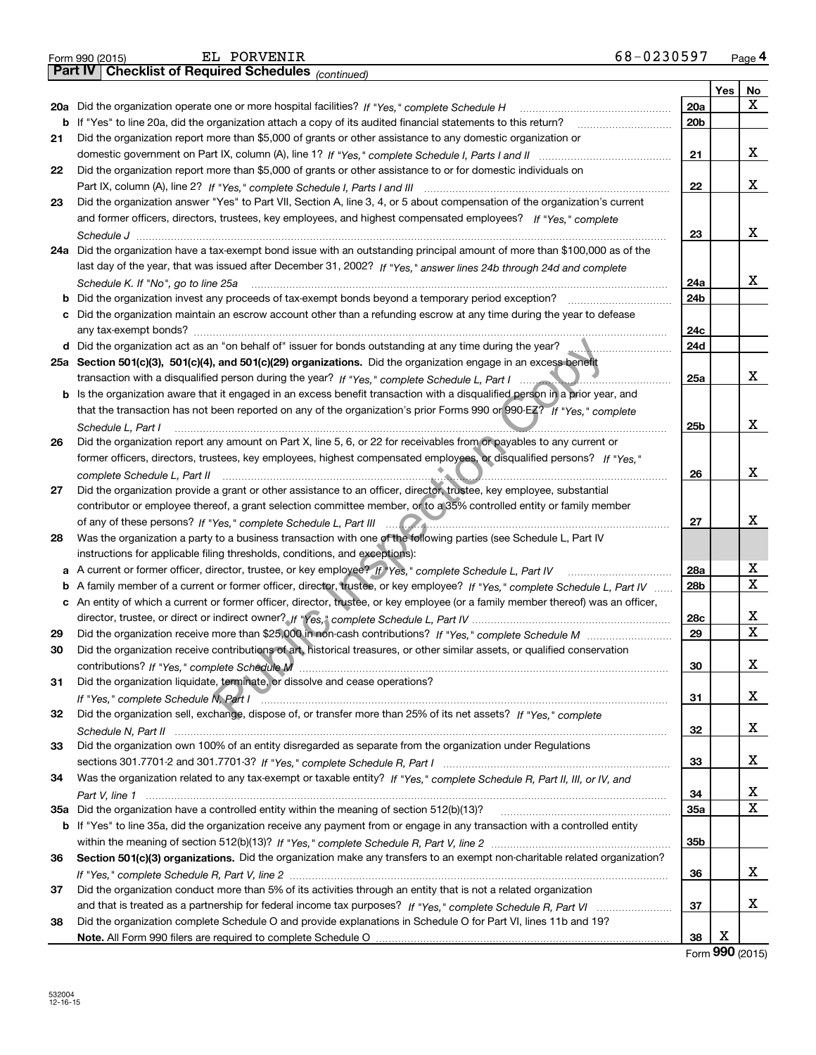|    | 68-0230597<br>EL PORVENIR<br>Form 990 (2015)                                                                                                                                                                                       |                 |     | Page 4                     |
|----|------------------------------------------------------------------------------------------------------------------------------------------------------------------------------------------------------------------------------------|-----------------|-----|----------------------------|
|    | <b>Checklist of Required Schedules (continued)</b><br>  Part IV                                                                                                                                                                    |                 |     |                            |
|    |                                                                                                                                                                                                                                    |                 | Yes | No                         |
|    | 20a Did the organization operate one or more hospital facilities? If "Yes," complete Schedule H                                                                                                                                    | 20a             |     | x                          |
|    | <b>b</b> If "Yes" to line 20a, did the organization attach a copy of its audited financial statements to this return?                                                                                                              | 20b             |     |                            |
| 21 | Did the organization report more than \$5,000 of grants or other assistance to any domestic organization or                                                                                                                        |                 |     |                            |
|    |                                                                                                                                                                                                                                    | 21              |     | x                          |
| 22 | Did the organization report more than \$5,000 of grants or other assistance to or for domestic individuals on                                                                                                                      |                 |     |                            |
|    |                                                                                                                                                                                                                                    | 22              |     | x                          |
| 23 | Did the organization answer "Yes" to Part VII, Section A, line 3, 4, or 5 about compensation of the organization's current                                                                                                         |                 |     |                            |
|    | and former officers, directors, trustees, key employees, and highest compensated employees? If "Yes," complete                                                                                                                     |                 |     |                            |
|    |                                                                                                                                                                                                                                    | 23              |     | X                          |
|    | 24a Did the organization have a tax-exempt bond issue with an outstanding principal amount of more than \$100,000 as of the                                                                                                        |                 |     |                            |
|    | last day of the year, that was issued after December 31, 2002? If "Yes," answer lines 24b through 24d and complete                                                                                                                 |                 |     |                            |
|    | Schedule K. If "No", go to line 25a                                                                                                                                                                                                | 24a             |     | x                          |
| b  |                                                                                                                                                                                                                                    | 24b             |     |                            |
| с  | Did the organization maintain an escrow account other than a refunding escrow at any time during the year to defease                                                                                                               |                 |     |                            |
|    |                                                                                                                                                                                                                                    | 24c             |     |                            |
|    | d Did the organization act as an "on behalf of" issuer for bonds outstanding at any time during the year?                                                                                                                          | 24d             |     |                            |
|    | 25a Section 501(c)(3), 501(c)(4), and 501(c)(29) organizations. Did the organization engage in an excess benefit                                                                                                                   |                 |     |                            |
|    | transaction with a disqualified person during the year? If "Yes," complete Schedule L, Part I                                                                                                                                      | 25a             |     | x                          |
| b  | Is the organization aware that it engaged in an excess benefit transaction with a disqualified person in a prior year, and                                                                                                         |                 |     |                            |
|    | that the transaction has not been reported on any of the organization's prior Forms 990 or 990-EZ? If "Yes," complete                                                                                                              |                 |     |                            |
|    | Schedule L, Part I                                                                                                                                                                                                                 | 25b             |     | x                          |
| 26 | Did the organization report any amount on Part X, line 5, 6, or 22 for receivables from or payables to any current or                                                                                                              |                 |     |                            |
|    | former officers, directors, trustees, key employees, highest compensated employees, or disqualified persons? If "Yes."                                                                                                             |                 |     |                            |
|    | complete Schedule L, Part II                                                                                                                                                                                                       | 26              |     | X                          |
| 27 | Did the organization provide a grant or other assistance to an officer, director, trustee, key employee, substantial                                                                                                               |                 |     |                            |
|    | contributor or employee thereof, a grant selection committee member, or to a 35% controlled entity or family member                                                                                                                |                 |     |                            |
|    |                                                                                                                                                                                                                                    | 27              |     | x                          |
| 28 | Was the organization a party to a business transaction with one of the following parties (see Schedule L, Part IV                                                                                                                  |                 |     |                            |
|    | instructions for applicable filing thresholds, conditions, and exceptions):                                                                                                                                                        |                 |     |                            |
| а  | A current or former officer, director, trustee, or key employee? If "Yes," complete Schedule L, Part IV                                                                                                                            | 28a             |     | x<br>$\mathbf X$           |
| b  | A family member of a current or former officer, director, trustee, or key employee? If "Yes," complete Schedule L. Part IV                                                                                                         | 28 <sub>b</sub> |     |                            |
|    | c An entity of which a current or former officer, director, trustee, or key employee (or a family member thereof) was an officer,                                                                                                  |                 |     |                            |
|    |                                                                                                                                                                                                                                    | 28c             |     | х<br>X                     |
| 29 | Did the organization receive contributions of art, historical treasures, or other similar assets, or qualified conservation                                                                                                        | 29              |     |                            |
|    |                                                                                                                                                                                                                                    |                 |     | X                          |
| 31 | Did the organization liquidate, terminate, or dissolve and cease operations?                                                                                                                                                       | 30              |     |                            |
|    |                                                                                                                                                                                                                                    | 31              |     | x                          |
| 32 | If "Yes," complete Schedule N, Part I Decreeding and the content of the set of the complete Schedule N, Part I<br>Did the organization sell, exchange, dispose of, or transfer more than 25% of its net assets? If "Yes," complete |                 |     |                            |
|    |                                                                                                                                                                                                                                    | 32              |     | x                          |
| 33 | Did the organization own 100% of an entity disregarded as separate from the organization under Regulations                                                                                                                         |                 |     |                            |
|    |                                                                                                                                                                                                                                    | 33              |     | x                          |
| 34 | Was the organization related to any tax-exempt or taxable entity? If "Yes," complete Schedule R, Part II, III, or IV, and                                                                                                          |                 |     |                            |
|    |                                                                                                                                                                                                                                    | 34              |     | х                          |
|    |                                                                                                                                                                                                                                    | <b>35a</b>      |     | X                          |
|    | b If "Yes" to line 35a, did the organization receive any payment from or engage in any transaction with a controlled entity                                                                                                        |                 |     |                            |
|    |                                                                                                                                                                                                                                    | 35b             |     |                            |
| 36 | Section 501(c)(3) organizations. Did the organization make any transfers to an exempt non-charitable related organization?                                                                                                         |                 |     |                            |
|    |                                                                                                                                                                                                                                    | 36              |     | x                          |
| 37 | Did the organization conduct more than 5% of its activities through an entity that is not a related organization                                                                                                                   |                 |     |                            |
|    |                                                                                                                                                                                                                                    | 37              |     | x                          |
| 38 | Did the organization complete Schedule O and provide explanations in Schedule O for Part VI, lines 11b and 19?                                                                                                                     |                 |     |                            |
|    |                                                                                                                                                                                                                                    | 38              | х   |                            |
|    |                                                                                                                                                                                                                                    |                 |     | $F_{\text{c}} = 990(2015)$ |

Form (2015) **990**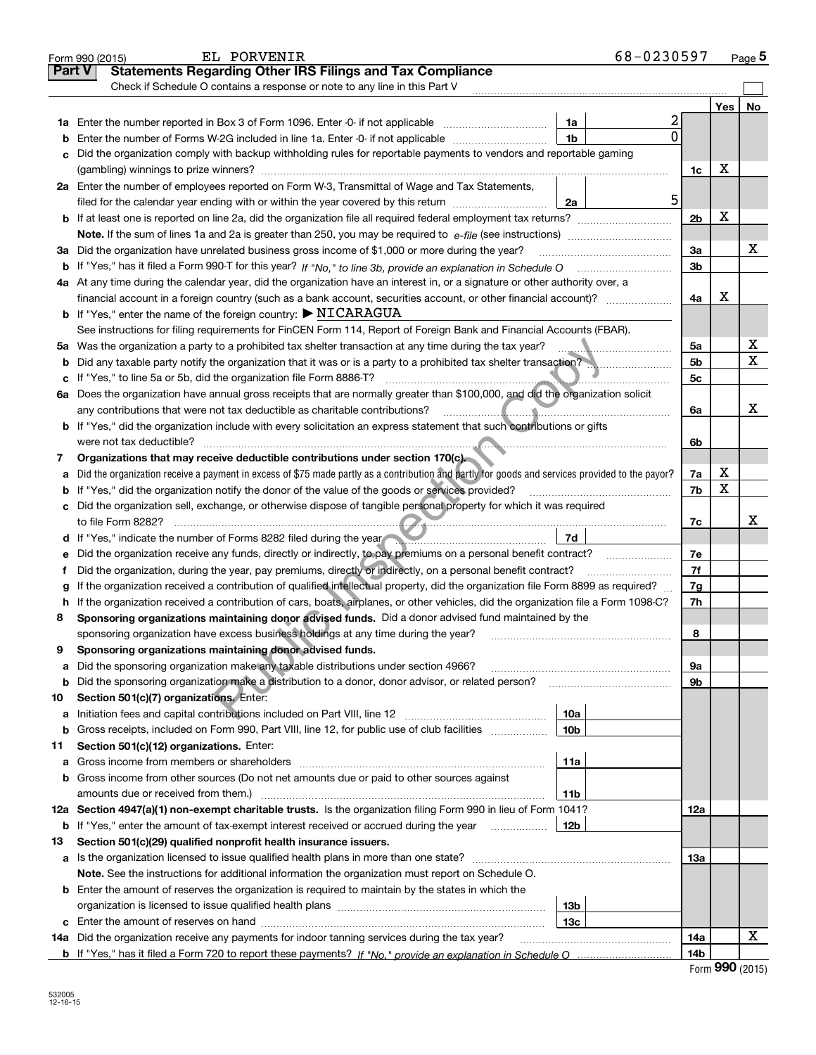|               | EL PORVENIR<br>Form 990 (2015)                                                                                                                  |                 | 68-0230597 |                |     | <u>Page</u> 5 |
|---------------|-------------------------------------------------------------------------------------------------------------------------------------------------|-----------------|------------|----------------|-----|---------------|
| <b>Part V</b> | <b>Statements Regarding Other IRS Filings and Tax Compliance</b>                                                                                |                 |            |                |     |               |
|               | Check if Schedule O contains a response or note to any line in this Part V                                                                      |                 |            |                |     |               |
|               |                                                                                                                                                 |                 |            |                | Yes | No            |
|               | 1a Enter the number reported in Box 3 of Form 1096. Enter -0- if not applicable                                                                 | 1a              | 2          |                |     |               |
| b             | Enter the number of Forms W-2G included in line 1a. Enter -0- if not applicable                                                                 | 1b              | 0          |                |     |               |
| с             | Did the organization comply with backup withholding rules for reportable payments to vendors and reportable gaming                              |                 |            |                |     |               |
|               |                                                                                                                                                 |                 |            | 1c             | х   |               |
|               | 2a Enter the number of employees reported on Form W-3, Transmittal of Wage and Tax Statements,                                                  |                 |            |                |     |               |
|               | filed for the calendar year ending with or within the year covered by this return                                                               | 2a              | 5          |                |     |               |
|               |                                                                                                                                                 |                 |            | 2 <sub>b</sub> | х   |               |
|               |                                                                                                                                                 |                 |            |                |     |               |
| За            | Did the organization have unrelated business gross income of \$1,000 or more during the year?                                                   |                 |            | 3a             |     | х             |
| b             |                                                                                                                                                 |                 |            | 3b             |     |               |
|               | 4a At any time during the calendar year, did the organization have an interest in, or a signature or other authority over, a                    |                 |            |                |     |               |
|               |                                                                                                                                                 |                 |            | 4a             | х   |               |
|               | <b>b</b> If "Yes," enter the name of the foreign country: $\triangleright$ NICARAGUA                                                            |                 |            |                |     |               |
|               | See instructions for filing requirements for FinCEN Form 114, Report of Foreign Bank and Financial Accounts (FBAR).                             |                 |            |                |     |               |
|               | 5a Was the organization a party to a prohibited tax shelter transaction at any time during the tax year?                                        |                 |            | 5a             |     | х             |
| b             | Did any taxable party notify the organization that it was or is a party to a prohibited tax shelter transaction?                                |                 |            | 5b             |     | Χ             |
| с             | If "Yes," to line 5a or 5b, did the organization file Form 8886-T?                                                                              |                 |            | 5c             |     |               |
|               | 6a Does the organization have annual gross receipts that are normally greater than \$100,000, and did the organization solicit                  |                 |            |                |     |               |
|               | any contributions that were not tax deductible as charitable contributions?                                                                     |                 |            | 6a             |     | х             |
|               | <b>b</b> If "Yes," did the organization include with every solicitation an express statement that such contributions or gifts                   |                 |            |                |     |               |
|               | were not tax deductible?                                                                                                                        |                 |            | 6b             |     |               |
| 7             | Organizations that may receive deductible contributions under section 170(c)                                                                    |                 |            |                |     |               |
| а             | Did the organization receive a payment in excess of \$75 made partly as a contribution and partly for goods and services provided to the payor? |                 |            | 7a             | х   |               |
| b             | If "Yes," did the organization notify the donor of the value of the goods or services provided?                                                 |                 |            | 7b             | X   |               |
|               | c Did the organization sell, exchange, or otherwise dispose of tangible personal property for which it was required                             |                 |            |                |     |               |
|               |                                                                                                                                                 |                 |            | 7c             |     | х             |
|               | d If "Yes," indicate the number of Forms 8282 filed during the year                                                                             | 7d              |            |                |     |               |
| е             | Did the organization receive any funds, directly or indirectly, to pay premiums on a personal benefit contract?                                 |                 |            | 7е             |     |               |
| f             | Did the organization, during the year, pay premiums, directly or indirectly, on a personal benefit contract?                                    |                 |            | 7f             |     |               |
| g             | If the organization received a contribution of qualified intellectual property, did the organization file Form 8899 as required?                |                 |            | 7g             |     |               |
| h             | If the organization received a contribution of cars, boats, airplanes, or other vehicles, did the organization file a Form 1098-C?              |                 |            | 7h             |     |               |
| 8             | Sponsoring organizations maintaining donor advised funds. Did a donor advised fund maintained by the                                            |                 |            |                |     |               |
|               | sponsoring organization have excess business holdings at any time during the year?                                                              |                 |            | 8              |     |               |
|               | Sponsoring organizations maintaining donor advised funds.                                                                                       |                 |            |                |     |               |
| а             | Did the sponsoring organization make any taxable distributions under section 4966?                                                              |                 |            | 9а             |     |               |
| b             | Did the sponsoring organization make a distribution to a donor, donor advisor, or related person?                                               |                 |            | 9b             |     |               |
| 10            | Section 501(c)(7) organizations. Enter:                                                                                                         |                 |            |                |     |               |
| а             | Initiation fees and capital contributions included on Part VIII, line 12 <i>manuarrouus</i> manuations of the latest                            | 10a             |            |                |     |               |
| b             | Gross receipts, included on Form 990, Part VIII, line 12, for public use of club facilities                                                     | 10 <sub>b</sub> |            |                |     |               |
| 11            | Section 501(c)(12) organizations. Enter:                                                                                                        |                 |            |                |     |               |
| а             | Gross income from members or shareholders                                                                                                       | 11a             |            |                |     |               |
| b             | Gross income from other sources (Do not net amounts due or paid to other sources against                                                        |                 |            |                |     |               |
|               | amounts due or received from them.)                                                                                                             | 11b             |            |                |     |               |
|               | 12a Section 4947(a)(1) non-exempt charitable trusts. Is the organization filing Form 990 in lieu of Form 1041?                                  |                 |            | 12a            |     |               |
| b             | If "Yes," enter the amount of tax-exempt interest received or accrued during the year                                                           | 12b             |            |                |     |               |
| 13            | Section 501(c)(29) qualified nonprofit health insurance issuers.                                                                                |                 |            |                |     |               |
|               | a Is the organization licensed to issue qualified health plans in more than one state?                                                          |                 |            | 13а            |     |               |
|               | Note. See the instructions for additional information the organization must report on Schedule O.                                               |                 |            |                |     |               |
|               | <b>b</b> Enter the amount of reserves the organization is required to maintain by the states in which the                                       |                 |            |                |     |               |
|               |                                                                                                                                                 | 13b             |            |                |     |               |
|               |                                                                                                                                                 | 13 <sub>c</sub> |            |                |     | x             |
|               | 14a Did the organization receive any payments for indoor tanning services during the tax year?                                                  |                 |            | 14a            |     |               |
|               |                                                                                                                                                 |                 |            | 14b            |     |               |

|  | Form 990 (2015) |
|--|-----------------|
|  |                 |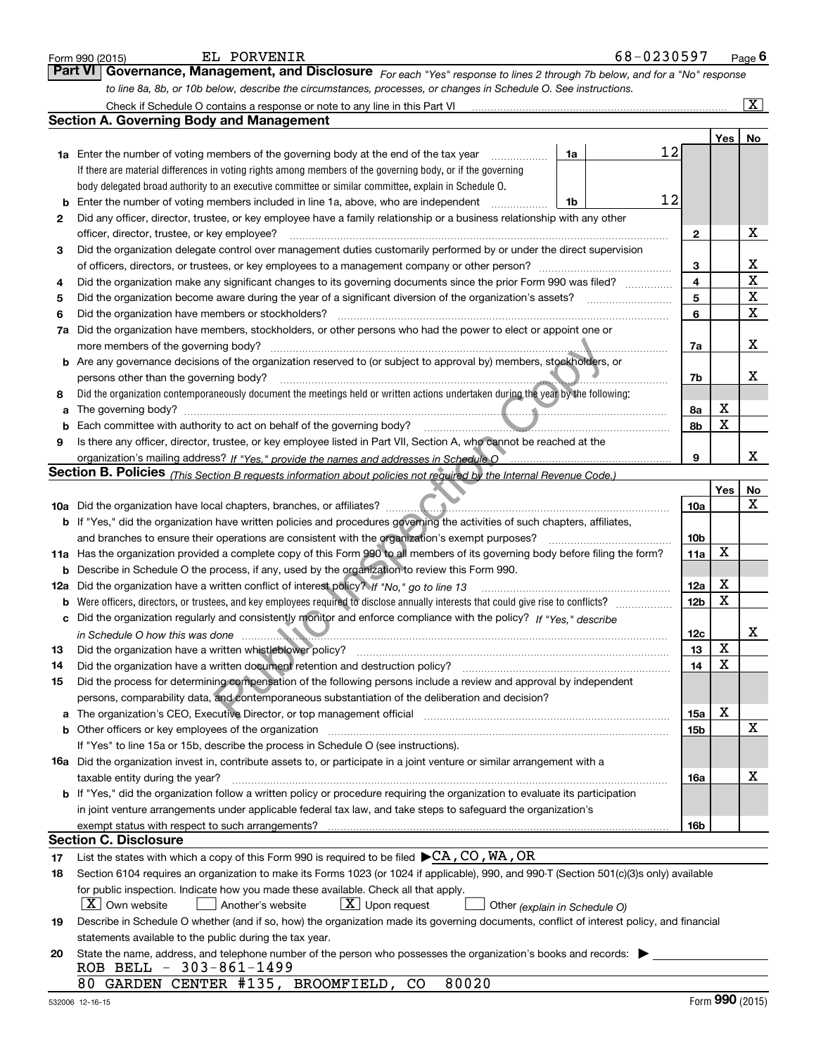|        | EL PORVENIR<br>Form 990 (2015)                                                                                                                                        | 68-0230597 |                 |     | Page $6$                |
|--------|-----------------------------------------------------------------------------------------------------------------------------------------------------------------------|------------|-----------------|-----|-------------------------|
|        | Governance, Management, and Disclosure For each "Yes" response to lines 2 through 7b below, and for a "No" response<br><b>Part VI</b>                                 |            |                 |     |                         |
|        | to line 8a, 8b, or 10b below, describe the circumstances, processes, or changes in Schedule O. See instructions.                                                      |            |                 |     |                         |
|        | Check if Schedule O contains a response or note to any line in this Part VI                                                                                           |            |                 |     | $\overline{\mathtt{x}}$ |
|        | <b>Section A. Governing Body and Management</b>                                                                                                                       |            |                 |     |                         |
|        |                                                                                                                                                                       |            |                 | Yes | No                      |
|        | <b>1a</b> Enter the number of voting members of the governing body at the end of the tax year                                                                         | 12<br>1a   |                 |     |                         |
|        | If there are material differences in voting rights among members of the governing body, or if the governing                                                           |            |                 |     |                         |
|        | body delegated broad authority to an executive committee or similar committee, explain in Schedule O.                                                                 |            |                 |     |                         |
| b      | Enter the number of voting members included in line 1a, above, who are independent                                                                                    | 12<br>1b   |                 |     |                         |
| 2      | Did any officer, director, trustee, or key employee have a family relationship or a business relationship with any other                                              |            |                 |     |                         |
|        | officer, director, trustee, or key employee?                                                                                                                          |            | $\mathbf{2}$    |     | X                       |
| 3      | Did the organization delegate control over management duties customarily performed by or under the direct supervision                                                 |            |                 |     |                         |
|        | of officers, directors, or trustees, or key employees to a management company or other person?                                                                        |            | 3               |     | х                       |
| 4      | Did the organization make any significant changes to its governing documents since the prior Form 990 was filed?                                                      |            | 4               |     | $\mathbf X$             |
| 5      | Did the organization become aware during the year of a significant diversion of the organization's assets?                                                            |            | 5               |     | X                       |
| 6      | Did the organization have members or stockholders?                                                                                                                    |            | 6               |     | X                       |
| 7a     | Did the organization have members, stockholders, or other persons who had the power to elect or appoint one or                                                        |            |                 |     |                         |
|        | more members of the governing body?                                                                                                                                   |            | 7a              |     | X                       |
|        | b Are any governance decisions of the organization reserved to (or subject to approval by) members, stockholders, or                                                  |            |                 |     |                         |
|        | persons other than the governing body?                                                                                                                                |            | 7b              |     | х                       |
| 8      | Did the organization contemporaneously document the meetings held or written actions undertaken during the year by the following:                                     |            |                 | х   |                         |
| a      | The governing body?<br>Each committee with authority to act on behalf of the governing body?                                                                          |            | 8a              | X   |                         |
| b<br>9 | <u> 1980 - Januar Amerikaanse Staatsmann (</u>                                                                                                                        |            | 8b              |     |                         |
|        | Is there any officer, director, trustee, or key employee listed in Part VII, Section A, who cannot be reached at the                                                  |            | 9               |     | x                       |
|        | Section B. Policies (This Section B requests information about policies not required by the Internal Revenue Code.)                                                   |            |                 |     |                         |
|        |                                                                                                                                                                       |            |                 | Yes | No                      |
|        | <b>10a</b> Did the organization have local chapters, branches, or affiliates?                                                                                         |            | <b>10a</b>      |     | X                       |
|        | b If "Yes," did the organization have written policies and procedures governing the activities of such chapters, affiliates,                                          |            |                 |     |                         |
|        | and branches to ensure their operations are consistent with the organization's exempt purposes?                                                                       |            | 10 <sub>b</sub> |     |                         |
|        | 11a Has the organization provided a complete copy of this Form 990 to all members of its governing body before filing the form?                                       |            | 11a             | X   |                         |
| b      | Describe in Schedule O the process, if any, used by the organization to review this Form 990.                                                                         |            |                 |     |                         |
|        | 12a Did the organization have a written conflict of interest policy? If "No," go to line 13                                                                           |            | 12a             | х   |                         |
| b      | Were officers, directors, or trustees, and key employees required to disclose annually interests that could give rise to conflicts?                                   |            | 12 <sub>b</sub> | x   |                         |
|        | c Did the organization regularly and consistently monitor and enforce compliance with the policy? If "Yes," describe                                                  |            |                 |     |                         |
|        |                                                                                                                                                                       |            | 12c             |     | х                       |
| 13     | Did the organization have a written whistleblower policy?                                                                                                             |            | 13              | Y,  |                         |
| 14     | Did the organization have a written document retention and destruction policy?                                                                                        |            | 14              | Χ   |                         |
| 15     | Did the process for determining compensation of the following persons include a review and approval by independent                                                    |            |                 |     |                         |
|        | persons, comparability data, and contemporaneous substantiation of the deliberation and decision?                                                                     |            |                 | X   |                         |
| а      | The organization's CEO, Executive Director, or top management official manufactured content of the organization's CEO, Executive Director, or top management official |            | 15a             |     | X                       |
| b      | Other officers or key employees of the organization<br>If "Yes" to line 15a or 15b, describe the process in Schedule O (see instructions).                            |            | 15b             |     |                         |
|        | <b>16a</b> Did the organization invest in, contribute assets to, or participate in a joint venture or similar arrangement with a                                      |            |                 |     |                         |
|        | taxable entity during the year?                                                                                                                                       |            | 16a             |     | x                       |
|        | <b>b</b> If "Yes," did the organization follow a written policy or procedure requiring the organization to evaluate its participation                                 |            |                 |     |                         |
|        | in joint venture arrangements under applicable federal tax law, and take steps to safeguard the organization's                                                        |            |                 |     |                         |
|        | exempt status with respect to such arrangements?                                                                                                                      |            | 16b             |     |                         |
|        | <b>Section C. Disclosure</b>                                                                                                                                          |            |                 |     |                         |
| 17     | List the states with which a copy of this Form 990 is required to be filed $\blacktriangleright$ CA, CO, WA, OR                                                       |            |                 |     |                         |
| 18     | Section 6104 requires an organization to make its Forms 1023 (or 1024 if applicable), 990, and 990-T (Section 501(c)(3)s only) available                              |            |                 |     |                         |
|        | for public inspection. Indicate how you made these available. Check all that apply.                                                                                   |            |                 |     |                         |
|        | $X$ Own website<br>$X$ Upon request<br>Another's website<br>Other (explain in Schedule O)                                                                             |            |                 |     |                         |
| 19     | Describe in Schedule O whether (and if so, how) the organization made its governing documents, conflict of interest policy, and financial                             |            |                 |     |                         |
|        | statements available to the public during the tax year.                                                                                                               |            |                 |     |                         |
| 20     | State the name, address, and telephone number of the person who possesses the organization's books and records:                                                       |            |                 |     |                         |
|        | ROB BELL - 303-861-1499                                                                                                                                               |            |                 |     |                         |
|        | GARDEN CENTER #135, BROOMFIELD,<br>80020<br>80.<br>CO.                                                                                                                |            |                 |     |                         |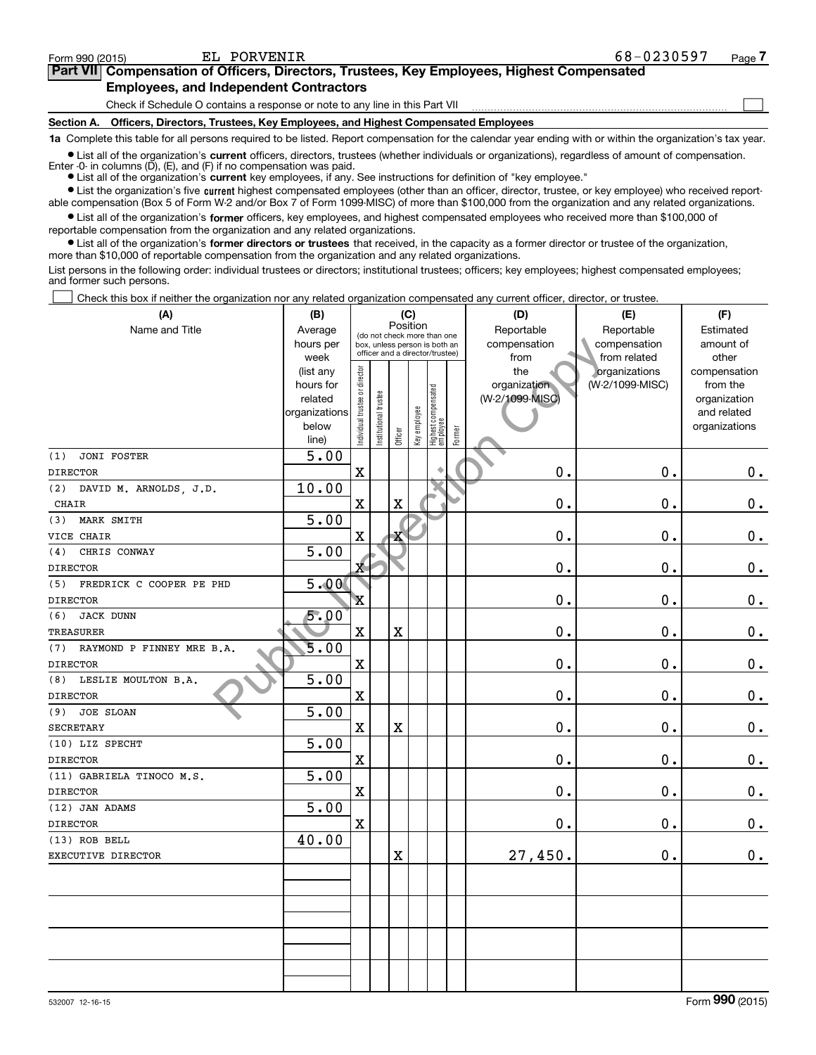$\mathcal{L}^{\text{max}}$ 

| orm 990 (2015) <sup>.</sup> | EL PORVENIR                                   |                                                                                            | 68-0230597 | Page $\prime$ |
|-----------------------------|-----------------------------------------------|--------------------------------------------------------------------------------------------|------------|---------------|
|                             |                                               | Part VII Compensation of Officers, Directors, Trustees, Key Employees, Highest Compensated |            |               |
|                             | <b>Employees, and Independent Contractors</b> |                                                                                            |            |               |

Check if Schedule O contains a response or note to any line in this Part VII

**Section A. Officers, Directors, Trustees, Key Employees, and Highest Compensated Employees**

**1a**  Complete this table for all persons required to be listed. Report compensation for the calendar year ending with or within the organization's tax year.

**•** List all of the organization's current officers, directors, trustees (whether individuals or organizations), regardless of amount of compensation. Enter -0- in columns  $(D)$ ,  $(E)$ , and  $(F)$  if no compensation was paid.

● List all of the organization's **current** key employees, if any. See instructions for definition of "key employee."

**In List the organization's five current highest compensated employees (other than an officer, director, trustee, or key employee) who received report-**■ List the organization's five current highest compensated employees (other than an officer, director, trustee, or key employee) who received report-<br>able compensation (Box 5 of Form W-2 and/or Box 7 of Form 1099-MISC) of

 $\bullet$  List all of the organization's **former** officers, key employees, and highest compensated employees who received more than \$100,000 of reportable compensation from the organization and any related organizations.

**•** List all of the organization's former directors or trustees that received, in the capacity as a former director or trustee of the organization, more than \$10,000 of reportable compensation from the organization and any related organizations.

List persons in the following order: individual trustees or directors; institutional trustees; officers; key employees; highest compensated employees; and former such persons.

Check this box if neither the organization nor any related organization compensated any current officer, director, or trustee.  $\mathcal{L}^{\text{max}}$ 

| (A)                              | (B)                    | (C)                           |                      |             |              |                                                                  |        | (D)                             | (E)                              | (F)                      |
|----------------------------------|------------------------|-------------------------------|----------------------|-------------|--------------|------------------------------------------------------------------|--------|---------------------------------|----------------------------------|--------------------------|
| Name and Title                   | Average                |                               |                      | Position    |              | (do not check more than one                                      |        | Reportable                      | Reportable                       | Estimated                |
|                                  | hours per              |                               |                      |             |              | box, unless person is both an<br>officer and a director/trustee) |        | compensation                    | compensation                     | amount of                |
|                                  | week                   |                               |                      |             |              |                                                                  |        | from                            | from related                     | other                    |
|                                  | (list any<br>hours for | ndividual trustee or director |                      |             |              |                                                                  |        | the                             | organizations<br>(W-2/1099-MISC) | compensation<br>from the |
|                                  | related                |                               |                      |             |              |                                                                  |        | organization<br>(W-2/1099-MISC) |                                  | organization             |
|                                  | organizations          |                               |                      |             |              |                                                                  |        |                                 |                                  | and related              |
|                                  | below                  |                               | nstitutional trustee |             |              |                                                                  |        |                                 |                                  | organizations            |
|                                  | line)                  |                               |                      | Officer     | Key employee | Highest compensated<br>  employee                                | Former |                                 |                                  |                          |
| <b>JONI FOSTER</b><br>(1)        | $\overline{5.00}$      |                               |                      |             |              |                                                                  |        |                                 |                                  |                          |
| <b>DIRECTOR</b>                  |                        | $\mathbf x$                   |                      |             |              |                                                                  |        | 0.                              | 0.                               | $\mathbf 0$ .            |
| (2) DAVID M. ARNOLDS, J.D.       | 10.00                  |                               |                      |             |              |                                                                  |        |                                 |                                  |                          |
| <b>CHAIR</b>                     |                        | $\mathbf X$                   |                      | $\mathbf X$ |              |                                                                  |        | $0$ .                           | $\mathbf 0$ .                    | $\mathbf 0$ .            |
| MARK SMITH<br>(3)                | 5.00                   |                               |                      |             |              |                                                                  |        |                                 |                                  |                          |
| VICE CHAIR                       |                        | $\mathbf X$                   |                      | х           |              |                                                                  |        | 0.                              | $\mathbf 0$ .                    | $0_{.}$                  |
| CHRIS CONWAY<br>(4)              | 5.00                   |                               |                      |             |              |                                                                  |        |                                 |                                  |                          |
| <b>DIRECTOR</b>                  |                        | $\mathbf{x}$                  |                      |             |              |                                                                  |        | 0.                              | $\mathbf 0$ .                    | $0 \cdot$                |
| FREDRICK C COOPER PE PHD<br>(5)  | 5.00                   |                               |                      |             |              |                                                                  |        |                                 |                                  |                          |
| <b>DIRECTOR</b>                  |                        | X                             |                      |             |              |                                                                  |        | $\mathbf 0$ .                   | $\mathbf 0$ .                    | $\mathbf 0$ .            |
| (6)<br><b>JACK DUNN</b>          | 5.00                   |                               |                      |             |              |                                                                  |        |                                 |                                  |                          |
| <b>TREASURER</b>                 |                        | $\mathbf X$                   |                      | $\mathbf X$ |              |                                                                  |        | 0.                              | $\mathbf 0$ .                    | $0_{.}$                  |
| RAYMOND P FINNEY MRE B.A.<br>(7) | 5.00                   |                               |                      |             |              |                                                                  |        |                                 |                                  |                          |
| <b>DIRECTOR</b>                  |                        | $\mathbf x$                   |                      |             |              |                                                                  |        | 0.                              | $\mathbf{0}$ .                   | $\mathbf 0$ .            |
| LESLIE MOULTON B.A.<br>(8)       | 5.00                   |                               |                      |             |              |                                                                  |        |                                 |                                  |                          |
| <b>DIRECTOR</b>                  |                        | $\mathbf X$                   |                      |             |              |                                                                  |        | 0.                              | 0.                               | $0_{.}$                  |
| <b>JOE SLOAN</b><br>(9)          | 5.00                   |                               |                      |             |              |                                                                  |        |                                 |                                  |                          |
| <b>SECRETARY</b>                 |                        | $\mathbf x$                   |                      | $\mathbf X$ |              |                                                                  |        | $\mathbf 0$ .                   | 0.                               | $\mathbf 0$ .            |
| (10) LIZ SPECHT                  | 5.00                   |                               |                      |             |              |                                                                  |        |                                 |                                  |                          |
| <b>DIRECTOR</b>                  |                        | $\mathbf X$                   |                      |             |              |                                                                  |        | 0.                              | $\mathbf 0$ .                    | $0_{.}$                  |
| (11) GABRIELA TINOCO M.S.        | 5.00                   |                               |                      |             |              |                                                                  |        |                                 |                                  |                          |
| <b>DIRECTOR</b>                  |                        | $\mathbf x$                   |                      |             |              |                                                                  |        | 0.                              | $\mathbf{0}$ .                   | $0_{.}$                  |
| (12) JAN ADAMS                   | 5.00                   |                               |                      |             |              |                                                                  |        |                                 |                                  |                          |
| <b>DIRECTOR</b>                  |                        | $\mathbf X$                   |                      |             |              |                                                                  |        | 0.                              | 0.                               | $0_{.}$                  |
| (13) ROB BELL                    | 40.00                  |                               |                      |             |              |                                                                  |        |                                 |                                  |                          |
| EXECUTIVE DIRECTOR               |                        |                               |                      | $\mathbf X$ |              |                                                                  |        | 27,450.                         | 0.                               | 0.                       |
|                                  |                        |                               |                      |             |              |                                                                  |        |                                 |                                  |                          |
|                                  |                        |                               |                      |             |              |                                                                  |        |                                 |                                  |                          |
|                                  |                        |                               |                      |             |              |                                                                  |        |                                 |                                  |                          |
|                                  |                        |                               |                      |             |              |                                                                  |        |                                 |                                  |                          |
|                                  |                        |                               |                      |             |              |                                                                  |        |                                 |                                  |                          |
|                                  |                        |                               |                      |             |              |                                                                  |        |                                 |                                  |                          |
|                                  |                        |                               |                      |             |              |                                                                  |        |                                 |                                  |                          |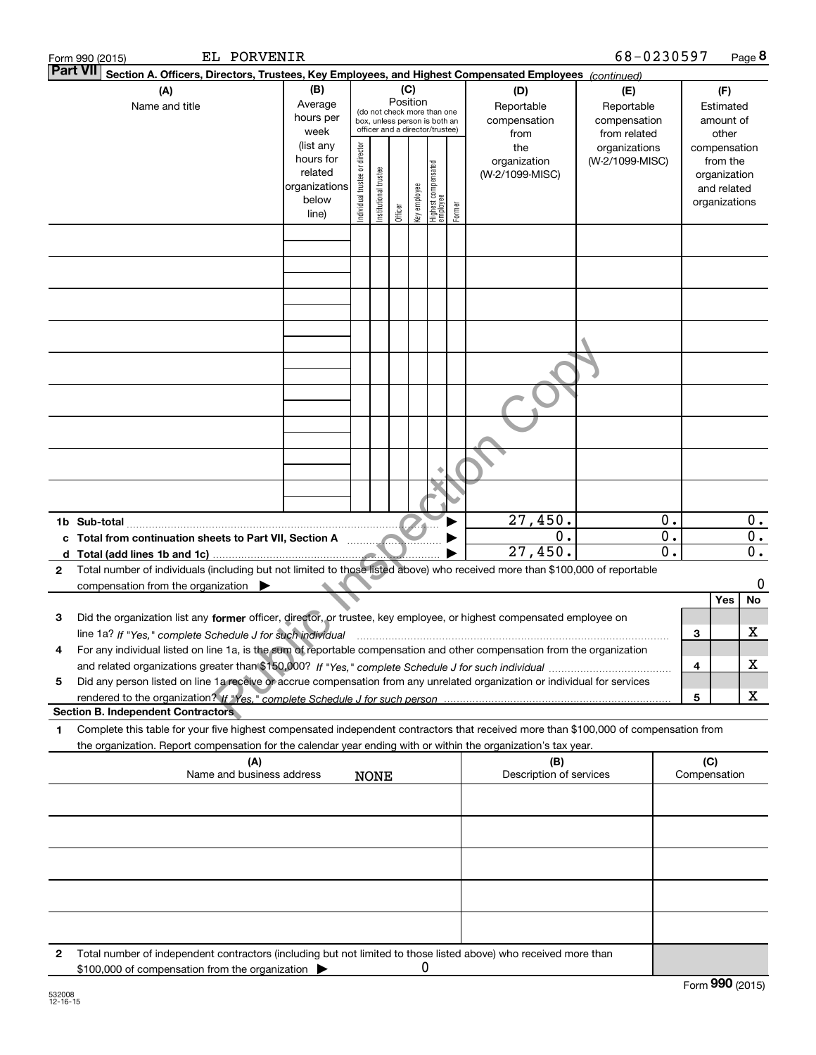|              | EL PORVENIR<br>Form 990 (2015)                                                                                                                                                                                                                         |                                                                      |                                |                       |                 |                       |                                                                                                 |        |                                           | 68-0230597                                        |                  |        |                                                                          | Page 8      |
|--------------|--------------------------------------------------------------------------------------------------------------------------------------------------------------------------------------------------------------------------------------------------------|----------------------------------------------------------------------|--------------------------------|-----------------------|-----------------|-----------------------|-------------------------------------------------------------------------------------------------|--------|-------------------------------------------|---------------------------------------------------|------------------|--------|--------------------------------------------------------------------------|-------------|
|              | <b>Part VII</b><br>Section A. Officers, Directors, Trustees, Key Employees, and Highest Compensated Employees (continued)                                                                                                                              |                                                                      |                                |                       |                 |                       |                                                                                                 |        |                                           |                                                   |                  |        |                                                                          |             |
|              | (A)<br>Name and title                                                                                                                                                                                                                                  | (B)<br>Average<br>hours per<br>week                                  |                                |                       | (C)<br>Position |                       | (do not check more than one<br>box, unless person is both an<br>officer and a director/trustee) |        | (D)<br>Reportable<br>compensation<br>from | (E)<br>Reportable<br>compensation<br>from related |                  |        | (F)<br>Estimated<br>amount of<br>other                                   |             |
|              |                                                                                                                                                                                                                                                        | (list any<br>hours for<br>related<br>organizations<br>below<br>line) | Individual trustee or director | Institutional trustee | Officer         | Key employee          | Highest compensated<br>  employee                                                               | Former | the<br>organization<br>(W-2/1099-MISC)    | organizations<br>(W-2/1099-MISC)                  |                  |        | compensation<br>from the<br>organization<br>and related<br>organizations |             |
|              |                                                                                                                                                                                                                                                        |                                                                      |                                |                       |                 |                       |                                                                                                 |        |                                           |                                                   |                  |        |                                                                          |             |
|              |                                                                                                                                                                                                                                                        |                                                                      |                                |                       |                 |                       |                                                                                                 |        |                                           |                                                   |                  |        |                                                                          |             |
|              |                                                                                                                                                                                                                                                        |                                                                      |                                |                       |                 |                       |                                                                                                 |        |                                           |                                                   |                  |        |                                                                          |             |
|              |                                                                                                                                                                                                                                                        |                                                                      |                                |                       |                 |                       |                                                                                                 |        |                                           |                                                   |                  |        |                                                                          |             |
|              |                                                                                                                                                                                                                                                        |                                                                      |                                |                       |                 |                       |                                                                                                 |        |                                           |                                                   |                  |        |                                                                          |             |
|              |                                                                                                                                                                                                                                                        |                                                                      |                                |                       |                 |                       |                                                                                                 |        |                                           |                                                   |                  |        |                                                                          |             |
|              |                                                                                                                                                                                                                                                        |                                                                      |                                |                       |                 |                       |                                                                                                 |        | 27,450.                                   |                                                   | $\overline{0}$ . |        |                                                                          | 0.          |
|              |                                                                                                                                                                                                                                                        |                                                                      |                                |                       |                 | <u> 11. stolet 19</u> |                                                                                                 |        | 0.<br>27,450.                             |                                                   | $0$ .<br>0.      |        |                                                                          | 0.<br>$0$ . |
| $\mathbf{2}$ | Total number of individuals (including but not limited to those listed above) who received more than \$100,000 of reportable<br>compensation from the organization $\blacktriangleright$                                                               |                                                                      |                                |                       |                 |                       |                                                                                                 |        |                                           |                                                   |                  |        |                                                                          | 0           |
| 3            | Did the organization list any former officer, director, or trustee, key employee, or highest compensated employee on                                                                                                                                   |                                                                      |                                |                       |                 |                       |                                                                                                 |        |                                           |                                                   |                  |        | Yes                                                                      | No          |
| 4            | line 1a? If "Yes," complete Schedule J for such individual<br>For any individual listed on line 1a, is the sum of reportable compensation and other compensation from the organization                                                                 |                                                                      |                                |                       |                 |                       |                                                                                                 |        |                                           |                                                   |                  | 3      |                                                                          | х           |
| 5            | Did any person listed on line 1a receive or accrue compensation from any unrelated organization or individual for services                                                                                                                             |                                                                      |                                |                       |                 |                       |                                                                                                 |        |                                           |                                                   |                  | 4<br>5 |                                                                          | х<br>х      |
|              | <b>Section B. Independent Contractors</b>                                                                                                                                                                                                              |                                                                      |                                |                       |                 |                       |                                                                                                 |        |                                           |                                                   |                  |        |                                                                          |             |
| 1            | Complete this table for your five highest compensated independent contractors that received more than \$100,000 of compensation from<br>the organization. Report compensation for the calendar year ending with or within the organization's tax year. |                                                                      |                                |                       |                 |                       |                                                                                                 |        |                                           |                                                   |                  |        |                                                                          |             |
|              | (A)<br>Name and business address                                                                                                                                                                                                                       |                                                                      |                                | <b>NONE</b>           |                 |                       |                                                                                                 |        | (B)<br>Description of services            |                                                   |                  | (C)    | Compensation                                                             |             |
|              |                                                                                                                                                                                                                                                        |                                                                      |                                |                       |                 |                       |                                                                                                 |        |                                           |                                                   |                  |        |                                                                          |             |
|              |                                                                                                                                                                                                                                                        |                                                                      |                                |                       |                 |                       |                                                                                                 |        |                                           |                                                   |                  |        |                                                                          |             |
|              |                                                                                                                                                                                                                                                        |                                                                      |                                |                       |                 |                       |                                                                                                 |        |                                           |                                                   |                  |        |                                                                          |             |
| 2            | Total number of independent contractors (including but not limited to those listed above) who received more than                                                                                                                                       |                                                                      |                                |                       |                 |                       |                                                                                                 |        |                                           |                                                   |                  |        |                                                                          |             |
|              | \$100,000 of compensation from the organization >                                                                                                                                                                                                      |                                                                      |                                |                       |                 | U                     |                                                                                                 |        |                                           |                                                   |                  |        | $F_{\text{arm}}$ 990 (2015)                                              |             |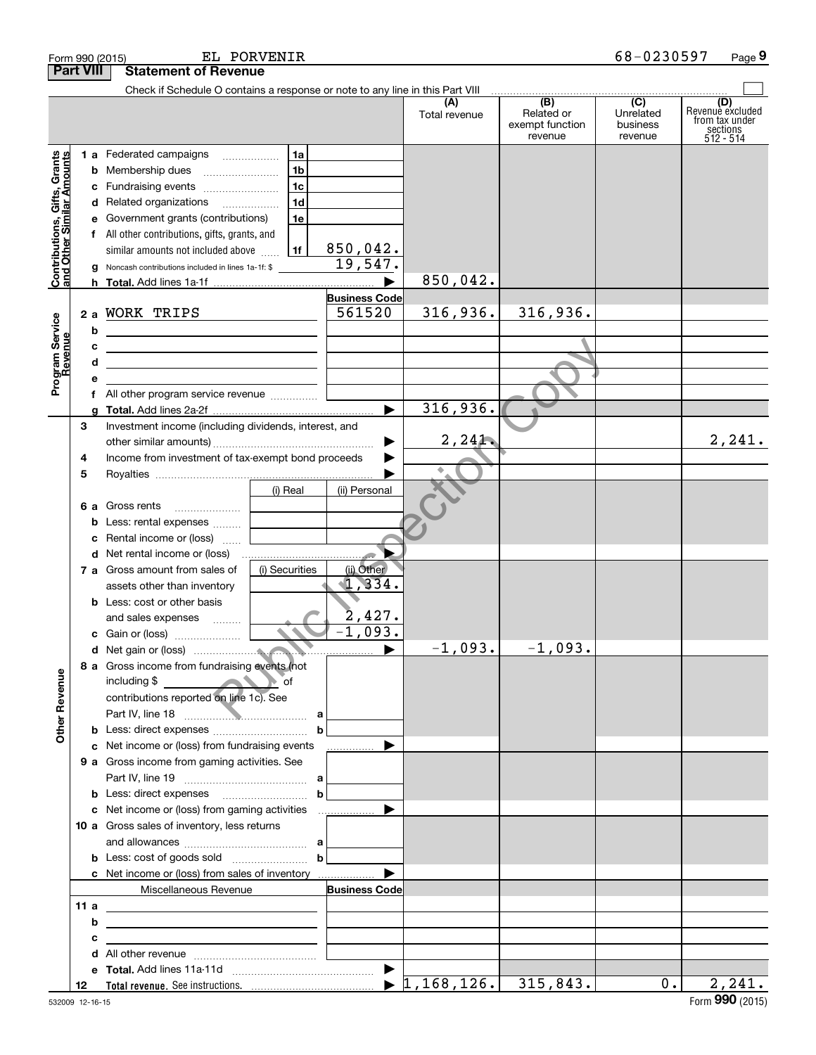|                                                           | EL PORVENIR<br>Form 990 (2015) |                                                                                                                        |                |                       |                                  |                                                 |                                         | 68-0230597<br>Page 9                                               |
|-----------------------------------------------------------|--------------------------------|------------------------------------------------------------------------------------------------------------------------|----------------|-----------------------|----------------------------------|-------------------------------------------------|-----------------------------------------|--------------------------------------------------------------------|
|                                                           | <b>Part VIII</b>               | <b>Statement of Revenue</b>                                                                                            |                |                       |                                  |                                                 |                                         |                                                                    |
|                                                           |                                | Check if Schedule O contains a response or note to any line in this Part VIII                                          |                |                       |                                  |                                                 |                                         |                                                                    |
|                                                           |                                |                                                                                                                        |                |                       | (A)<br>Total revenue             | (B)<br>Related or<br>exempt function<br>revenue | (C)<br>Unrelated<br>business<br>revenue | (D)<br>Revenuè excluded<br>from tax under<br>sections<br>512 - 514 |
|                                                           |                                | 1 a Federated campaigns                                                                                                | 1a             |                       |                                  |                                                 |                                         |                                                                    |
| Contributions, Gifts, Grants<br>and Other Similar Amounts |                                | <b>b</b> Membership dues                                                                                               | 1 <sub>b</sub> |                       |                                  |                                                 |                                         |                                                                    |
|                                                           |                                | c Fundraising events                                                                                                   | 1 <sub>c</sub> |                       |                                  |                                                 |                                         |                                                                    |
|                                                           |                                | d Related organizations                                                                                                | 1 <sub>d</sub> |                       |                                  |                                                 |                                         |                                                                    |
|                                                           |                                | e Government grants (contributions)                                                                                    | 1e             |                       |                                  |                                                 |                                         |                                                                    |
|                                                           |                                | f All other contributions, gifts, grants, and                                                                          |                |                       |                                  |                                                 |                                         |                                                                    |
|                                                           |                                | similar amounts not included above                                                                                     | 1f             | 850,042.<br>19,547.   |                                  |                                                 |                                         |                                                                    |
|                                                           |                                | <b>g</b> Noncash contributions included in lines 1a-1f: \$                                                             |                |                       | 850,042.                         |                                                 |                                         |                                                                    |
|                                                           |                                |                                                                                                                        |                | <b>Business Code</b>  |                                  |                                                 |                                         |                                                                    |
|                                                           |                                | 2 a WORK TRIPS                                                                                                         |                | 561520                | 316,936.                         | 316,936.                                        |                                         |                                                                    |
|                                                           | b                              |                                                                                                                        |                |                       |                                  |                                                 |                                         |                                                                    |
|                                                           | c                              | <u> 1989 - Johann Stoff, deutscher Stoffen und der Stoffen und der Stoffen und der Stoffen und der Stoffen und der</u> |                |                       |                                  |                                                 |                                         |                                                                    |
|                                                           | d                              | the contract of the contract of the contract of the contract of the contract of                                        |                |                       |                                  |                                                 |                                         |                                                                    |
| Program Service<br>Revenue                                | е                              |                                                                                                                        |                |                       |                                  |                                                 |                                         |                                                                    |
|                                                           | f                              | All other program service revenue                                                                                      |                |                       |                                  |                                                 |                                         |                                                                    |
|                                                           | a                              |                                                                                                                        |                | $\blacktriangleright$ | 316,936.                         |                                                 |                                         |                                                                    |
|                                                           | З                              | Investment income (including dividends, interest, and                                                                  |                |                       |                                  |                                                 |                                         |                                                                    |
|                                                           |                                |                                                                                                                        |                | ▶                     | 2,241                            |                                                 |                                         | 2, 241.                                                            |
|                                                           | 4                              | Income from investment of tax-exempt bond proceeds                                                                     |                |                       |                                  |                                                 |                                         |                                                                    |
|                                                           | 5                              |                                                                                                                        |                |                       |                                  |                                                 |                                         |                                                                    |
|                                                           |                                |                                                                                                                        | (i) Real       | (ii) Personal         |                                  |                                                 |                                         |                                                                    |
|                                                           |                                | 6 a Gross rents<br><b>b</b> Less: rental expenses                                                                      |                |                       |                                  |                                                 |                                         |                                                                    |
|                                                           | c                              | Rental income or (loss)                                                                                                |                |                       |                                  |                                                 |                                         |                                                                    |
|                                                           |                                | <b>d</b> Net rental income or (loss)                                                                                   |                |                       |                                  |                                                 |                                         |                                                                    |
|                                                           |                                | 7 a Gross amount from sales of                                                                                         | (i) Securities | (ii) Other            |                                  |                                                 |                                         |                                                                    |
|                                                           |                                | assets other than inventory                                                                                            |                | 1,334.                |                                  |                                                 |                                         |                                                                    |
|                                                           |                                | <b>b</b> Less: cost or other basis                                                                                     |                |                       |                                  |                                                 |                                         |                                                                    |
|                                                           |                                | and sales expenses<br>1.1.1.1.1.1.1                                                                                    |                | 2,427.                |                                  |                                                 |                                         |                                                                    |
|                                                           |                                | c Gain or (loss)                                                                                                       |                | $\overline{1,093}$ .  |                                  |                                                 |                                         |                                                                    |
|                                                           |                                |                                                                                                                        |                |                       | $-1,093.$                        | $-1,093.$                                       |                                         |                                                                    |
|                                                           |                                | 8 a Gross income from fundraising events (not                                                                          |                |                       |                                  |                                                 |                                         |                                                                    |
|                                                           |                                | including \$<br><b>Example 19 of</b> of<br>contributions reported on line 1c). See                                     |                |                       |                                  |                                                 |                                         |                                                                    |
|                                                           |                                |                                                                                                                        |                |                       |                                  |                                                 |                                         |                                                                    |
| <b>Other Revenue</b>                                      |                                |                                                                                                                        | b              |                       |                                  |                                                 |                                         |                                                                    |
|                                                           |                                | c Net income or (loss) from fundraising events                                                                         |                | _____________ ▶       |                                  |                                                 |                                         |                                                                    |
|                                                           |                                | <b>9 a</b> Gross income from gaming activities. See                                                                    |                |                       |                                  |                                                 |                                         |                                                                    |
|                                                           |                                |                                                                                                                        |                |                       |                                  |                                                 |                                         |                                                                    |
|                                                           |                                |                                                                                                                        | b              |                       |                                  |                                                 |                                         |                                                                    |
|                                                           |                                |                                                                                                                        |                |                       |                                  |                                                 |                                         |                                                                    |
|                                                           |                                | 10 a Gross sales of inventory, less returns                                                                            |                |                       |                                  |                                                 |                                         |                                                                    |
|                                                           |                                |                                                                                                                        | $\mathbf b$    |                       |                                  |                                                 |                                         |                                                                    |
|                                                           |                                | c Net income or (loss) from sales of inventory                                                                         |                |                       |                                  |                                                 |                                         |                                                                    |
|                                                           |                                | Miscellaneous Revenue                                                                                                  |                | <b>Business Code</b>  |                                  |                                                 |                                         |                                                                    |
|                                                           | 11 a                           | <u> 1989 - Johann Stein, mars an de Brazilian (b. 1989)</u>                                                            |                |                       |                                  |                                                 |                                         |                                                                    |
|                                                           | b                              | the control of the control of the control of the control of the control of the control of                              |                |                       |                                  |                                                 |                                         |                                                                    |
|                                                           | с                              |                                                                                                                        |                |                       |                                  |                                                 |                                         |                                                                    |
|                                                           | d                              |                                                                                                                        |                |                       |                                  |                                                 |                                         |                                                                    |
|                                                           |                                |                                                                                                                        |                |                       |                                  |                                                 |                                         |                                                                    |
|                                                           | 12                             |                                                                                                                        |                |                       | $\blacktriangleright$ 1,168,126. | 315,843.                                        | $0$ .                                   | 2,241.                                                             |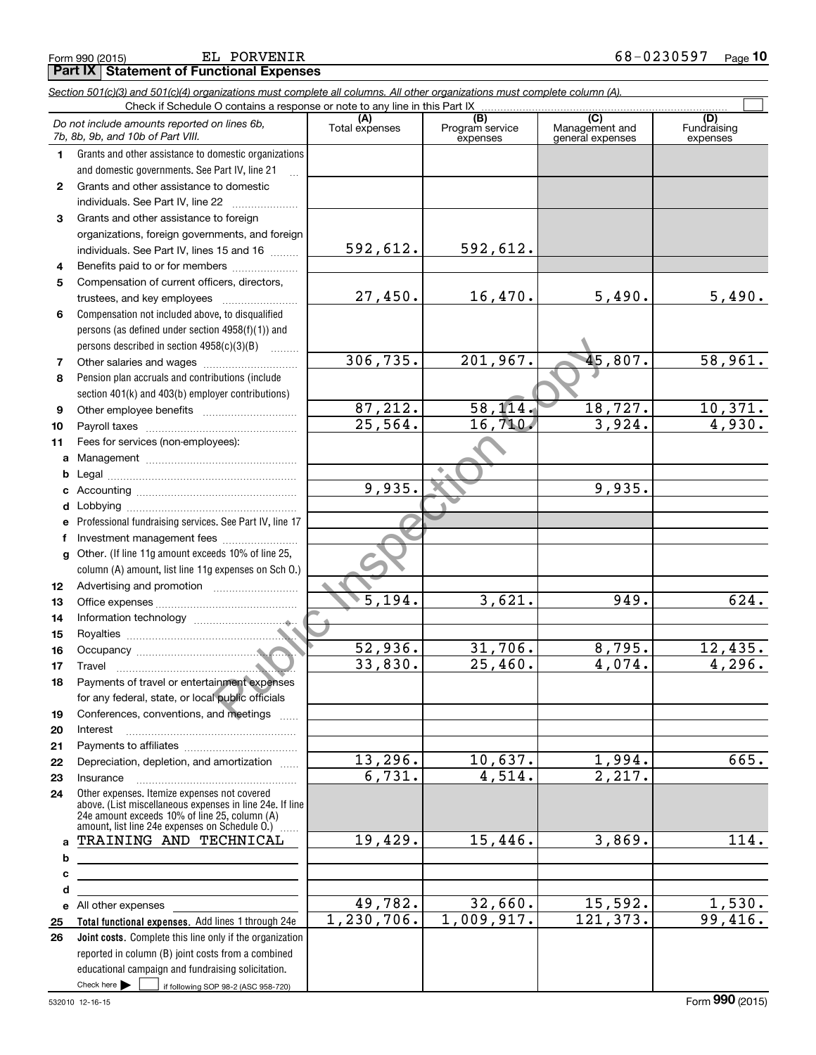**Part IX | Statement of Functional Expenses** 

|                  | Section 501(c)(3) and 501(c)(4) organizations must complete all columns. All other organizations must complete column (A).<br>Check if Schedule O contains a response or note to any line in this Part IX |                       |                             |                                    |                          |
|------------------|-----------------------------------------------------------------------------------------------------------------------------------------------------------------------------------------------------------|-----------------------|-----------------------------|------------------------------------|--------------------------|
|                  | Do not include amounts reported on lines 6b,                                                                                                                                                              |                       | (B)                         | (C)                                | (D)<br>Fundraising       |
|                  | 7b, 8b, 9b, and 10b of Part VIII.                                                                                                                                                                         | Total expenses        | Program service<br>expenses | Management and<br>general expenses | expenses                 |
| $\mathbf{1}$     | Grants and other assistance to domestic organizations                                                                                                                                                     |                       |                             |                                    |                          |
|                  | and domestic governments. See Part IV, line 21                                                                                                                                                            |                       |                             |                                    |                          |
| $\mathbf{2}$     | Grants and other assistance to domestic                                                                                                                                                                   |                       |                             |                                    |                          |
|                  | individuals. See Part IV, line 22                                                                                                                                                                         |                       |                             |                                    |                          |
| 3                | Grants and other assistance to foreign                                                                                                                                                                    |                       |                             |                                    |                          |
|                  | organizations, foreign governments, and foreign                                                                                                                                                           |                       |                             |                                    |                          |
|                  | individuals. See Part IV, lines 15 and 16                                                                                                                                                                 | 592,612.              | 592,612.                    |                                    |                          |
| 4                | Benefits paid to or for members                                                                                                                                                                           |                       |                             |                                    |                          |
| 5                | Compensation of current officers, directors,                                                                                                                                                              |                       |                             |                                    |                          |
|                  | trustees, and key employees                                                                                                                                                                               | 27,450.               | 16,470.                     | 5,490.                             | 5,490.                   |
| 6                | Compensation not included above, to disqualified                                                                                                                                                          |                       |                             |                                    |                          |
|                  | persons (as defined under section 4958(f)(1)) and                                                                                                                                                         |                       |                             |                                    |                          |
|                  | persons described in section 4958(c)(3)(B)<br>.                                                                                                                                                           | 306, 735.             | 201,967.                    | 45,807.                            | 58,961.                  |
| $\overline{7}$   |                                                                                                                                                                                                           |                       |                             |                                    |                          |
| 8                | Pension plan accruals and contributions (include                                                                                                                                                          |                       |                             |                                    |                          |
| 9                | section 401(k) and 403(b) employer contributions)                                                                                                                                                         | 87,212.               | 58, 114.                    | 18,727.                            |                          |
| 10               |                                                                                                                                                                                                           | $\overline{25,564}$ . | 16,710.                     | 3,924.                             | $\frac{10,371.}{4,930.}$ |
| 11               | Fees for services (non-employees):                                                                                                                                                                        |                       |                             |                                    |                          |
| a                |                                                                                                                                                                                                           |                       |                             |                                    |                          |
| b                |                                                                                                                                                                                                           |                       |                             |                                    |                          |
| c                |                                                                                                                                                                                                           | 9,935.                |                             | 9,935.                             |                          |
| d                |                                                                                                                                                                                                           |                       |                             |                                    |                          |
| е                | Professional fundraising services. See Part IV, line 17                                                                                                                                                   |                       |                             |                                    |                          |
| f                | Investment management fees                                                                                                                                                                                |                       |                             |                                    |                          |
| g                | Other. (If line 11g amount exceeds 10% of line 25,                                                                                                                                                        |                       |                             |                                    |                          |
|                  | column (A) amount, list line 11g expenses on Sch O.)                                                                                                                                                      |                       |                             |                                    |                          |
| 12 <sup>12</sup> |                                                                                                                                                                                                           |                       |                             |                                    |                          |
| 13               |                                                                                                                                                                                                           | $\overline{5,194}$ .  | 3,621.                      | 949.                               | 624.                     |
| 14               |                                                                                                                                                                                                           |                       |                             |                                    |                          |
| 15               |                                                                                                                                                                                                           |                       |                             |                                    |                          |
| 16               |                                                                                                                                                                                                           | 52,936.               | 31,706.                     | 8,795.                             | <u>12,435.</u>           |
| 17               |                                                                                                                                                                                                           | 33,830.               | $\overline{25,460}$ .       | 4,074.                             | 4,296.                   |
| 18               | Payments of travel or entertainment expenses                                                                                                                                                              |                       |                             |                                    |                          |
|                  | for any federal, state, or local public officials                                                                                                                                                         |                       |                             |                                    |                          |
| 19               | Conferences, conventions, and meetings                                                                                                                                                                    |                       |                             |                                    |                          |
| 20               | Interest                                                                                                                                                                                                  |                       |                             |                                    |                          |
| 21               | Depreciation, depletion, and amortization                                                                                                                                                                 | 13,296.               | 10,637.                     | <u>1,994.</u>                      | 665.                     |
| 22               |                                                                                                                                                                                                           | 6,731.                | 4,514.                      | 2,217.                             |                          |
| 23<br>24         | Insurance<br>Other expenses. Itemize expenses not covered                                                                                                                                                 |                       |                             |                                    |                          |
|                  | above. (List miscellaneous expenses in line 24e. If line                                                                                                                                                  |                       |                             |                                    |                          |
|                  | 24e amount exceeds 10% of line 25, column (A)<br>amount, list line 24e expenses on Schedule O.) [                                                                                                         |                       |                             |                                    |                          |
| a                | TRAINING AND TECHNICAL                                                                                                                                                                                    | 19,429.               | 15,446.                     | 3,869.                             | 114.                     |
| b                |                                                                                                                                                                                                           |                       |                             |                                    |                          |
| c                |                                                                                                                                                                                                           |                       |                             |                                    |                          |
| d                |                                                                                                                                                                                                           |                       |                             |                                    |                          |
|                  | e All other expenses                                                                                                                                                                                      | 49,782.               | 32,660.                     | 15,592.                            | <u>1,530.</u>            |
| 25               | Total functional expenses. Add lines 1 through 24e                                                                                                                                                        | 1, 230, 706.          | 1,009,917.                  | 121, 373.                          | 99,416.                  |
| 26               | Joint costs. Complete this line only if the organization                                                                                                                                                  |                       |                             |                                    |                          |
|                  | reported in column (B) joint costs from a combined                                                                                                                                                        |                       |                             |                                    |                          |
|                  | educational campaign and fundraising solicitation.                                                                                                                                                        |                       |                             |                                    |                          |
|                  | Check here $\blacktriangleright$<br>if following SOP 98-2 (ASC 958-720)                                                                                                                                   |                       |                             |                                    |                          |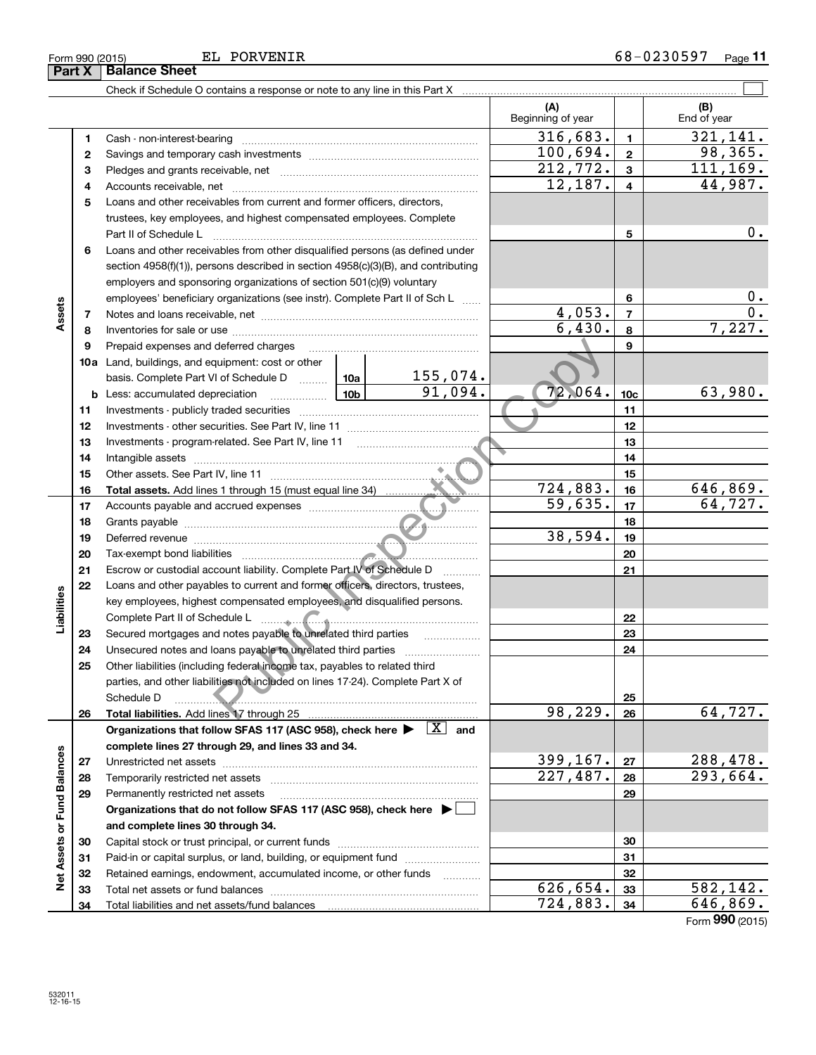| Form 990 (2015)<br>Part X | EL PORVENIR<br><b>Balance Sheet</b>                                                    |                          |              | 68-0230597<br>Page 11 |
|---------------------------|----------------------------------------------------------------------------------------|--------------------------|--------------|-----------------------|
|                           | Check if Schedule O contains a response or note to any line in this Part X             |                          |              |                       |
|                           |                                                                                        | (A)<br>Beginning of year |              | (B)<br>End of year    |
|                           | Cash - non-interest-bearing                                                            | 316,683.                 |              | 321,141.              |
|                           |                                                                                        | 100,694.                 | $\mathbf{2}$ | 98,365.               |
| з                         |                                                                                        | 212,772.                 | 3            | 111,169.              |
| 4                         | Accounts receivable, net                                                               | 12,187.                  | 4            | 44,987.               |
| 5                         | Loans and other receivables from current and former officers, directors,               |                          |              |                       |
|                           | trustees, key employees, and highest compensated employees. Complete                   |                          |              |                       |
|                           | Part II of Schedule L                                                                  |                          | 5            | 0.                    |
| 6                         | Loans and other receivables from other disqualified persons (as defined under          |                          |              |                       |
|                           | section $4958(f)(1)$ , persons described in section $4958(c)(3)(B)$ , and contributing |                          |              |                       |
|                           | employers and sponsoring organizations of section 501(c)(9) voluntary                  |                          |              |                       |
| w                         | employees' beneficiary organizations (see instr). Complete Part II of Sch L            |                          | 6            | 0.                    |

~~~~~~~~~~~~~

155,074.

**789**

 $4,053.$  |  $7$  |  $0.$  $6,430.$  8  $7,227.$ 

 $724,883.$  16 646,869.

 $59,635.$   $17$  64,727.

91,094.  $72,064.$   $10c$  63,980.

38,594.

**2223**

Form (2015) **990**

deferred charges<br>
upinemit: cost or other<br>
The Schedule D<br>
The Schedule D<br>
The Schedule Constant U. line 11<br>
Trelated. See Part IV, line 11<br>
IV, line 11<br>
IV, line 11<br>
IV, line 11<br>
IV, line 11<br>
IV, line 11<br>
IV, line 11<br>
IV, Secured mortgages and notes payable to unrelated third parties ~~~~~~~~~~~~~~~~<br>Unecoured notes and loops payable to unrelated third parties **2424**Unsecured notes and loans payable to unrelated third parties ~~~~~~~~~~~~~~~~~~<br>Other ligbilities (including federal income tox, novebles to related third **25**Other liabilities (including federal income tax, payables to related third parties, and other liabilities not included on lines 17-24). Complete Part X of Schedule D ~~~~~~~~~~~~~~~~~~~~~~~~~~~~~~~~ **25**98,229. 64,727. **Total liabilities. 2626Organizations that follow SFAS 117 (ASC 958), check here and** Add lines 17 through 25 | X **complete lines 27 through 29, and lines 33 and 34.** Net Assets or Fund Balances **Net Assets or Fund Balances**  $399, 167$ .  $|27|$  288, 478. **2727**Unrestricted net assets ~~~~~~~~~~~~~~~~~~~~~~~~~~~  $227,487.$  293,664. **2828**Temporarily restricted net assets ~~~~~~~~~~~~~~~~~~~~~~ **2929**Permanently restricted net assets …………………………………………………… **Organizations that do not follow SFAS 117 (ASC 958), check here** | **and complete lines 30 through 34. 3030**Capital stock or trust principal, or current funds ~~~~~~~~~~~~~~~ **3131**Paid-in or capital surplus, or land, building, or equipment fund will concurred. **3232**Retained earnings, endowment, accumulated income, or other funds www.com Total net assets or fund balances ~~~~~~~~~~~~~~~~~~~~~~  $626,654.$  33 582,142. **3333**Total liabilities and net assets/fund balances  $724,883.$   $34$  646,869. **3434**

**789**

**Assets**

**23**

**Liabilities**

Liabilities

**10a**Land, buildings, and equipment: cost or other

Prepaid expenses and deferred charges

**b** Less: accumulated depreciation \_\_\_\_\_\_\_\_\_\_\_\_\_\_\_ Lub

Tax-exempt bond liabilities

basis. Complete Part VI of Schedule Darmson

**Total assets.** Add lines 1 through 15 (must equal line 34) ............

Other assets. See Part IV, line 11 ~~~~~~~~~~~~~~~~~~~~~~

Notes and loans receivable, net ~~~~~~~~~~~~~~~~~~~~~~~ Inventories for sale or use ~~~~~~~~~~~~~~~~~~~~~~~~~~

Investments - publicly traded securities ~~~~~~~~~~~~~~~~~~~ Investments - other securities. See Part IV, line 11 ~~~~~~~~~~~~~~Investments - program-related. See Part IV, line 11 Intangible assets ~~~~~~~~~~~~~~~~~~~~~~~~~~~~~~

Add lines 1 through 15 (must equal line 34) Accounts payable and accrued expenses ~~~~~~~~~~~~~~~~~~ Grants payable ~~~~~~~~~~~~~~~~~~~~~~~~~~~~~~~ Deferred revenue ~~~~~~~~~~~~~~~~~~~~~~~~~~~~~~

Escrow or custodial account liability. Complete Part IV of Schedule D \_\_\_\_\_\_\_. Loans and other payables to current and former officers, directors, trustees, key employees, highest compensated employees, and disqualified persons. Complete Part II of Schedule L ~~~~~~~~~~~~~~~~~~~~~~~

**10a**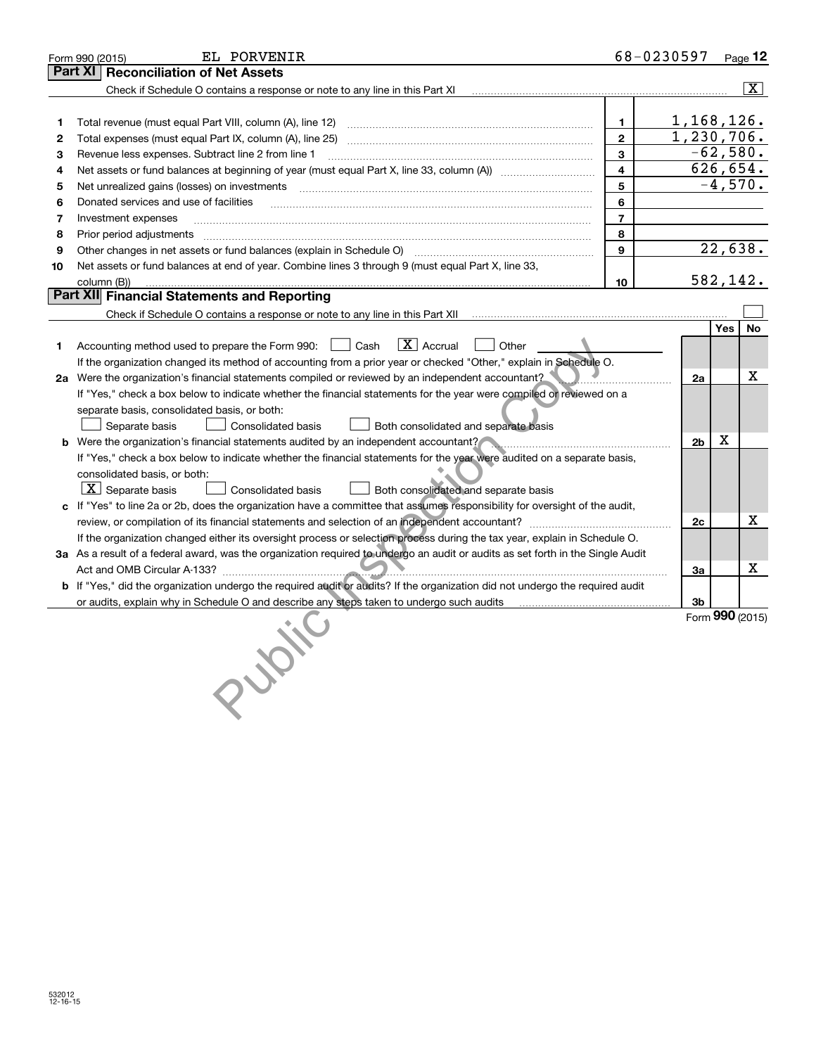|    | EL PORVENIR<br>Form 990 (2015)                                                                                                  |                | 68-0230597            |           | Page 12                 |
|----|---------------------------------------------------------------------------------------------------------------------------------|----------------|-----------------------|-----------|-------------------------|
|    | <b>Reconciliation of Net Assets</b><br>Part XI                                                                                  |                |                       |           |                         |
|    | Check if Schedule O contains a response or note to any line in this Part XI                                                     |                |                       |           | $\overline{\mathtt{x}}$ |
|    |                                                                                                                                 |                |                       |           |                         |
| 1  | Total revenue (must equal Part VIII, column (A), line 12)                                                                       | 1.             | 1,168,126.            |           |                         |
| 2  | Total expenses (must equal Part IX, column (A), line 25)                                                                        | $\mathbf{2}$   | 1, 230, 706.          |           |                         |
| 3  | Revenue less expenses. Subtract line 2 from line 1                                                                              | 3              | $-62,580.$            |           |                         |
| 4  |                                                                                                                                 | 4              | 626,654.              |           |                         |
| 5  | Net unrealized gains (losses) on investments [11] matter continuum matter is a set of the set of the set of the                 | 5              |                       | $-4,570.$ |                         |
| 6  | Donated services and use of facilities                                                                                          | 6              |                       |           |                         |
| 7  | Investment expenses                                                                                                             | $\overline{7}$ |                       |           |                         |
| 8  | Prior period adjustments                                                                                                        | 8              |                       |           |                         |
| 9  | Other changes in net assets or fund balances (explain in Schedule O)                                                            | 9              |                       | 22,638.   |                         |
| 10 | Net assets or fund balances at end of year. Combine lines 3 through 9 (must equal Part X, line 33,                              |                |                       |           |                         |
|    | column (B))                                                                                                                     | 10             | 582,142.              |           |                         |
|    | Part XII Financial Statements and Reporting                                                                                     |                |                       |           |                         |
|    |                                                                                                                                 |                |                       |           |                         |
|    |                                                                                                                                 |                |                       | Yes       | <b>No</b>               |
| 1. | $\boxed{\text{X}}$ Accrual<br>Accounting method used to prepare the Form 990: <u>[</u> Cash<br>Other                            |                |                       |           |                         |
|    | If the organization changed its method of accounting from a prior year or checked "Other," explain in Schedule O.               |                |                       |           |                         |
|    | 2a Were the organization's financial statements compiled or reviewed by an independent accountant?                              |                | 2a                    |           | x.                      |
|    | If "Yes," check a box below to indicate whether the financial statements for the year were compiled or reviewed on a            |                |                       |           |                         |
|    | separate basis, consolidated basis, or both:                                                                                    |                |                       |           |                         |
|    | Separate basis<br>Both consolidated and separate basis<br><b>Consolidated basis</b>                                             |                |                       |           |                         |
|    | Were the organization's financial statements audited by an independent accountant?                                              |                | 2 <sub>b</sub>        | х         |                         |
|    | If "Yes," check a box below to indicate whether the financial statements for the year were audited on a separate basis,         |                |                       |           |                         |
|    | consolidated basis, or both:                                                                                                    |                |                       |           |                         |
|    | $\boxed{\text{X}}$ Separate basis<br><b>Consolidated basis</b><br>Both consolidated and separate basis                          |                |                       |           |                         |
|    | If "Yes" to line 2a or 2b, does the organization have a committee that assumes responsibility for oversight of the audit,       |                |                       |           |                         |
|    |                                                                                                                                 |                | 2c                    |           | X                       |
|    | If the organization changed either its oversight process or selection process during the tax year, explain in Schedule O.       |                |                       |           |                         |
|    | 3a As a result of a federal award, was the organization required to undergo an audit or audits as set forth in the Single Audit |                |                       |           |                         |
|    |                                                                                                                                 |                | За                    |           | х                       |
|    | b If "Yes," did the organization undergo the required audit or audits? If the organization did not undergo the required audit   |                |                       |           |                         |
|    | or audits, explain why in Schedule O and describe any steps taken to undergo such audits                                        |                | 3b<br>Form 990 (2015) |           |                         |
|    |                                                                                                                                 |                |                       |           |                         |
|    |                                                                                                                                 |                |                       |           |                         |
|    |                                                                                                                                 |                |                       |           |                         |
|    |                                                                                                                                 |                |                       |           |                         |
|    |                                                                                                                                 |                |                       |           |                         |
|    |                                                                                                                                 |                |                       |           |                         |
|    |                                                                                                                                 |                |                       |           |                         |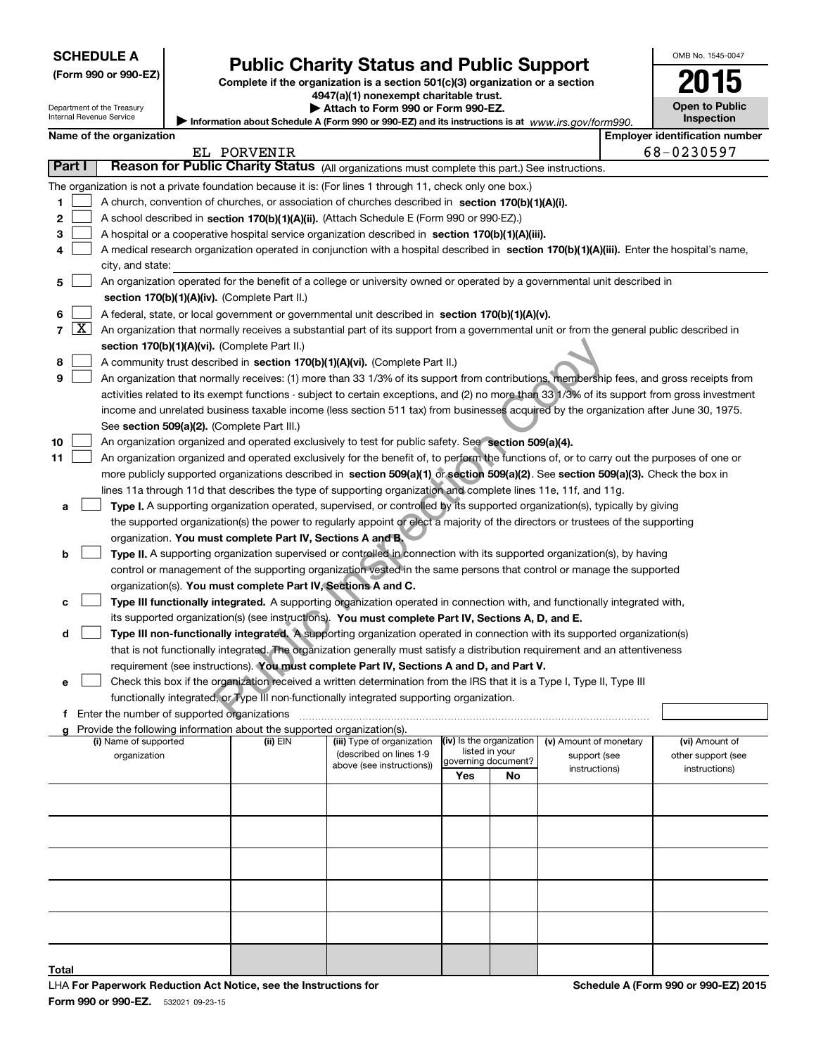Department of the Treasury Internal Revenue Service

|  | (Form 990 or 990-EZ) |
|--|----------------------|
|--|----------------------|

# **Public Charity Status and Public Support**

**Complete if the organization is a section 501(c)(3) organization or a section 4947(a)(1) nonexempt charitable trust.**

**| Attach to Form 990 or Form 990-EZ.** 

|     | OMB No. 1545-0047                   |  |  |  |  |  |
|-----|-------------------------------------|--|--|--|--|--|
|     | 2015                                |  |  |  |  |  |
| 90. | <b>Open to Public</b><br>Inspection |  |  |  |  |  |
|     | nlover identification numk          |  |  |  |  |  |

 $\mathbf{I}$ 

|        |                    | Name of the organization                                                                                                                      |             |                            |                          |    |                        | <b>Employer identification number</b> |
|--------|--------------------|-----------------------------------------------------------------------------------------------------------------------------------------------|-------------|----------------------------|--------------------------|----|------------------------|---------------------------------------|
|        |                    |                                                                                                                                               | EL PORVENIR |                            |                          |    |                        | 68-0230597                            |
| Part I |                    | Reason for Public Charity Status (All organizations must complete this part.) See instructions.                                               |             |                            |                          |    |                        |                                       |
|        |                    | The organization is not a private foundation because it is: (For lines 1 through 11, check only one box.)                                     |             |                            |                          |    |                        |                                       |
| 1.     |                    | A church, convention of churches, or association of churches described in section $170(b)(1)(A)(i)$ .                                         |             |                            |                          |    |                        |                                       |
| 2      |                    | A school described in section 170(b)(1)(A)(ii). (Attach Schedule E (Form 990 or 990-EZ).)                                                     |             |                            |                          |    |                        |                                       |
| З      |                    | A hospital or a cooperative hospital service organization described in section 170(b)(1)(A)(iii).                                             |             |                            |                          |    |                        |                                       |
|        |                    | A medical research organization operated in conjunction with a hospital described in section 170(b)(1)(A)(iii). Enter the hospital's name,    |             |                            |                          |    |                        |                                       |
|        |                    | city, and state:                                                                                                                              |             |                            |                          |    |                        |                                       |
| 5      |                    | An organization operated for the benefit of a college or university owned or operated by a governmental unit described in                     |             |                            |                          |    |                        |                                       |
|        |                    | section 170(b)(1)(A)(iv). (Complete Part II.)                                                                                                 |             |                            |                          |    |                        |                                       |
|        |                    | A federal, state, or local government or governmental unit described in section 170(b)(1)(A)(v).                                              |             |                            |                          |    |                        |                                       |
| 7      | $\boxed{\text{X}}$ | An organization that normally receives a substantial part of its support from a governmental unit or from the general public described in     |             |                            |                          |    |                        |                                       |
|        |                    | section 170(b)(1)(A)(vi). (Complete Part II.)                                                                                                 |             |                            |                          |    |                        |                                       |
|        |                    |                                                                                                                                               |             |                            |                          |    |                        |                                       |
| 8      |                    | A community trust described in section 170(b)(1)(A)(vi). (Complete Part II.)                                                                  |             |                            |                          |    |                        |                                       |
| 9      |                    | An organization that normally receives: (1) more than 33 1/3% of its support from contributions, membership fees, and gross receipts from     |             |                            |                          |    |                        |                                       |
|        |                    | activities related to its exempt functions - subject to certain exceptions, and (2) no more than 33 1/3% of its support from gross investment |             |                            |                          |    |                        |                                       |
|        |                    | income and unrelated business taxable income (less section 511 tax) from businesses acquired by the organization after June 30, 1975.         |             |                            |                          |    |                        |                                       |
|        |                    | See section 509(a)(2). (Complete Part III.)                                                                                                   |             |                            |                          |    |                        |                                       |
| 10     |                    | An organization organized and operated exclusively to test for public safety. See section 509(a)(4).                                          |             |                            |                          |    |                        |                                       |
| 11     |                    | An organization organized and operated exclusively for the benefit of, to perform the functions of, or to carry out the purposes of one or    |             |                            |                          |    |                        |                                       |
|        |                    | more publicly supported organizations described in section 509(a)(1) or section 509(a)(2). See section 509(a)(3). Check the box in            |             |                            |                          |    |                        |                                       |
|        |                    | lines 11a through 11d that describes the type of supporting organization and complete lines 11e, 11f, and 11g.                                |             |                            |                          |    |                        |                                       |
| а      |                    | Type I. A supporting organization operated, supervised, or controlled by its supported organization(s), typically by giving                   |             |                            |                          |    |                        |                                       |
|        |                    | the supported organization(s) the power to regularly appoint or elect a majority of the directors or trustees of the supporting               |             |                            |                          |    |                        |                                       |
|        |                    | organization. You must complete Part IV, Sections A and B.                                                                                    |             |                            |                          |    |                        |                                       |
| b      |                    | Type II. A supporting organization supervised or controlled in connection with its supported organization(s), by having                       |             |                            |                          |    |                        |                                       |
|        |                    | control or management of the supporting organization vested in the same persons that control or manage the supported                          |             |                            |                          |    |                        |                                       |
|        |                    | organization(s). You must complete Part IV, Sections A and C.                                                                                 |             |                            |                          |    |                        |                                       |
|        |                    | Type III functionally integrated. A supporting organization operated in connection with, and functionally integrated with,                    |             |                            |                          |    |                        |                                       |
|        |                    | its supported organization(s) (see instructions). You must complete Part IV, Sections A, D, and E.                                            |             |                            |                          |    |                        |                                       |
| d      |                    | Type III non-functionally integrated. A supporting organization operated in connection with its supported organization(s)                     |             |                            |                          |    |                        |                                       |
|        |                    | that is not functionally integrated. The organization generally must satisfy a distribution requirement and an attentiveness                  |             |                            |                          |    |                        |                                       |
|        |                    | requirement (see instructions). You must complete Part IV, Sections A and D, and Part V.                                                      |             |                            |                          |    |                        |                                       |
| е      |                    | Check this box if the organization received a written determination from the IRS that it is a Type I, Type II, Type III                       |             |                            |                          |    |                        |                                       |
|        |                    | functionally integrated, or Type III non-functionally integrated supporting organization.                                                     |             |                            |                          |    |                        |                                       |
|        |                    | f Enter the number of supported organizations                                                                                                 |             |                            |                          |    |                        |                                       |
|        |                    | <b>g</b> Provide the following information about the supported organization(s).<br>(i) Name of supported                                      | (ii) EIN    | (iii) Type of organization | (iv) Is the organization |    | (v) Amount of monetary | (vi) Amount of                        |
|        |                    | organization                                                                                                                                  |             | (described on lines 1-9    | listed in your           |    | support (see           | other support (see                    |
|        |                    |                                                                                                                                               |             | above (see instructions))  | governing document?      |    | instructions)          | instructions)                         |
|        |                    |                                                                                                                                               |             |                            | Yes                      | No |                        |                                       |
|        |                    |                                                                                                                                               |             |                            |                          |    |                        |                                       |
|        |                    |                                                                                                                                               |             |                            |                          |    |                        |                                       |
|        |                    |                                                                                                                                               |             |                            |                          |    |                        |                                       |
|        |                    |                                                                                                                                               |             |                            |                          |    |                        |                                       |
|        |                    |                                                                                                                                               |             |                            |                          |    |                        |                                       |
|        |                    |                                                                                                                                               |             |                            |                          |    |                        |                                       |
|        |                    |                                                                                                                                               |             |                            |                          |    |                        |                                       |
|        |                    |                                                                                                                                               |             |                            |                          |    |                        |                                       |
|        |                    |                                                                                                                                               |             |                            |                          |    |                        |                                       |

**Total**

 $\exists$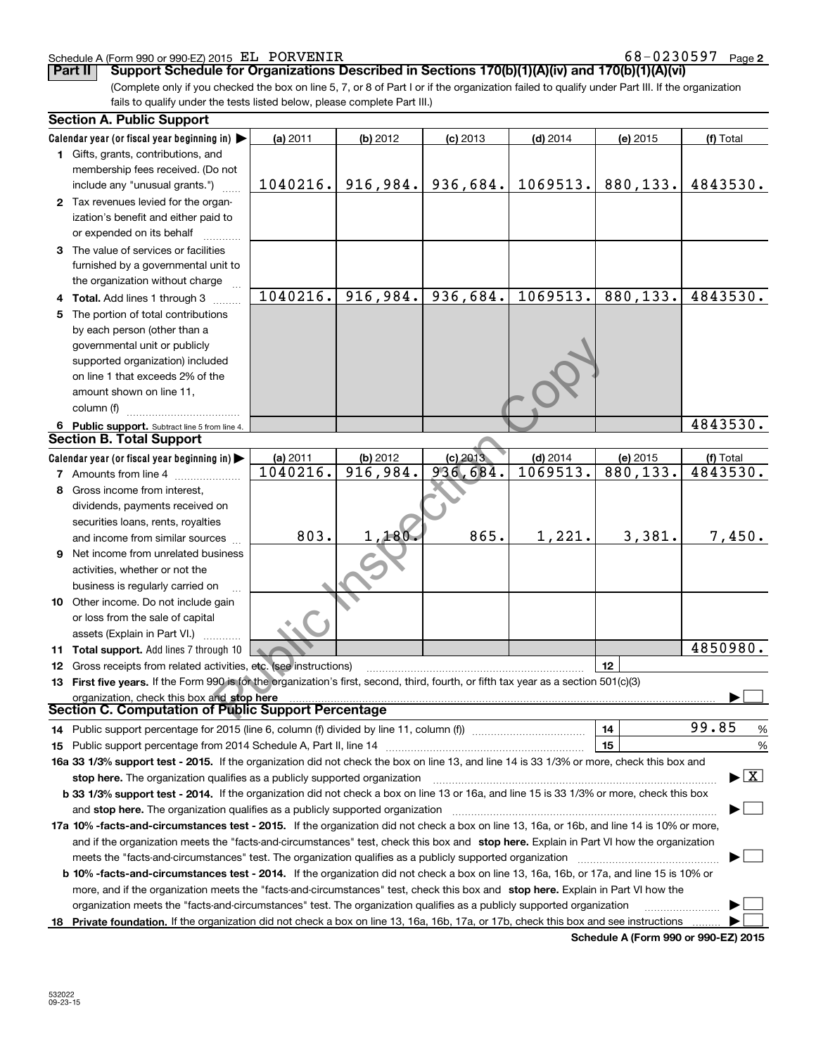### Schedule A (Form 990 or 990-EZ) 2015 Page EL PORVENIR 68-0230597

**2**

**Part II Comport Schedule for Organizations Described in Sections 170(b)(1)(A)(iv) and 170(b)(1)(A)(vi)** 

(Complete only if you checked the box on line 5, 7, or 8 of Part I or if the organization failed to qualify under Part III. If the organization fails to qualify under the tests listed below, please complete Part III.)

| <b>Section A. Public Support</b>                                                                                                               |          |           |            |            |                                             |                                          |
|------------------------------------------------------------------------------------------------------------------------------------------------|----------|-----------|------------|------------|---------------------------------------------|------------------------------------------|
| Calendar year (or fiscal year beginning in) $\blacktriangleright$                                                                              | (a) 2011 | (b) 2012  | $(c)$ 2013 | $(d)$ 2014 | (e) 2015                                    | (f) Total                                |
| 1 Gifts, grants, contributions, and                                                                                                            |          |           |            |            |                                             |                                          |
| membership fees received. (Do not                                                                                                              |          |           |            |            |                                             |                                          |
| include any "unusual grants.")                                                                                                                 | 1040216. | 916, 984. | 936,684.   | 1069513.   | 880,133.                                    | 4843530.                                 |
| 2 Tax revenues levied for the organ-                                                                                                           |          |           |            |            |                                             |                                          |
| ization's benefit and either paid to                                                                                                           |          |           |            |            |                                             |                                          |
| or expended on its behalf                                                                                                                      |          |           |            |            |                                             |                                          |
| 3 The value of services or facilities                                                                                                          |          |           |            |            |                                             |                                          |
| furnished by a governmental unit to                                                                                                            |          |           |            |            |                                             |                                          |
| the organization without charge                                                                                                                |          |           |            |            |                                             |                                          |
| 4 Total. Add lines 1 through 3                                                                                                                 | 1040216. | 916,984.  | 936,684.   | 1069513.   | 880,133.                                    | 4843530.                                 |
| 5 The portion of total contributions                                                                                                           |          |           |            |            |                                             |                                          |
| by each person (other than a                                                                                                                   |          |           |            |            |                                             |                                          |
| governmental unit or publicly                                                                                                                  |          |           |            |            |                                             |                                          |
| supported organization) included                                                                                                               |          |           |            |            |                                             |                                          |
| on line 1 that exceeds 2% of the                                                                                                               |          |           |            |            |                                             |                                          |
| amount shown on line 11,                                                                                                                       |          |           |            |            |                                             |                                          |
| column (f)                                                                                                                                     |          |           |            |            |                                             |                                          |
| 6 Public support. Subtract line 5 from line 4.                                                                                                 |          |           |            |            |                                             | 4843530.                                 |
| <b>Section B. Total Support</b>                                                                                                                |          |           |            |            |                                             |                                          |
| Calendar year (or fiscal year beginning in)                                                                                                    | (a) 2011 | (b) 2012  | $(c)$ 2013 | $(d)$ 2014 | (e) 2015                                    | (f) Total                                |
| <b>7</b> Amounts from line 4                                                                                                                   | 1040216. | 916,984.  | 936,684.   | 1069513.   | 880, 133.                                   | 4843530.                                 |
| 8 Gross income from interest,                                                                                                                  |          |           |            |            |                                             |                                          |
| dividends, payments received on                                                                                                                |          |           |            |            |                                             |                                          |
| securities loans, rents, royalties                                                                                                             |          |           |            |            |                                             |                                          |
| and income from similar sources                                                                                                                | 803.     | 1,180.    | 865.       | 1,221.     | 3,381.                                      | 7,450.                                   |
| 9 Net income from unrelated business                                                                                                           |          |           |            |            |                                             |                                          |
| activities, whether or not the                                                                                                                 |          |           |            |            |                                             |                                          |
| business is regularly carried on                                                                                                               |          |           |            |            |                                             |                                          |
| 10 Other income. Do not include gain                                                                                                           |          |           |            |            |                                             |                                          |
| or loss from the sale of capital                                                                                                               |          |           |            |            |                                             |                                          |
| assets (Explain in Part VI.)                                                                                                                   |          |           |            |            |                                             |                                          |
| 11 Total support. Add lines 7 through 10                                                                                                       |          |           |            |            |                                             | 4850980.                                 |
| 12 Gross receipts from related activities, etc. (see instructions)                                                                             |          |           |            |            | 12                                          |                                          |
| 13 First five years. If the Form 990 is for the organization's first, second, third, fourth, or fifth tax year as a section 501(c)(3)          |          |           |            |            |                                             |                                          |
| organization, check this box and stop here                                                                                                     |          |           |            |            |                                             |                                          |
| Section C. Computation of Public Support Percentage                                                                                            |          |           |            |            |                                             |                                          |
| 14 Public support percentage for 2015 (line 6, column (f) divided by line 11, column (f) <i>manumanomeron</i>                                  |          |           |            |            | 14                                          | 99.85<br>%                               |
|                                                                                                                                                |          |           |            |            | 15                                          | %                                        |
| 16a 33 1/3% support test - 2015. If the organization did not check the box on line 13, and line 14 is 33 1/3% or more, check this box and      |          |           |            |            |                                             |                                          |
| stop here. The organization qualifies as a publicly supported organization                                                                     |          |           |            |            |                                             | $\blacktriangleright$ $\boxed{\text{X}}$ |
| b 33 1/3% support test - 2014. If the organization did not check a box on line 13 or 16a, and line 15 is 33 1/3% or more, check this box       |          |           |            |            |                                             |                                          |
| and stop here. The organization qualifies as a publicly supported organization                                                                 |          |           |            |            |                                             |                                          |
| 17a 10% -facts-and-circumstances test - 2015. If the organization did not check a box on line 13, 16a, or 16b, and line 14 is 10% or more,     |          |           |            |            |                                             |                                          |
| and if the organization meets the "facts-and-circumstances" test, check this box and stop here. Explain in Part VI how the organization        |          |           |            |            |                                             |                                          |
| meets the "facts-and-circumstances" test. The organization qualifies as a publicly supported organization                                      |          |           |            |            |                                             |                                          |
| <b>b 10% -facts-and-circumstances test - 2014.</b> If the organization did not check a box on line 13, 16a, 16b, or 17a, and line 15 is 10% or |          |           |            |            |                                             |                                          |
| more, and if the organization meets the "facts-and-circumstances" test, check this box and stop here. Explain in Part VI how the               |          |           |            |            |                                             |                                          |
| organization meets the "facts-and-circumstances" test. The organization qualifies as a publicly supported organization                         |          |           |            |            |                                             |                                          |
| 18 Private foundation. If the organization did not check a box on line 13, 16a, 16b, 17a, or 17b, check this box and see instructions          |          |           |            |            |                                             |                                          |
|                                                                                                                                                |          |           |            |            | <b>Cohodulo A (Form 000 or 000 EZ) 2015</b> |                                          |

**Schedule A (Form 990 or 990-EZ) 2015**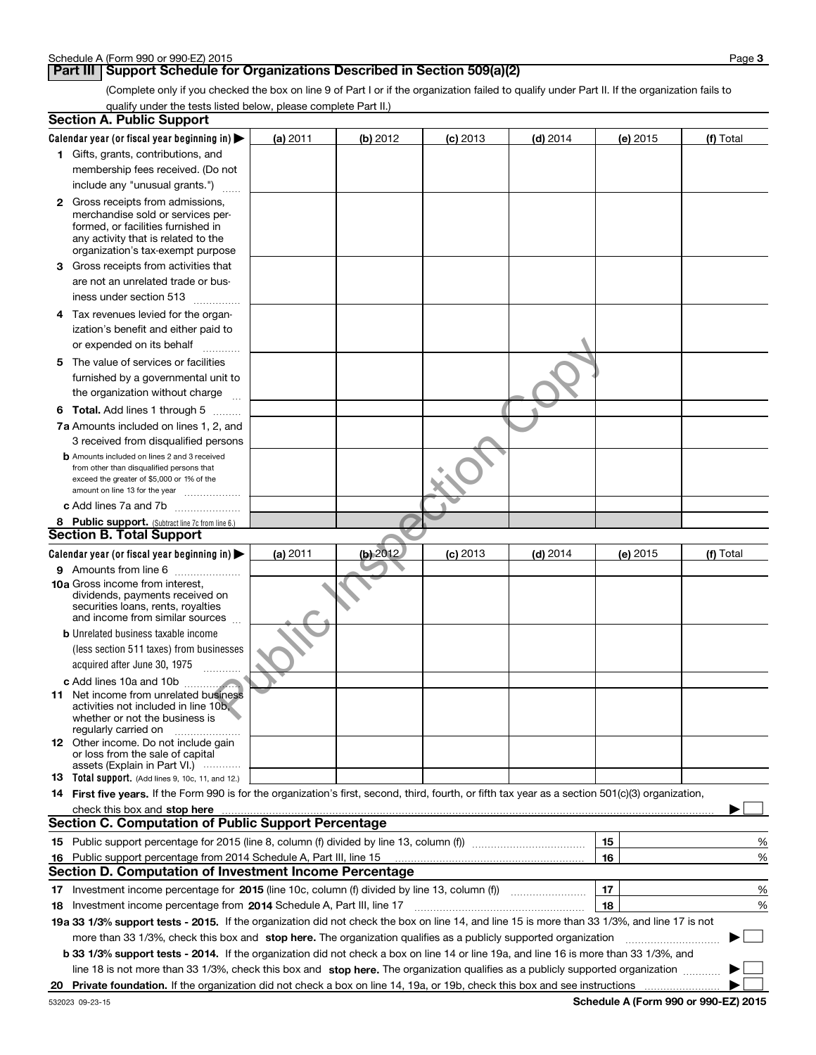### **Part III** | Support Schedule for Organizations Described in Section 509(a)(2)

(Complete only if you checked the box on line 9 of Part I or if the organization failed to qualify under Part II. If the organization fails to qualify under the tests listed below, please complete Part II.)

| <b>Section A. Public Support</b>                                                                                                                    |          |          |                 |            |    |          |                                      |   |
|-----------------------------------------------------------------------------------------------------------------------------------------------------|----------|----------|-----------------|------------|----|----------|--------------------------------------|---|
| Calendar year (or fiscal year beginning in)                                                                                                         | (a) 2011 | (b) 2012 | <b>(c)</b> 2013 | $(d)$ 2014 |    | (e) 2015 | (f) Total                            |   |
| 1 Gifts, grants, contributions, and                                                                                                                 |          |          |                 |            |    |          |                                      |   |
| membership fees received. (Do not                                                                                                                   |          |          |                 |            |    |          |                                      |   |
| include any "unusual grants.")                                                                                                                      |          |          |                 |            |    |          |                                      |   |
| 2 Gross receipts from admissions,                                                                                                                   |          |          |                 |            |    |          |                                      |   |
| merchandise sold or services per-                                                                                                                   |          |          |                 |            |    |          |                                      |   |
| formed, or facilities furnished in<br>any activity that is related to the                                                                           |          |          |                 |            |    |          |                                      |   |
| organization's tax-exempt purpose                                                                                                                   |          |          |                 |            |    |          |                                      |   |
| 3 Gross receipts from activities that                                                                                                               |          |          |                 |            |    |          |                                      |   |
| are not an unrelated trade or bus-                                                                                                                  |          |          |                 |            |    |          |                                      |   |
| iness under section 513                                                                                                                             |          |          |                 |            |    |          |                                      |   |
| 4 Tax revenues levied for the organ-                                                                                                                |          |          |                 |            |    |          |                                      |   |
| ization's benefit and either paid to                                                                                                                |          |          |                 |            |    |          |                                      |   |
| or expended on its behalf                                                                                                                           |          |          |                 |            |    |          |                                      |   |
|                                                                                                                                                     |          |          |                 |            |    |          |                                      |   |
| 5 The value of services or facilities<br>furnished by a governmental unit to                                                                        |          |          |                 |            |    |          |                                      |   |
|                                                                                                                                                     |          |          |                 |            |    |          |                                      |   |
| the organization without charge                                                                                                                     |          |          |                 |            |    |          |                                      |   |
| <b>6 Total.</b> Add lines 1 through 5                                                                                                               |          |          |                 |            |    |          |                                      |   |
| 7a Amounts included on lines 1, 2, and                                                                                                              |          |          |                 |            |    |          |                                      |   |
| 3 received from disqualified persons<br><b>b</b> Amounts included on lines 2 and 3 received                                                         |          |          |                 |            |    |          |                                      |   |
| from other than disqualified persons that                                                                                                           |          |          |                 |            |    |          |                                      |   |
| exceed the greater of \$5,000 or 1% of the                                                                                                          |          |          |                 |            |    |          |                                      |   |
| amount on line 13 for the year <i>[[[[[[[[[[[[[[[[[[[[[[]]]]</i> ]]                                                                                 |          |          |                 |            |    |          |                                      |   |
| c Add lines 7a and 7b                                                                                                                               |          |          |                 |            |    |          |                                      |   |
| 8 Public support. (Subtract line 7c from line 6.)<br><b>Section B. Total Support</b>                                                                |          |          |                 |            |    |          |                                      |   |
|                                                                                                                                                     |          |          |                 |            |    |          |                                      |   |
| Calendar year (or fiscal year beginning in)                                                                                                         | (a) 2011 | (b) 2012 | $(c)$ 2013      | $(d)$ 2014 |    | (e) 2015 | (f) Total                            |   |
| 9 Amounts from line 6<br>10a Gross income from interest,                                                                                            |          |          |                 |            |    |          |                                      |   |
| dividends, payments received on                                                                                                                     |          |          |                 |            |    |          |                                      |   |
| securities loans, rents, royalties                                                                                                                  |          |          |                 |            |    |          |                                      |   |
| and income from similar sources                                                                                                                     |          |          |                 |            |    |          |                                      |   |
| <b>b</b> Unrelated business taxable income                                                                                                          |          |          |                 |            |    |          |                                      |   |
| (less section 511 taxes) from businesses                                                                                                            |          |          |                 |            |    |          |                                      |   |
| acquired after June 30, 1975                                                                                                                        |          |          |                 |            |    |          |                                      |   |
| c Add lines 10a and 10b                                                                                                                             |          |          |                 |            |    |          |                                      |   |
| <b>11</b> Net income from unrelated business<br>activities not included in line 10b,                                                                |          |          |                 |            |    |          |                                      |   |
| whether or not the business is                                                                                                                      |          |          |                 |            |    |          |                                      |   |
| regularly carried on                                                                                                                                |          |          |                 |            |    |          |                                      |   |
| <b>12</b> Other income. Do not include gain                                                                                                         |          |          |                 |            |    |          |                                      |   |
| or loss from the sale of capital<br>assets (Explain in Part VI.)                                                                                    |          |          |                 |            |    |          |                                      |   |
| <b>13</b> Total support. (Add lines 9, 10c, 11, and 12.)                                                                                            |          |          |                 |            |    |          |                                      |   |
| 14 First five years. If the Form 990 is for the organization's first, second, third, fourth, or fifth tax year as a section 501(c)(3) organization, |          |          |                 |            |    |          |                                      |   |
|                                                                                                                                                     |          |          |                 |            |    |          |                                      |   |
| <b>Section C. Computation of Public Support Percentage</b>                                                                                          |          |          |                 |            |    |          |                                      |   |
|                                                                                                                                                     |          |          |                 |            | 15 |          |                                      | ℀ |
| 16 Public support percentage from 2014 Schedule A, Part III, line 15                                                                                |          |          |                 |            | 16 |          |                                      | % |
| <b>Section D. Computation of Investment Income Percentage</b>                                                                                       |          |          |                 |            |    |          |                                      |   |
| 17 Investment income percentage for 2015 (line 10c, column (f) divided by line 13, column (f))                                                      |          |          |                 |            | 17 |          |                                      | % |
| 18 Investment income percentage from 2014 Schedule A, Part III, line 17                                                                             |          |          |                 |            | 18 |          |                                      | % |
| 19a 33 1/3% support tests - 2015. If the organization did not check the box on line 14, and line 15 is more than 33 1/3%, and line 17 is not        |          |          |                 |            |    |          |                                      |   |
| more than 33 1/3%, check this box and stop here. The organization qualifies as a publicly supported organization                                    |          |          |                 |            |    |          |                                      |   |
| b 33 1/3% support tests - 2014. If the organization did not check a box on line 14 or line 19a, and line 16 is more than 33 1/3%, and               |          |          |                 |            |    |          |                                      |   |
| line 18 is not more than 33 1/3%, check this box and stop here. The organization qualifies as a publicly supported organization                     |          |          |                 |            |    |          |                                      |   |
| 20 Private foundation. If the organization did not check a box on line 14, 19a, or 19b, check this box and see instructions                         |          |          |                 |            |    |          |                                      |   |
| 532023 09-23-15                                                                                                                                     |          |          |                 |            |    |          | Schedule A (Form 990 or 990-EZ) 2015 |   |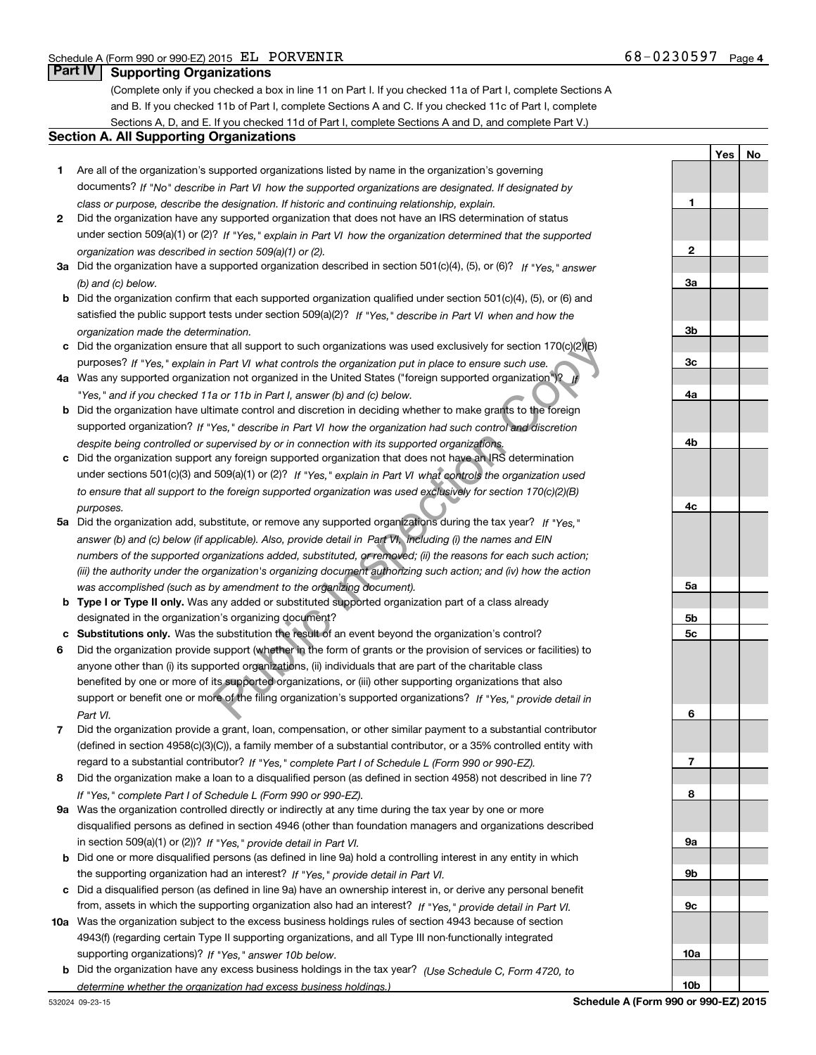**1**

**Yes No**

## **Part IV Supporting Organizations**

(Complete only if you checked a box in line 11 on Part I. If you checked 11a of Part I, complete Sections A and B. If you checked 11b of Part I, complete Sections A and C. If you checked 11c of Part I, complete Sections A, D, and E. If you checked 11d of Part I, complete Sections A and D, and complete Part V.)

#### **Section A. All Supporting Organizations**

- **1** Are all of the organization's supported organizations listed by name in the organization's governing *If "No" describe in how the supported organizations are designated. If designated by* documents? *Part VI class or purpose, describe the designation. If historic and continuing relationship, explain.*
- **2** Did the organization have any supported organization that does not have an IRS determination of status under section 509(a)(1) or (2)? If "Yes," explain in Part VI how the organization determined that the supported<br>... *organization was described in section 509(a)(1) or (2).*
- **3a** Did the organization have a supported organization described in section 501(c)(4), (5), or (6)? If "Yes," answer *(b) and (c) below.*
- **b** Did the organization confirm that each supported organization qualified under section 501(c)(4), (5), or (6) and satisfied the public support tests under section 509(a)(2)? If "Yes," describe in Part VI when and how the *organization made the determination.*
- **c**Did the organization ensure that all support to such organizations was used exclusively for section 170(c)(2)(B) purposes? If "Yes," explain in Part VI what controls the organization put in place to ensure such use.
- **4a** Was any supported organization not organized in the United States ("foreign supported organization")? *If "Yes," and if you checked 11a or 11b in Part I, answer (b) and (c) below.*
- **b** Did the organization have ultimate control and discretion in deciding whether to make grants to the foreign supported organization? If "Yes," describe in Part VI how the organization had such control and discretion *despite being controlled or supervised by or in connection with its supported organizations.*
- **c** Did the organization support any foreign supported organization that does not have an IRS determination under sections 501(c)(3) and 509(a)(1) or (2)? If "Yes," explain in Part VI what controls the organization used *to ensure that all support to the foreign supported organization was used exclusively for section 170(c)(2)(B) purposes.*
- **5a** Did the organization add, substitute, or remove any supported organizations during the tax year? If "Yes," *answer (b) and (c) below (if applicable). Also, provide detail in including (i) the names and EIN Part VI, numbers of the supported organizations added, substituted, or removed; (ii) the reasons for each such action; (iii) the authority under the organization's organizing document authorizing such action; and (iv) how the action was accomplished (such as by amendment to the organizing document).*
- **b** Type I or Type II only. Was any added or substituted supported organization part of a class already designated in the organization's organizing document?
- **cSubstitutions only.**  Was the substitution the result of an event beyond the organization's control?
- **6** Did the organization provide support (whether in the form of grants or the provision of services or facilities) to *If "Yes," provide detail in* support or benefit one or more of the filing organization's supported organizations? anyone other than (i) its supported organizations, (ii) individuals that are part of the charitable class benefited by one or more of its supported organizations, or (iii) other supporting organizations that also *Part VI.* that all support to such organizations was used exclusively for section 170(c)(2)(B)<br>
Part VI what controls the organization put in place to ensure such use.<br>
tion not organization five United States ("foreign supported or
- **7**Did the organization provide a grant, loan, compensation, or other similar payment to a substantial contributor *If "Yes," complete Part I of Schedule L (Form 990 or 990-EZ).* regard to a substantial contributor? (defined in section 4958(c)(3)(C)), a family member of a substantial contributor, or a 35% controlled entity with
- **8** Did the organization make a loan to a disqualified person (as defined in section 4958) not described in line 7? *If "Yes," complete Part I of Schedule L (Form 990 or 990-EZ).*
- **9a** Was the organization controlled directly or indirectly at any time during the tax year by one or more in section 509(a)(1) or (2))? If "Yes," *provide detail in Part VI.* disqualified persons as defined in section 4946 (other than foundation managers and organizations described
- **b** Did one or more disqualified persons (as defined in line 9a) hold a controlling interest in any entity in which the supporting organization had an interest? If "Yes," provide detail in Part VI.
- **c**Did a disqualified person (as defined in line 9a) have an ownership interest in, or derive any personal benefit from, assets in which the supporting organization also had an interest? If "Yes," provide detail in Part VI.
- **10a** Was the organization subject to the excess business holdings rules of section 4943 because of section supporting organizations)? If "Yes," answer 10b below. 4943(f) (regarding certain Type II supporting organizations, and all Type III non-functionally integrated
- **b** Did the organization have any excess business holdings in the tax year? (Use Schedule C, Form 4720, to *determine whether the organization had excess business holdings.)*

**23a3b3c4a4b4c5a5b5c6789a 9b9c**

**10a**

**10b**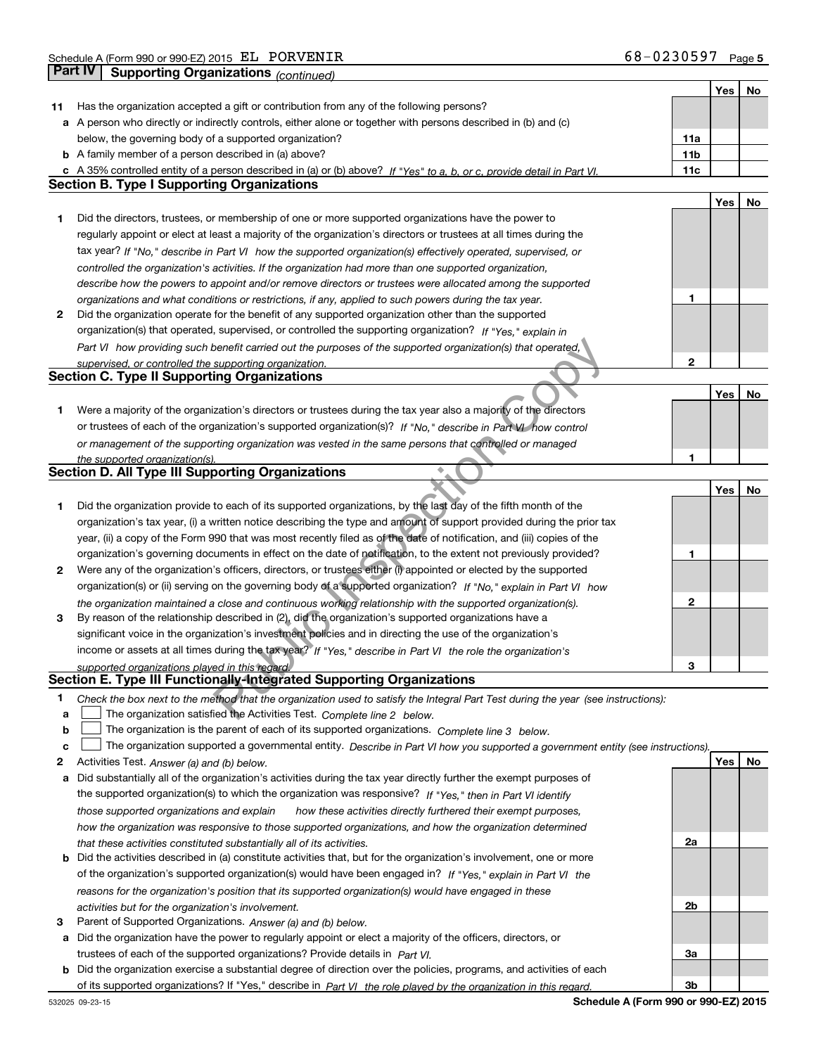T

T

| Has the organization accepted a gift or contribution from any of the following persons?<br>11<br>a A person who directly or indirectly controls, either alone or together with persons described in (b) and (c)<br>below, the governing body of a supported organization?<br>11a<br><b>b</b> A family member of a person described in (a) above?<br>11b<br>11c<br>c A 35% controlled entity of a person described in (a) or (b) above? If "Yes" to a, b, or c, provide detail in Part VI.<br><b>Section B. Type I Supporting Organizations</b><br>Yes<br>No<br>Did the directors, trustees, or membership of one or more supported organizations have the power to<br>1<br>regularly appoint or elect at least a majority of the organization's directors or trustees at all times during the<br>tax year? If "No," describe in Part VI how the supported organization(s) effectively operated, supervised, or<br>controlled the organization's activities. If the organization had more than one supported organization,<br>describe how the powers to appoint and/or remove directors or trustees were allocated among the supported<br>1<br>organizations and what conditions or restrictions, if any, applied to such powers during the tax year.<br>2<br>Did the organization operate for the benefit of any supported organization other than the supported<br>organization(s) that operated, supervised, or controlled the supporting organization? If "Yes," explain in<br>Part VI how providing such benefit carried out the purposes of the supported organization(s) that operated,<br>2<br>supervised, or controlled the supporting organization.<br><b>Section C. Type II Supporting Organizations</b><br>Yes<br>No<br>Were a majority of the organization's directors or trustees during the tax year also a majority of the directors<br>1<br>or trustees of each of the organization's supported organization(s)? If "No." describe in Part VI how control<br>or management of the supporting organization was vested in the same persons that controlled or managed<br>1<br>the supported organization(s).<br><b>Section D. All Type III Supporting Organizations</b><br>Yes<br>No<br>Did the organization provide to each of its supported organizations, by the last day of the fifth month of the<br>1<br>organization's tax year, (i) a written notice describing the type and amount of support provided during the prior tax<br>year, (ii) a copy of the Form 990 that was most recently filed as of the date of notification, and (iii) copies of the<br>organization's governing documents in effect on the date of notification, to the extent not previously provided?<br>1<br>Were any of the organization's officers, directors, or trustees either (i) appointed or elected by the supported<br>2<br>organization(s) or (ii) serving on the governing body of a supported organization? If "No," explain in Part VI how<br>2<br>the organization maintained a close and continuous working relationship with the supported organization(s).<br>By reason of the relationship described in (2), did the organization's supported organizations have a<br>3<br>significant voice in the organization's investment policies and in directing the use of the organization's<br>income or assets at all times during the tax year? If "Yes," describe in Part VI the role the organization's<br>3<br>supported organizations played in this regard.<br>Section E. Type III Functionally-Integrated Supporting Organizations<br>1<br>Check the box next to the method that the organization used to satisfy the Integral Part Test during the year (see instructions):<br>The organization satisfied the Activities Test. Complete line 2 below.<br>a<br>The organization is the parent of each of its supported organizations. Complete line 3 below.<br>b<br>The organization supported a governmental entity. Describe in Part VI how you supported a government entity (see instructions).<br>c<br>Yes<br>No<br>2<br>Activities Test. Answer (a) and (b) below.<br>Did substantially all of the organization's activities during the tax year directly further the exempt purposes of<br>а<br>the supported organization(s) to which the organization was responsive? If "Yes," then in Part VI identify<br>those supported organizations and explain<br>how these activities directly furthered their exempt purposes,<br>how the organization was responsive to those supported organizations, and how the organization determined<br>2a<br>that these activities constituted substantially all of its activities.<br>Did the activities described in (a) constitute activities that, but for the organization's involvement, one or more<br>b<br>of the organization's supported organization(s) would have been engaged in? If "Yes," explain in Part VI the<br>reasons for the organization's position that its supported organization(s) would have engaged in these<br>2b<br>activities but for the organization's involvement.<br>Parent of Supported Organizations. Answer (a) and (b) below.<br>з<br>Did the organization have the power to regularly appoint or elect a majority of the officers, directors, or<br>а<br>trustees of each of the supported organizations? Provide details in Part VI.<br>За<br><b>b</b> Did the organization exercise a substantial degree of direction over the policies, programs, and activities of each<br>3b<br>of its supported organizations? If "Yes," describe in Part VI the role played by the organization in this regard. |  | Yes ∣ | No |
|--------------------------------------------------------------------------------------------------------------------------------------------------------------------------------------------------------------------------------------------------------------------------------------------------------------------------------------------------------------------------------------------------------------------------------------------------------------------------------------------------------------------------------------------------------------------------------------------------------------------------------------------------------------------------------------------------------------------------------------------------------------------------------------------------------------------------------------------------------------------------------------------------------------------------------------------------------------------------------------------------------------------------------------------------------------------------------------------------------------------------------------------------------------------------------------------------------------------------------------------------------------------------------------------------------------------------------------------------------------------------------------------------------------------------------------------------------------------------------------------------------------------------------------------------------------------------------------------------------------------------------------------------------------------------------------------------------------------------------------------------------------------------------------------------------------------------------------------------------------------------------------------------------------------------------------------------------------------------------------------------------------------------------------------------------------------------------------------------------------------------------------------------------------------------------------------------------------------------------------------------------------------------------------------------------------------------------------------------------------------------------------------------------------------------------------------------------------------------------------------------------------------------------------------------------------------------------------------------------------------------------------------------------------------------------------------------------------------------------------------------------------------------------------------------------------------------------------------------------------------------------------------------------------------------------------------------------------------------------------------------------------------------------------------------------------------------------------------------------------------------------------------------------------------------------------------------------------------------------------------------------------------------------------------------------------------------------------------------------------------------------------------------------------------------------------------------------------------------------------------------------------------------------------------------------------------------------------------------------------------------------------------------------------------------------------------------------------------------------------------------------------------------------------------------------------------------------------------------------------------------------------------------------------------------------------------------------------------------------------------------------------------------------------------------------------------------------------------------------------------------------------------------------------------------------------------------------------------------------------------------------------------------------------------------------------------------------------------------------------------------------------------------------------------------------------------------------------------------------------------------------------------------------------------------------------------------------------------------------------------------------------------------------------------------------------------------------------------------------------------------------------------------------------------------------------------------------------------------------------------------------------------------------------------------------------------------------------------------------------------------------------------------------------------------------------------------------------------------------------------------------------------------------------------------------------------------------------------------------------------------------------------------------------------------------------------------------------------------------------------------------------------------------------------------------------------------------------------------------------------------------------------------------------------------------------------------------------------------------------|--|-------|----|
|                                                                                                                                                                                                                                                                                                                                                                                                                                                                                                                                                                                                                                                                                                                                                                                                                                                                                                                                                                                                                                                                                                                                                                                                                                                                                                                                                                                                                                                                                                                                                                                                                                                                                                                                                                                                                                                                                                                                                                                                                                                                                                                                                                                                                                                                                                                                                                                                                                                                                                                                                                                                                                                                                                                                                                                                                                                                                                                                                                                                                                                                                                                                                                                                                                                                                                                                                                                                                                                                                                                                                                                                                                                                                                                                                                                                                                                                                                                                                                                                                                                                                                                                                                                                                                                                                                                                                                                                                                                                                                                                                                                                                                                                                                                                                                                                                                                                                                                                                                                                                                                                                                                                                                                                                                                                                                                                                                                                                                                                                                                                                                                                              |  |       |    |
|                                                                                                                                                                                                                                                                                                                                                                                                                                                                                                                                                                                                                                                                                                                                                                                                                                                                                                                                                                                                                                                                                                                                                                                                                                                                                                                                                                                                                                                                                                                                                                                                                                                                                                                                                                                                                                                                                                                                                                                                                                                                                                                                                                                                                                                                                                                                                                                                                                                                                                                                                                                                                                                                                                                                                                                                                                                                                                                                                                                                                                                                                                                                                                                                                                                                                                                                                                                                                                                                                                                                                                                                                                                                                                                                                                                                                                                                                                                                                                                                                                                                                                                                                                                                                                                                                                                                                                                                                                                                                                                                                                                                                                                                                                                                                                                                                                                                                                                                                                                                                                                                                                                                                                                                                                                                                                                                                                                                                                                                                                                                                                                                              |  |       |    |
|                                                                                                                                                                                                                                                                                                                                                                                                                                                                                                                                                                                                                                                                                                                                                                                                                                                                                                                                                                                                                                                                                                                                                                                                                                                                                                                                                                                                                                                                                                                                                                                                                                                                                                                                                                                                                                                                                                                                                                                                                                                                                                                                                                                                                                                                                                                                                                                                                                                                                                                                                                                                                                                                                                                                                                                                                                                                                                                                                                                                                                                                                                                                                                                                                                                                                                                                                                                                                                                                                                                                                                                                                                                                                                                                                                                                                                                                                                                                                                                                                                                                                                                                                                                                                                                                                                                                                                                                                                                                                                                                                                                                                                                                                                                                                                                                                                                                                                                                                                                                                                                                                                                                                                                                                                                                                                                                                                                                                                                                                                                                                                                                              |  |       |    |
|                                                                                                                                                                                                                                                                                                                                                                                                                                                                                                                                                                                                                                                                                                                                                                                                                                                                                                                                                                                                                                                                                                                                                                                                                                                                                                                                                                                                                                                                                                                                                                                                                                                                                                                                                                                                                                                                                                                                                                                                                                                                                                                                                                                                                                                                                                                                                                                                                                                                                                                                                                                                                                                                                                                                                                                                                                                                                                                                                                                                                                                                                                                                                                                                                                                                                                                                                                                                                                                                                                                                                                                                                                                                                                                                                                                                                                                                                                                                                                                                                                                                                                                                                                                                                                                                                                                                                                                                                                                                                                                                                                                                                                                                                                                                                                                                                                                                                                                                                                                                                                                                                                                                                                                                                                                                                                                                                                                                                                                                                                                                                                                                              |  |       |    |
|                                                                                                                                                                                                                                                                                                                                                                                                                                                                                                                                                                                                                                                                                                                                                                                                                                                                                                                                                                                                                                                                                                                                                                                                                                                                                                                                                                                                                                                                                                                                                                                                                                                                                                                                                                                                                                                                                                                                                                                                                                                                                                                                                                                                                                                                                                                                                                                                                                                                                                                                                                                                                                                                                                                                                                                                                                                                                                                                                                                                                                                                                                                                                                                                                                                                                                                                                                                                                                                                                                                                                                                                                                                                                                                                                                                                                                                                                                                                                                                                                                                                                                                                                                                                                                                                                                                                                                                                                                                                                                                                                                                                                                                                                                                                                                                                                                                                                                                                                                                                                                                                                                                                                                                                                                                                                                                                                                                                                                                                                                                                                                                                              |  |       |    |
|                                                                                                                                                                                                                                                                                                                                                                                                                                                                                                                                                                                                                                                                                                                                                                                                                                                                                                                                                                                                                                                                                                                                                                                                                                                                                                                                                                                                                                                                                                                                                                                                                                                                                                                                                                                                                                                                                                                                                                                                                                                                                                                                                                                                                                                                                                                                                                                                                                                                                                                                                                                                                                                                                                                                                                                                                                                                                                                                                                                                                                                                                                                                                                                                                                                                                                                                                                                                                                                                                                                                                                                                                                                                                                                                                                                                                                                                                                                                                                                                                                                                                                                                                                                                                                                                                                                                                                                                                                                                                                                                                                                                                                                                                                                                                                                                                                                                                                                                                                                                                                                                                                                                                                                                                                                                                                                                                                                                                                                                                                                                                                                                              |  |       |    |
|                                                                                                                                                                                                                                                                                                                                                                                                                                                                                                                                                                                                                                                                                                                                                                                                                                                                                                                                                                                                                                                                                                                                                                                                                                                                                                                                                                                                                                                                                                                                                                                                                                                                                                                                                                                                                                                                                                                                                                                                                                                                                                                                                                                                                                                                                                                                                                                                                                                                                                                                                                                                                                                                                                                                                                                                                                                                                                                                                                                                                                                                                                                                                                                                                                                                                                                                                                                                                                                                                                                                                                                                                                                                                                                                                                                                                                                                                                                                                                                                                                                                                                                                                                                                                                                                                                                                                                                                                                                                                                                                                                                                                                                                                                                                                                                                                                                                                                                                                                                                                                                                                                                                                                                                                                                                                                                                                                                                                                                                                                                                                                                                              |  |       |    |
|                                                                                                                                                                                                                                                                                                                                                                                                                                                                                                                                                                                                                                                                                                                                                                                                                                                                                                                                                                                                                                                                                                                                                                                                                                                                                                                                                                                                                                                                                                                                                                                                                                                                                                                                                                                                                                                                                                                                                                                                                                                                                                                                                                                                                                                                                                                                                                                                                                                                                                                                                                                                                                                                                                                                                                                                                                                                                                                                                                                                                                                                                                                                                                                                                                                                                                                                                                                                                                                                                                                                                                                                                                                                                                                                                                                                                                                                                                                                                                                                                                                                                                                                                                                                                                                                                                                                                                                                                                                                                                                                                                                                                                                                                                                                                                                                                                                                                                                                                                                                                                                                                                                                                                                                                                                                                                                                                                                                                                                                                                                                                                                                              |  |       |    |
|                                                                                                                                                                                                                                                                                                                                                                                                                                                                                                                                                                                                                                                                                                                                                                                                                                                                                                                                                                                                                                                                                                                                                                                                                                                                                                                                                                                                                                                                                                                                                                                                                                                                                                                                                                                                                                                                                                                                                                                                                                                                                                                                                                                                                                                                                                                                                                                                                                                                                                                                                                                                                                                                                                                                                                                                                                                                                                                                                                                                                                                                                                                                                                                                                                                                                                                                                                                                                                                                                                                                                                                                                                                                                                                                                                                                                                                                                                                                                                                                                                                                                                                                                                                                                                                                                                                                                                                                                                                                                                                                                                                                                                                                                                                                                                                                                                                                                                                                                                                                                                                                                                                                                                                                                                                                                                                                                                                                                                                                                                                                                                                                              |  |       |    |
|                                                                                                                                                                                                                                                                                                                                                                                                                                                                                                                                                                                                                                                                                                                                                                                                                                                                                                                                                                                                                                                                                                                                                                                                                                                                                                                                                                                                                                                                                                                                                                                                                                                                                                                                                                                                                                                                                                                                                                                                                                                                                                                                                                                                                                                                                                                                                                                                                                                                                                                                                                                                                                                                                                                                                                                                                                                                                                                                                                                                                                                                                                                                                                                                                                                                                                                                                                                                                                                                                                                                                                                                                                                                                                                                                                                                                                                                                                                                                                                                                                                                                                                                                                                                                                                                                                                                                                                                                                                                                                                                                                                                                                                                                                                                                                                                                                                                                                                                                                                                                                                                                                                                                                                                                                                                                                                                                                                                                                                                                                                                                                                                              |  |       |    |
|                                                                                                                                                                                                                                                                                                                                                                                                                                                                                                                                                                                                                                                                                                                                                                                                                                                                                                                                                                                                                                                                                                                                                                                                                                                                                                                                                                                                                                                                                                                                                                                                                                                                                                                                                                                                                                                                                                                                                                                                                                                                                                                                                                                                                                                                                                                                                                                                                                                                                                                                                                                                                                                                                                                                                                                                                                                                                                                                                                                                                                                                                                                                                                                                                                                                                                                                                                                                                                                                                                                                                                                                                                                                                                                                                                                                                                                                                                                                                                                                                                                                                                                                                                                                                                                                                                                                                                                                                                                                                                                                                                                                                                                                                                                                                                                                                                                                                                                                                                                                                                                                                                                                                                                                                                                                                                                                                                                                                                                                                                                                                                                                              |  |       |    |
|                                                                                                                                                                                                                                                                                                                                                                                                                                                                                                                                                                                                                                                                                                                                                                                                                                                                                                                                                                                                                                                                                                                                                                                                                                                                                                                                                                                                                                                                                                                                                                                                                                                                                                                                                                                                                                                                                                                                                                                                                                                                                                                                                                                                                                                                                                                                                                                                                                                                                                                                                                                                                                                                                                                                                                                                                                                                                                                                                                                                                                                                                                                                                                                                                                                                                                                                                                                                                                                                                                                                                                                                                                                                                                                                                                                                                                                                                                                                                                                                                                                                                                                                                                                                                                                                                                                                                                                                                                                                                                                                                                                                                                                                                                                                                                                                                                                                                                                                                                                                                                                                                                                                                                                                                                                                                                                                                                                                                                                                                                                                                                                                              |  |       |    |
|                                                                                                                                                                                                                                                                                                                                                                                                                                                                                                                                                                                                                                                                                                                                                                                                                                                                                                                                                                                                                                                                                                                                                                                                                                                                                                                                                                                                                                                                                                                                                                                                                                                                                                                                                                                                                                                                                                                                                                                                                                                                                                                                                                                                                                                                                                                                                                                                                                                                                                                                                                                                                                                                                                                                                                                                                                                                                                                                                                                                                                                                                                                                                                                                                                                                                                                                                                                                                                                                                                                                                                                                                                                                                                                                                                                                                                                                                                                                                                                                                                                                                                                                                                                                                                                                                                                                                                                                                                                                                                                                                                                                                                                                                                                                                                                                                                                                                                                                                                                                                                                                                                                                                                                                                                                                                                                                                                                                                                                                                                                                                                                                              |  |       |    |
|                                                                                                                                                                                                                                                                                                                                                                                                                                                                                                                                                                                                                                                                                                                                                                                                                                                                                                                                                                                                                                                                                                                                                                                                                                                                                                                                                                                                                                                                                                                                                                                                                                                                                                                                                                                                                                                                                                                                                                                                                                                                                                                                                                                                                                                                                                                                                                                                                                                                                                                                                                                                                                                                                                                                                                                                                                                                                                                                                                                                                                                                                                                                                                                                                                                                                                                                                                                                                                                                                                                                                                                                                                                                                                                                                                                                                                                                                                                                                                                                                                                                                                                                                                                                                                                                                                                                                                                                                                                                                                                                                                                                                                                                                                                                                                                                                                                                                                                                                                                                                                                                                                                                                                                                                                                                                                                                                                                                                                                                                                                                                                                                              |  |       |    |
|                                                                                                                                                                                                                                                                                                                                                                                                                                                                                                                                                                                                                                                                                                                                                                                                                                                                                                                                                                                                                                                                                                                                                                                                                                                                                                                                                                                                                                                                                                                                                                                                                                                                                                                                                                                                                                                                                                                                                                                                                                                                                                                                                                                                                                                                                                                                                                                                                                                                                                                                                                                                                                                                                                                                                                                                                                                                                                                                                                                                                                                                                                                                                                                                                                                                                                                                                                                                                                                                                                                                                                                                                                                                                                                                                                                                                                                                                                                                                                                                                                                                                                                                                                                                                                                                                                                                                                                                                                                                                                                                                                                                                                                                                                                                                                                                                                                                                                                                                                                                                                                                                                                                                                                                                                                                                                                                                                                                                                                                                                                                                                                                              |  |       |    |
|                                                                                                                                                                                                                                                                                                                                                                                                                                                                                                                                                                                                                                                                                                                                                                                                                                                                                                                                                                                                                                                                                                                                                                                                                                                                                                                                                                                                                                                                                                                                                                                                                                                                                                                                                                                                                                                                                                                                                                                                                                                                                                                                                                                                                                                                                                                                                                                                                                                                                                                                                                                                                                                                                                                                                                                                                                                                                                                                                                                                                                                                                                                                                                                                                                                                                                                                                                                                                                                                                                                                                                                                                                                                                                                                                                                                                                                                                                                                                                                                                                                                                                                                                                                                                                                                                                                                                                                                                                                                                                                                                                                                                                                                                                                                                                                                                                                                                                                                                                                                                                                                                                                                                                                                                                                                                                                                                                                                                                                                                                                                                                                                              |  |       |    |
|                                                                                                                                                                                                                                                                                                                                                                                                                                                                                                                                                                                                                                                                                                                                                                                                                                                                                                                                                                                                                                                                                                                                                                                                                                                                                                                                                                                                                                                                                                                                                                                                                                                                                                                                                                                                                                                                                                                                                                                                                                                                                                                                                                                                                                                                                                                                                                                                                                                                                                                                                                                                                                                                                                                                                                                                                                                                                                                                                                                                                                                                                                                                                                                                                                                                                                                                                                                                                                                                                                                                                                                                                                                                                                                                                                                                                                                                                                                                                                                                                                                                                                                                                                                                                                                                                                                                                                                                                                                                                                                                                                                                                                                                                                                                                                                                                                                                                                                                                                                                                                                                                                                                                                                                                                                                                                                                                                                                                                                                                                                                                                                                              |  |       |    |
|                                                                                                                                                                                                                                                                                                                                                                                                                                                                                                                                                                                                                                                                                                                                                                                                                                                                                                                                                                                                                                                                                                                                                                                                                                                                                                                                                                                                                                                                                                                                                                                                                                                                                                                                                                                                                                                                                                                                                                                                                                                                                                                                                                                                                                                                                                                                                                                                                                                                                                                                                                                                                                                                                                                                                                                                                                                                                                                                                                                                                                                                                                                                                                                                                                                                                                                                                                                                                                                                                                                                                                                                                                                                                                                                                                                                                                                                                                                                                                                                                                                                                                                                                                                                                                                                                                                                                                                                                                                                                                                                                                                                                                                                                                                                                                                                                                                                                                                                                                                                                                                                                                                                                                                                                                                                                                                                                                                                                                                                                                                                                                                                              |  |       |    |
|                                                                                                                                                                                                                                                                                                                                                                                                                                                                                                                                                                                                                                                                                                                                                                                                                                                                                                                                                                                                                                                                                                                                                                                                                                                                                                                                                                                                                                                                                                                                                                                                                                                                                                                                                                                                                                                                                                                                                                                                                                                                                                                                                                                                                                                                                                                                                                                                                                                                                                                                                                                                                                                                                                                                                                                                                                                                                                                                                                                                                                                                                                                                                                                                                                                                                                                                                                                                                                                                                                                                                                                                                                                                                                                                                                                                                                                                                                                                                                                                                                                                                                                                                                                                                                                                                                                                                                                                                                                                                                                                                                                                                                                                                                                                                                                                                                                                                                                                                                                                                                                                                                                                                                                                                                                                                                                                                                                                                                                                                                                                                                                                              |  |       |    |
|                                                                                                                                                                                                                                                                                                                                                                                                                                                                                                                                                                                                                                                                                                                                                                                                                                                                                                                                                                                                                                                                                                                                                                                                                                                                                                                                                                                                                                                                                                                                                                                                                                                                                                                                                                                                                                                                                                                                                                                                                                                                                                                                                                                                                                                                                                                                                                                                                                                                                                                                                                                                                                                                                                                                                                                                                                                                                                                                                                                                                                                                                                                                                                                                                                                                                                                                                                                                                                                                                                                                                                                                                                                                                                                                                                                                                                                                                                                                                                                                                                                                                                                                                                                                                                                                                                                                                                                                                                                                                                                                                                                                                                                                                                                                                                                                                                                                                                                                                                                                                                                                                                                                                                                                                                                                                                                                                                                                                                                                                                                                                                                                              |  |       |    |
|                                                                                                                                                                                                                                                                                                                                                                                                                                                                                                                                                                                                                                                                                                                                                                                                                                                                                                                                                                                                                                                                                                                                                                                                                                                                                                                                                                                                                                                                                                                                                                                                                                                                                                                                                                                                                                                                                                                                                                                                                                                                                                                                                                                                                                                                                                                                                                                                                                                                                                                                                                                                                                                                                                                                                                                                                                                                                                                                                                                                                                                                                                                                                                                                                                                                                                                                                                                                                                                                                                                                                                                                                                                                                                                                                                                                                                                                                                                                                                                                                                                                                                                                                                                                                                                                                                                                                                                                                                                                                                                                                                                                                                                                                                                                                                                                                                                                                                                                                                                                                                                                                                                                                                                                                                                                                                                                                                                                                                                                                                                                                                                                              |  |       |    |
|                                                                                                                                                                                                                                                                                                                                                                                                                                                                                                                                                                                                                                                                                                                                                                                                                                                                                                                                                                                                                                                                                                                                                                                                                                                                                                                                                                                                                                                                                                                                                                                                                                                                                                                                                                                                                                                                                                                                                                                                                                                                                                                                                                                                                                                                                                                                                                                                                                                                                                                                                                                                                                                                                                                                                                                                                                                                                                                                                                                                                                                                                                                                                                                                                                                                                                                                                                                                                                                                                                                                                                                                                                                                                                                                                                                                                                                                                                                                                                                                                                                                                                                                                                                                                                                                                                                                                                                                                                                                                                                                                                                                                                                                                                                                                                                                                                                                                                                                                                                                                                                                                                                                                                                                                                                                                                                                                                                                                                                                                                                                                                                                              |  |       |    |
|                                                                                                                                                                                                                                                                                                                                                                                                                                                                                                                                                                                                                                                                                                                                                                                                                                                                                                                                                                                                                                                                                                                                                                                                                                                                                                                                                                                                                                                                                                                                                                                                                                                                                                                                                                                                                                                                                                                                                                                                                                                                                                                                                                                                                                                                                                                                                                                                                                                                                                                                                                                                                                                                                                                                                                                                                                                                                                                                                                                                                                                                                                                                                                                                                                                                                                                                                                                                                                                                                                                                                                                                                                                                                                                                                                                                                                                                                                                                                                                                                                                                                                                                                                                                                                                                                                                                                                                                                                                                                                                                                                                                                                                                                                                                                                                                                                                                                                                                                                                                                                                                                                                                                                                                                                                                                                                                                                                                                                                                                                                                                                                                              |  |       |    |
|                                                                                                                                                                                                                                                                                                                                                                                                                                                                                                                                                                                                                                                                                                                                                                                                                                                                                                                                                                                                                                                                                                                                                                                                                                                                                                                                                                                                                                                                                                                                                                                                                                                                                                                                                                                                                                                                                                                                                                                                                                                                                                                                                                                                                                                                                                                                                                                                                                                                                                                                                                                                                                                                                                                                                                                                                                                                                                                                                                                                                                                                                                                                                                                                                                                                                                                                                                                                                                                                                                                                                                                                                                                                                                                                                                                                                                                                                                                                                                                                                                                                                                                                                                                                                                                                                                                                                                                                                                                                                                                                                                                                                                                                                                                                                                                                                                                                                                                                                                                                                                                                                                                                                                                                                                                                                                                                                                                                                                                                                                                                                                                                              |  |       |    |
|                                                                                                                                                                                                                                                                                                                                                                                                                                                                                                                                                                                                                                                                                                                                                                                                                                                                                                                                                                                                                                                                                                                                                                                                                                                                                                                                                                                                                                                                                                                                                                                                                                                                                                                                                                                                                                                                                                                                                                                                                                                                                                                                                                                                                                                                                                                                                                                                                                                                                                                                                                                                                                                                                                                                                                                                                                                                                                                                                                                                                                                                                                                                                                                                                                                                                                                                                                                                                                                                                                                                                                                                                                                                                                                                                                                                                                                                                                                                                                                                                                                                                                                                                                                                                                                                                                                                                                                                                                                                                                                                                                                                                                                                                                                                                                                                                                                                                                                                                                                                                                                                                                                                                                                                                                                                                                                                                                                                                                                                                                                                                                                                              |  |       |    |
|                                                                                                                                                                                                                                                                                                                                                                                                                                                                                                                                                                                                                                                                                                                                                                                                                                                                                                                                                                                                                                                                                                                                                                                                                                                                                                                                                                                                                                                                                                                                                                                                                                                                                                                                                                                                                                                                                                                                                                                                                                                                                                                                                                                                                                                                                                                                                                                                                                                                                                                                                                                                                                                                                                                                                                                                                                                                                                                                                                                                                                                                                                                                                                                                                                                                                                                                                                                                                                                                                                                                                                                                                                                                                                                                                                                                                                                                                                                                                                                                                                                                                                                                                                                                                                                                                                                                                                                                                                                                                                                                                                                                                                                                                                                                                                                                                                                                                                                                                                                                                                                                                                                                                                                                                                                                                                                                                                                                                                                                                                                                                                                                              |  |       |    |
|                                                                                                                                                                                                                                                                                                                                                                                                                                                                                                                                                                                                                                                                                                                                                                                                                                                                                                                                                                                                                                                                                                                                                                                                                                                                                                                                                                                                                                                                                                                                                                                                                                                                                                                                                                                                                                                                                                                                                                                                                                                                                                                                                                                                                                                                                                                                                                                                                                                                                                                                                                                                                                                                                                                                                                                                                                                                                                                                                                                                                                                                                                                                                                                                                                                                                                                                                                                                                                                                                                                                                                                                                                                                                                                                                                                                                                                                                                                                                                                                                                                                                                                                                                                                                                                                                                                                                                                                                                                                                                                                                                                                                                                                                                                                                                                                                                                                                                                                                                                                                                                                                                                                                                                                                                                                                                                                                                                                                                                                                                                                                                                                              |  |       |    |
|                                                                                                                                                                                                                                                                                                                                                                                                                                                                                                                                                                                                                                                                                                                                                                                                                                                                                                                                                                                                                                                                                                                                                                                                                                                                                                                                                                                                                                                                                                                                                                                                                                                                                                                                                                                                                                                                                                                                                                                                                                                                                                                                                                                                                                                                                                                                                                                                                                                                                                                                                                                                                                                                                                                                                                                                                                                                                                                                                                                                                                                                                                                                                                                                                                                                                                                                                                                                                                                                                                                                                                                                                                                                                                                                                                                                                                                                                                                                                                                                                                                                                                                                                                                                                                                                                                                                                                                                                                                                                                                                                                                                                                                                                                                                                                                                                                                                                                                                                                                                                                                                                                                                                                                                                                                                                                                                                                                                                                                                                                                                                                                                              |  |       |    |
|                                                                                                                                                                                                                                                                                                                                                                                                                                                                                                                                                                                                                                                                                                                                                                                                                                                                                                                                                                                                                                                                                                                                                                                                                                                                                                                                                                                                                                                                                                                                                                                                                                                                                                                                                                                                                                                                                                                                                                                                                                                                                                                                                                                                                                                                                                                                                                                                                                                                                                                                                                                                                                                                                                                                                                                                                                                                                                                                                                                                                                                                                                                                                                                                                                                                                                                                                                                                                                                                                                                                                                                                                                                                                                                                                                                                                                                                                                                                                                                                                                                                                                                                                                                                                                                                                                                                                                                                                                                                                                                                                                                                                                                                                                                                                                                                                                                                                                                                                                                                                                                                                                                                                                                                                                                                                                                                                                                                                                                                                                                                                                                                              |  |       |    |
|                                                                                                                                                                                                                                                                                                                                                                                                                                                                                                                                                                                                                                                                                                                                                                                                                                                                                                                                                                                                                                                                                                                                                                                                                                                                                                                                                                                                                                                                                                                                                                                                                                                                                                                                                                                                                                                                                                                                                                                                                                                                                                                                                                                                                                                                                                                                                                                                                                                                                                                                                                                                                                                                                                                                                                                                                                                                                                                                                                                                                                                                                                                                                                                                                                                                                                                                                                                                                                                                                                                                                                                                                                                                                                                                                                                                                                                                                                                                                                                                                                                                                                                                                                                                                                                                                                                                                                                                                                                                                                                                                                                                                                                                                                                                                                                                                                                                                                                                                                                                                                                                                                                                                                                                                                                                                                                                                                                                                                                                                                                                                                                                              |  |       |    |
|                                                                                                                                                                                                                                                                                                                                                                                                                                                                                                                                                                                                                                                                                                                                                                                                                                                                                                                                                                                                                                                                                                                                                                                                                                                                                                                                                                                                                                                                                                                                                                                                                                                                                                                                                                                                                                                                                                                                                                                                                                                                                                                                                                                                                                                                                                                                                                                                                                                                                                                                                                                                                                                                                                                                                                                                                                                                                                                                                                                                                                                                                                                                                                                                                                                                                                                                                                                                                                                                                                                                                                                                                                                                                                                                                                                                                                                                                                                                                                                                                                                                                                                                                                                                                                                                                                                                                                                                                                                                                                                                                                                                                                                                                                                                                                                                                                                                                                                                                                                                                                                                                                                                                                                                                                                                                                                                                                                                                                                                                                                                                                                                              |  |       |    |
|                                                                                                                                                                                                                                                                                                                                                                                                                                                                                                                                                                                                                                                                                                                                                                                                                                                                                                                                                                                                                                                                                                                                                                                                                                                                                                                                                                                                                                                                                                                                                                                                                                                                                                                                                                                                                                                                                                                                                                                                                                                                                                                                                                                                                                                                                                                                                                                                                                                                                                                                                                                                                                                                                                                                                                                                                                                                                                                                                                                                                                                                                                                                                                                                                                                                                                                                                                                                                                                                                                                                                                                                                                                                                                                                                                                                                                                                                                                                                                                                                                                                                                                                                                                                                                                                                                                                                                                                                                                                                                                                                                                                                                                                                                                                                                                                                                                                                                                                                                                                                                                                                                                                                                                                                                                                                                                                                                                                                                                                                                                                                                                                              |  |       |    |
|                                                                                                                                                                                                                                                                                                                                                                                                                                                                                                                                                                                                                                                                                                                                                                                                                                                                                                                                                                                                                                                                                                                                                                                                                                                                                                                                                                                                                                                                                                                                                                                                                                                                                                                                                                                                                                                                                                                                                                                                                                                                                                                                                                                                                                                                                                                                                                                                                                                                                                                                                                                                                                                                                                                                                                                                                                                                                                                                                                                                                                                                                                                                                                                                                                                                                                                                                                                                                                                                                                                                                                                                                                                                                                                                                                                                                                                                                                                                                                                                                                                                                                                                                                                                                                                                                                                                                                                                                                                                                                                                                                                                                                                                                                                                                                                                                                                                                                                                                                                                                                                                                                                                                                                                                                                                                                                                                                                                                                                                                                                                                                                                              |  |       |    |
|                                                                                                                                                                                                                                                                                                                                                                                                                                                                                                                                                                                                                                                                                                                                                                                                                                                                                                                                                                                                                                                                                                                                                                                                                                                                                                                                                                                                                                                                                                                                                                                                                                                                                                                                                                                                                                                                                                                                                                                                                                                                                                                                                                                                                                                                                                                                                                                                                                                                                                                                                                                                                                                                                                                                                                                                                                                                                                                                                                                                                                                                                                                                                                                                                                                                                                                                                                                                                                                                                                                                                                                                                                                                                                                                                                                                                                                                                                                                                                                                                                                                                                                                                                                                                                                                                                                                                                                                                                                                                                                                                                                                                                                                                                                                                                                                                                                                                                                                                                                                                                                                                                                                                                                                                                                                                                                                                                                                                                                                                                                                                                                                              |  |       |    |
|                                                                                                                                                                                                                                                                                                                                                                                                                                                                                                                                                                                                                                                                                                                                                                                                                                                                                                                                                                                                                                                                                                                                                                                                                                                                                                                                                                                                                                                                                                                                                                                                                                                                                                                                                                                                                                                                                                                                                                                                                                                                                                                                                                                                                                                                                                                                                                                                                                                                                                                                                                                                                                                                                                                                                                                                                                                                                                                                                                                                                                                                                                                                                                                                                                                                                                                                                                                                                                                                                                                                                                                                                                                                                                                                                                                                                                                                                                                                                                                                                                                                                                                                                                                                                                                                                                                                                                                                                                                                                                                                                                                                                                                                                                                                                                                                                                                                                                                                                                                                                                                                                                                                                                                                                                                                                                                                                                                                                                                                                                                                                                                                              |  |       |    |
|                                                                                                                                                                                                                                                                                                                                                                                                                                                                                                                                                                                                                                                                                                                                                                                                                                                                                                                                                                                                                                                                                                                                                                                                                                                                                                                                                                                                                                                                                                                                                                                                                                                                                                                                                                                                                                                                                                                                                                                                                                                                                                                                                                                                                                                                                                                                                                                                                                                                                                                                                                                                                                                                                                                                                                                                                                                                                                                                                                                                                                                                                                                                                                                                                                                                                                                                                                                                                                                                                                                                                                                                                                                                                                                                                                                                                                                                                                                                                                                                                                                                                                                                                                                                                                                                                                                                                                                                                                                                                                                                                                                                                                                                                                                                                                                                                                                                                                                                                                                                                                                                                                                                                                                                                                                                                                                                                                                                                                                                                                                                                                                                              |  |       |    |
|                                                                                                                                                                                                                                                                                                                                                                                                                                                                                                                                                                                                                                                                                                                                                                                                                                                                                                                                                                                                                                                                                                                                                                                                                                                                                                                                                                                                                                                                                                                                                                                                                                                                                                                                                                                                                                                                                                                                                                                                                                                                                                                                                                                                                                                                                                                                                                                                                                                                                                                                                                                                                                                                                                                                                                                                                                                                                                                                                                                                                                                                                                                                                                                                                                                                                                                                                                                                                                                                                                                                                                                                                                                                                                                                                                                                                                                                                                                                                                                                                                                                                                                                                                                                                                                                                                                                                                                                                                                                                                                                                                                                                                                                                                                                                                                                                                                                                                                                                                                                                                                                                                                                                                                                                                                                                                                                                                                                                                                                                                                                                                                                              |  |       |    |
|                                                                                                                                                                                                                                                                                                                                                                                                                                                                                                                                                                                                                                                                                                                                                                                                                                                                                                                                                                                                                                                                                                                                                                                                                                                                                                                                                                                                                                                                                                                                                                                                                                                                                                                                                                                                                                                                                                                                                                                                                                                                                                                                                                                                                                                                                                                                                                                                                                                                                                                                                                                                                                                                                                                                                                                                                                                                                                                                                                                                                                                                                                                                                                                                                                                                                                                                                                                                                                                                                                                                                                                                                                                                                                                                                                                                                                                                                                                                                                                                                                                                                                                                                                                                                                                                                                                                                                                                                                                                                                                                                                                                                                                                                                                                                                                                                                                                                                                                                                                                                                                                                                                                                                                                                                                                                                                                                                                                                                                                                                                                                                                                              |  |       |    |
|                                                                                                                                                                                                                                                                                                                                                                                                                                                                                                                                                                                                                                                                                                                                                                                                                                                                                                                                                                                                                                                                                                                                                                                                                                                                                                                                                                                                                                                                                                                                                                                                                                                                                                                                                                                                                                                                                                                                                                                                                                                                                                                                                                                                                                                                                                                                                                                                                                                                                                                                                                                                                                                                                                                                                                                                                                                                                                                                                                                                                                                                                                                                                                                                                                                                                                                                                                                                                                                                                                                                                                                                                                                                                                                                                                                                                                                                                                                                                                                                                                                                                                                                                                                                                                                                                                                                                                                                                                                                                                                                                                                                                                                                                                                                                                                                                                                                                                                                                                                                                                                                                                                                                                                                                                                                                                                                                                                                                                                                                                                                                                                                              |  |       |    |
|                                                                                                                                                                                                                                                                                                                                                                                                                                                                                                                                                                                                                                                                                                                                                                                                                                                                                                                                                                                                                                                                                                                                                                                                                                                                                                                                                                                                                                                                                                                                                                                                                                                                                                                                                                                                                                                                                                                                                                                                                                                                                                                                                                                                                                                                                                                                                                                                                                                                                                                                                                                                                                                                                                                                                                                                                                                                                                                                                                                                                                                                                                                                                                                                                                                                                                                                                                                                                                                                                                                                                                                                                                                                                                                                                                                                                                                                                                                                                                                                                                                                                                                                                                                                                                                                                                                                                                                                                                                                                                                                                                                                                                                                                                                                                                                                                                                                                                                                                                                                                                                                                                                                                                                                                                                                                                                                                                                                                                                                                                                                                                                                              |  |       |    |
|                                                                                                                                                                                                                                                                                                                                                                                                                                                                                                                                                                                                                                                                                                                                                                                                                                                                                                                                                                                                                                                                                                                                                                                                                                                                                                                                                                                                                                                                                                                                                                                                                                                                                                                                                                                                                                                                                                                                                                                                                                                                                                                                                                                                                                                                                                                                                                                                                                                                                                                                                                                                                                                                                                                                                                                                                                                                                                                                                                                                                                                                                                                                                                                                                                                                                                                                                                                                                                                                                                                                                                                                                                                                                                                                                                                                                                                                                                                                                                                                                                                                                                                                                                                                                                                                                                                                                                                                                                                                                                                                                                                                                                                                                                                                                                                                                                                                                                                                                                                                                                                                                                                                                                                                                                                                                                                                                                                                                                                                                                                                                                                                              |  |       |    |
|                                                                                                                                                                                                                                                                                                                                                                                                                                                                                                                                                                                                                                                                                                                                                                                                                                                                                                                                                                                                                                                                                                                                                                                                                                                                                                                                                                                                                                                                                                                                                                                                                                                                                                                                                                                                                                                                                                                                                                                                                                                                                                                                                                                                                                                                                                                                                                                                                                                                                                                                                                                                                                                                                                                                                                                                                                                                                                                                                                                                                                                                                                                                                                                                                                                                                                                                                                                                                                                                                                                                                                                                                                                                                                                                                                                                                                                                                                                                                                                                                                                                                                                                                                                                                                                                                                                                                                                                                                                                                                                                                                                                                                                                                                                                                                                                                                                                                                                                                                                                                                                                                                                                                                                                                                                                                                                                                                                                                                                                                                                                                                                                              |  |       |    |
|                                                                                                                                                                                                                                                                                                                                                                                                                                                                                                                                                                                                                                                                                                                                                                                                                                                                                                                                                                                                                                                                                                                                                                                                                                                                                                                                                                                                                                                                                                                                                                                                                                                                                                                                                                                                                                                                                                                                                                                                                                                                                                                                                                                                                                                                                                                                                                                                                                                                                                                                                                                                                                                                                                                                                                                                                                                                                                                                                                                                                                                                                                                                                                                                                                                                                                                                                                                                                                                                                                                                                                                                                                                                                                                                                                                                                                                                                                                                                                                                                                                                                                                                                                                                                                                                                                                                                                                                                                                                                                                                                                                                                                                                                                                                                                                                                                                                                                                                                                                                                                                                                                                                                                                                                                                                                                                                                                                                                                                                                                                                                                                                              |  |       |    |
|                                                                                                                                                                                                                                                                                                                                                                                                                                                                                                                                                                                                                                                                                                                                                                                                                                                                                                                                                                                                                                                                                                                                                                                                                                                                                                                                                                                                                                                                                                                                                                                                                                                                                                                                                                                                                                                                                                                                                                                                                                                                                                                                                                                                                                                                                                                                                                                                                                                                                                                                                                                                                                                                                                                                                                                                                                                                                                                                                                                                                                                                                                                                                                                                                                                                                                                                                                                                                                                                                                                                                                                                                                                                                                                                                                                                                                                                                                                                                                                                                                                                                                                                                                                                                                                                                                                                                                                                                                                                                                                                                                                                                                                                                                                                                                                                                                                                                                                                                                                                                                                                                                                                                                                                                                                                                                                                                                                                                                                                                                                                                                                                              |  |       |    |
|                                                                                                                                                                                                                                                                                                                                                                                                                                                                                                                                                                                                                                                                                                                                                                                                                                                                                                                                                                                                                                                                                                                                                                                                                                                                                                                                                                                                                                                                                                                                                                                                                                                                                                                                                                                                                                                                                                                                                                                                                                                                                                                                                                                                                                                                                                                                                                                                                                                                                                                                                                                                                                                                                                                                                                                                                                                                                                                                                                                                                                                                                                                                                                                                                                                                                                                                                                                                                                                                                                                                                                                                                                                                                                                                                                                                                                                                                                                                                                                                                                                                                                                                                                                                                                                                                                                                                                                                                                                                                                                                                                                                                                                                                                                                                                                                                                                                                                                                                                                                                                                                                                                                                                                                                                                                                                                                                                                                                                                                                                                                                                                                              |  |       |    |
|                                                                                                                                                                                                                                                                                                                                                                                                                                                                                                                                                                                                                                                                                                                                                                                                                                                                                                                                                                                                                                                                                                                                                                                                                                                                                                                                                                                                                                                                                                                                                                                                                                                                                                                                                                                                                                                                                                                                                                                                                                                                                                                                                                                                                                                                                                                                                                                                                                                                                                                                                                                                                                                                                                                                                                                                                                                                                                                                                                                                                                                                                                                                                                                                                                                                                                                                                                                                                                                                                                                                                                                                                                                                                                                                                                                                                                                                                                                                                                                                                                                                                                                                                                                                                                                                                                                                                                                                                                                                                                                                                                                                                                                                                                                                                                                                                                                                                                                                                                                                                                                                                                                                                                                                                                                                                                                                                                                                                                                                                                                                                                                                              |  |       |    |
|                                                                                                                                                                                                                                                                                                                                                                                                                                                                                                                                                                                                                                                                                                                                                                                                                                                                                                                                                                                                                                                                                                                                                                                                                                                                                                                                                                                                                                                                                                                                                                                                                                                                                                                                                                                                                                                                                                                                                                                                                                                                                                                                                                                                                                                                                                                                                                                                                                                                                                                                                                                                                                                                                                                                                                                                                                                                                                                                                                                                                                                                                                                                                                                                                                                                                                                                                                                                                                                                                                                                                                                                                                                                                                                                                                                                                                                                                                                                                                                                                                                                                                                                                                                                                                                                                                                                                                                                                                                                                                                                                                                                                                                                                                                                                                                                                                                                                                                                                                                                                                                                                                                                                                                                                                                                                                                                                                                                                                                                                                                                                                                                              |  |       |    |
|                                                                                                                                                                                                                                                                                                                                                                                                                                                                                                                                                                                                                                                                                                                                                                                                                                                                                                                                                                                                                                                                                                                                                                                                                                                                                                                                                                                                                                                                                                                                                                                                                                                                                                                                                                                                                                                                                                                                                                                                                                                                                                                                                                                                                                                                                                                                                                                                                                                                                                                                                                                                                                                                                                                                                                                                                                                                                                                                                                                                                                                                                                                                                                                                                                                                                                                                                                                                                                                                                                                                                                                                                                                                                                                                                                                                                                                                                                                                                                                                                                                                                                                                                                                                                                                                                                                                                                                                                                                                                                                                                                                                                                                                                                                                                                                                                                                                                                                                                                                                                                                                                                                                                                                                                                                                                                                                                                                                                                                                                                                                                                                                              |  |       |    |
|                                                                                                                                                                                                                                                                                                                                                                                                                                                                                                                                                                                                                                                                                                                                                                                                                                                                                                                                                                                                                                                                                                                                                                                                                                                                                                                                                                                                                                                                                                                                                                                                                                                                                                                                                                                                                                                                                                                                                                                                                                                                                                                                                                                                                                                                                                                                                                                                                                                                                                                                                                                                                                                                                                                                                                                                                                                                                                                                                                                                                                                                                                                                                                                                                                                                                                                                                                                                                                                                                                                                                                                                                                                                                                                                                                                                                                                                                                                                                                                                                                                                                                                                                                                                                                                                                                                                                                                                                                                                                                                                                                                                                                                                                                                                                                                                                                                                                                                                                                                                                                                                                                                                                                                                                                                                                                                                                                                                                                                                                                                                                                                                              |  |       |    |
|                                                                                                                                                                                                                                                                                                                                                                                                                                                                                                                                                                                                                                                                                                                                                                                                                                                                                                                                                                                                                                                                                                                                                                                                                                                                                                                                                                                                                                                                                                                                                                                                                                                                                                                                                                                                                                                                                                                                                                                                                                                                                                                                                                                                                                                                                                                                                                                                                                                                                                                                                                                                                                                                                                                                                                                                                                                                                                                                                                                                                                                                                                                                                                                                                                                                                                                                                                                                                                                                                                                                                                                                                                                                                                                                                                                                                                                                                                                                                                                                                                                                                                                                                                                                                                                                                                                                                                                                                                                                                                                                                                                                                                                                                                                                                                                                                                                                                                                                                                                                                                                                                                                                                                                                                                                                                                                                                                                                                                                                                                                                                                                                              |  |       |    |
|                                                                                                                                                                                                                                                                                                                                                                                                                                                                                                                                                                                                                                                                                                                                                                                                                                                                                                                                                                                                                                                                                                                                                                                                                                                                                                                                                                                                                                                                                                                                                                                                                                                                                                                                                                                                                                                                                                                                                                                                                                                                                                                                                                                                                                                                                                                                                                                                                                                                                                                                                                                                                                                                                                                                                                                                                                                                                                                                                                                                                                                                                                                                                                                                                                                                                                                                                                                                                                                                                                                                                                                                                                                                                                                                                                                                                                                                                                                                                                                                                                                                                                                                                                                                                                                                                                                                                                                                                                                                                                                                                                                                                                                                                                                                                                                                                                                                                                                                                                                                                                                                                                                                                                                                                                                                                                                                                                                                                                                                                                                                                                                                              |  |       |    |
|                                                                                                                                                                                                                                                                                                                                                                                                                                                                                                                                                                                                                                                                                                                                                                                                                                                                                                                                                                                                                                                                                                                                                                                                                                                                                                                                                                                                                                                                                                                                                                                                                                                                                                                                                                                                                                                                                                                                                                                                                                                                                                                                                                                                                                                                                                                                                                                                                                                                                                                                                                                                                                                                                                                                                                                                                                                                                                                                                                                                                                                                                                                                                                                                                                                                                                                                                                                                                                                                                                                                                                                                                                                                                                                                                                                                                                                                                                                                                                                                                                                                                                                                                                                                                                                                                                                                                                                                                                                                                                                                                                                                                                                                                                                                                                                                                                                                                                                                                                                                                                                                                                                                                                                                                                                                                                                                                                                                                                                                                                                                                                                                              |  |       |    |
|                                                                                                                                                                                                                                                                                                                                                                                                                                                                                                                                                                                                                                                                                                                                                                                                                                                                                                                                                                                                                                                                                                                                                                                                                                                                                                                                                                                                                                                                                                                                                                                                                                                                                                                                                                                                                                                                                                                                                                                                                                                                                                                                                                                                                                                                                                                                                                                                                                                                                                                                                                                                                                                                                                                                                                                                                                                                                                                                                                                                                                                                                                                                                                                                                                                                                                                                                                                                                                                                                                                                                                                                                                                                                                                                                                                                                                                                                                                                                                                                                                                                                                                                                                                                                                                                                                                                                                                                                                                                                                                                                                                                                                                                                                                                                                                                                                                                                                                                                                                                                                                                                                                                                                                                                                                                                                                                                                                                                                                                                                                                                                                                              |  |       |    |
|                                                                                                                                                                                                                                                                                                                                                                                                                                                                                                                                                                                                                                                                                                                                                                                                                                                                                                                                                                                                                                                                                                                                                                                                                                                                                                                                                                                                                                                                                                                                                                                                                                                                                                                                                                                                                                                                                                                                                                                                                                                                                                                                                                                                                                                                                                                                                                                                                                                                                                                                                                                                                                                                                                                                                                                                                                                                                                                                                                                                                                                                                                                                                                                                                                                                                                                                                                                                                                                                                                                                                                                                                                                                                                                                                                                                                                                                                                                                                                                                                                                                                                                                                                                                                                                                                                                                                                                                                                                                                                                                                                                                                                                                                                                                                                                                                                                                                                                                                                                                                                                                                                                                                                                                                                                                                                                                                                                                                                                                                                                                                                                                              |  |       |    |
|                                                                                                                                                                                                                                                                                                                                                                                                                                                                                                                                                                                                                                                                                                                                                                                                                                                                                                                                                                                                                                                                                                                                                                                                                                                                                                                                                                                                                                                                                                                                                                                                                                                                                                                                                                                                                                                                                                                                                                                                                                                                                                                                                                                                                                                                                                                                                                                                                                                                                                                                                                                                                                                                                                                                                                                                                                                                                                                                                                                                                                                                                                                                                                                                                                                                                                                                                                                                                                                                                                                                                                                                                                                                                                                                                                                                                                                                                                                                                                                                                                                                                                                                                                                                                                                                                                                                                                                                                                                                                                                                                                                                                                                                                                                                                                                                                                                                                                                                                                                                                                                                                                                                                                                                                                                                                                                                                                                                                                                                                                                                                                                                              |  |       |    |
|                                                                                                                                                                                                                                                                                                                                                                                                                                                                                                                                                                                                                                                                                                                                                                                                                                                                                                                                                                                                                                                                                                                                                                                                                                                                                                                                                                                                                                                                                                                                                                                                                                                                                                                                                                                                                                                                                                                                                                                                                                                                                                                                                                                                                                                                                                                                                                                                                                                                                                                                                                                                                                                                                                                                                                                                                                                                                                                                                                                                                                                                                                                                                                                                                                                                                                                                                                                                                                                                                                                                                                                                                                                                                                                                                                                                                                                                                                                                                                                                                                                                                                                                                                                                                                                                                                                                                                                                                                                                                                                                                                                                                                                                                                                                                                                                                                                                                                                                                                                                                                                                                                                                                                                                                                                                                                                                                                                                                                                                                                                                                                                                              |  |       |    |
|                                                                                                                                                                                                                                                                                                                                                                                                                                                                                                                                                                                                                                                                                                                                                                                                                                                                                                                                                                                                                                                                                                                                                                                                                                                                                                                                                                                                                                                                                                                                                                                                                                                                                                                                                                                                                                                                                                                                                                                                                                                                                                                                                                                                                                                                                                                                                                                                                                                                                                                                                                                                                                                                                                                                                                                                                                                                                                                                                                                                                                                                                                                                                                                                                                                                                                                                                                                                                                                                                                                                                                                                                                                                                                                                                                                                                                                                                                                                                                                                                                                                                                                                                                                                                                                                                                                                                                                                                                                                                                                                                                                                                                                                                                                                                                                                                                                                                                                                                                                                                                                                                                                                                                                                                                                                                                                                                                                                                                                                                                                                                                                                              |  |       |    |
|                                                                                                                                                                                                                                                                                                                                                                                                                                                                                                                                                                                                                                                                                                                                                                                                                                                                                                                                                                                                                                                                                                                                                                                                                                                                                                                                                                                                                                                                                                                                                                                                                                                                                                                                                                                                                                                                                                                                                                                                                                                                                                                                                                                                                                                                                                                                                                                                                                                                                                                                                                                                                                                                                                                                                                                                                                                                                                                                                                                                                                                                                                                                                                                                                                                                                                                                                                                                                                                                                                                                                                                                                                                                                                                                                                                                                                                                                                                                                                                                                                                                                                                                                                                                                                                                                                                                                                                                                                                                                                                                                                                                                                                                                                                                                                                                                                                                                                                                                                                                                                                                                                                                                                                                                                                                                                                                                                                                                                                                                                                                                                                                              |  |       |    |

**Schedule A (Form 990 or 990-EZ) 2015**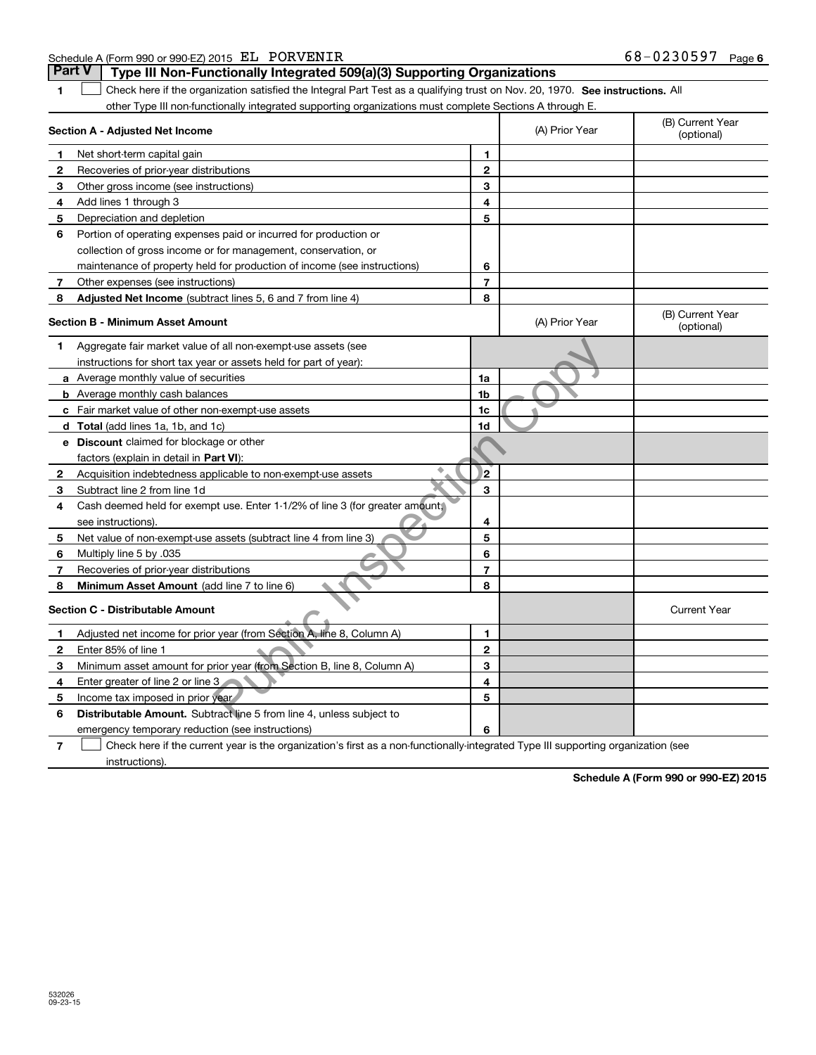|    | other Type III non-functionally integrated supporting organizations must complete Sections A through E.                           |                |                |                                |
|----|-----------------------------------------------------------------------------------------------------------------------------------|----------------|----------------|--------------------------------|
|    | Section A - Adjusted Net Income                                                                                                   |                | (A) Prior Year | (B) Current Year<br>(optional) |
| 1  | Net short-term capital gain                                                                                                       | 1              |                |                                |
| 2  | Recoveries of prior-year distributions                                                                                            | $\mathbf{2}$   |                |                                |
| 3  | Other gross income (see instructions)                                                                                             | 3              |                |                                |
| 4  | Add lines 1 through 3                                                                                                             | 4              |                |                                |
| 5  | Depreciation and depletion                                                                                                        | 5              |                |                                |
| 6  | Portion of operating expenses paid or incurred for production or                                                                  |                |                |                                |
|    | collection of gross income or for management, conservation, or                                                                    |                |                |                                |
|    | maintenance of property held for production of income (see instructions)                                                          | 6              |                |                                |
| 7  | Other expenses (see instructions)                                                                                                 | $\overline{7}$ |                |                                |
| 8  | Adjusted Net Income (subtract lines 5, 6 and 7 from line 4)                                                                       | 8              |                |                                |
|    | Section B - Minimum Asset Amount                                                                                                  |                | (A) Prior Year | (B) Current Year<br>(optional) |
| 1  | Aggregate fair market value of all non-exempt-use assets (see                                                                     |                |                |                                |
|    | instructions for short tax year or assets held for part of year):                                                                 |                |                |                                |
|    | a Average monthly value of securities                                                                                             | 1a             |                |                                |
|    | <b>b</b> Average monthly cash balances                                                                                            | 1b             |                |                                |
|    | c Fair market value of other non-exempt-use assets                                                                                | 1c             |                |                                |
|    | d Total (add lines 1a, 1b, and 1c)                                                                                                | 1d             |                |                                |
|    | <b>e</b> Discount claimed for blockage or other                                                                                   |                |                |                                |
|    | factors (explain in detail in Part VI):                                                                                           |                |                |                                |
| 2  | Acquisition indebtedness applicable to non-exempt-use assets                                                                      | 2              |                |                                |
| 3  | Subtract line 2 from line 1d                                                                                                      | 3              |                |                                |
| 4  | Cash deemed held for exempt use. Enter 1-1/2% of line 3 (for greater amount,                                                      |                |                |                                |
|    | see instructions).                                                                                                                | 4              |                |                                |
| 5  | Net value of non-exempt-use assets (subtract line 4 from line 3)                                                                  | 5              |                |                                |
| 6  | Multiply line 5 by .035                                                                                                           | 6              |                |                                |
| 7  | Recoveries of prior-year distributions                                                                                            | $\overline{7}$ |                |                                |
| 8  | <b>Minimum Asset Amount</b> (add line 7 to line 6)                                                                                | 8              |                |                                |
|    | Section C - Distributable Amount                                                                                                  |                |                | <b>Current Year</b>            |
| 1. | Adjusted net income for prior year (from Section A, line 8, Column A)                                                             | 1              |                |                                |
| 2  | Enter 85% of line 1                                                                                                               | $\mathbf{2}$   |                |                                |
| 3  | Minimum asset amount for prior year (from Section B, line 8, Column A)                                                            | 3              |                |                                |
| 4  | Enter greater of line 2 or line 3                                                                                                 | 4              |                |                                |
| 5  | Income tax imposed in prior year                                                                                                  | 5              |                |                                |
| 6  | <b>Distributable Amount.</b> Subtract line 5 from line 4, unless subject to                                                       |                |                |                                |
|    | emergency temporary reduction (see instructions)                                                                                  | 6              |                |                                |
| 7  | Check here if the current year is the organization's first as a non-functionally-integrated Type III supporting organization (see |                |                |                                |

**1**

**Schedule A (Form 990 or 990-EZ) 2015**

instructions).

Schedule A (Form 990 or 990-EZ) 2015 Page EL PORVENIR 68-0230597

**Part V** | Type III Non-Functionally Integrated 509(a)(3) Supporting Organizations

1 Check here if the organization satisfied the Integral Part Test as a qualifying trust on Nov. 20, 1970. See instructions. All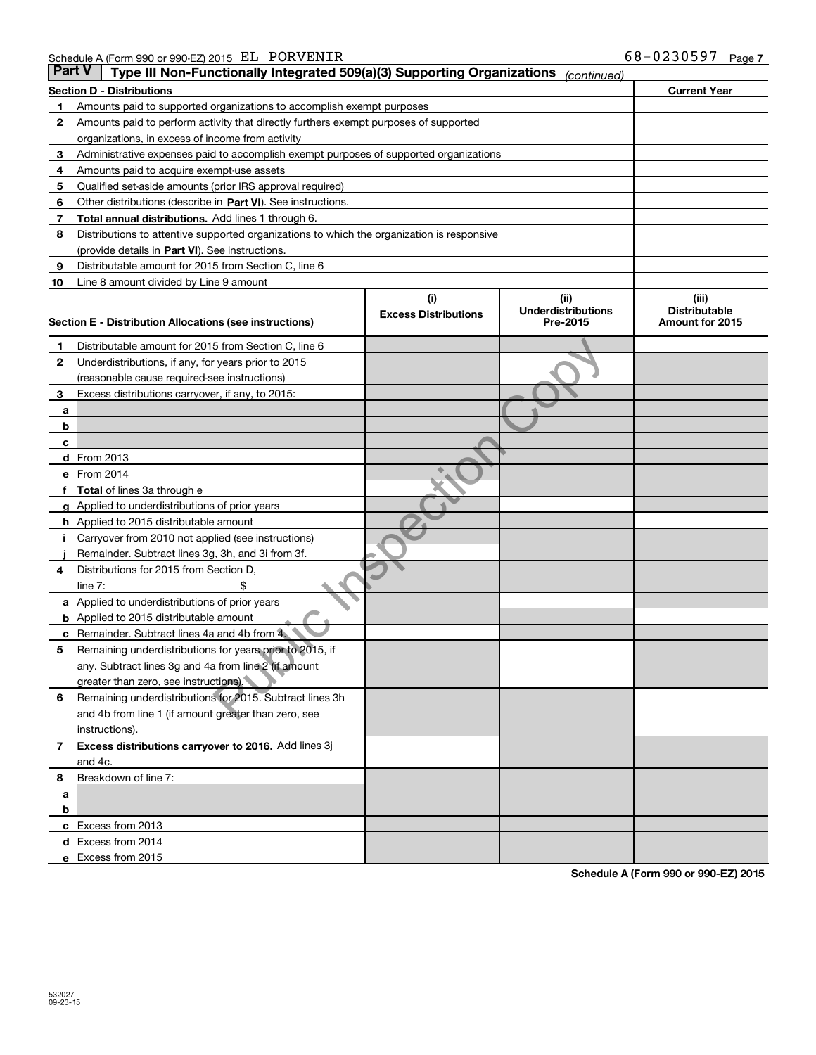| <b>Part V</b> | Type III Non-Functionally Integrated 509(a)(3) Supporting Organizations                    |                             | (continued)               |                      |
|---------------|--------------------------------------------------------------------------------------------|-----------------------------|---------------------------|----------------------|
|               | <b>Section D - Distributions</b>                                                           |                             |                           | <b>Current Year</b>  |
| 1             | Amounts paid to supported organizations to accomplish exempt purposes                      |                             |                           |                      |
| 2             | Amounts paid to perform activity that directly furthers exempt purposes of supported       |                             |                           |                      |
|               | organizations, in excess of income from activity                                           |                             |                           |                      |
| з             | Administrative expenses paid to accomplish exempt purposes of supported organizations      |                             |                           |                      |
| 4             | Amounts paid to acquire exempt-use assets                                                  |                             |                           |                      |
| 5             | Qualified set-aside amounts (prior IRS approval required)                                  |                             |                           |                      |
| 6             | Other distributions (describe in Part VI). See instructions.                               |                             |                           |                      |
| 7             | Total annual distributions. Add lines 1 through 6.                                         |                             |                           |                      |
| 8             | Distributions to attentive supported organizations to which the organization is responsive |                             |                           |                      |
|               | (provide details in Part VI). See instructions.                                            |                             |                           |                      |
| 9             | Distributable amount for 2015 from Section C, line 6                                       |                             |                           |                      |
| 10            | Line 8 amount divided by Line 9 amount                                                     |                             |                           |                      |
|               |                                                                                            | (i)                         | (iii)                     | (iii)                |
|               |                                                                                            | <b>Excess Distributions</b> | <b>Underdistributions</b> | <b>Distributable</b> |
|               | Section E - Distribution Allocations (see instructions)                                    |                             | Pre-2015                  | Amount for 2015      |
| 1             | Distributable amount for 2015 from Section C, line 6                                       |                             |                           |                      |
| 2             | Underdistributions, if any, for years prior to 2015                                        |                             |                           |                      |
|               | (reasonable cause required-see instructions)                                               |                             |                           |                      |
| 3             | Excess distributions carryover, if any, to 2015:                                           |                             |                           |                      |
| а             |                                                                                            |                             |                           |                      |
| b             |                                                                                            |                             |                           |                      |
| c             |                                                                                            |                             |                           |                      |
|               | d From 2013                                                                                |                             |                           |                      |
|               | e From 2014                                                                                |                             |                           |                      |
|               | Total of lines 3a through e                                                                |                             |                           |                      |
|               | Applied to underdistributions of prior years                                               |                             |                           |                      |
|               | <b>h</b> Applied to 2015 distributable amount                                              |                             |                           |                      |
|               | Carryover from 2010 not applied (see instructions)                                         |                             |                           |                      |
|               | Remainder. Subtract lines 3g, 3h, and 3i from 3f.                                          |                             |                           |                      |
| 4             | Distributions for 2015 from Section D,                                                     |                             |                           |                      |
|               | line $7:$                                                                                  |                             |                           |                      |
|               | a Applied to underdistributions of prior years                                             |                             |                           |                      |
|               | <b>b</b> Applied to 2015 distributable amount                                              |                             |                           |                      |
| с             | Remainder. Subtract lines 4a and 4b from 4.                                                |                             |                           |                      |
|               | Remaining underdistributions for years prior to 2015, if                                   |                             |                           |                      |
| 5             | any. Subtract lines 3g and 4a from line 2 (if amount                                       |                             |                           |                      |
|               | greater than zero, see instructions).                                                      |                             |                           |                      |
| 6             | Remaining underdistributions for 2015. Subtract lines 3h                                   |                             |                           |                      |
|               | and 4b from line 1 (if amount greater than zero, see                                       |                             |                           |                      |
|               |                                                                                            |                             |                           |                      |
|               | instructions).<br>Excess distributions carryover to 2016. Add lines 3j                     |                             |                           |                      |
| 7             | and 4c.                                                                                    |                             |                           |                      |
|               |                                                                                            |                             |                           |                      |
| 8             | Breakdown of line 7:                                                                       |                             |                           |                      |
| a<br>b        |                                                                                            |                             |                           |                      |
|               |                                                                                            |                             |                           |                      |
|               | c Excess from 2013                                                                         |                             |                           |                      |
|               | <b>d</b> Excess from 2014                                                                  |                             |                           |                      |
|               | e Excess from 2015                                                                         |                             |                           |                      |

**Schedule A (Form 990 or 990-EZ) 2015**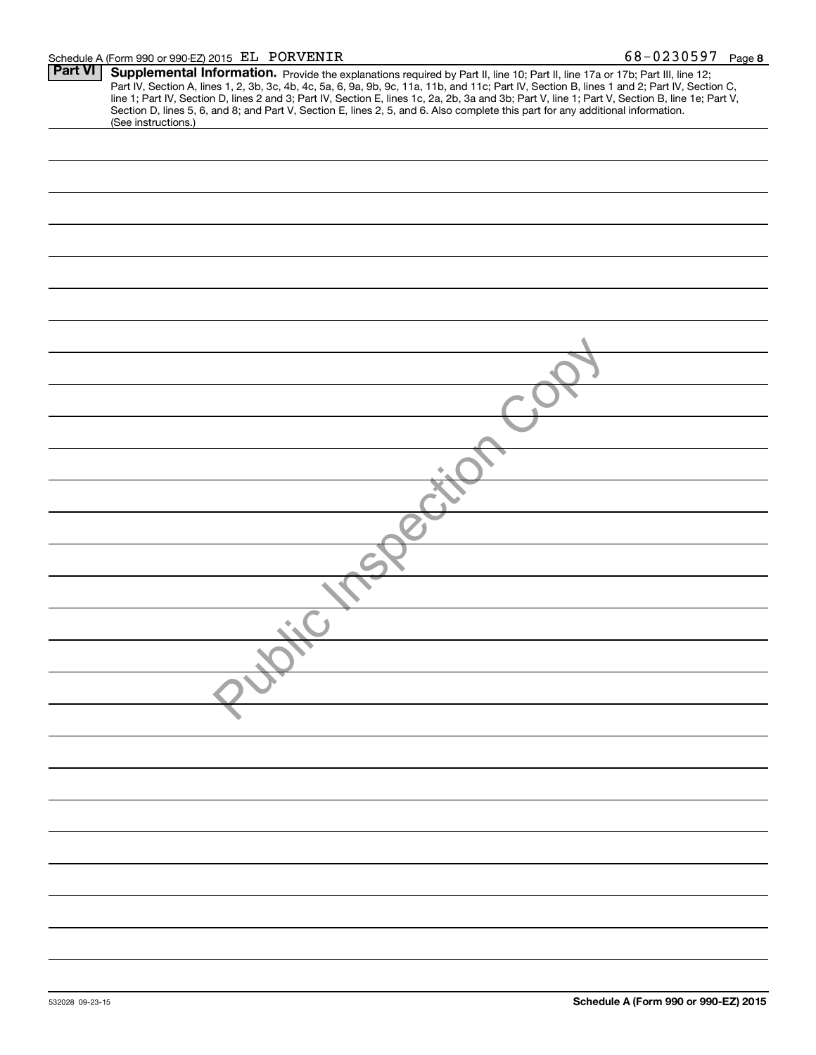#### Schedule A (Form 990 or 990-EZ) 2015 Page EL PORVENIR 68-0230597

| <b>Part VI</b> | Supplemental Information. Provide the explanations required by Part II, line 10; Part II, line 17a or 17b; Part III, line 12;                   |
|----------------|-------------------------------------------------------------------------------------------------------------------------------------------------|
|                | Part IV, Section A, lines 1, 2, 3b, 3c, 4b, 4c, 5a, 6, 9a, 9b, 9c, 11a, 11b, and 11c; Part IV, Section B, lines 1 and 2; Part IV, Section C,    |
|                | line 1; Part IV, Section D, lines 2 and 3; Part IV, Section E, lines 1c, 2a, 2b, 3a and 3b; Part V, line 1; Part V, Section B, line 1e; Part V, |
|                | Section D, lines 5, 6, and 8; and Part V, Section E, lines 2, 5, and 6. Also complete this part for any additional information.                 |
|                | (See instructions.)                                                                                                                             |
|                |                                                                                                                                                 |
|                |                                                                                                                                                 |
|                |                                                                                                                                                 |
|                |                                                                                                                                                 |
|                |                                                                                                                                                 |
|                |                                                                                                                                                 |
|                |                                                                                                                                                 |
|                |                                                                                                                                                 |
|                |                                                                                                                                                 |
|                |                                                                                                                                                 |
|                |                                                                                                                                                 |
|                |                                                                                                                                                 |
|                |                                                                                                                                                 |
|                |                                                                                                                                                 |
|                |                                                                                                                                                 |
|                |                                                                                                                                                 |
|                |                                                                                                                                                 |
|                |                                                                                                                                                 |
|                |                                                                                                                                                 |
|                |                                                                                                                                                 |
|                |                                                                                                                                                 |
|                |                                                                                                                                                 |
|                |                                                                                                                                                 |
|                |                                                                                                                                                 |
|                |                                                                                                                                                 |
|                |                                                                                                                                                 |
|                |                                                                                                                                                 |
|                |                                                                                                                                                 |
|                |                                                                                                                                                 |
|                |                                                                                                                                                 |
|                |                                                                                                                                                 |
|                |                                                                                                                                                 |
|                |                                                                                                                                                 |
|                |                                                                                                                                                 |
|                |                                                                                                                                                 |
|                |                                                                                                                                                 |
|                |                                                                                                                                                 |
|                |                                                                                                                                                 |
|                |                                                                                                                                                 |
|                |                                                                                                                                                 |
|                |                                                                                                                                                 |
|                |                                                                                                                                                 |
|                |                                                                                                                                                 |
|                |                                                                                                                                                 |
|                |                                                                                                                                                 |
|                |                                                                                                                                                 |
|                |                                                                                                                                                 |
|                |                                                                                                                                                 |
|                |                                                                                                                                                 |
|                |                                                                                                                                                 |
|                |                                                                                                                                                 |
|                |                                                                                                                                                 |
|                |                                                                                                                                                 |
|                |                                                                                                                                                 |
|                |                                                                                                                                                 |
|                |                                                                                                                                                 |
|                |                                                                                                                                                 |
|                |                                                                                                                                                 |
|                |                                                                                                                                                 |
|                |                                                                                                                                                 |
|                |                                                                                                                                                 |
|                |                                                                                                                                                 |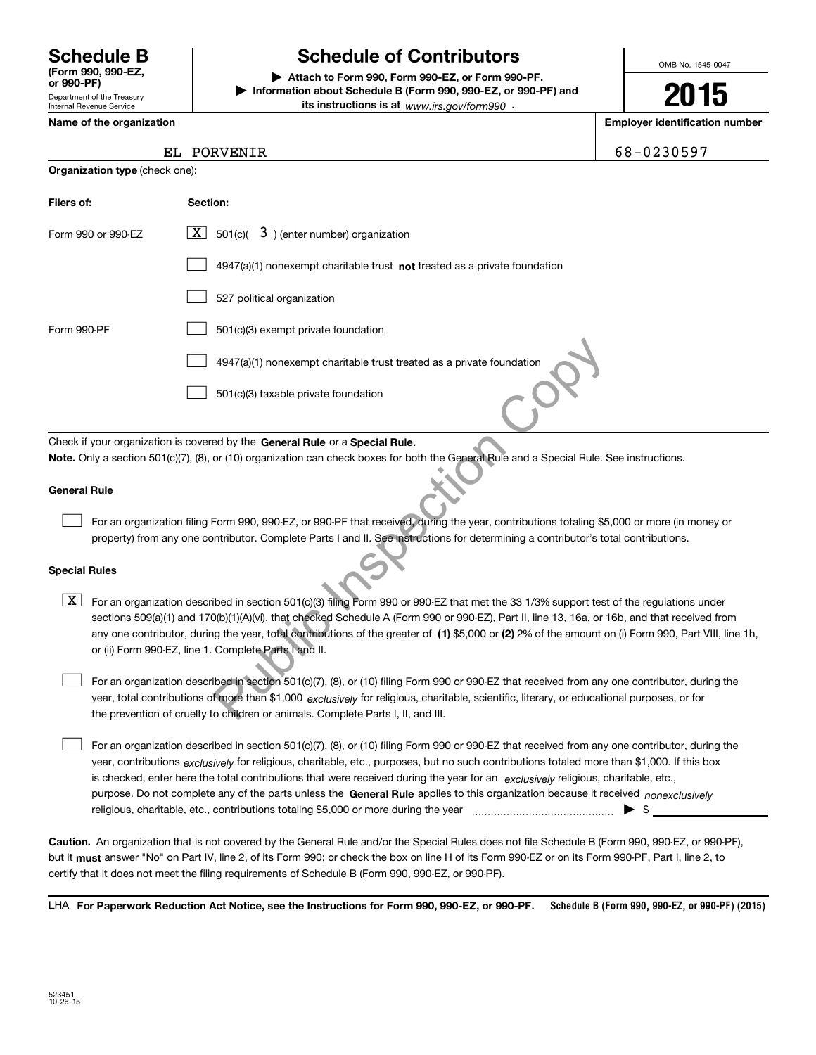Department of the Treasury Internal Revenue Service **(Form 990, 990-EZ, or 990-PF)**

# **Schedule B Schedule of Contributors**

**| Attach to Form 990, Form 990-EZ, or Form 990-PF. | Information about Schedule B (Form 990, 990-EZ, or 990-PF) and its instructions is at** www.irs.gov/form990  $\cdot$ 

OMB No. 1545-0047

**2015**

**Name of the organization Employer identification number**

PORVENIR 168-0230597

|  | Name of the organization |
|--|--------------------------|
|  |                          |

| <b>Organization type (check one):</b>                                                                                                                                                                         |                                                                                                                                               |  |  |  |  |  |
|---------------------------------------------------------------------------------------------------------------------------------------------------------------------------------------------------------------|-----------------------------------------------------------------------------------------------------------------------------------------------|--|--|--|--|--|
| Filers of:                                                                                                                                                                                                    | Section:                                                                                                                                      |  |  |  |  |  |
| Form 990 or 990-EZ                                                                                                                                                                                            | $\boxed{\textbf{X}}$ 501(c)( 3) (enter number) organization                                                                                   |  |  |  |  |  |
|                                                                                                                                                                                                               | $4947(a)(1)$ nonexempt charitable trust <b>not</b> treated as a private foundation                                                            |  |  |  |  |  |
|                                                                                                                                                                                                               | 527 political organization                                                                                                                    |  |  |  |  |  |
| Form 990-PF                                                                                                                                                                                                   | 501(c)(3) exempt private foundation                                                                                                           |  |  |  |  |  |
|                                                                                                                                                                                                               | 4947(a)(1) nonexempt charitable trust treated as a private foundation                                                                         |  |  |  |  |  |
|                                                                                                                                                                                                               | 501(c)(3) taxable private foundation                                                                                                          |  |  |  |  |  |
|                                                                                                                                                                                                               | Check if your organization is covered by the General Rule or a Special Rule.                                                                  |  |  |  |  |  |
|                                                                                                                                                                                                               | Note. Only a section 501(c)(7), (8), or (10) organization can check boxes for both the General Rule and a Special Rule. See instructions.     |  |  |  |  |  |
|                                                                                                                                                                                                               |                                                                                                                                               |  |  |  |  |  |
| <b>General Rule</b>                                                                                                                                                                                           |                                                                                                                                               |  |  |  |  |  |
|                                                                                                                                                                                                               | For an organization filing Form 990, 990-EZ, or 990-PF that received, during the year, contributions totaling \$5,000 or more (in money or    |  |  |  |  |  |
|                                                                                                                                                                                                               | property) from any one contributor. Complete Parts I and II. See instructions for determining a contributor's total contributions.            |  |  |  |  |  |
| <b>Special Rules</b>                                                                                                                                                                                          |                                                                                                                                               |  |  |  |  |  |
| X                                                                                                                                                                                                             | For an organization described in section 501(c)(3) filing Form 990 or 990-EZ that met the 33 1/3% support test of the regulations under       |  |  |  |  |  |
|                                                                                                                                                                                                               | sections 509(a)(1) and 170(b)(1)(A)(vi), that checked Schedule A (Form 990 or 990-EZ), Part II, line 13, 16a, or 16b, and that received from  |  |  |  |  |  |
| any one contributor, during the year, total contributions of the greater of (1) \$5,000 or (2) 2% of the amount on (i) Form 990, Part VIII, line 1h,<br>or (ii) Form 990-EZ, line 1. Complete Parts I and II. |                                                                                                                                               |  |  |  |  |  |
|                                                                                                                                                                                                               | For an organization described in section 501(c)(7), (8), or (10) filing Form 990 or 990-EZ that received from any one contributor, during the |  |  |  |  |  |
|                                                                                                                                                                                                               | year, total contributions of more than \$1,000 exclusively for religious, charitable, scientific, literary, or educational purposes, or for   |  |  |  |  |  |
|                                                                                                                                                                                                               | the prevention of cruelty to children or animals. Complete Parts I, II, and III.                                                              |  |  |  |  |  |

#### **Special Rules**

purpose. Do not complete any of the parts unless the **General Rule** applies to this organization because it received *nonexclusively* year, contributions <sub>exclusively</sub> for religious, charitable, etc., purposes, but no such contributions totaled more than \$1,000. If this box is checked, enter here the total contributions that were received during the year for an  $\;$ exclusively religious, charitable, etc., For an organization described in section 501(c)(7), (8), or (10) filing Form 990 or 990-EZ that received from any one contributor, during the religious, charitable, etc., contributions totaling \$5,000 or more during the year  $\ldots$  $\ldots$  $\ldots$  $\ldots$  $\ldots$  $\ldots$  $\mathcal{L}^{\text{max}}$ 

**Caution.**An organization that is not covered by the General Rule and/or the Special Rules does not file Schedule B (Form 990, 990-EZ, or 990-PF), but it **must** answer "No" on Part IV, line 2, of its Form 990; or check the box on line H of its Form 990-EZ or on its Form 990-PF, Part I, line 2, to<br>cotify that it does not meet the filing requirements of Schodule B (Fer certify that it does not meet the filing requirements of Schedule B (Form 990, 990-EZ, or 990-PF).

**Schedule B (Form 990, 990-EZ, or 990-PF) (2015) For Paperwork Reduction Act Notice, see the Instructions for Form 990, 990-EZ, or 990-PF.** LHA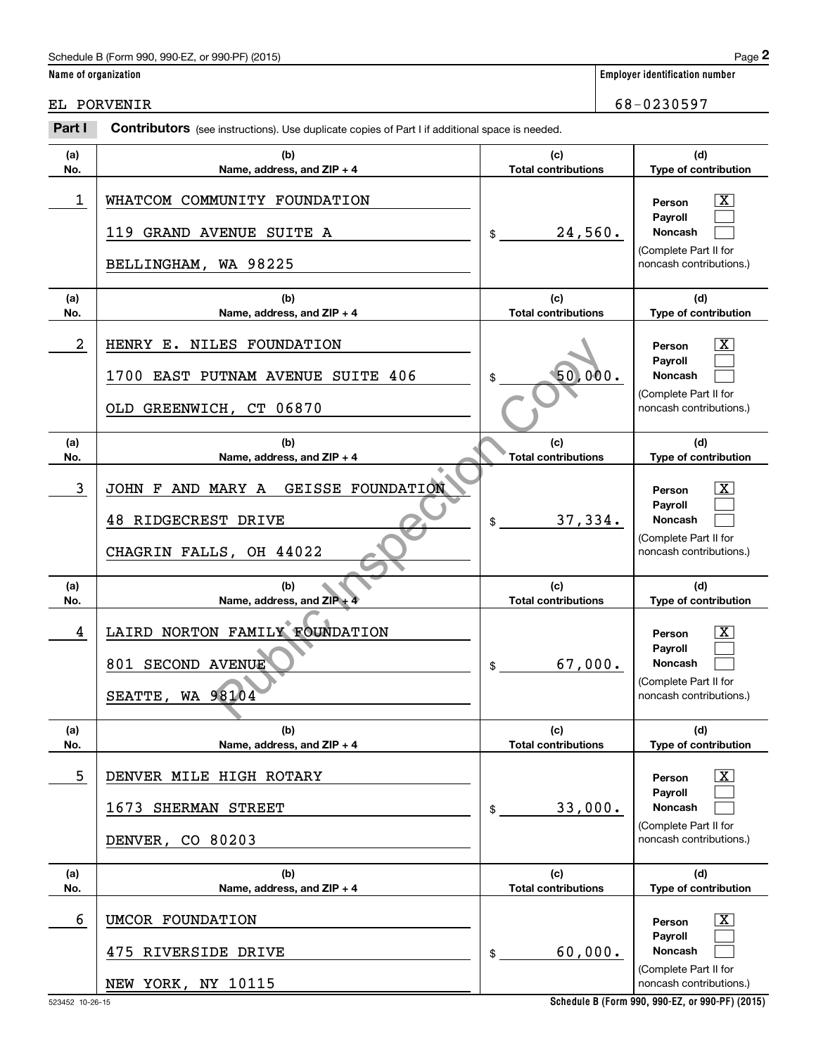# Schedule B (Form 990, 990-EZ, or 990-PF) (2015) Page 2

|                      | Schedule B (Form 990, 990-EZ, or 990-PF) (2015)                                                       |                                   |      | Page 2                                                                                                    |
|----------------------|-------------------------------------------------------------------------------------------------------|-----------------------------------|------|-----------------------------------------------------------------------------------------------------------|
| Name of organization |                                                                                                       |                                   |      | <b>Employer identification number</b>                                                                     |
|                      | EL PORVENIR                                                                                           |                                   |      | 68-0230597                                                                                                |
| Part I               | <b>Contributors</b> (see instructions). Use duplicate copies of Part I if additional space is needed. |                                   |      |                                                                                                           |
| (a)<br>No.           | (b)<br>Name, address, and ZIP + 4                                                                     | (c)<br><b>Total contributions</b> |      | (d)<br>Type of contribution                                                                               |
| 1                    | WHATCOM COMMUNITY FOUNDATION<br>119 GRAND AVENUE SUITE A<br>BELLINGHAM, WA 98225                      | 24,560.<br>\$                     |      | $\mathbf{X}$<br>Person<br>Payroll<br>Noncash<br>(Complete Part II for<br>noncash contributions.)          |
| (a)<br>No.           | (b)<br>Name, address, and ZIP + 4                                                                     | (c)<br><b>Total contributions</b> |      | (d)<br>Type of contribution                                                                               |
| $\overline{a}$       | HENRY E.<br>NILES FOUNDATION<br>EAST PUTNAM AVENUE SUITE 406<br>1700<br>OLD GREENWICH, CT 06870       | 50)                               | 000. | X<br>Person<br>Payroll<br><b>Noncash</b><br>(Complete Part II for<br>noncash contributions.)              |
| (a)<br>No.           | (b)<br>Name, address, and ZIP + 4                                                                     | (c)<br><b>Total contributions</b> |      | (d)<br>Type of contribution                                                                               |
| 3                    | AND MARY A<br><b>GEISSE FOUNDATION</b><br>JOHN F<br>48 RIDGECREST DRIVE<br>CHAGRIN FALLS, OH 44022    | 37,334.<br>\$                     |      | x<br>Person<br>Payroll<br>Noncash<br>(Complete Part II for<br>noncash contributions.)                     |
| (a)<br>No.           | (b)<br>Name, address, and ZIP +                                                                       | (c)<br><b>Total contributions</b> |      | (d)<br>Type of contribution                                                                               |
| 4                    | LAIRD NORTON FAMILY FOUNDATION<br>801 SECOND AVENUE<br>SEATTE, WA 98104                               | 67,000.<br>\$                     |      | $\overline{\text{X}}$<br>Person<br>Payroll<br>Noncash<br>(Complete Part II for<br>noncash contributions.) |
| (a)<br>No.           | (b)<br>Name, address, and ZIP + 4                                                                     | (c)<br><b>Total contributions</b> |      | (d)<br>Type of contribution                                                                               |
| 5                    | DENVER MILE HIGH ROTARY<br>1673 SHERMAN STREET<br>DENVER, CO 80203                                    | 33,000.<br>\$                     |      | $\boxed{\text{X}}$<br>Person<br>Payroll<br>Noncash<br>(Complete Part II for<br>noncash contributions.)    |
| (a)<br>No.           | (b)<br>Name, address, and ZIP + 4                                                                     | (c)<br><b>Total contributions</b> |      | (d)<br>Type of contribution                                                                               |
| 6                    | UMCOR FOUNDATION<br>475 RIVERSIDE DRIVE<br>NEW YORK, NY 10115                                         | 60,000.<br>\$                     |      | $\boxed{\text{X}}$<br>Person<br>Payroll<br>Noncash<br>(Complete Part II for<br>noncash contributions.)    |

**Schedule B (Form 990, 990-EZ, or 990-PF) (2015)**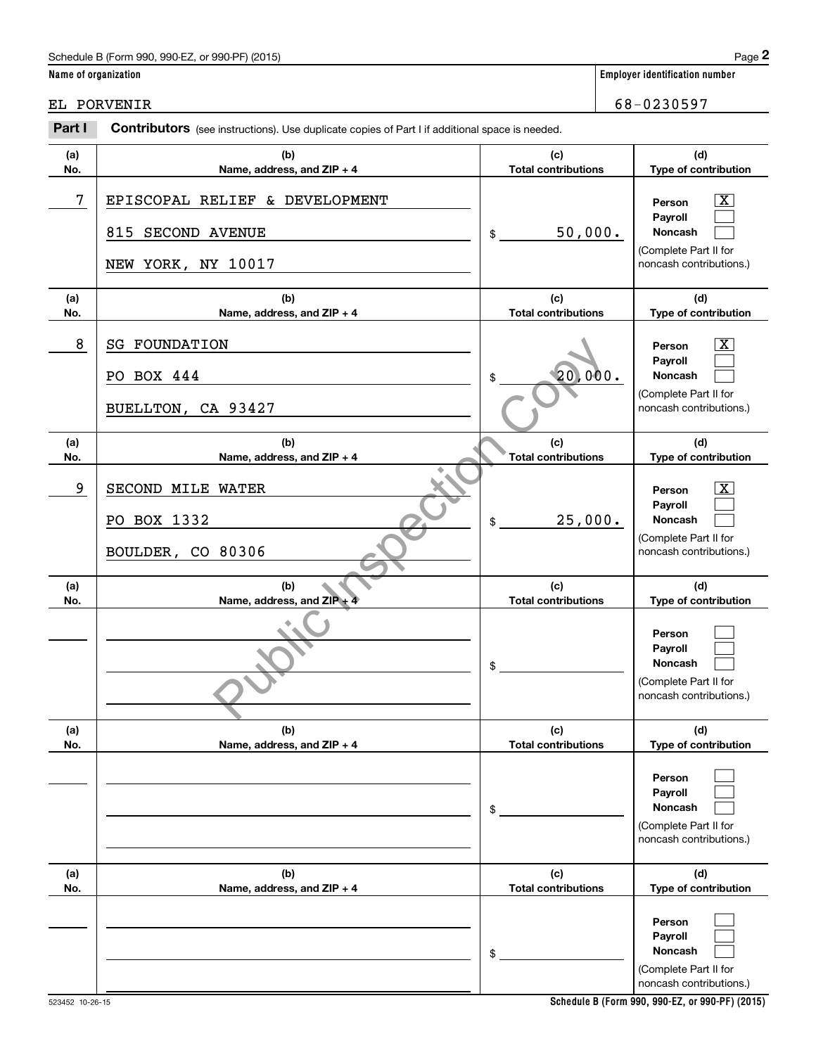# Schedule B (Form 990, 990-EZ, or 990-PF) (2015) Page 2

|                      | Schedule B (Form 990, 990-EZ, or 990-PF) (2015)                                                |                                   | Page 2                                                                                                    |
|----------------------|------------------------------------------------------------------------------------------------|-----------------------------------|-----------------------------------------------------------------------------------------------------------|
| Name of organization |                                                                                                |                                   | <b>Employer identification number</b>                                                                     |
|                      | EL PORVENIR                                                                                    |                                   | 68-0230597                                                                                                |
| Part I               | Contributors (see instructions). Use duplicate copies of Part I if additional space is needed. |                                   |                                                                                                           |
| (a)<br>No.           | (b)<br>Name, address, and ZIP + 4                                                              | (c)<br><b>Total contributions</b> | (d)<br>Type of contribution                                                                               |
| 7                    | EPISCOPAL RELIEF & DEVELOPMENT                                                                 |                                   | $\overline{\text{X}}$<br>Person<br>Payroll                                                                |
|                      | 815 SECOND AVENUE<br>NEW YORK, NY 10017                                                        | 50,000.<br>\$                     | Noncash<br>(Complete Part II for<br>noncash contributions.)                                               |
| (a)<br>No.           | (b)<br>Name, address, and ZIP + 4                                                              | (c)<br><b>Total contributions</b> | (d)<br>Type of contribution                                                                               |
| 8                    | <b>SG FOUNDATION</b><br>PO BOX 444<br>BUELLTON, CA 93427                                       | 20,000.                           | $\overline{\text{X}}$<br>Person<br>Payroll<br>Noncash<br>(Complete Part II for<br>noncash contributions.) |
| (a)<br>No.           | (b)<br>Name, address, and ZIP + 4                                                              | (c)<br><b>Total contributions</b> | (d)<br>Type of contribution                                                                               |
| 9                    | SECOND MILE WATER<br>PO BOX 1332<br>BOULDER, CO 80306                                          | 25,000.<br>\$                     | $\overline{\text{X}}$<br>Person<br>Payroll<br>Noncash<br>(Complete Part II for<br>noncash contributions.) |
| (a)<br>No.           | (b)<br>Name, address, and ZIP +                                                                | (c)<br><b>Total contributions</b> | (d)<br>Type of contribution                                                                               |
|                      |                                                                                                | \$                                | Person<br>Payroll<br>Noncash<br>(Complete Part II for<br>noncash contributions.)                          |
| (a)<br>No.           | (b)<br>Name, address, and ZIP + 4                                                              | (c)<br><b>Total contributions</b> | (d)<br>Type of contribution                                                                               |
|                      |                                                                                                | \$                                | Person<br>Payroll<br>Noncash<br>(Complete Part II for<br>noncash contributions.)                          |
| (a)<br>No.           | (b)<br>Name, address, and ZIP + 4                                                              | (c)<br><b>Total contributions</b> | (d)<br>Type of contribution                                                                               |
|                      |                                                                                                | \$                                | Person<br>Payroll<br>Noncash<br>(Complete Part II for<br>noncash contributions.)                          |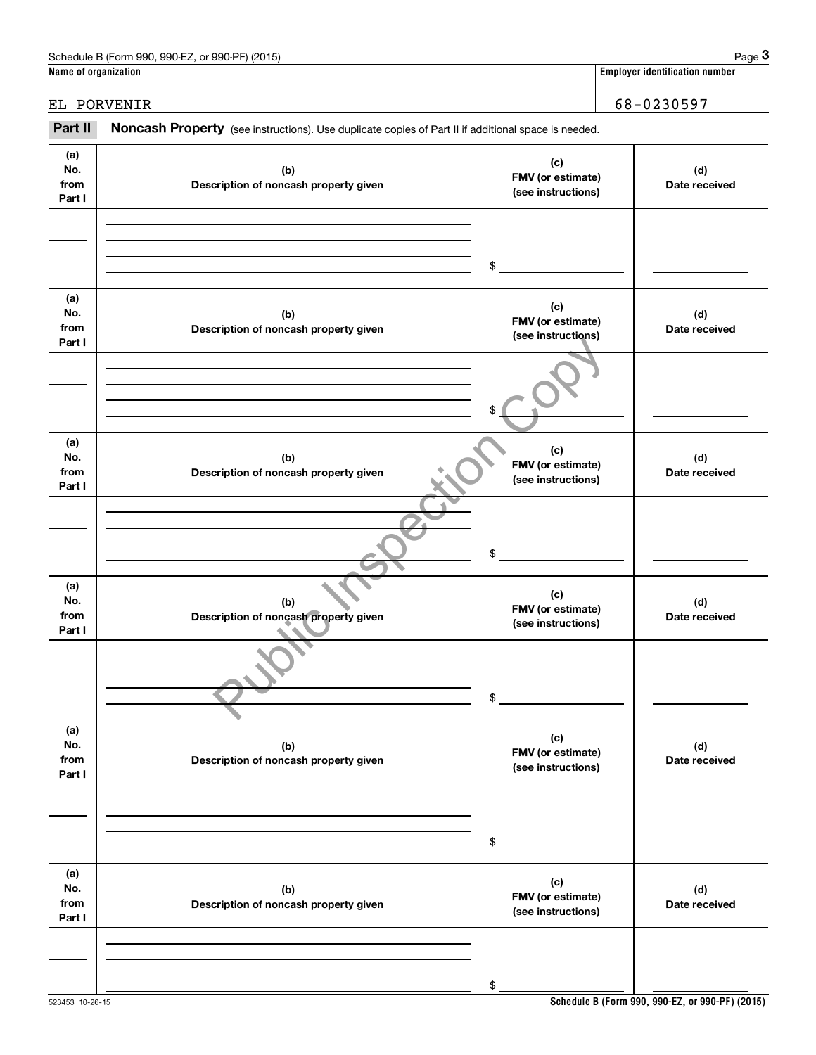|                              | Schedule B (Form 990, 990-EZ, or 990-PF) (2015)                                                     |                                                | Page 3                                |
|------------------------------|-----------------------------------------------------------------------------------------------------|------------------------------------------------|---------------------------------------|
| Name of organization         |                                                                                                     |                                                | <b>Employer identification number</b> |
|                              | EL PORVENIR                                                                                         |                                                | 68-0230597                            |
| Part II                      | Noncash Property (see instructions). Use duplicate copies of Part II if additional space is needed. |                                                |                                       |
| (a)<br>No.<br>from<br>Part I | (b)<br>Description of noncash property given                                                        | (c)<br>FMV (or estimate)<br>(see instructions) | (d)<br>Date received                  |
|                              |                                                                                                     | \$                                             |                                       |
| (a)<br>No.<br>from<br>Part I | (b)<br>Description of noncash property given                                                        | (c)<br>FMV (or estimate)<br>(see instructions) | (d)<br>Date received                  |
|                              |                                                                                                     | \$                                             |                                       |
| (a)<br>No.<br>from<br>Part I | (b)<br>Description of noncash property given                                                        | (c)<br>FMV (or estimate)<br>(see instructions) | (d)<br>Date received                  |
|                              |                                                                                                     | \$                                             |                                       |
| (a)<br>No.<br>from<br>Part I | (b)<br>Description of noncash property given                                                        | (c)<br>FMV (or estimate)<br>(see instructions) | (d)<br>Date received                  |
|                              |                                                                                                     | \$                                             |                                       |
| (a)<br>No.<br>from<br>Part I | (b)<br>Description of noncash property given                                                        | (c)<br>FMV (or estimate)<br>(see instructions) | (d)<br>Date received                  |
|                              |                                                                                                     | \$                                             |                                       |
| (a)<br>No.<br>from<br>Part I | (b)<br>Description of noncash property given                                                        | (c)<br>FMV (or estimate)<br>(see instructions) | (d)<br>Date received                  |
|                              |                                                                                                     | \$                                             |                                       |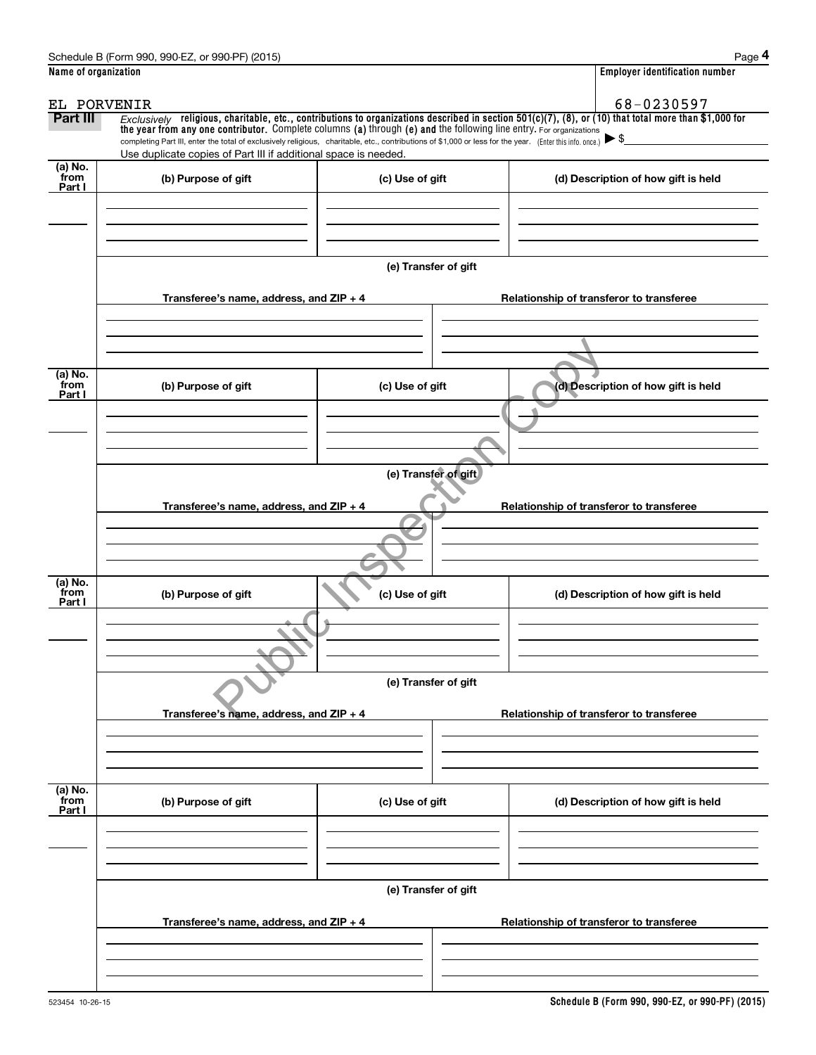|                           | Schedule B (Form 990, 990-EZ, or 990-PF) (2015)                                                                                                                                                                                                                                                          |                      | Page 4                                                                                                                                                  |  |  |
|---------------------------|----------------------------------------------------------------------------------------------------------------------------------------------------------------------------------------------------------------------------------------------------------------------------------------------------------|----------------------|---------------------------------------------------------------------------------------------------------------------------------------------------------|--|--|
| Name of organization      |                                                                                                                                                                                                                                                                                                          |                      | <b>Employer identification number</b>                                                                                                                   |  |  |
| EL PORVENIR               |                                                                                                                                                                                                                                                                                                          |                      | 68-0230597                                                                                                                                              |  |  |
| Part III                  | the year from any one contributor. Complete columns (a) through (e) and the following line entry. For organizations<br>completing Part III, enter the total of exclusively religious, charitable, etc., contributions of \$1,000 or less for the year. (Enter this info. once.) $\blacktriangleright$ \$ |                      | $Exclusively$ religious, charitable, etc., contributions to organizations described in section 501(c)(7), (8), or (10) that total more than \$1,000 for |  |  |
|                           | Use duplicate copies of Part III if additional space is needed.                                                                                                                                                                                                                                          |                      |                                                                                                                                                         |  |  |
| (a) No.<br>from<br>Part I | (b) Purpose of gift                                                                                                                                                                                                                                                                                      | (c) Use of gift      | (d) Description of how gift is held                                                                                                                     |  |  |
|                           |                                                                                                                                                                                                                                                                                                          |                      |                                                                                                                                                         |  |  |
|                           |                                                                                                                                                                                                                                                                                                          | (e) Transfer of gift |                                                                                                                                                         |  |  |
|                           | Transferee's name, address, and ZIP + 4                                                                                                                                                                                                                                                                  |                      | Relationship of transferor to transferee                                                                                                                |  |  |
|                           |                                                                                                                                                                                                                                                                                                          |                      |                                                                                                                                                         |  |  |
|                           |                                                                                                                                                                                                                                                                                                          |                      |                                                                                                                                                         |  |  |
| (a) No.<br>from<br>Part I | (b) Purpose of gift                                                                                                                                                                                                                                                                                      | (c) Use of gift      | (d) Description of how gift is held                                                                                                                     |  |  |
|                           |                                                                                                                                                                                                                                                                                                          |                      |                                                                                                                                                         |  |  |
|                           | (e) Transfer of gift                                                                                                                                                                                                                                                                                     |                      |                                                                                                                                                         |  |  |
|                           | Transferee's name, address, and ZIP + 4<br>Relationship of transferor to transferee                                                                                                                                                                                                                      |                      |                                                                                                                                                         |  |  |
|                           |                                                                                                                                                                                                                                                                                                          |                      |                                                                                                                                                         |  |  |
| (a) No.<br>from<br>Part I | (b) Purpose of gift                                                                                                                                                                                                                                                                                      | (c) Use of gift      | (d) Description of how gift is held                                                                                                                     |  |  |
|                           |                                                                                                                                                                                                                                                                                                          |                      |                                                                                                                                                         |  |  |
|                           |                                                                                                                                                                                                                                                                                                          |                      |                                                                                                                                                         |  |  |
|                           |                                                                                                                                                                                                                                                                                                          | (e) Transfer of gift |                                                                                                                                                         |  |  |
|                           | Transferee's name, address, and $ZIP + 4$                                                                                                                                                                                                                                                                |                      | Relationship of transferor to transferee                                                                                                                |  |  |
|                           |                                                                                                                                                                                                                                                                                                          |                      |                                                                                                                                                         |  |  |
| (a) No.<br>from<br>Part I | (b) Purpose of gift                                                                                                                                                                                                                                                                                      | (c) Use of gift      | (d) Description of how gift is held                                                                                                                     |  |  |
|                           |                                                                                                                                                                                                                                                                                                          |                      |                                                                                                                                                         |  |  |
|                           |                                                                                                                                                                                                                                                                                                          | (e) Transfer of gift |                                                                                                                                                         |  |  |
|                           | Transferee's name, address, and ZIP + 4                                                                                                                                                                                                                                                                  |                      | Relationship of transferor to transferee                                                                                                                |  |  |
|                           |                                                                                                                                                                                                                                                                                                          |                      |                                                                                                                                                         |  |  |
|                           |                                                                                                                                                                                                                                                                                                          |                      |                                                                                                                                                         |  |  |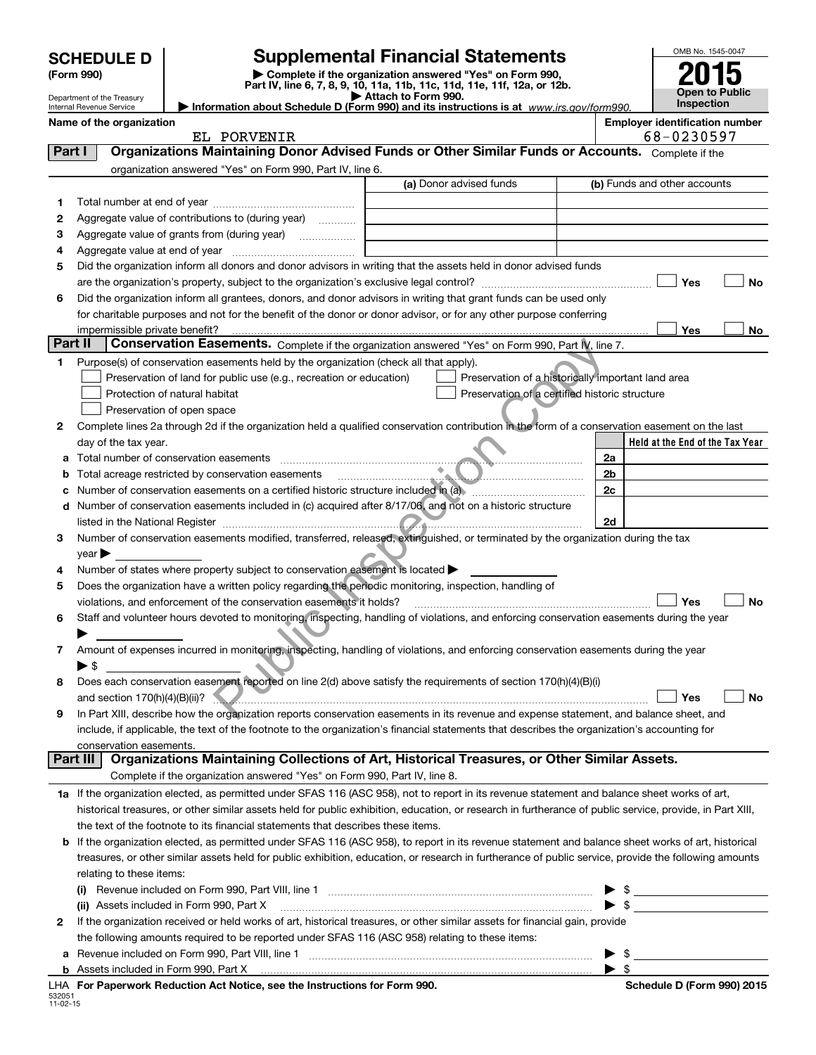| <b>SCHEDULE D</b> |  |
|-------------------|--|
|-------------------|--|

532051 11-02-15

# **SCHEDULE D Supplemental Financial Statements**

**(Form 990)** (**Form 990,**<br>Part IV, line 6, 7, 8, 9, 10, 11a, 11b, 11c, 11d, 11e, 11f, 12a, or 12b.<br>Department of the Treasury

**Open to Public Inspection 2015**

OMB No. 1545-0047

| Attach to Form 990.                                      |  |
|----------------------------------------------------------|--|
| h ahout Schedule D (Form 990) and its instructions is at |  |

|         | Department of the Treasury<br>Internal Revenue Service |                                                                                                                                                                                                                                | Attach to Form 990.<br>Information about Schedule D (Form 990) and its instructions is at www.irs.gov/form990.         |                         | Inspection                            |  |
|---------|--------------------------------------------------------|--------------------------------------------------------------------------------------------------------------------------------------------------------------------------------------------------------------------------------|------------------------------------------------------------------------------------------------------------------------|-------------------------|---------------------------------------|--|
|         | Name of the organization                               |                                                                                                                                                                                                                                |                                                                                                                        |                         | <b>Employer identification number</b> |  |
|         | 68-0230597<br>EL PORVENIR                              |                                                                                                                                                                                                                                |                                                                                                                        |                         |                                       |  |
| Part I  |                                                        | Organizations Maintaining Donor Advised Funds or Other Similar Funds or Accounts. Complete if the                                                                                                                              |                                                                                                                        |                         |                                       |  |
|         |                                                        | organization answered "Yes" on Form 990, Part IV, line 6.                                                                                                                                                                      |                                                                                                                        |                         |                                       |  |
|         |                                                        |                                                                                                                                                                                                                                | (a) Donor advised funds                                                                                                |                         | (b) Funds and other accounts          |  |
| 1.      |                                                        |                                                                                                                                                                                                                                |                                                                                                                        |                         |                                       |  |
| 2       |                                                        | Aggregate value of contributions to (during year)                                                                                                                                                                              |                                                                                                                        |                         |                                       |  |
| з       |                                                        |                                                                                                                                                                                                                                |                                                                                                                        |                         |                                       |  |
| 4       |                                                        |                                                                                                                                                                                                                                |                                                                                                                        |                         |                                       |  |
| 5       |                                                        | Did the organization inform all donors and donor advisors in writing that the assets held in donor advised funds                                                                                                               |                                                                                                                        |                         |                                       |  |
|         |                                                        |                                                                                                                                                                                                                                |                                                                                                                        |                         | Yes<br>No                             |  |
| 6       |                                                        | Did the organization inform all grantees, donors, and donor advisors in writing that grant funds can be used only                                                                                                              |                                                                                                                        |                         |                                       |  |
|         |                                                        | for charitable purposes and not for the benefit of the donor or donor advisor, or for any other purpose conferring                                                                                                             |                                                                                                                        |                         |                                       |  |
|         |                                                        | impermissible private benefit?                                                                                                                                                                                                 |                                                                                                                        |                         | Yes<br>No                             |  |
| Part II |                                                        | Conservation Easements. Complete if the organization answered "Yes" on Form 990, Part IV, line 7.                                                                                                                              |                                                                                                                        |                         |                                       |  |
| 1.      |                                                        | Purpose(s) of conservation easements held by the organization (check all that apply).                                                                                                                                          |                                                                                                                        |                         |                                       |  |
|         |                                                        | Preservation of land for public use (e.g., recreation or education)                                                                                                                                                            | Preservation of a historically important land area                                                                     |                         |                                       |  |
|         |                                                        | Protection of natural habitat                                                                                                                                                                                                  | Preservation of a certified historic structure                                                                         |                         |                                       |  |
|         |                                                        | Preservation of open space                                                                                                                                                                                                     |                                                                                                                        |                         |                                       |  |
| 2       |                                                        | Complete lines 2a through 2d if the organization held a qualified conservation contribution in the form of a conservation easement on the last                                                                                 |                                                                                                                        |                         |                                       |  |
|         | day of the tax year.                                   |                                                                                                                                                                                                                                |                                                                                                                        |                         | Held at the End of the Tax Year       |  |
| а       |                                                        | Total number of conservation easements                                                                                                                                                                                         |                                                                                                                        | 2a                      |                                       |  |
| b       |                                                        | Total acreage restricted by conservation easements                                                                                                                                                                             | <u> Elizabeth Communication de la provincia de la provincia de la provincia de la provincia de la provincia de la </u> | 2b                      |                                       |  |
|         |                                                        | Number of conservation easements on a certified historic structure included in (a)                                                                                                                                             |                                                                                                                        | 2c                      |                                       |  |
| d       |                                                        | Number of conservation easements included in (c) acquired after 8/17/06, and not on a historic structure                                                                                                                       |                                                                                                                        |                         |                                       |  |
|         |                                                        | listed in the National Register <b>Communication and Communication</b> Communication and the National Register <b>Communication</b>                                                                                            |                                                                                                                        | 2d                      |                                       |  |
| 3       |                                                        | Number of conservation easements modified, transferred, released, extinguished, or terminated by the organization during the tax                                                                                               |                                                                                                                        |                         |                                       |  |
|         | $year \triangleright$                                  |                                                                                                                                                                                                                                |                                                                                                                        |                         |                                       |  |
| 4       |                                                        | Number of states where property subject to conservation easement is located >                                                                                                                                                  |                                                                                                                        |                         |                                       |  |
| 5       |                                                        | Does the organization have a written policy regarding the periodic monitoring, inspection, handling of                                                                                                                         |                                                                                                                        |                         |                                       |  |
|         |                                                        | violations, and enforcement of the conservation easements it holds?                                                                                                                                                            |                                                                                                                        |                         | Yes<br>No                             |  |
| 6       |                                                        | Staff and volunteer hours devoted to monitoring, inspecting, handling of violations, and enforcing conservation easements during the year                                                                                      |                                                                                                                        |                         |                                       |  |
|         |                                                        |                                                                                                                                                                                                                                |                                                                                                                        |                         |                                       |  |
| 7       | ⊳ \$                                                   | Amount of expenses incurred in monitoring, inspecting, handling of violations, and enforcing conservation easements during the year                                                                                            |                                                                                                                        |                         |                                       |  |
|         |                                                        | Does each conservation easement reported on line 2(d) above satisfy the requirements of section 170(h)(4)(B)(i)                                                                                                                |                                                                                                                        |                         |                                       |  |
|         |                                                        | and section 170(h)(4)(B)(ii)? Yes                                                                                                                                                                                              |                                                                                                                        |                         | <b>No</b>                             |  |
| 9       |                                                        | In Part XIII, describe how the organization reports conservation easements in its revenue and expense statement, and balance sheet, and                                                                                        |                                                                                                                        |                         |                                       |  |
|         |                                                        | include, if applicable, the text of the footnote to the organization's financial statements that describes the organization's accounting for                                                                                   |                                                                                                                        |                         |                                       |  |
|         | conservation easements.                                |                                                                                                                                                                                                                                |                                                                                                                        |                         |                                       |  |
|         | Part III                                               | Organizations Maintaining Collections of Art, Historical Treasures, or Other Similar Assets.                                                                                                                                   |                                                                                                                        |                         |                                       |  |
|         |                                                        | Complete if the organization answered "Yes" on Form 990, Part IV, line 8.                                                                                                                                                      |                                                                                                                        |                         |                                       |  |
|         |                                                        | 1a If the organization elected, as permitted under SFAS 116 (ASC 958), not to report in its revenue statement and balance sheet works of art,                                                                                  |                                                                                                                        |                         |                                       |  |
|         |                                                        | historical treasures, or other similar assets held for public exhibition, education, or research in furtherance of public service, provide, in Part XIII,                                                                      |                                                                                                                        |                         |                                       |  |
|         |                                                        | the text of the footnote to its financial statements that describes these items.                                                                                                                                               |                                                                                                                        |                         |                                       |  |
|         |                                                        | <b>b</b> If the organization elected, as permitted under SFAS 116 (ASC 958), to report in its revenue statement and balance sheet works of art, historical                                                                     |                                                                                                                        |                         |                                       |  |
|         |                                                        | treasures, or other similar assets held for public exhibition, education, or research in furtherance of public service, provide the following amounts                                                                          |                                                                                                                        |                         |                                       |  |
|         | relating to these items:                               |                                                                                                                                                                                                                                |                                                                                                                        |                         |                                       |  |
|         |                                                        | (i) Revenue included on Form 990, Part VIII, line 1 [2000] [2010] Contract the included on Form 990, Part VIII, line 1                                                                                                         |                                                                                                                        | \$                      |                                       |  |
|         |                                                        | (ii) Assets included in Form 990, Part X                                                                                                                                                                                       |                                                                                                                        | $\blacktriangleright$ s |                                       |  |
| 2       |                                                        | If the organization received or held works of art, historical treasures, or other similar assets for financial gain, provide                                                                                                   |                                                                                                                        |                         |                                       |  |
|         |                                                        | the following amounts required to be reported under SFAS 116 (ASC 958) relating to these items:                                                                                                                                |                                                                                                                        |                         |                                       |  |
| а       |                                                        |                                                                                                                                                                                                                                |                                                                                                                        | \$                      |                                       |  |
|         |                                                        | Assets included in Form 990, Part X [11, 120] Martin March 2014 (1997) Assets included in Form 990, Part X [11, 120] Martin Martin Martin Martin March 2014 (1997) Martin March 2014 (1997) March 2014 (1997) March 2014 (1997 |                                                                                                                        | $\blacktriangleright$ s |                                       |  |
|         |                                                        | LHA For Paperwork Reduction Act Notice, see the Instructions for Form 990.                                                                                                                                                     |                                                                                                                        |                         | Schedule D (Form 990) 2015            |  |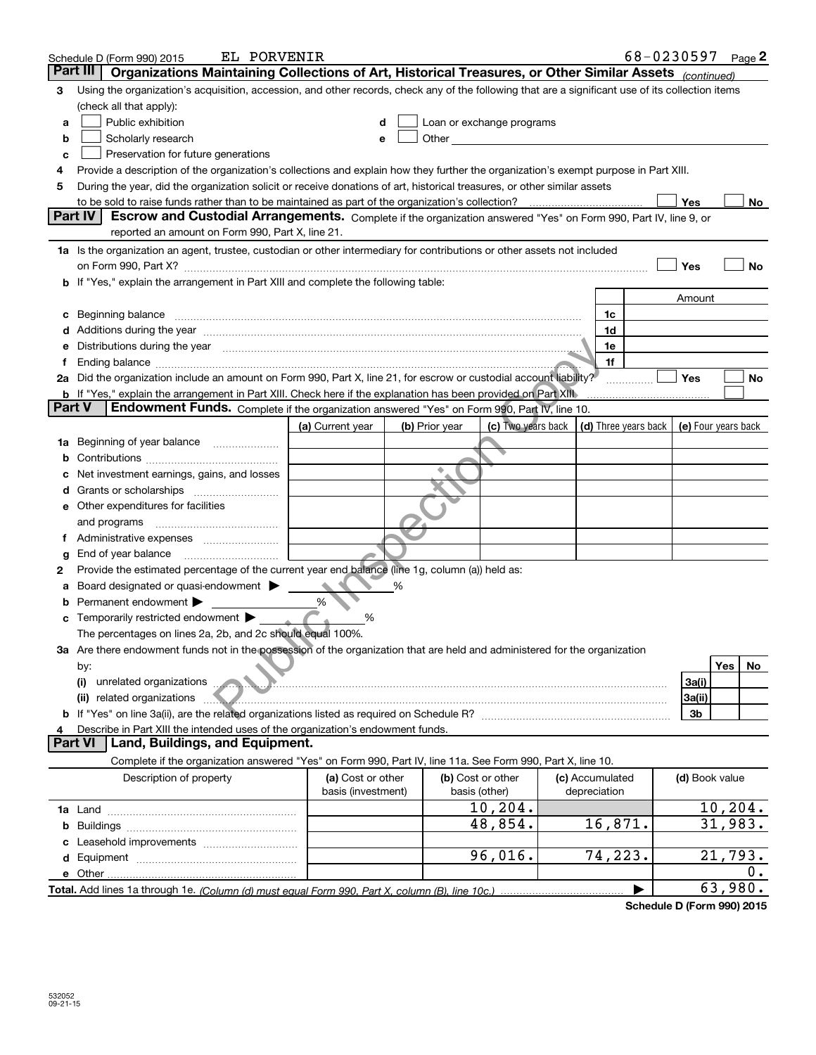|               | EL PORVENIR<br>Schedule D (Form 990) 2015                                                                                                                                                                                      |                    |                |                                                                                                                                                                                                                                |  |                      | 68-0230597 Page 2 |                |                     |
|---------------|--------------------------------------------------------------------------------------------------------------------------------------------------------------------------------------------------------------------------------|--------------------|----------------|--------------------------------------------------------------------------------------------------------------------------------------------------------------------------------------------------------------------------------|--|----------------------|-------------------|----------------|---------------------|
| Part III      | Organizations Maintaining Collections of Art, Historical Treasures, or Other Similar Assets (continued)                                                                                                                        |                    |                |                                                                                                                                                                                                                                |  |                      |                   |                |                     |
| 3             | Using the organization's acquisition, accession, and other records, check any of the following that are a significant use of its collection items                                                                              |                    |                |                                                                                                                                                                                                                                |  |                      |                   |                |                     |
|               | (check all that apply):                                                                                                                                                                                                        |                    |                |                                                                                                                                                                                                                                |  |                      |                   |                |                     |
| a             | Public exhibition                                                                                                                                                                                                              | d                  |                | Loan or exchange programs                                                                                                                                                                                                      |  |                      |                   |                |                     |
| b             | Scholarly research                                                                                                                                                                                                             | е                  |                | Other the contract of the contract of the contract of the contract of the contract of the contract of the contract of the contract of the contract of the contract of the contract of the contract of the contract of the cont |  |                      |                   |                |                     |
| c             | Preservation for future generations                                                                                                                                                                                            |                    |                |                                                                                                                                                                                                                                |  |                      |                   |                |                     |
| 4             | Provide a description of the organization's collections and explain how they further the organization's exempt purpose in Part XIII.                                                                                           |                    |                |                                                                                                                                                                                                                                |  |                      |                   |                |                     |
| 5             | During the year, did the organization solicit or receive donations of art, historical treasures, or other similar assets                                                                                                       |                    |                |                                                                                                                                                                                                                                |  |                      |                   |                |                     |
|               |                                                                                                                                                                                                                                |                    |                |                                                                                                                                                                                                                                |  |                      | Yes               |                | No.                 |
|               | Part IV<br>Escrow and Custodial Arrangements. Complete if the organization answered "Yes" on Form 990, Part IV, line 9, or                                                                                                     |                    |                |                                                                                                                                                                                                                                |  |                      |                   |                |                     |
|               | reported an amount on Form 990, Part X, line 21.                                                                                                                                                                               |                    |                |                                                                                                                                                                                                                                |  |                      |                   |                |                     |
|               | 1a Is the organization an agent, trustee, custodian or other intermediary for contributions or other assets not included                                                                                                       |                    |                |                                                                                                                                                                                                                                |  |                      |                   |                |                     |
|               |                                                                                                                                                                                                                                |                    |                |                                                                                                                                                                                                                                |  |                      | Yes               |                | No                  |
|               | b If "Yes," explain the arrangement in Part XIII and complete the following table:                                                                                                                                             |                    |                |                                                                                                                                                                                                                                |  |                      |                   |                |                     |
|               |                                                                                                                                                                                                                                |                    |                |                                                                                                                                                                                                                                |  |                      | Amount            |                |                     |
| c             | Beginning balance                                                                                                                                                                                                              |                    |                |                                                                                                                                                                                                                                |  | 1c                   |                   |                |                     |
|               | Additions during the year manufactured and an annual contract of the state of the state of the state of the state of the state of the state of the state of the state of the state of the state of the state of the state of t |                    |                |                                                                                                                                                                                                                                |  | 1d                   |                   |                |                     |
| е             | Distributions during the year measurement contained and all the state of the state of the state of the state of the state of the state of the state of the state of the state of the state of the state of the state of the st |                    |                |                                                                                                                                                                                                                                |  | 1e                   |                   |                |                     |
| Ť.            | Ending balance manufactured and contact the contract of the contract of the contract of the contract of the contract of the contract of the contract of the contract of the contract of the contract of the contract of the co |                    |                |                                                                                                                                                                                                                                |  | 1f                   |                   |                |                     |
|               | 2a Did the organization include an amount on Form 990, Part X, line 21, for escrow or custodial account liability?                                                                                                             |                    |                |                                                                                                                                                                                                                                |  |                      | <b>Yes</b>        |                | No                  |
| <b>Part V</b> | <b>b</b> If "Yes," explain the arrangement in Part XIII. Check here if the explanation has been provided on Part XIII                                                                                                          |                    |                |                                                                                                                                                                                                                                |  |                      |                   |                |                     |
|               | <b>Endowment Funds.</b> Complete if the organization answered "Yes" on Form 990, Part IV, line 10.                                                                                                                             |                    |                |                                                                                                                                                                                                                                |  |                      |                   |                |                     |
|               |                                                                                                                                                                                                                                | (a) Current year   | (b) Prior year | (c) Two years back                                                                                                                                                                                                             |  | (d) Three years back |                   |                | (e) Four years back |
| 1a            | Beginning of year balance                                                                                                                                                                                                      |                    |                |                                                                                                                                                                                                                                |  |                      |                   |                |                     |
| b             |                                                                                                                                                                                                                                |                    |                |                                                                                                                                                                                                                                |  |                      |                   |                |                     |
|               | Net investment earnings, gains, and losses                                                                                                                                                                                     |                    |                |                                                                                                                                                                                                                                |  |                      |                   |                |                     |
| d             |                                                                                                                                                                                                                                |                    |                |                                                                                                                                                                                                                                |  |                      |                   |                |                     |
|               | e Other expenditures for facilities                                                                                                                                                                                            |                    |                |                                                                                                                                                                                                                                |  |                      |                   |                |                     |
|               | and programs                                                                                                                                                                                                                   |                    |                |                                                                                                                                                                                                                                |  |                      |                   |                |                     |
| Ť.            |                                                                                                                                                                                                                                |                    |                |                                                                                                                                                                                                                                |  |                      |                   |                |                     |
| g             | End of year balance<br>Provide the estimated percentage of the current year end balance (line 1g, column (a)) held as:                                                                                                         |                    |                |                                                                                                                                                                                                                                |  |                      |                   |                |                     |
| 2             | Board designated or quasi-endowment                                                                                                                                                                                            |                    |                |                                                                                                                                                                                                                                |  |                      |                   |                |                     |
| а<br>b        | Permanent endowment                                                                                                                                                                                                            |                    |                |                                                                                                                                                                                                                                |  |                      |                   |                |                     |
| c             | Temporarily restricted endowment >                                                                                                                                                                                             | %                  |                |                                                                                                                                                                                                                                |  |                      |                   |                |                     |
|               | The percentages on lines 2a, 2b, and 2c should equal 100%.                                                                                                                                                                     |                    |                |                                                                                                                                                                                                                                |  |                      |                   |                |                     |
|               | 3a Are there endowment funds not in the possession of the organization that are held and administered for the organization                                                                                                     |                    |                |                                                                                                                                                                                                                                |  |                      |                   |                |                     |
|               | by:                                                                                                                                                                                                                            |                    |                |                                                                                                                                                                                                                                |  |                      |                   | Yes            | No                  |
|               | unrelated organizations<br>(i)                                                                                                                                                                                                 |                    |                |                                                                                                                                                                                                                                |  |                      | 3a(i)             |                |                     |
|               | (ii) related organizations                                                                                                                                                                                                     |                    |                |                                                                                                                                                                                                                                |  |                      | 3a(ii)            |                |                     |
|               |                                                                                                                                                                                                                                |                    |                |                                                                                                                                                                                                                                |  |                      | 3b                |                |                     |
|               | Describe in Part XIII the intended uses of the organization's endowment funds.                                                                                                                                                 |                    |                |                                                                                                                                                                                                                                |  |                      |                   |                |                     |
|               | <b>Part VI</b><br>Land, Buildings, and Equipment.                                                                                                                                                                              |                    |                |                                                                                                                                                                                                                                |  |                      |                   |                |                     |
|               | Complete if the organization answered "Yes" on Form 990, Part IV, line 11a. See Form 990, Part X, line 10.                                                                                                                     |                    |                |                                                                                                                                                                                                                                |  |                      |                   |                |                     |
|               | Description of property                                                                                                                                                                                                        | (a) Cost or other  |                | (b) Cost or other                                                                                                                                                                                                              |  | (c) Accumulated      |                   | (d) Book value |                     |
|               |                                                                                                                                                                                                                                | basis (investment) |                | basis (other)                                                                                                                                                                                                                  |  | depreciation         |                   |                |                     |
|               |                                                                                                                                                                                                                                |                    |                | $\overline{10}$ , 204.                                                                                                                                                                                                         |  |                      |                   |                | 10, 204.            |
| b             |                                                                                                                                                                                                                                |                    |                | 48,854.                                                                                                                                                                                                                        |  | 16,871.              |                   |                | 31,983.             |
|               |                                                                                                                                                                                                                                |                    |                |                                                                                                                                                                                                                                |  |                      |                   |                |                     |
|               |                                                                                                                                                                                                                                |                    |                | 96,016.                                                                                                                                                                                                                        |  | 74,223.              |                   |                | 21,793.             |
|               |                                                                                                                                                                                                                                |                    |                |                                                                                                                                                                                                                                |  |                      |                   |                | О.                  |
|               |                                                                                                                                                                                                                                |                    |                |                                                                                                                                                                                                                                |  |                      |                   |                | 63,980.             |

**Schedule D (Form 990) 2015**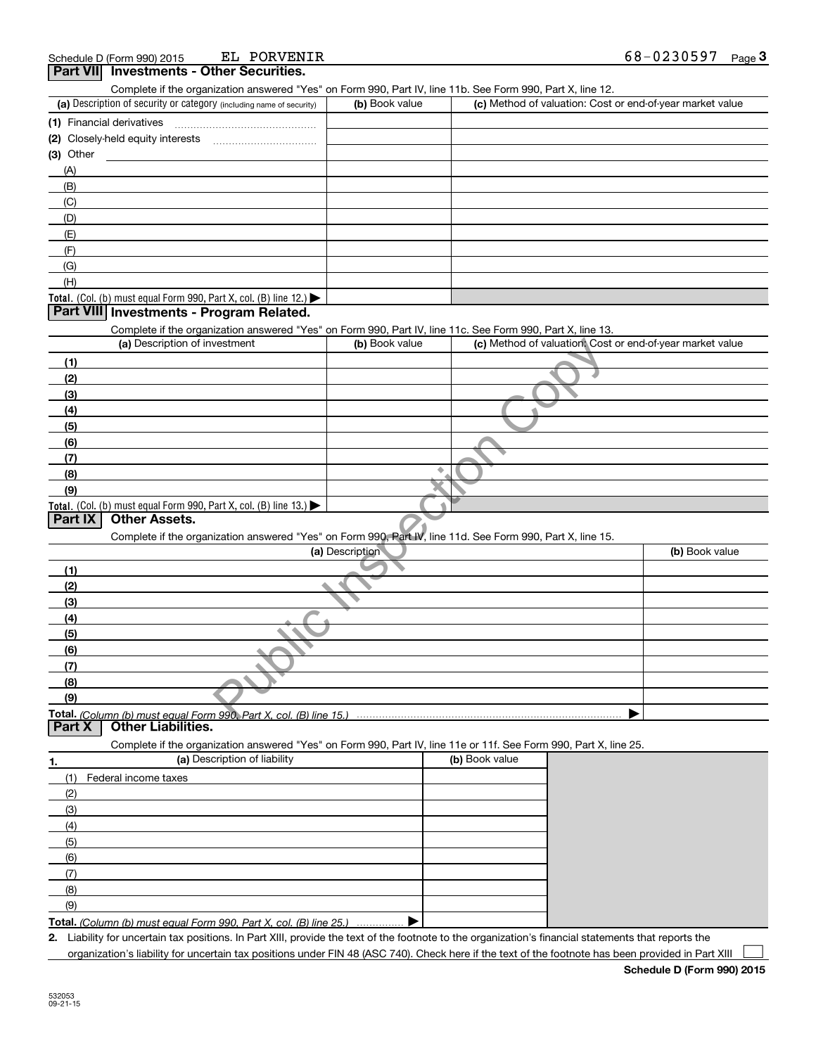| EL PORVENIR<br>Schedule D (Form 990) 2015                                                                                                            |                 |                                                           | 68-0230597<br>Page $3$ |
|------------------------------------------------------------------------------------------------------------------------------------------------------|-----------------|-----------------------------------------------------------|------------------------|
| <b>Part VIII</b><br><b>Investments - Other Securities.</b>                                                                                           |                 |                                                           |                        |
| Complete if the organization answered "Yes" on Form 990, Part IV, line 11b. See Form 990, Part X, line 12.                                           |                 |                                                           |                        |
| (a) Description of security or category (including name of security)                                                                                 | (b) Book value  | (c) Method of valuation: Cost or end-of-year market value |                        |
| (1) Financial derivatives                                                                                                                            |                 |                                                           |                        |
| (2) Closely-held equity interests                                                                                                                    |                 |                                                           |                        |
| (3) Other                                                                                                                                            |                 |                                                           |                        |
| (A)                                                                                                                                                  |                 |                                                           |                        |
| (B)                                                                                                                                                  |                 |                                                           |                        |
| (C)                                                                                                                                                  |                 |                                                           |                        |
| (D)                                                                                                                                                  |                 |                                                           |                        |
| (E)                                                                                                                                                  |                 |                                                           |                        |
| (F)                                                                                                                                                  |                 |                                                           |                        |
| (G)                                                                                                                                                  |                 |                                                           |                        |
| (H)                                                                                                                                                  |                 |                                                           |                        |
| Total. (Col. (b) must equal Form 990, Part X, col. (B) line 12.) $\blacktriangleright$                                                               |                 |                                                           |                        |
| Part VIII Investments - Program Related.                                                                                                             |                 |                                                           |                        |
| Complete if the organization answered "Yes" on Form 990, Part IV, line 11c. See Form 990, Part X, line 13.                                           |                 |                                                           |                        |
| (a) Description of investment                                                                                                                        | (b) Book value  | (c) Method of valuation. Cost or end-of-year market value |                        |
| (1)                                                                                                                                                  |                 |                                                           |                        |
| (2)                                                                                                                                                  |                 |                                                           |                        |
| (3)                                                                                                                                                  |                 |                                                           |                        |
| (4)                                                                                                                                                  |                 |                                                           |                        |
| (5)                                                                                                                                                  |                 |                                                           |                        |
| (6)                                                                                                                                                  |                 |                                                           |                        |
| (7)                                                                                                                                                  |                 |                                                           |                        |
| (8)                                                                                                                                                  |                 | ۰                                                         |                        |
| (9)                                                                                                                                                  |                 |                                                           |                        |
| Total. (Col. (b) must equal Form 990, Part X, col. (B) line 13.)                                                                                     |                 |                                                           |                        |
| <b>Part IX</b><br><b>Other Assets.</b>                                                                                                               |                 |                                                           |                        |
| Complete if the organization answered "Yes" on Form 990, Part IV, line 11d. See Form 990, Part X, line 15.                                           |                 |                                                           |                        |
|                                                                                                                                                      | (a) Description |                                                           | (b) Book value         |
| (1)                                                                                                                                                  |                 |                                                           |                        |
| (2)                                                                                                                                                  |                 |                                                           |                        |
| (3)                                                                                                                                                  |                 |                                                           |                        |
| (4)                                                                                                                                                  |                 |                                                           |                        |
| (5)                                                                                                                                                  |                 |                                                           |                        |
| (6)                                                                                                                                                  |                 |                                                           |                        |
| (7)                                                                                                                                                  |                 |                                                           |                        |
| (8)                                                                                                                                                  |                 |                                                           |                        |
| (9)                                                                                                                                                  |                 |                                                           |                        |
| Total. (Column (b) must equal Form 990. Part X, col. (B) line 15.)                                                                                   |                 |                                                           |                        |
| <b>Part X</b><br><b>Other Liabilities.</b>                                                                                                           |                 |                                                           |                        |
| Complete if the organization answered "Yes" on Form 990, Part IV, line 11e or 11f. See Form 990, Part X, line 25.                                    |                 |                                                           |                        |
| (a) Description of liability<br>1.                                                                                                                   |                 | (b) Book value                                            |                        |
| (1)<br>Federal income taxes                                                                                                                          |                 |                                                           |                        |
| (2)                                                                                                                                                  |                 |                                                           |                        |
|                                                                                                                                                      |                 |                                                           |                        |
| (3)                                                                                                                                                  |                 |                                                           |                        |
| (4)                                                                                                                                                  |                 |                                                           |                        |
| (5)                                                                                                                                                  |                 |                                                           |                        |
| (6)                                                                                                                                                  |                 |                                                           |                        |
| (7)                                                                                                                                                  |                 |                                                           |                        |
| (8)                                                                                                                                                  |                 |                                                           |                        |
| (9)                                                                                                                                                  |                 |                                                           |                        |
| Total. (Column (b) must equal Form 990, Part X, col. (B) line 25.)                                                                                   |                 |                                                           |                        |
| 2. Liability for uncertain tax positions. In Part XIII, provide the text of the footnote to the organization's financial statements that reports the |                 |                                                           |                        |

organization's liability for uncertain tax positions under FIN 48 (ASC 740). Check here if the text of the footnote has been provided in Part XIII

 $\mathcal{L}^{\text{max}}$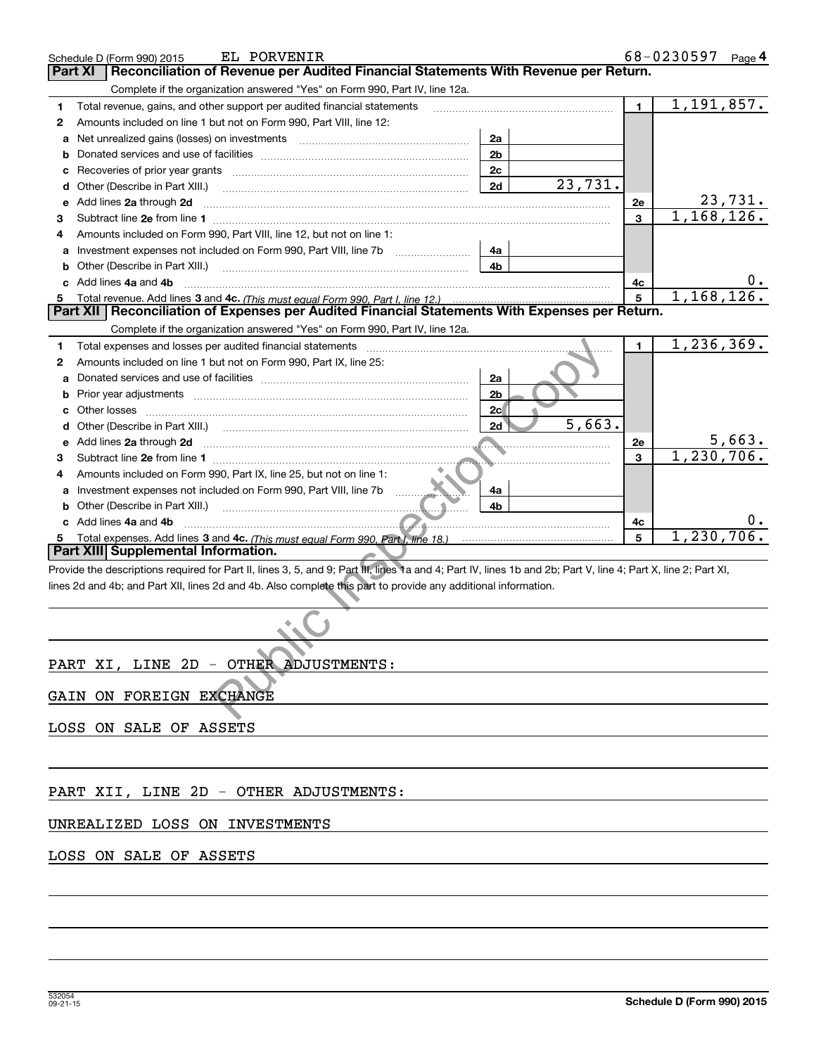|   | EL PORVENIR<br>Schedule D (Form 990) 2015                                                                                                                                                                                            |                |              | 68-0230597   | Page 4  |
|---|--------------------------------------------------------------------------------------------------------------------------------------------------------------------------------------------------------------------------------------|----------------|--------------|--------------|---------|
|   | Reconciliation of Revenue per Audited Financial Statements With Revenue per Return.<br>Part XI                                                                                                                                       |                |              |              |         |
|   | Complete if the organization answered "Yes" on Form 990, Part IV, line 12a.                                                                                                                                                          |                |              |              |         |
| 1 | Total revenue, gains, and other support per audited financial statements                                                                                                                                                             |                | $\mathbf{1}$ | 1,191,857.   |         |
| 2 | Amounts included on line 1 but not on Form 990, Part VIII, line 12:                                                                                                                                                                  |                |              |              |         |
| а | Net unrealized gains (losses) on investments [11] matter contracts and all of the unrealized saints (losses) on investments [11] matter contracts and the unrealized state.                                                          | 2a             |              |              |         |
| b |                                                                                                                                                                                                                                      | 2 <sub>b</sub> |              |              |         |
| с |                                                                                                                                                                                                                                      | 2c             |              |              |         |
| d | Other (Describe in Part XIII.)                                                                                                                                                                                                       | 2d             | 23,731.      |              |         |
| е | Add lines 2a through 2d                                                                                                                                                                                                              |                | 2e           |              | 23,731. |
| З |                                                                                                                                                                                                                                      |                | 3            | 1,168,126.   |         |
| 4 | Amounts included on Form 990, Part VIII, line 12, but not on line 1:                                                                                                                                                                 |                |              |              |         |
| а |                                                                                                                                                                                                                                      | 4a             |              |              |         |
| b | Other (Describe in Part XIII.)                                                                                                                                                                                                       | 4b             |              |              |         |
|   | c Add lines 4a and 4b                                                                                                                                                                                                                |                | 4c           |              |         |
| 5 |                                                                                                                                                                                                                                      |                | 5            | 1,168,126.   |         |
|   | Part XII   Reconciliation of Expenses per Audited Financial Statements With Expenses per Return.                                                                                                                                     |                |              |              |         |
|   | Complete if the organization answered "Yes" on Form 990, Part IV, line 12a.                                                                                                                                                          |                |              |              |         |
| 1 | Total expenses and losses per audited financial statements [11, 11] [11] Total expenses and losses per audited financial statements [11] [11] Total expenses and losses per audited financial statements                             |                | $\mathbf{1}$ | 1, 236, 369. |         |
| 2 | Amounts included on line 1 but not on Form 990, Part IX, line 25:                                                                                                                                                                    |                |              |              |         |
| а |                                                                                                                                                                                                                                      | 2a             |              |              |         |
| b |                                                                                                                                                                                                                                      | 2 <sub>b</sub> |              |              |         |
| с |                                                                                                                                                                                                                                      | 2c             |              |              |         |
| d |                                                                                                                                                                                                                                      | 2d             | 5,663.       |              |         |
| е | Add lines 2a through 2d <b>contract and the contract of the contract of the contract of the contract of the contract of the contract of the contract of the contract of the contract of the contract of the contract of the cont</b> |                | <b>2e</b>    |              | 5,663.  |
| З |                                                                                                                                                                                                                                      |                | 3            | 1,230,706.   |         |
| 4 | Amounts included on Form 990, Part IX, line 25, but not on line 1:                                                                                                                                                                   |                |              |              |         |
|   |                                                                                                                                                                                                                                      |                |              |              |         |
| a | Investment expenses not included on Form 990, Part VIII, line 7b                                                                                                                                                                     | 4a<br>4b       |              |              |         |
| b | Other (Describe in Part XIII.)<br>c Add lines 4a and 4b                                                                                                                                                                              |                |              |              |         |
|   | <u> 2000 - 2000 - 2000 - 2000 - 2000 - 2000 - 2000 - 2000 - 2000 - 2000 - 2000 - 2000 - 2000 - 2000 - 2000 - 200</u>                                                                                                                 |                | 4c<br>5      | 1, 230, 706. |         |
| 5 | Part XIII Supplemental Information.                                                                                                                                                                                                  |                |              |              |         |
|   | Provide the descriptions required for Part II, lines 3, 5, and 9; Part III, lines 1a and 4; Part IV, lines 1b and 2b; Part V, line 4; Part X, line 2; Part XI,                                                                       |                |              |              |         |
|   | lines 2d and 4b; and Part XII, lines 2d and 4b. Also complete this part to provide any additional information.                                                                                                                       |                |              |              |         |
|   |                                                                                                                                                                                                                                      |                |              |              |         |
|   |                                                                                                                                                                                                                                      |                |              |              |         |
|   |                                                                                                                                                                                                                                      |                |              |              |         |
|   |                                                                                                                                                                                                                                      |                |              |              |         |
|   | PART XI, LINE 2D - OTHER ADJUSTMENTS:                                                                                                                                                                                                |                |              |              |         |
|   |                                                                                                                                                                                                                                      |                |              |              |         |
|   | GAIN ON FOREIGN EXCHANGE                                                                                                                                                                                                             |                |              |              |         |
|   |                                                                                                                                                                                                                                      |                |              |              |         |
|   | LOSS ON SALE OF ASSETS                                                                                                                                                                                                               |                |              |              |         |
|   |                                                                                                                                                                                                                                      |                |              |              |         |
|   |                                                                                                                                                                                                                                      |                |              |              |         |
|   |                                                                                                                                                                                                                                      |                |              |              |         |
|   | PART XII, LINE 2D - OTHER ADJUSTMENTS:                                                                                                                                                                                               |                |              |              |         |
|   |                                                                                                                                                                                                                                      |                |              |              |         |
|   | UNREALIZED LOSS ON INVESTMENTS                                                                                                                                                                                                       |                |              |              |         |
|   |                                                                                                                                                                                                                                      |                |              |              |         |
|   | LOSS ON SALE OF ASSETS                                                                                                                                                                                                               |                |              |              |         |
|   |                                                                                                                                                                                                                                      |                |              |              |         |
|   |                                                                                                                                                                                                                                      |                |              |              |         |
|   |                                                                                                                                                                                                                                      |                |              |              |         |
|   |                                                                                                                                                                                                                                      |                |              |              |         |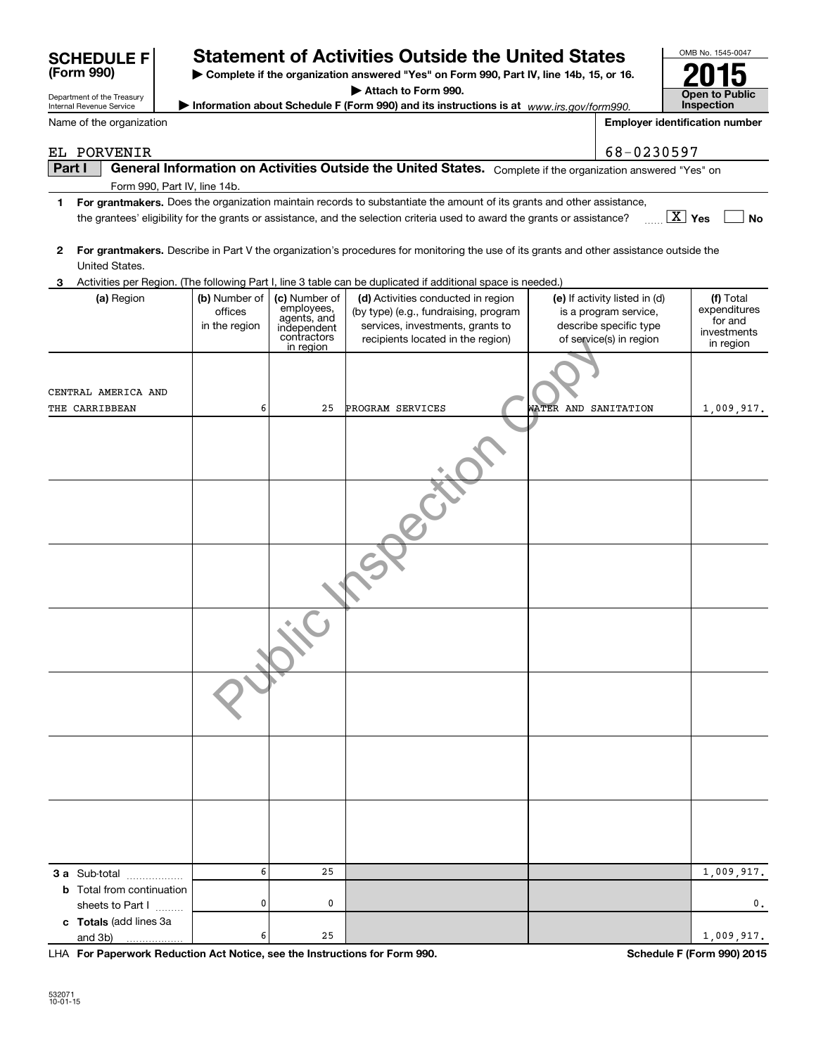| (Form 990)<br>Complete if the organization answered "Yes" on Form 990, Part IV, line 14b, 15, or 16.                                                           |  |                                           |                                                                                       |                                                                                                                                                                                                                                                      |                      |                                                                                                             |                                                                  |
|----------------------------------------------------------------------------------------------------------------------------------------------------------------|--|-------------------------------------------|---------------------------------------------------------------------------------------|------------------------------------------------------------------------------------------------------------------------------------------------------------------------------------------------------------------------------------------------------|----------------------|-------------------------------------------------------------------------------------------------------------|------------------------------------------------------------------|
| Department of the Treasury                                                                                                                                     |  |                                           |                                                                                       | Attach to Form 990.                                                                                                                                                                                                                                  |                      |                                                                                                             | <b>Open to Public</b>                                            |
| <b>Internal Revenue Service</b>                                                                                                                                |  |                                           |                                                                                       | Information about Schedule F (Form 990) and its instructions is at www.irs.gov/form990.                                                                                                                                                              |                      |                                                                                                             | Inspection                                                       |
| Name of the organization                                                                                                                                       |  |                                           |                                                                                       |                                                                                                                                                                                                                                                      |                      |                                                                                                             | <b>Employer identification number</b>                            |
| EL PORVENIR                                                                                                                                                    |  |                                           |                                                                                       |                                                                                                                                                                                                                                                      |                      | 68-0230597                                                                                                  |                                                                  |
| Part I                                                                                                                                                         |  |                                           |                                                                                       | General Information on Activities Outside the United States. Complete if the organization answered "Yes" on                                                                                                                                          |                      |                                                                                                             |                                                                  |
|                                                                                                                                                                |  | Form 990, Part IV, line 14b.              |                                                                                       |                                                                                                                                                                                                                                                      |                      |                                                                                                             |                                                                  |
| 1                                                                                                                                                              |  |                                           |                                                                                       | For grantmakers. Does the organization maintain records to substantiate the amount of its grants and other assistance,<br>the grantees' eligibility for the grants or assistance, and the selection criteria used to award the grants or assistance? |                      |                                                                                                             | $\boxed{\text{X}}$ Yes<br><b>No</b>                              |
| For grantmakers. Describe in Part V the organization's procedures for monitoring the use of its grants and other assistance outside the<br>2<br>United States. |  |                                           |                                                                                       |                                                                                                                                                                                                                                                      |                      |                                                                                                             |                                                                  |
| 3                                                                                                                                                              |  |                                           |                                                                                       | Activities per Region. (The following Part I, line 3 table can be duplicated if additional space is needed.)                                                                                                                                         |                      |                                                                                                             |                                                                  |
| (a) Region                                                                                                                                                     |  | (b) Number of<br>offices<br>in the region | (c) Number of<br>employees,<br>agents, and<br>independent<br>contractors<br>in region | (d) Activities conducted in region<br>(by type) (e.g., fundraising, program<br>services, investments, grants to<br>recipients located in the region)                                                                                                 |                      | (e) If activity listed in (d)<br>is a program service,<br>describe specific type<br>of service(s) in region | (f) Total<br>expenditures<br>for and<br>investments<br>in region |
| CENTRAL AMERICA AND                                                                                                                                            |  |                                           |                                                                                       |                                                                                                                                                                                                                                                      |                      |                                                                                                             |                                                                  |
| THE CARRIBBEAN                                                                                                                                                 |  | 6                                         | 25                                                                                    | PROGRAM SERVICES                                                                                                                                                                                                                                     | WATER AND SANITATION |                                                                                                             | 1,009,917.                                                       |
|                                                                                                                                                                |  |                                           |                                                                                       |                                                                                                                                                                                                                                                      |                      |                                                                                                             |                                                                  |
|                                                                                                                                                                |  |                                           |                                                                                       |                                                                                                                                                                                                                                                      |                      |                                                                                                             |                                                                  |
|                                                                                                                                                                |  |                                           |                                                                                       |                                                                                                                                                                                                                                                      |                      |                                                                                                             |                                                                  |
|                                                                                                                                                                |  |                                           |                                                                                       |                                                                                                                                                                                                                                                      |                      |                                                                                                             |                                                                  |
|                                                                                                                                                                |  |                                           |                                                                                       |                                                                                                                                                                                                                                                      |                      |                                                                                                             |                                                                  |
|                                                                                                                                                                |  |                                           |                                                                                       |                                                                                                                                                                                                                                                      |                      |                                                                                                             |                                                                  |
|                                                                                                                                                                |  |                                           |                                                                                       |                                                                                                                                                                                                                                                      |                      |                                                                                                             |                                                                  |
| 3 a Sub-total                                                                                                                                                  |  | 6                                         | 25                                                                                    |                                                                                                                                                                                                                                                      |                      |                                                                                                             | 1,009,917.                                                       |
| <b>b</b> Total from continuation<br>sheets to Part I                                                                                                           |  | 0                                         | 0                                                                                     |                                                                                                                                                                                                                                                      |                      |                                                                                                             | $0$ .                                                            |
| c Totals (add lines 3a<br>and 3b)                                                                                                                              |  | 6                                         | 25                                                                                    |                                                                                                                                                                                                                                                      |                      |                                                                                                             | 1,009,917.                                                       |

**SCHEDULE F Statement of Activities Outside the United States**

**For Paperwork Reduction Act Notice, see the Instructions for Form 990. Schedule F (Form 990) 2015** and 3b) LHA

OMB No. 1545-0047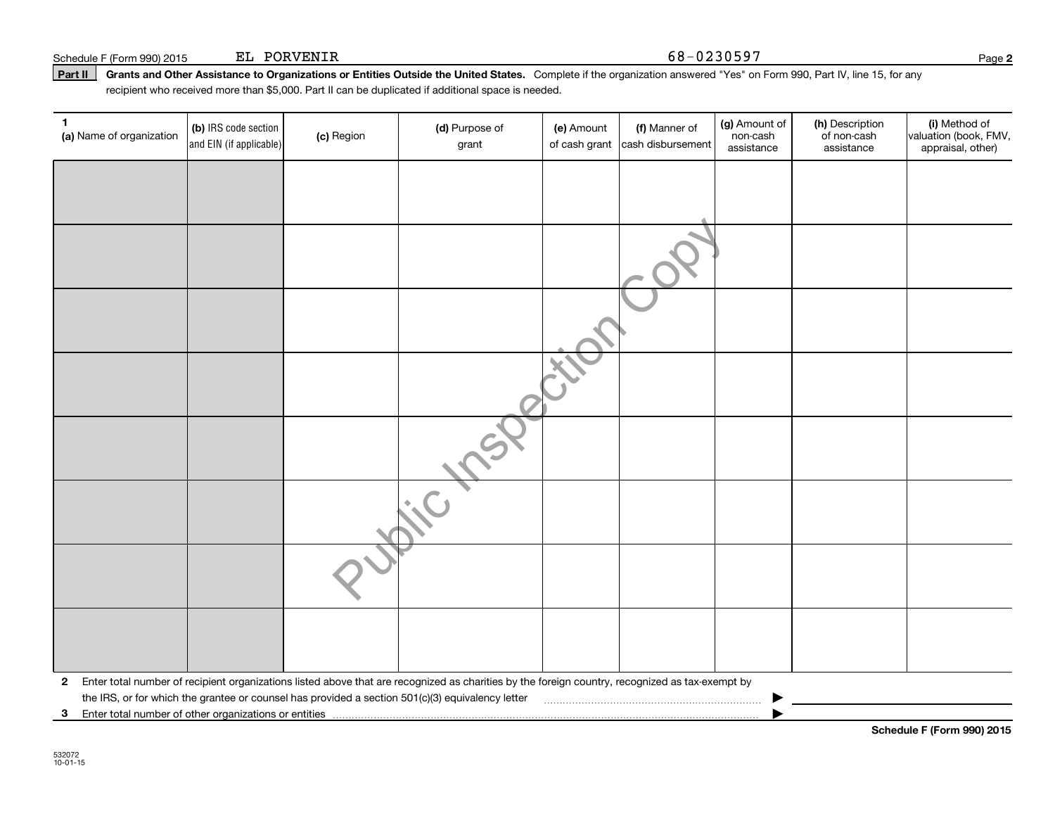EL PORVENIR 68-0230597

**Part II** Grants and Other Assistance to Organizations or Entities Outside the United States. Complete if the organization answered "Yes" on Form 990, Part IV, line 15, for any<br>recisiont who received more than \$5,000. Part recipient who received more than \$5,000. Part II can be duplicated if additional space is needed.

| 1<br>(a) Name of organization | (b) IRS code section<br>and EIN (if applicable)                                                                                                                                                                                                                                                                | (c) Region | (d) Purpose of<br>grant | (e) Amount | (f) Manner of<br>of cash grant cash disbursement | (g) Amount of<br>non-cash<br>assistance | (h) Description<br>of non-cash<br>assistance | (i) Method of<br>valuation (book, FMV,<br>appraisal, other) |  |  |  |  |
|-------------------------------|----------------------------------------------------------------------------------------------------------------------------------------------------------------------------------------------------------------------------------------------------------------------------------------------------------------|------------|-------------------------|------------|--------------------------------------------------|-----------------------------------------|----------------------------------------------|-------------------------------------------------------------|--|--|--|--|
|                               |                                                                                                                                                                                                                                                                                                                |            |                         |            |                                                  |                                         |                                              |                                                             |  |  |  |  |
|                               |                                                                                                                                                                                                                                                                                                                |            |                         |            |                                                  |                                         |                                              |                                                             |  |  |  |  |
|                               |                                                                                                                                                                                                                                                                                                                |            |                         |            |                                                  |                                         |                                              |                                                             |  |  |  |  |
|                               |                                                                                                                                                                                                                                                                                                                |            |                         |            |                                                  |                                         |                                              |                                                             |  |  |  |  |
|                               |                                                                                                                                                                                                                                                                                                                |            |                         |            |                                                  |                                         |                                              |                                                             |  |  |  |  |
|                               |                                                                                                                                                                                                                                                                                                                |            |                         |            |                                                  |                                         |                                              |                                                             |  |  |  |  |
|                               |                                                                                                                                                                                                                                                                                                                |            |                         |            |                                                  |                                         |                                              |                                                             |  |  |  |  |
|                               |                                                                                                                                                                                                                                                                                                                |            |                         |            |                                                  |                                         |                                              |                                                             |  |  |  |  |
|                               |                                                                                                                                                                                                                                                                                                                |            |                         |            |                                                  |                                         |                                              |                                                             |  |  |  |  |
|                               |                                                                                                                                                                                                                                                                                                                |            |                         |            |                                                  |                                         |                                              |                                                             |  |  |  |  |
| $\mathbf{2}$                  | Enter total number of recipient organizations listed above that are recognized as charities by the foreign country, recognized as tax-exempt by<br>the IRS, or for which the grantee or counsel has provided a section 501(c)(3) equivalency letter<br>3 Enter total number of other organizations or entities |            |                         |            |                                                  |                                         |                                              |                                                             |  |  |  |  |

**Schedule F (Form 990) 2015**

**2**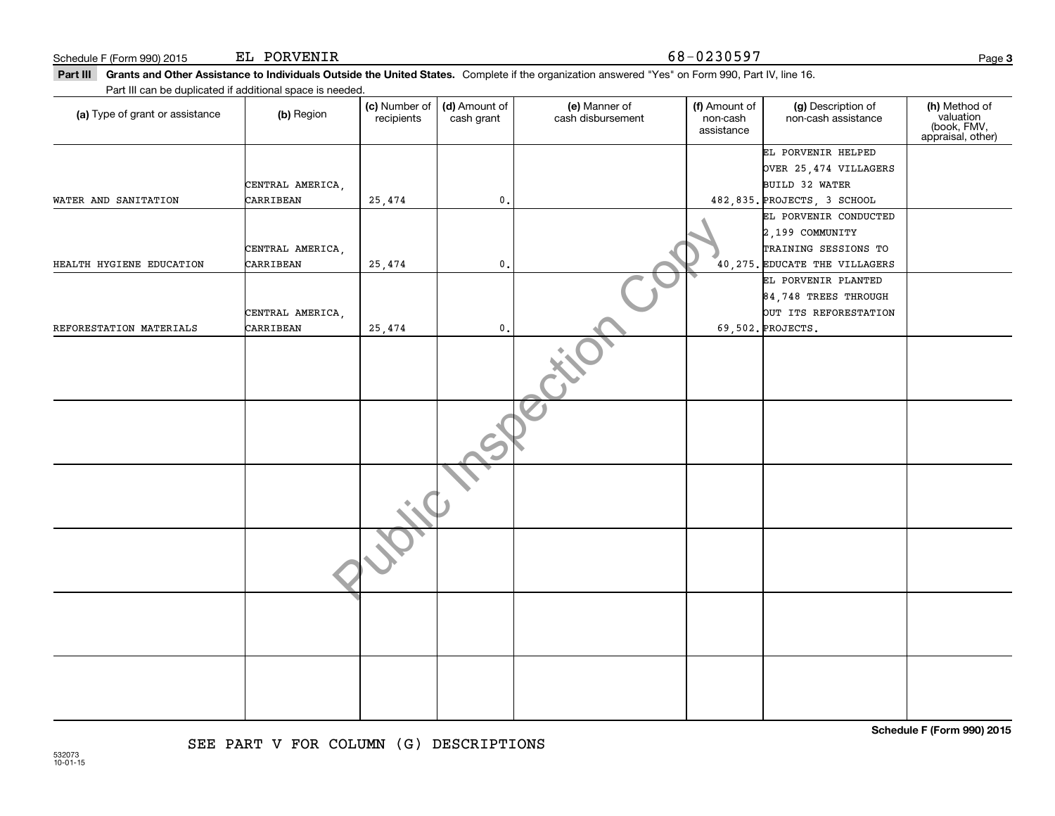EL PORVENIR 68-0230597

| Part III can be duplicated if additional space is needed. |                               |                             |                             | <b>Part III Grants and Other Assistance to Individuals Outside the United States.</b> Complete if the organization answered "Yes" on Form 990, Part IV, line 16. |                                         |                                               |                                                                |
|-----------------------------------------------------------|-------------------------------|-----------------------------|-----------------------------|------------------------------------------------------------------------------------------------------------------------------------------------------------------|-----------------------------------------|-----------------------------------------------|----------------------------------------------------------------|
| (a) Type of grant or assistance                           | (b) Region                    | (c) Number of<br>recipients | (d) Amount of<br>cash grant | (e) Manner of<br>cash disbursement                                                                                                                               | (f) Amount of<br>non-cash<br>assistance | (g) Description of<br>non-cash assistance     | (h) Method of<br>valuation<br>(book, FMV,<br>appraisal, other) |
|                                                           |                               |                             |                             |                                                                                                                                                                  |                                         | EL PORVENIR HELPED                            |                                                                |
|                                                           |                               |                             |                             |                                                                                                                                                                  |                                         | OVER 25, 474 VILLAGERS                        |                                                                |
| WATER AND SANITATION                                      | CENTRAL AMERICA,<br>CARRIBEAN |                             | 0.                          |                                                                                                                                                                  |                                         | BUILD 32 WATER<br>482,835. PROJECTS, 3 SCHOOL |                                                                |
|                                                           |                               | 25,474                      |                             |                                                                                                                                                                  |                                         | EL PORVENIR CONDUCTED                         |                                                                |
|                                                           |                               |                             |                             |                                                                                                                                                                  |                                         | $2,199$ COMMUNITY                             |                                                                |
|                                                           | CENTRAL AMERICA,              |                             |                             |                                                                                                                                                                  |                                         | TRAINING SESSIONS TO                          |                                                                |
| HEALTH HYGIENE EDUCATION                                  | CARRIBEAN                     | 25,474                      | $\mathbf{0}$ .              |                                                                                                                                                                  |                                         | 40, 275. EDUCATE THE VILLAGERS                |                                                                |
|                                                           |                               |                             |                             |                                                                                                                                                                  |                                         | EL PORVENIR PLANTED                           |                                                                |
|                                                           |                               |                             |                             |                                                                                                                                                                  |                                         | $84,748$ TREES THROUGH                        |                                                                |
|                                                           | CENTRAL AMERICA,              |                             |                             |                                                                                                                                                                  |                                         | OUT ITS REFORESTATION                         |                                                                |
| REFORESTATION MATERIALS                                   | CARRIBEAN                     | 25,474                      | $\mathbf 0$                 |                                                                                                                                                                  |                                         | 69,502. PROJECTS.                             |                                                                |
|                                                           |                               |                             |                             |                                                                                                                                                                  |                                         |                                               |                                                                |
|                                                           |                               |                             |                             |                                                                                                                                                                  |                                         |                                               |                                                                |
|                                                           |                               |                             |                             |                                                                                                                                                                  |                                         |                                               |                                                                |
|                                                           |                               |                             |                             |                                                                                                                                                                  |                                         |                                               |                                                                |
|                                                           |                               |                             |                             |                                                                                                                                                                  |                                         |                                               |                                                                |
|                                                           |                               |                             |                             |                                                                                                                                                                  |                                         |                                               |                                                                |
|                                                           |                               |                             |                             |                                                                                                                                                                  |                                         |                                               |                                                                |
|                                                           |                               |                             |                             |                                                                                                                                                                  |                                         |                                               |                                                                |
|                                                           |                               |                             |                             |                                                                                                                                                                  |                                         |                                               | Schedule F (Form 990) 2015                                     |

## SEE PART V FOR COLUMN (G) DESCRIPTIONS

**3**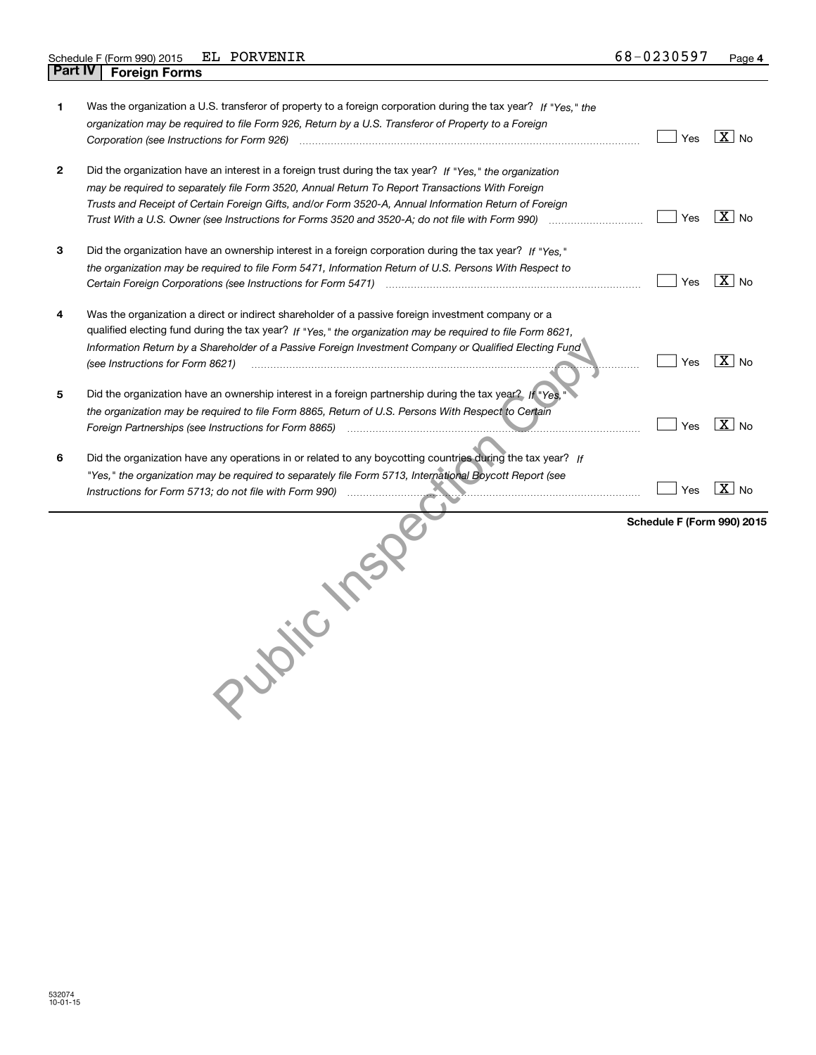| 1 | Was the organization a U.S. transferor of property to a foreign corporation during the tax year? If "Yes," the<br>organization may be required to file Form 926, Return by a U.S. Transferor of Property to a Foreign                                                                                                                                                                                                                   | Yes                        | $\overline{X}$ No |
|---|-----------------------------------------------------------------------------------------------------------------------------------------------------------------------------------------------------------------------------------------------------------------------------------------------------------------------------------------------------------------------------------------------------------------------------------------|----------------------------|-------------------|
| 2 | Did the organization have an interest in a foreign trust during the tax year? If "Yes," the organization<br>may be required to separately file Form 3520, Annual Return To Report Transactions With Foreign<br>Trusts and Receipt of Certain Foreign Gifts, and/or Form 3520-A, Annual Information Return of Foreign<br>Trust With a U.S. Owner (see Instructions for Forms 3520 and 3520-A; do not file with Form 990) manu-communican | Yes                        | $\overline{X}$ No |
| 3 | Did the organization have an ownership interest in a foreign corporation during the tax year? If "Yes."<br>the organization may be required to file Form 5471, Information Return of U.S. Persons With Respect to                                                                                                                                                                                                                       | Yes                        | $\overline{X}$ No |
| 4 | Was the organization a direct or indirect shareholder of a passive foreign investment company or a<br>qualified electing fund during the tax year? If "Yes," the organization may be required to file Form 8621,<br>Information Return by a Shareholder of a Passive Foreign Investment Company or Qualified Electing Fund<br>(see Instructions for Form 8621)                                                                          | Yes                        | $X _{\text{No}}$  |
| 5 | Did the organization have an ownership interest in a foreign partnership during the tax year? If "Yes.<br>the organization may be required to file Form 8865, Return of U.S. Persons With Respect to Certain<br>Foreign Partnerships (see Instructions for Form 8865)                                                                                                                                                                   | Yes                        | $\overline{X}$ No |
| 6 | Did the organization have any operations in or related to any boycotting countries during the tax year? If<br>"Yes," the organization may be required to separately file Form 5713, International Boycott Report (see<br>Instructions for Form 5713; do not file with Form 990)                                                                                                                                                         | Yes                        | $\overline{X}$ No |
|   | Juic 125                                                                                                                                                                                                                                                                                                                                                                                                                                | Schedule F (Form 990) 2015 |                   |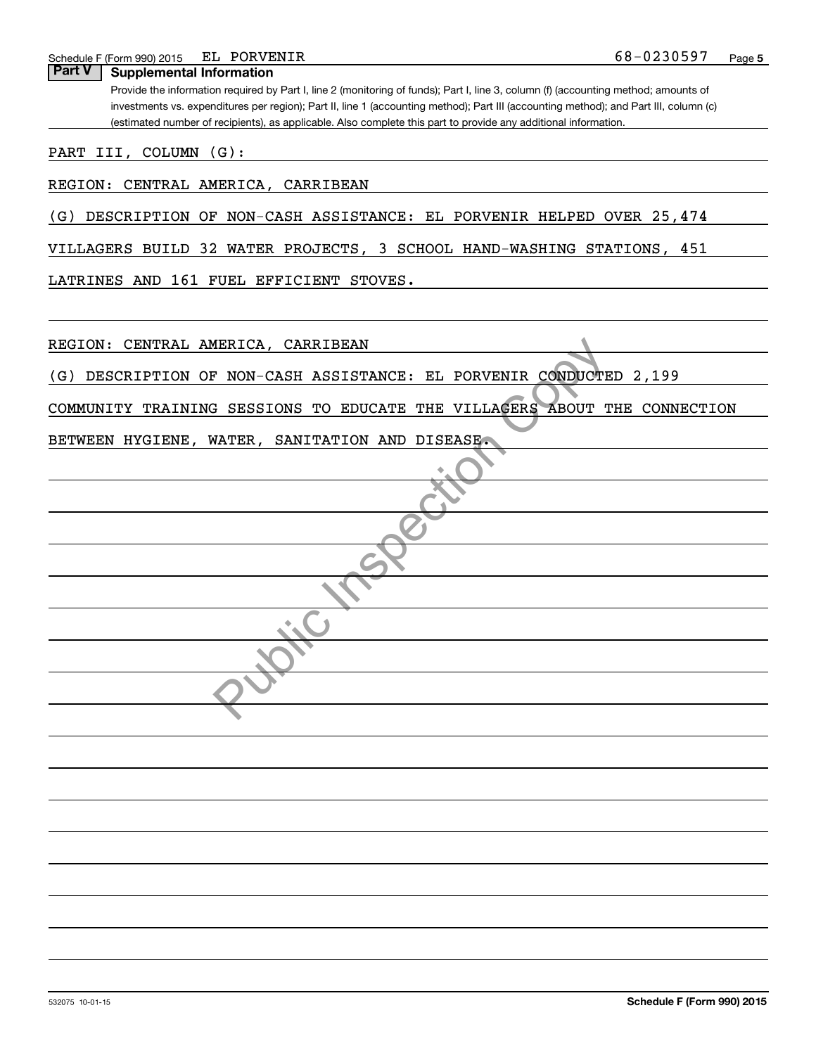| EL PORVENIR<br>Schedule F (Form 990) 2015                                                                                             | 68-0230597 | Page 5 |
|---------------------------------------------------------------------------------------------------------------------------------------|------------|--------|
| <b>Part V</b><br><b>Supplemental Information</b>                                                                                      |            |        |
| Provide the information required by Part I, line 2 (monitoring of funds); Part I, line 3, column (f) (accounting method; amounts of   |            |        |
| investments vs. expenditures per region); Part II, line 1 (accounting method); Part III (accounting method); and Part III, column (c) |            |        |
| (estimated number of recipients), as applicable. Also complete this part to provide any additional information.                       |            |        |
|                                                                                                                                       |            |        |
| PART III, COLUMN (G):                                                                                                                 |            |        |
|                                                                                                                                       |            |        |
| REGION: CENTRAL AMERICA, CARRIBEAN                                                                                                    |            |        |
|                                                                                                                                       |            |        |
| DESCRIPTION OF NON-CASH ASSISTANCE: EL PORVENIR HELPED OVER 25,474<br>(G)                                                             |            |        |
|                                                                                                                                       |            |        |
| VILLAGERS BUILD 32 WATER PROJECTS, 3 SCHOOL HAND-WASHING STATIONS, 451                                                                |            |        |
| LATRINES AND 161 FUEL EFFICIENT STOVES.                                                                                               |            |        |
|                                                                                                                                       |            |        |
|                                                                                                                                       |            |        |
|                                                                                                                                       |            |        |
| REGION: CENTRAL AMERICA, CARRIBEAN                                                                                                    |            |        |
|                                                                                                                                       |            |        |
| DESCRIPTION OF NON-CASH ASSISTANCE: EL PORVENIR CONDUCTED 2,199<br>(G)                                                                |            |        |
|                                                                                                                                       |            |        |
| COMMUNITY TRAINING SESSIONS TO EDUCATE THE VILLAGERS ABOUT THE CONNECTION                                                             |            |        |
|                                                                                                                                       |            |        |
| BETWEEN HYGIENE, WATER, SANITATION AND DISEASE.                                                                                       |            |        |
|                                                                                                                                       |            |        |
|                                                                                                                                       |            |        |
|                                                                                                                                       |            |        |
|                                                                                                                                       |            |        |
|                                                                                                                                       |            |        |
|                                                                                                                                       |            |        |
|                                                                                                                                       |            |        |
|                                                                                                                                       |            |        |
|                                                                                                                                       |            |        |
|                                                                                                                                       |            |        |
|                                                                                                                                       |            |        |
|                                                                                                                                       |            |        |
|                                                                                                                                       |            |        |
|                                                                                                                                       |            |        |
|                                                                                                                                       |            |        |
|                                                                                                                                       |            |        |
|                                                                                                                                       |            |        |
|                                                                                                                                       |            |        |
|                                                                                                                                       |            |        |
|                                                                                                                                       |            |        |
|                                                                                                                                       |            |        |
|                                                                                                                                       |            |        |
|                                                                                                                                       |            |        |
|                                                                                                                                       |            |        |
|                                                                                                                                       |            |        |
|                                                                                                                                       |            |        |
|                                                                                                                                       |            |        |
|                                                                                                                                       |            |        |
|                                                                                                                                       |            |        |
|                                                                                                                                       |            |        |
|                                                                                                                                       |            |        |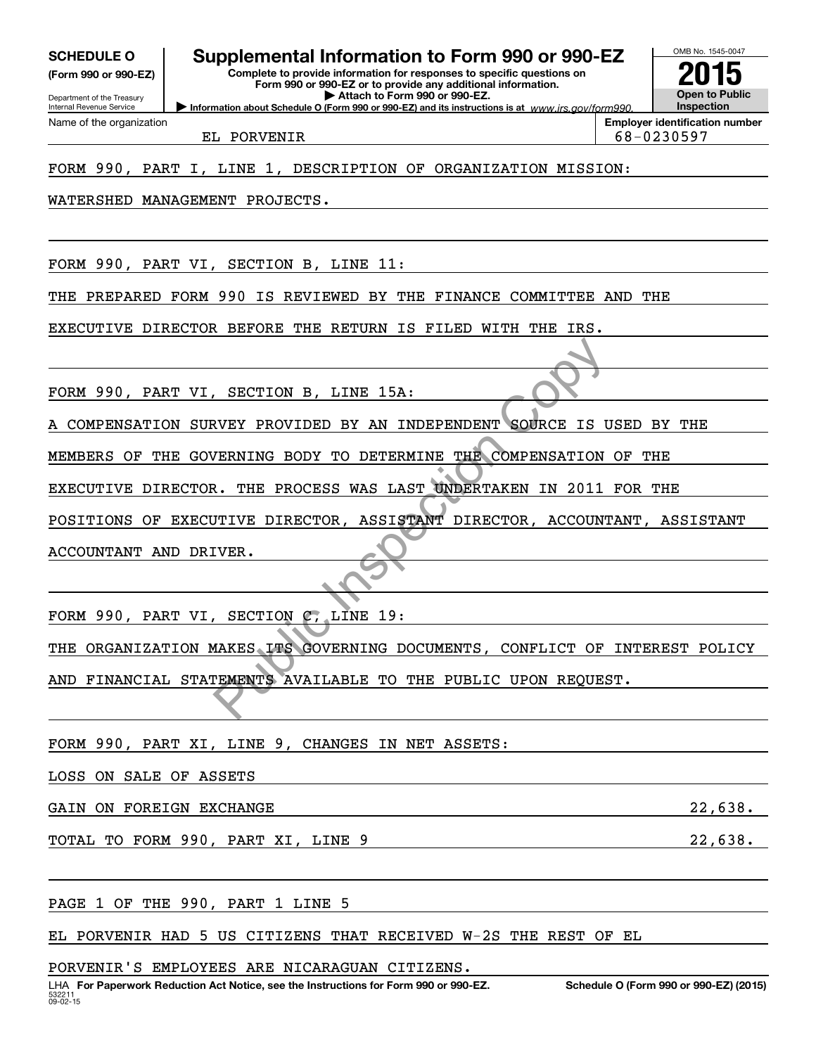**(Form 990 or 990-EZ)**

Department of the Treasury Internal Revenue Service Name of the organization

# **SCHEDULE O Supplemental Information to Form 990 or 990-EZ**

**Information about Schedule O (Form 990 or 990-EZ) and its instructions is at**  $www.irs.gov/form990.$ **Complete to provide information for responses to specific questions on Form 990 or 990-EZ or to provide any additional information. | Attach to Form 990 or 990-EZ.**



EL PORVENIR 68-0230597

### FORM 990, PART I, LINE 1, DESCRIPTION OF ORGANIZATION MISSION:

WATERSHED MANAGEMENT PROJECTS.

FORM 990, PART VI, SECTION B, LINE 11:

THE PREPARED FORM 990 IS REVIEWED BY THE FINANCE COMMITTEE AND THE

EXECUTIVE DIRECTOR BEFORE THE RETURN IS FILED WITH THE IRS.

FORM 990, PART VI, SECTION B, LINE 15A:

A COMPENSATION SURVEY PROVIDED BY AN INDEPENDENT SOURCE IS USED BY THE

MEMBERS OF THE GOVERNING BODY TO DETERMINE THE COMPENSATION OF THE

EXECUTIVE DIRECTOR. THE PROCESS WAS LAST UNDERTAKEN IN 2011 FOR THE

POSITIONS OF EXECUTIVE DIRECTOR, ASSISTANT DIRECTOR, ACCOUNTANT, ASSISTANT ACCOUNTANT AND DRIVER.

FORM 990, PART VI, SECTION C, LINE 19: THE ORGANIZATION MAKES ITS GOVERNING DOCUMENTS, CONFLICT OF INTEREST POLICY AND FINANCIAL STATEMENTS AVAILABLE TO THE PUBLIC UPON REQUEST. SECTION B, LINE 15A:<br>
ERNING BODY TO DETERMINE THE COMPENSATION<br>
ERNING BODY TO DETERMINE THE COMPENSATION<br>
TIVE DIRECTOR, ASSISTANT DIRECTOR, ACCOUNT<br>
ITIVE DIRECTOR, ASSISTANT DIRECTOR, ACCOUNT<br>
ITIVE DIRECTOR, ASSISTANT

FORM 990, PART XI, LINE 9, CHANGES IN NET ASSETS:

LOSS ON SALE OF ASSETS

GAIN ON FOREIGN EXCHANGE 22, 2008 CAIN 001 FOREIGN EXCHANGE

TOTAL TO FORM 990, PART XI, LINE 9 22,638.

PAGE 1 OF THE 990, PART 1 LINE 5

EL PORVENIR HAD 5 US CITIZENS THAT RECEIVED W-2S THE REST OF EL

PORVENIR'S EMPLOYEES ARE NICARAGUAN CITIZENS.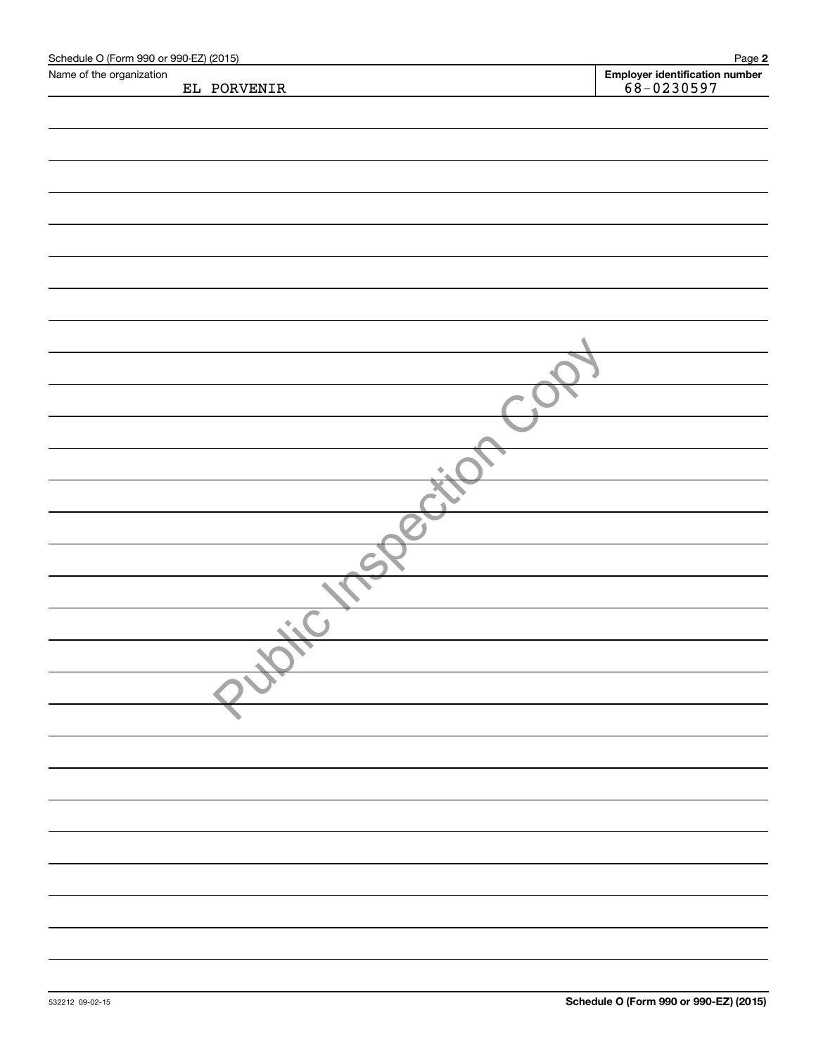| Schedule O (Form 990 or 990-EZ) (2015) |             | Page 2                                           |
|----------------------------------------|-------------|--------------------------------------------------|
| Name of the organization               | EL PORVENIR | Employer identification number<br>$68 - 0230597$ |
|                                        |             |                                                  |
|                                        |             |                                                  |
|                                        |             |                                                  |
|                                        |             |                                                  |
|                                        |             |                                                  |
|                                        |             |                                                  |
|                                        |             |                                                  |
|                                        |             |                                                  |
|                                        |             |                                                  |
|                                        |             |                                                  |
|                                        |             |                                                  |
|                                        |             |                                                  |
|                                        |             |                                                  |
|                                        |             |                                                  |
|                                        |             |                                                  |
|                                        |             |                                                  |
|                                        |             |                                                  |
|                                        |             |                                                  |
|                                        |             |                                                  |
|                                        |             |                                                  |
|                                        |             |                                                  |
|                                        |             |                                                  |
|                                        |             |                                                  |
|                                        |             |                                                  |
|                                        |             |                                                  |
|                                        | ٠           |                                                  |
|                                        |             |                                                  |
|                                        |             |                                                  |
|                                        |             |                                                  |
|                                        |             |                                                  |
|                                        |             |                                                  |
|                                        |             |                                                  |
|                                        |             |                                                  |
|                                        |             |                                                  |
|                                        |             |                                                  |
|                                        |             |                                                  |
|                                        |             |                                                  |
|                                        |             |                                                  |
|                                        |             |                                                  |
|                                        |             |                                                  |
|                                        |             |                                                  |
|                                        |             |                                                  |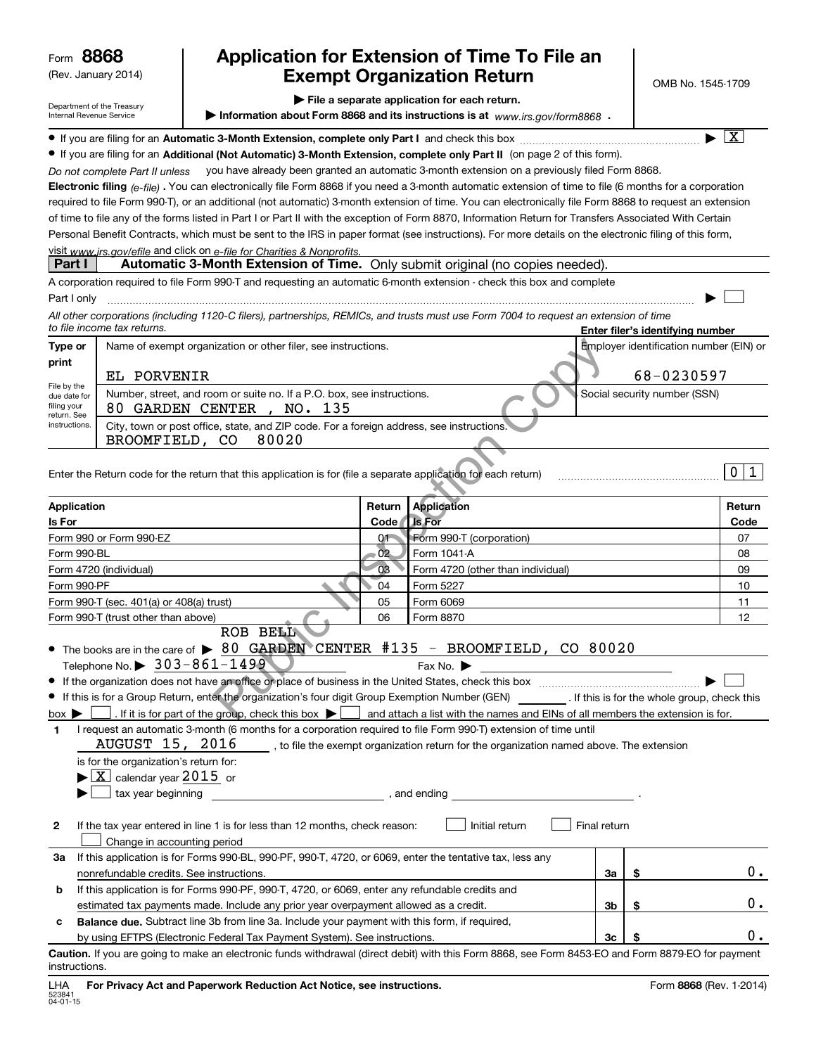| Form 8868                                                                                                               | (Rev. January 2014)                                                                                                           |                                                                                                                                                                                                                                                                                                                                                                                                                                                                                                                                                                                                                                                                                                                                                                                                                                                                                                                                                                                                                                                                                                                                                                                                                                                                                                                                                                                                                                                                     |                 | Application for Extension of Time To File an<br><b>Exempt Organization Return</b>                                            |              | OMB No. 1545-1709                                                                                                         |                         |  |
|-------------------------------------------------------------------------------------------------------------------------|-------------------------------------------------------------------------------------------------------------------------------|---------------------------------------------------------------------------------------------------------------------------------------------------------------------------------------------------------------------------------------------------------------------------------------------------------------------------------------------------------------------------------------------------------------------------------------------------------------------------------------------------------------------------------------------------------------------------------------------------------------------------------------------------------------------------------------------------------------------------------------------------------------------------------------------------------------------------------------------------------------------------------------------------------------------------------------------------------------------------------------------------------------------------------------------------------------------------------------------------------------------------------------------------------------------------------------------------------------------------------------------------------------------------------------------------------------------------------------------------------------------------------------------------------------------------------------------------------------------|-----------------|------------------------------------------------------------------------------------------------------------------------------|--------------|---------------------------------------------------------------------------------------------------------------------------|-------------------------|--|
|                                                                                                                         | Department of the Treasury<br>Internal Revenue Service                                                                        |                                                                                                                                                                                                                                                                                                                                                                                                                                                                                                                                                                                                                                                                                                                                                                                                                                                                                                                                                                                                                                                                                                                                                                                                                                                                                                                                                                                                                                                                     |                 | File a separate application for each return.<br>Information about Form 8868 and its instructions is at www.irs.gov/form8868. |              |                                                                                                                           |                         |  |
| Part I<br>Part I only<br>Type or<br>print<br>File by the<br>due date for<br>filing your<br>return. See<br>instructions. | Do not complete Part II unless<br>to file income tax returns.<br>EL PORVENIR                                                  | • If you are filing for an Additional (Not Automatic) 3-Month Extension, complete only Part II (on page 2 of this form).<br>Electronic filing (e-file). You can electronically file Form 8868 if you need a 3-month automatic extension of time to file (6 months for a corporation<br>required to file Form 990-T), or an additional (not automatic) 3-month extension of time. You can electronically file Form 8868 to request an extension<br>of time to file any of the forms listed in Part I or Part II with the exception of Form 8870, Information Return for Transfers Associated With Certain<br>Personal Benefit Contracts, which must be sent to the IRS in paper format (see instructions). For more details on the electronic filing of this form,<br>visit www.jrs.gov/efile and click on e-file for Charities & Nonprofits.<br>Automatic 3-Month Extension of Time. Only submit original (no copies needed).<br>A corporation required to file Form 990-T and requesting an automatic 6-month extension - check this box and complete<br>All other corporations (including 1120-C filers), partnerships, REMICs, and trusts must use Form 7004 to request an extension of time<br>Name of exempt organization or other filer, see instructions.<br>Number, street, and room or suite no. If a P.O. box, see instructions.<br>80 GARDEN CENTER, NO. 135<br>City, town or post office, state, and ZIP code. For a foreign address, see instructions. |                 | you have already been granted an automatic 3-month extension on a previously filed Form 8868.                                |              | Enter filer's identifying number<br>Employer identification number (EIN) or<br>68-0230597<br>Social security number (SSN) | $\overline{\mathbf{X}}$ |  |
|                                                                                                                         | BROOMFIELD, CO                                                                                                                | 80020<br>Enter the Return code for the return that this application is for (file a separate application for each return)                                                                                                                                                                                                                                                                                                                                                                                                                                                                                                                                                                                                                                                                                                                                                                                                                                                                                                                                                                                                                                                                                                                                                                                                                                                                                                                                            |                 |                                                                                                                              |              |                                                                                                                           | 1<br>$\mathbf 0$        |  |
| <b>Application</b>                                                                                                      |                                                                                                                               |                                                                                                                                                                                                                                                                                                                                                                                                                                                                                                                                                                                                                                                                                                                                                                                                                                                                                                                                                                                                                                                                                                                                                                                                                                                                                                                                                                                                                                                                     | Return          | <b>Application</b>                                                                                                           |              |                                                                                                                           | Return                  |  |
| Is For                                                                                                                  | Form 990 or Form 990-EZ                                                                                                       |                                                                                                                                                                                                                                                                                                                                                                                                                                                                                                                                                                                                                                                                                                                                                                                                                                                                                                                                                                                                                                                                                                                                                                                                                                                                                                                                                                                                                                                                     | Code<br>01-     | <b>Is For</b><br>Form 990-T (corporation)                                                                                    |              |                                                                                                                           | Code<br>07              |  |
| Form 990-BL                                                                                                             |                                                                                                                               |                                                                                                                                                                                                                                                                                                                                                                                                                                                                                                                                                                                                                                                                                                                                                                                                                                                                                                                                                                                                                                                                                                                                                                                                                                                                                                                                                                                                                                                                     | 02 <sub>2</sub> | Form 1041-A                                                                                                                  |              |                                                                                                                           | 08                      |  |
|                                                                                                                         | Form 4720 (individual)                                                                                                        |                                                                                                                                                                                                                                                                                                                                                                                                                                                                                                                                                                                                                                                                                                                                                                                                                                                                                                                                                                                                                                                                                                                                                                                                                                                                                                                                                                                                                                                                     | 03              |                                                                                                                              | 09           |                                                                                                                           |                         |  |
| Form 990-PF                                                                                                             |                                                                                                                               |                                                                                                                                                                                                                                                                                                                                                                                                                                                                                                                                                                                                                                                                                                                                                                                                                                                                                                                                                                                                                                                                                                                                                                                                                                                                                                                                                                                                                                                                     | 04              | Form 5227                                                                                                                    |              |                                                                                                                           |                         |  |
|                                                                                                                         | Form 990-T (sec. 401(a) or 408(a) trust)                                                                                      |                                                                                                                                                                                                                                                                                                                                                                                                                                                                                                                                                                                                                                                                                                                                                                                                                                                                                                                                                                                                                                                                                                                                                                                                                                                                                                                                                                                                                                                                     | 05              | Form 6069                                                                                                                    |              |                                                                                                                           | 11                      |  |
|                                                                                                                         | Form 990-T (trust other than above)<br>Telephone No. $\triangleright$ 303-861-1499                                            | ROB BELL<br>The books are in the care of $\triangleright$ 80 GARDEN CENTER #135 - BROOMFIELD, CO 80020<br>If this is for a Group Return, enter the organization's four digit Group Exemption Number (GEN) __________. If this is for the whole group, check this                                                                                                                                                                                                                                                                                                                                                                                                                                                                                                                                                                                                                                                                                                                                                                                                                                                                                                                                                                                                                                                                                                                                                                                                    | 06              | Form 8870<br>Fax No.                                                                                                         |              |                                                                                                                           | 12                      |  |
| $box \blacktriangleright$<br>1                                                                                          | is for the organization's return for:<br>$\blacktriangleright$ $\boxed{\text{X}}$ calendar year 2015 or<br>tax year beginning | . If it is for part of the group, check this box $\blacktriangleright$ $\Box$ and attach a list with the names and EINs of all members the extension is for.<br>I request an automatic 3-month (6 months for a corporation required to file Form 990-T) extension of time until<br>$\texttt{AUGUST}\_15$ , $\texttt{2016}\_\_$ , to file the exempt organization return for the organization named above. The extension<br><b>Example 2016</b> and ending and ending                                                                                                                                                                                                                                                                                                                                                                                                                                                                                                                                                                                                                                                                                                                                                                                                                                                                                                                                                                                                |                 |                                                                                                                              |              |                                                                                                                           |                         |  |
| 2                                                                                                                       | Change in accounting period                                                                                                   | If the tax year entered in line 1 is for less than 12 months, check reason:                                                                                                                                                                                                                                                                                                                                                                                                                                                                                                                                                                                                                                                                                                                                                                                                                                                                                                                                                                                                                                                                                                                                                                                                                                                                                                                                                                                         |                 | Initial return                                                                                                               | Final return |                                                                                                                           |                         |  |
| За                                                                                                                      | nonrefundable credits. See instructions.                                                                                      | If this application is for Forms 990-BL, 990-PF, 990-T, 4720, or 6069, enter the tentative tax, less any                                                                                                                                                                                                                                                                                                                                                                                                                                                                                                                                                                                                                                                                                                                                                                                                                                                                                                                                                                                                                                                                                                                                                                                                                                                                                                                                                            |                 |                                                                                                                              | За           | \$                                                                                                                        | $0$ .                   |  |
| b                                                                                                                       |                                                                                                                               | If this application is for Forms 990-PF, 990-T, 4720, or 6069, enter any refundable credits and                                                                                                                                                                                                                                                                                                                                                                                                                                                                                                                                                                                                                                                                                                                                                                                                                                                                                                                                                                                                                                                                                                                                                                                                                                                                                                                                                                     |                 |                                                                                                                              |              |                                                                                                                           |                         |  |
|                                                                                                                         |                                                                                                                               | estimated tax payments made. Include any prior year overpayment allowed as a credit.                                                                                                                                                                                                                                                                                                                                                                                                                                                                                                                                                                                                                                                                                                                                                                                                                                                                                                                                                                                                                                                                                                                                                                                                                                                                                                                                                                                |                 |                                                                                                                              | 3b           | \$                                                                                                                        | $0$ .                   |  |
| c                                                                                                                       |                                                                                                                               | Balance due. Subtract line 3b from line 3a. Include your payment with this form, if required,<br>by using EFTPS (Electronic Federal Tax Payment System). See instructions.                                                                                                                                                                                                                                                                                                                                                                                                                                                                                                                                                                                                                                                                                                                                                                                                                                                                                                                                                                                                                                                                                                                                                                                                                                                                                          |                 |                                                                                                                              | Зс           | \$                                                                                                                        | 0.                      |  |
| instructions.                                                                                                           |                                                                                                                               | Caution. If you are going to make an electronic funds withdrawal (direct debit) with this Form 8868, see Form 8453-EO and Form 8879-EO for payment                                                                                                                                                                                                                                                                                                                                                                                                                                                                                                                                                                                                                                                                                                                                                                                                                                                                                                                                                                                                                                                                                                                                                                                                                                                                                                                  |                 |                                                                                                                              |              |                                                                                                                           |                         |  |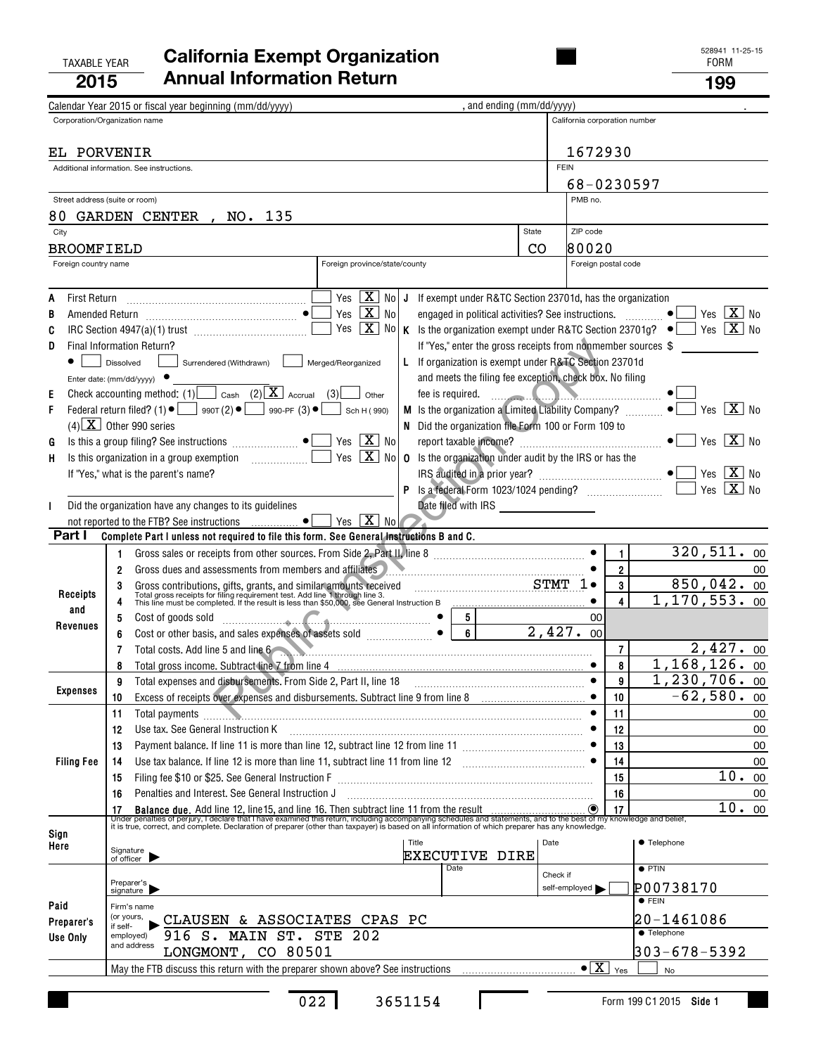### TAXABLE YEAR FORM **California Exempt Organization 2015Annual Information Return <sup>199</sup>**

|        |                                                         | Calendar Year 2015 or fiscal year beginning (mm/dd/yyyy)                                       |                                                                                                                                                                                                                                       |                                                                | , and ending (mm/dd/yyyy)                                              |                                                                                                                                                                                                                                      |                               |                         |                               |
|--------|---------------------------------------------------------|------------------------------------------------------------------------------------------------|---------------------------------------------------------------------------------------------------------------------------------------------------------------------------------------------------------------------------------------|----------------------------------------------------------------|------------------------------------------------------------------------|--------------------------------------------------------------------------------------------------------------------------------------------------------------------------------------------------------------------------------------|-------------------------------|-------------------------|-------------------------------|
|        |                                                         | Corporation/Organization name                                                                  |                                                                                                                                                                                                                                       |                                                                |                                                                        |                                                                                                                                                                                                                                      | California corporation number |                         |                               |
|        |                                                         |                                                                                                |                                                                                                                                                                                                                                       |                                                                |                                                                        |                                                                                                                                                                                                                                      |                               |                         |                               |
|        |                                                         | EL PORVENIR                                                                                    |                                                                                                                                                                                                                                       |                                                                |                                                                        | <b>FEIN</b>                                                                                                                                                                                                                          | 1672930                       |                         |                               |
|        |                                                         | Additional information. See instructions.                                                      |                                                                                                                                                                                                                                       |                                                                |                                                                        |                                                                                                                                                                                                                                      | 68-0230597                    |                         |                               |
|        |                                                         | Street address (suite or room)                                                                 |                                                                                                                                                                                                                                       |                                                                |                                                                        |                                                                                                                                                                                                                                      | PMB no.                       |                         |                               |
|        |                                                         | GARDEN CENTER, NO. 135                                                                         |                                                                                                                                                                                                                                       |                                                                |                                                                        |                                                                                                                                                                                                                                      |                               |                         |                               |
| 80     | City                                                    |                                                                                                |                                                                                                                                                                                                                                       |                                                                |                                                                        | <b>State</b>                                                                                                                                                                                                                         | ZIP code                      |                         |                               |
|        | <b>BROOMFIELD</b>                                       |                                                                                                |                                                                                                                                                                                                                                       |                                                                |                                                                        | CO                                                                                                                                                                                                                                   | 80020                         |                         |                               |
|        | Foreign country name                                    |                                                                                                | Foreign province/state/county                                                                                                                                                                                                         |                                                                |                                                                        |                                                                                                                                                                                                                                      | Foreign postal code           |                         |                               |
|        |                                                         |                                                                                                |                                                                                                                                                                                                                                       |                                                                |                                                                        |                                                                                                                                                                                                                                      |                               |                         |                               |
|        | <b>First Return</b>                                     |                                                                                                | Yes $\boxed{\mathbf{X}}$ No $\boxed{\mathbf{J}}$ If exempt under R&TC Section 23701d, has the organization                                                                                                                            |                                                                |                                                                        |                                                                                                                                                                                                                                      |                               |                         |                               |
| A<br>В |                                                         |                                                                                                | Yes $\boxed{\mathbf{X}}$ No                                                                                                                                                                                                           |                                                                | engaged in political activities? See instructions.                     |                                                                                                                                                                                                                                      |                               |                         | Yes $X \mid N_0$<br>$\bullet$ |
| C      |                                                         |                                                                                                | Yes $\boxed{\mathbf{X}}$                                                                                                                                                                                                              |                                                                | No   K Is the organization exempt under R&TC Section 23701g? $\bullet$ |                                                                                                                                                                                                                                      |                               |                         | Yes $X$ No                    |
| D      |                                                         | Final Information Return?                                                                      |                                                                                                                                                                                                                                       |                                                                | If "Yes," enter the gross receipts from nonmember sources \$           |                                                                                                                                                                                                                                      |                               |                         |                               |
|        |                                                         | Dissolved<br>Surrendered (Withdrawn)                                                           | Merged/Reorganized                                                                                                                                                                                                                    |                                                                | L If organization is exempt under R&TC Section 23701d                  |                                                                                                                                                                                                                                      |                               |                         |                               |
|        |                                                         | Enter date: (mm/dd/yyyy)                                                                       |                                                                                                                                                                                                                                       |                                                                | and meets the filing fee exception, check box. No filing               |                                                                                                                                                                                                                                      |                               |                         |                               |
| Е      |                                                         | Check accounting method: $(1)$ cash $(2)$ $\boxed{\mathbf{X}}$ Accrual                         | (3)<br>Other                                                                                                                                                                                                                          |                                                                | fee is required.                                                       | <u> Estados (California de la componenta de la componenta de la componenta de la componenta de la componenta de la componenta de la componenta de la componenta de la componenta de la componenta de la componenta de la compone</u> |                               |                         |                               |
| F      |                                                         | Federal return filed? (1) $\bullet$ $\Box$ 990T (2) $\bullet$ $\Box$<br>990-PF $(3)$ $\bullet$ | Sch H (990)                                                                                                                                                                                                                           |                                                                |                                                                        |                                                                                                                                                                                                                                      |                               |                         | Yes $\overline{X}$ No         |
|        |                                                         | $(4)$ $X$ Other 990 series                                                                     |                                                                                                                                                                                                                                       |                                                                | N Did the organization file Form 100 or Form 109 to                    |                                                                                                                                                                                                                                      |                               |                         |                               |
| G      |                                                         |                                                                                                |                                                                                                                                                                                                                                       |                                                                |                                                                        | Yes $ \overline{X} $ No                                                                                                                                                                                                              |                               |                         |                               |
| н      |                                                         | Is this organization in a group exemption                                                      | $\sqrt{X}$ No<br><b>No</b>                                                                                                                                                                                                            | <b>0</b> Is the organization under audit by the IRS or has the |                                                                        |                                                                                                                                                                                                                                      |                               |                         |                               |
|        |                                                         | If "Yes." what is the parent's name?                                                           |                                                                                                                                                                                                                                       |                                                                |                                                                        |                                                                                                                                                                                                                                      |                               | x<br>Yes<br>No          |                               |
|        |                                                         |                                                                                                |                                                                                                                                                                                                                                       |                                                                |                                                                        |                                                                                                                                                                                                                                      |                               |                         | x<br>Yes<br>No                |
|        | Did the organization have any changes to its guidelines |                                                                                                |                                                                                                                                                                                                                                       |                                                                |                                                                        |                                                                                                                                                                                                                                      |                               |                         |                               |
|        |                                                         | not reported to the FTB? See instructions  ●                                                   | $Yes \ \boxed{X}$<br>No                                                                                                                                                                                                               |                                                                | Date filed with IRS ___________________                                |                                                                                                                                                                                                                                      |                               |                         |                               |
|        | Part I                                                  | Complete Part I unless not required to file this form. See General Instructions B and C.       |                                                                                                                                                                                                                                       |                                                                |                                                                        |                                                                                                                                                                                                                                      |                               |                         |                               |
|        |                                                         | Gross sales or receipts from other sources. From Side 2, Part II, line 8<br>1.                 |                                                                                                                                                                                                                                       |                                                                |                                                                        |                                                                                                                                                                                                                                      |                               | 1                       | 320,511.00                    |
|        |                                                         | Gross dues and assessments from members and affiliates<br>2                                    |                                                                                                                                                                                                                                       |                                                                |                                                                        |                                                                                                                                                                                                                                      |                               | $\overline{\mathbf{2}}$ | 00                            |
|        |                                                         | 3                                                                                              |                                                                                                                                                                                                                                       | $STMT$ 1.                                                      |                                                                        |                                                                                                                                                                                                                                      | 3                             | 850,042.00              |                               |
|        | Receipts<br>and                                         | 4                                                                                              | Gross contributions, gifts, grants, and similar amounts received<br>Total gross receipts for filing requirement test. Add line 1 through line 3.<br>This line must be completed. If the result is less than \$50,000, see General Ins |                                                                |                                                                        |                                                                                                                                                                                                                                      |                               | 4                       | $1, 170, 553.$ 00             |
|        | Revenues                                                | Cost of goods sold immunications and contain an account of goods sold<br>5                     |                                                                                                                                                                                                                                       |                                                                | 5                                                                      |                                                                                                                                                                                                                                      | 00                            |                         |                               |
|        |                                                         | 6                                                                                              |                                                                                                                                                                                                                                       |                                                                | $\overline{6}$                                                         | $\overline{2,427}$ .                                                                                                                                                                                                                 | 00                            |                         |                               |
|        |                                                         | Total costs. Add line 5 and line 6<br>7                                                        | <u> Administration (1990), component and the component of the component of the component of the component of the component of the component of the component of the component of the component of the component of the component</u>  |                                                                |                                                                        |                                                                                                                                                                                                                                      |                               | $\overline{7}$          | 2,427.00                      |
|        |                                                         | 8                                                                                              |                                                                                                                                                                                                                                       |                                                                |                                                                        |                                                                                                                                                                                                                                      |                               | 8                       | 1,168,126.00                  |
|        | Expenses                                                | Total expenses and disbursements. From Side 2, Part II, line 18<br>9                           |                                                                                                                                                                                                                                       |                                                                |                                                                        |                                                                                                                                                                                                                                      | $\bullet$                     | 9                       | $1,230,706.$ 00               |
|        |                                                         | Excess of receipts over expenses and disbursements. Subtract line 9 from line 8<br>10          |                                                                                                                                                                                                                                       |                                                                |                                                                        |                                                                                                                                                                                                                                      |                               | 10                      | $-62,580.$ 00                 |
|        |                                                         | 11<br>Total payments                                                                           |                                                                                                                                                                                                                                       |                                                                |                                                                        |                                                                                                                                                                                                                                      |                               | 11                      | 00                            |
|        |                                                         | Use tax. See General Instruction K<br>12                                                       |                                                                                                                                                                                                                                       |                                                                |                                                                        |                                                                                                                                                                                                                                      |                               | 12                      | 00                            |
|        |                                                         | 13                                                                                             |                                                                                                                                                                                                                                       |                                                                |                                                                        |                                                                                                                                                                                                                                      |                               | 13                      | 00                            |
|        | <b>Filing Fee</b>                                       | Use tax balance. If line 12 is more than line 11, subtract line 11 from line 12<br>14          |                                                                                                                                                                                                                                       |                                                                |                                                                        |                                                                                                                                                                                                                                      |                               | 14                      | 00                            |
|        |                                                         | 15                                                                                             |                                                                                                                                                                                                                                       |                                                                |                                                                        |                                                                                                                                                                                                                                      |                               | 15                      | 10.00                         |
|        |                                                         | Penalties and Interest. See General Instruction J<br>16                                        |                                                                                                                                                                                                                                       |                                                                |                                                                        |                                                                                                                                                                                                                                      |                               | 16                      | 00<br>10.00                   |
|        |                                                         |                                                                                                |                                                                                                                                                                                                                                       |                                                                |                                                                        |                                                                                                                                                                                                                                      |                               |                         |                               |
| Sign   |                                                         |                                                                                                |                                                                                                                                                                                                                                       |                                                                |                                                                        |                                                                                                                                                                                                                                      |                               |                         |                               |
|        | Here                                                    | Signature<br>of officer                                                                        |                                                                                                                                                                                                                                       | Title                                                          | <b>EXECUTIVE DIRE</b>                                                  | Date                                                                                                                                                                                                                                 |                               |                         | <b>Telephone</b>              |
|        |                                                         |                                                                                                |                                                                                                                                                                                                                                       |                                                                | Date                                                                   |                                                                                                                                                                                                                                      |                               |                         | $\bullet$ PTIN                |
|        |                                                         | Preparer's<br>signature                                                                        |                                                                                                                                                                                                                                       |                                                                |                                                                        | Check if                                                                                                                                                                                                                             | self-employed                 |                         | P00738170                     |
| Paid   |                                                         |                                                                                                |                                                                                                                                                                                                                                       |                                                                |                                                                        |                                                                                                                                                                                                                                      |                               |                         | $\bullet$ FEIN                |
|        | Preparer's                                              | Firm's name<br>(or yours,<br>CLAUSEN & ASSOCIATES CPAS PC                                      |                                                                                                                                                                                                                                       |                                                                |                                                                        |                                                                                                                                                                                                                                      |                               |                         | 20-1461086                    |
|        | Use Only                                                | if self-<br>MAIN ST. STE 202<br>916 S.<br>employed)                                            |                                                                                                                                                                                                                                       |                                                                |                                                                        |                                                                                                                                                                                                                                      |                               |                         | $\bullet$ Telephone           |
|        |                                                         | and address<br>LONGMONT, CO 80501                                                              |                                                                                                                                                                                                                                       |                                                                |                                                                        |                                                                                                                                                                                                                                      |                               |                         | $303 - 678 - 5392$            |
|        |                                                         | $\bullet$ $\boxed{\text{X}}$                                                                   |                                                                                                                                                                                                                                       |                                                                |                                                                        |                                                                                                                                                                                                                                      | Yes                           | <b>No</b>               |                               |
|        |                                                         |                                                                                                |                                                                                                                                                                                                                                       |                                                                |                                                                        |                                                                                                                                                                                                                                      |                               |                         |                               |

 $\mathbf I$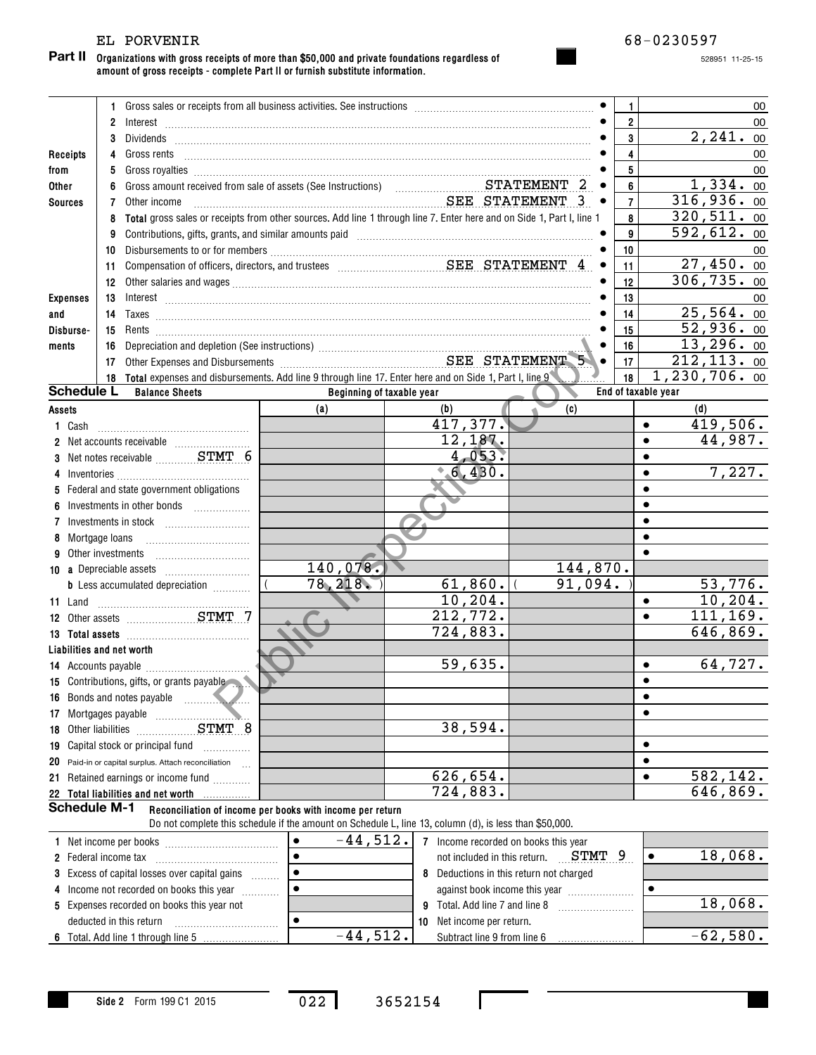### EL PORVENIR 68-0230597

**Organizations with gross receipts of more than \$50,000 and private foundations regardless of amount of gross receipts - complete Part II or furnish substitute information. Part II**

528951 11-25-15

|                                                 |                                                                                           |                 | 1 Gross sales or receipts from all business activities. See instructions [11] Gross sales or receipts from all business activities. See instructions [11] Gross sales or receipts from all business activities.                                                                                                                                          |                                                                                                        |  |                                      |                     | 1                       |                     | 00                      |
|-------------------------------------------------|-------------------------------------------------------------------------------------------|-----------------|----------------------------------------------------------------------------------------------------------------------------------------------------------------------------------------------------------------------------------------------------------------------------------------------------------------------------------------------------------|--------------------------------------------------------------------------------------------------------|--|--------------------------------------|---------------------|-------------------------|---------------------|-------------------------|
|                                                 |                                                                                           | $\overline{2}$  | $Interest \begin{array}{c} \rule{2.5cm}{0.15cm} \rule{2.5cm}{0.15cm} \rule{2.5cm}{0.15cm} \rule{2.5cm}{0.15cm} \rule{2.5cm}{0.15cm} \rule{2.5cm}{0.15cm} \rule{2.5cm}{0.15cm} \rule{2.5cm}{0.15cm} \rule{2.5cm}{0.15cm} \rule{2.5cm}{0.15cm} \rule{2.5cm}{0.15cm} \rule{2.5cm}{0.15cm} \rule{2.5cm}{0.15cm} \rule{2.5cm}{0.15cm} \rule{2.5cm}{0.15cm} \$ |                                                                                                        |  |                                      |                     | $\overline{2}$          |                     | 00                      |
|                                                 |                                                                                           | 3               |                                                                                                                                                                                                                                                                                                                                                          |                                                                                                        |  |                                      |                     | $\mathbf{3}$            |                     | 2,241.00                |
| Receipts                                        |                                                                                           | 4               |                                                                                                                                                                                                                                                                                                                                                          |                                                                                                        |  |                                      |                     | $\overline{\mathbf{4}}$ |                     | 00                      |
| from                                            |                                                                                           | 5               |                                                                                                                                                                                                                                                                                                                                                          |                                                                                                        |  |                                      |                     | 5                       |                     | 00                      |
| Other                                           |                                                                                           | 6               |                                                                                                                                                                                                                                                                                                                                                          |                                                                                                        |  |                                      |                     | 6                       |                     | 1,334.00                |
| <b>Sources</b>                                  |                                                                                           | 7               | Other income                                                                                                                                                                                                                                                                                                                                             | SEE STATEMENT 3                                                                                        |  |                                      | $\bullet$           | $\overline{7}$          |                     | 316,936.00              |
|                                                 |                                                                                           | 8               | Total gross sales or receipts from other sources. Add line 1 through line 7. Enter here and on Side 1, Part I, line 1                                                                                                                                                                                                                                    |                                                                                                        |  |                                      |                     | 8                       |                     | $\overline{320,511.00}$ |
|                                                 |                                                                                           | 9               | Contributions, gifts, grants, and similar amounts paid [11] [11] [12] [12] [12] [12] [13] [13] [13] [13] [13] [                                                                                                                                                                                                                                          |                                                                                                        |  |                                      |                     | 9                       |                     | 592,612.00              |
|                                                 |                                                                                           | 10              |                                                                                                                                                                                                                                                                                                                                                          |                                                                                                        |  |                                      |                     | 10                      |                     | 00                      |
|                                                 |                                                                                           | 11              | Compensation of officers, directors, and trustees Materian Materian SEE STATEMENT 4                                                                                                                                                                                                                                                                      |                                                                                                        |  |                                      |                     | 11                      |                     | 27,450.00               |
|                                                 |                                                                                           | 12 <sup>°</sup> |                                                                                                                                                                                                                                                                                                                                                          |                                                                                                        |  |                                      |                     | 12                      |                     | 306, 735.00             |
| <b>Expenses</b>                                 |                                                                                           | 13              | $Interest \begin{array}{c} \rule{2.5cm}{0.15cm} \rule{2.5cm}{0.15cm} \rule{2.5cm}{0.15cm} \rule{2.5cm}{0.15cm} \rule{2.5cm}{0.15cm} \rule{2.5cm}{0.15cm} \rule{2.5cm}{0.15cm} \rule{2.5cm}{0.15cm} \rule{2.5cm}{0.15cm} \rule{2.5cm}{0.15cm} \rule{2.5cm}{0.15cm} \rule{2.5cm}{0.15cm} \rule{2.5cm}{0.15cm} \rule{2.5cm}{0.15cm} \rule{2.5cm}{0.15cm} \$ |                                                                                                        |  |                                      |                     | 13                      |                     | 00                      |
| and                                             |                                                                                           | 14              |                                                                                                                                                                                                                                                                                                                                                          |                                                                                                        |  |                                      |                     | 14                      |                     | 25,564.00               |
| Disburse-                                       |                                                                                           | 15              |                                                                                                                                                                                                                                                                                                                                                          |                                                                                                        |  |                                      |                     | 15                      |                     | 52,936.00               |
| ments                                           |                                                                                           | 16              |                                                                                                                                                                                                                                                                                                                                                          |                                                                                                        |  |                                      |                     | 16                      |                     | 13,296.00               |
|                                                 |                                                                                           | 17              | Depreciation and depletion (See instructions)<br>Other Expenses and Disbursements<br>Citier Expenses and Disbursements<br>The SEE STATEMENT                                                                                                                                                                                                              |                                                                                                        |  |                                      |                     | 17                      |                     | 212, 113.00             |
|                                                 |                                                                                           |                 | 18 Total expenses and disbursements. Add line 9 through line 17. Enter here and on Side 1, Part I, line 9                                                                                                                                                                                                                                                |                                                                                                        |  |                                      |                     | 18                      |                     | 1,230,706.00            |
|                                                 | <b>Schedule L</b>                                                                         |                 | <b>Balance Sheets</b>                                                                                                                                                                                                                                                                                                                                    | Beginning of taxable year                                                                              |  |                                      |                     |                         | End of taxable year |                         |
| Assets                                          |                                                                                           |                 |                                                                                                                                                                                                                                                                                                                                                          | (a)                                                                                                    |  | (b)                                  | (c)                 |                         |                     | (d)                     |
|                                                 | 1 Cash                                                                                    |                 |                                                                                                                                                                                                                                                                                                                                                          |                                                                                                        |  | 417,377.                             |                     |                         | $\bullet$           | 419,506.                |
|                                                 |                                                                                           |                 |                                                                                                                                                                                                                                                                                                                                                          |                                                                                                        |  | 12,187.                              |                     |                         | $\bullet$           | 44,987.                 |
|                                                 |                                                                                           |                 | 3 Net notes receivable  STMT 6                                                                                                                                                                                                                                                                                                                           |                                                                                                        |  | 4,053.                               |                     |                         |                     |                         |
|                                                 |                                                                                           |                 |                                                                                                                                                                                                                                                                                                                                                          |                                                                                                        |  | 6,430.                               |                     |                         | $\bullet$           | 7,227.                  |
|                                                 |                                                                                           |                 | 5 Federal and state government obligations                                                                                                                                                                                                                                                                                                               |                                                                                                        |  |                                      |                     |                         |                     |                         |
|                                                 |                                                                                           |                 | Investments in other bonds                                                                                                                                                                                                                                                                                                                               |                                                                                                        |  |                                      |                     |                         |                     |                         |
|                                                 |                                                                                           |                 |                                                                                                                                                                                                                                                                                                                                                          |                                                                                                        |  |                                      |                     |                         |                     |                         |
|                                                 | Mortgage loans                                                                            |                 |                                                                                                                                                                                                                                                                                                                                                          |                                                                                                        |  |                                      |                     |                         |                     |                         |
| 9                                               | Other investments                                                                         |                 |                                                                                                                                                                                                                                                                                                                                                          |                                                                                                        |  |                                      |                     |                         |                     |                         |
|                                                 |                                                                                           |                 |                                                                                                                                                                                                                                                                                                                                                          | 140,078.<br>78,218.                                                                                    |  |                                      | 144,870.<br>91,094. |                         |                     |                         |
|                                                 |                                                                                           |                 | <b>b</b> Less accumulated depreciation <i></i>                                                                                                                                                                                                                                                                                                           |                                                                                                        |  | $61,860.$ (<br>10, 204.              |                     |                         | $\bullet$           | 53,776.<br>10, 204.     |
|                                                 |                                                                                           |                 |                                                                                                                                                                                                                                                                                                                                                          |                                                                                                        |  | 212, 772.                            |                     |                         | $\bullet$           | 111,169.                |
|                                                 |                                                                                           |                 |                                                                                                                                                                                                                                                                                                                                                          |                                                                                                        |  | 724,883.                             |                     |                         |                     | 646,869.                |
|                                                 |                                                                                           |                 |                                                                                                                                                                                                                                                                                                                                                          |                                                                                                        |  |                                      |                     |                         |                     |                         |
|                                                 |                                                                                           |                 | Liabilities and net worth                                                                                                                                                                                                                                                                                                                                |                                                                                                        |  | 59,635.                              |                     |                         | $\bullet$           | 64,727.                 |
|                                                 |                                                                                           |                 | 15 Contributions, gifts, or grants payable                                                                                                                                                                                                                                                                                                               |                                                                                                        |  |                                      |                     |                         |                     |                         |
|                                                 |                                                                                           |                 | 16 Bonds and notes payable                                                                                                                                                                                                                                                                                                                               |                                                                                                        |  |                                      |                     |                         | $\bullet$           |                         |
|                                                 | 17 Mortgages payable                                                                      |                 |                                                                                                                                                                                                                                                                                                                                                          |                                                                                                        |  |                                      |                     |                         |                     |                         |
| 18                                              | Other liabilities                                                                         |                 | STMT 8                                                                                                                                                                                                                                                                                                                                                   |                                                                                                        |  | 38,594.                              |                     |                         |                     |                         |
| 19                                              |                                                                                           |                 | Capital stock or principal fund<br>.                                                                                                                                                                                                                                                                                                                     |                                                                                                        |  |                                      |                     |                         |                     |                         |
| 20                                              |                                                                                           |                 | Paid-in or capital surplus. Attach reconciliation<br>$\sim$                                                                                                                                                                                                                                                                                              |                                                                                                        |  |                                      |                     |                         |                     |                         |
|                                                 |                                                                                           |                 | 21 Retained earnings or income fund                                                                                                                                                                                                                                                                                                                      |                                                                                                        |  | 626,654.                             |                     |                         |                     | <u>582,142.</u>         |
|                                                 |                                                                                           |                 | 22 Total liabilities and net worth                                                                                                                                                                                                                                                                                                                       |                                                                                                        |  | 724,883.                             |                     |                         |                     | 646,869.                |
|                                                 | <b>Schedule M-1</b>                                                                       |                 |                                                                                                                                                                                                                                                                                                                                                          | Reconciliation of income per books with income per return                                              |  |                                      |                     |                         |                     |                         |
|                                                 |                                                                                           |                 |                                                                                                                                                                                                                                                                                                                                                          | Do not complete this schedule if the amount on Schedule L, line 13, column (d), is less than \$50,000. |  |                                      |                     |                         |                     |                         |
|                                                 |                                                                                           |                 |                                                                                                                                                                                                                                                                                                                                                          | $-44,512.$                                                                                             |  | 7 Income recorded on books this year |                     |                         |                     |                         |
|                                                 | <b>2</b> Federal income tax                                                               |                 |                                                                                                                                                                                                                                                                                                                                                          |                                                                                                        |  | not included in this return.         | STMT                | 9                       |                     | 18,068.                 |
| 3                                               | Excess of capital losses over capital gains<br>Deductions in this return not charged<br>8 |                 |                                                                                                                                                                                                                                                                                                                                                          |                                                                                                        |  |                                      |                     |                         |                     |                         |
|                                                 | Income not recorded on books this year<br>against book income this year                   |                 |                                                                                                                                                                                                                                                                                                                                                          |                                                                                                        |  |                                      |                     |                         |                     |                         |
| 5 Expenses recorded on books this year not<br>9 |                                                                                           |                 | Total. Add line 7 and line 8                                                                                                                                                                                                                                                                                                                             |                                                                                                        |  |                                      | 18,068.             |                         |                     |                         |
|                                                 | deducted in this return<br>$\bullet$<br>Net income per return.<br>10                      |                 |                                                                                                                                                                                                                                                                                                                                                          |                                                                                                        |  |                                      |                     |                         |                     |                         |
|                                                 |                                                                                           |                 |                                                                                                                                                                                                                                                                                                                                                          | $-44,512.$                                                                                             |  | Subtract line 9 from line 6          |                     |                         |                     | $-62,580.$              |

<sup>022</sup> <sup>3652154</sup>

I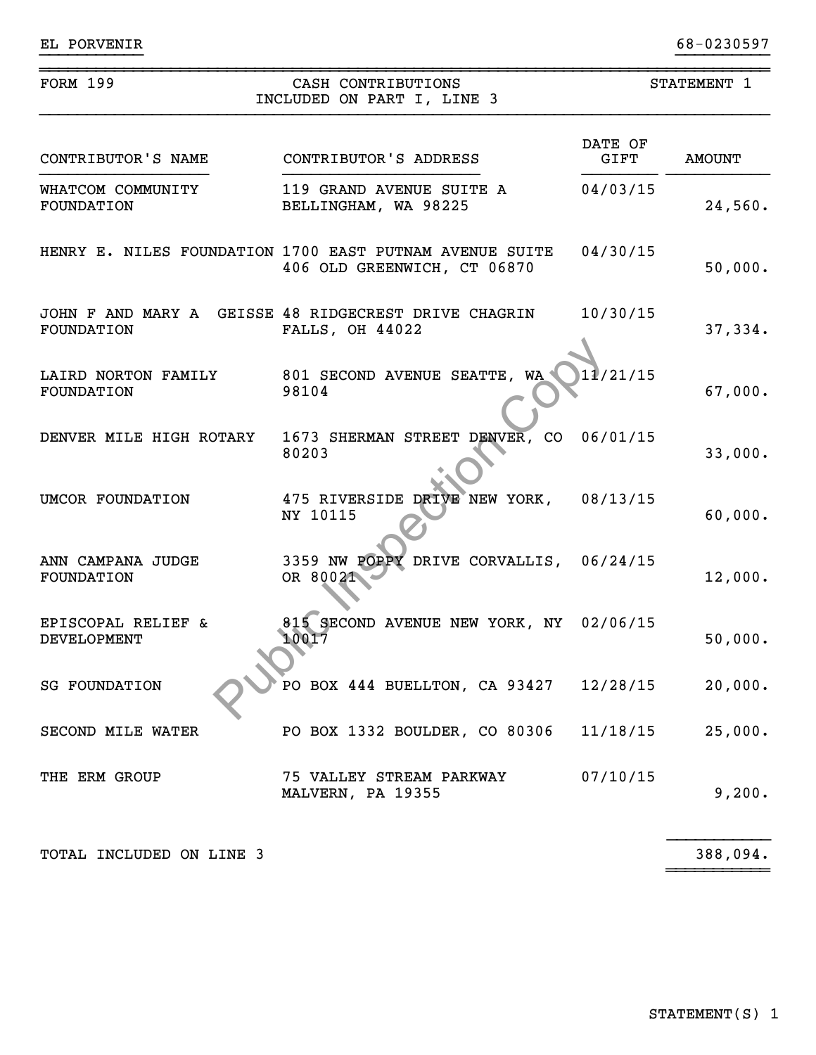| <b>FORM 199</b>                          | CASH CONTRIBUTIONS<br>INCLUDED ON PART I, LINE 3                                       |                 | STATEMENT 1   |  |
|------------------------------------------|----------------------------------------------------------------------------------------|-----------------|---------------|--|
| CONTRIBUTOR'S NAME                       | CONTRIBUTOR'S ADDRESS                                                                  | DATE OF<br>GIFT | <b>AMOUNT</b> |  |
| WHATCOM COMMUNITY<br>FOUNDATION          | 119 GRAND AVENUE SUITE A<br>BELLINGHAM, WA 98225                                       | 04/03/15        | 24,560.       |  |
|                                          | HENRY E. NILES FOUNDATION 1700 EAST PUTNAM AVENUE SUITE<br>406 OLD GREENWICH, CT 06870 | 04/30/15        | 50,000.       |  |
| FOUNDATION                               | JOHN F AND MARY A GEISSE 48 RIDGECREST DRIVE CHAGRIN<br><b>FALLS, OH 44022</b>         | 10/30/15        | 37,334.       |  |
| LAIRD NORTON FAMILY<br><b>FOUNDATION</b> | 801 SECOND AVENUE SEATTE, WA<br>98104                                                  | 11/21/15        | 67,000.       |  |
| DENVER MILE HIGH ROTARY                  | 1673 SHERMAN STREET DENVER, CO<br>80203                                                | 06/01/15        | 33,000.       |  |
| UMCOR FOUNDATION                         | 475 RIVERSIDE DRIVE NEW YORK, 08/13/15<br>NY 10115                                     |                 | 60,000.       |  |
| ANN CAMPANA JUDGE<br>FOUNDATION          | 3359 NW POPPY DRIVE CORVALLIS, 06/24/15<br>OR 80021                                    |                 | 12,000.       |  |
| EPISCOPAL RELIEF &<br>DEVELOPMENT        | 815 SECOND AVENUE NEW YORK, NY 02/06/15<br>10017                                       |                 | 50,000.       |  |
| <b>SG FOUNDATION</b>                     | PO BOX 444 BUELLTON, CA 93427 12/28/15                                                 |                 | 20,000.       |  |
| SECOND MILE WATER                        | PO BOX 1332 BOULDER, CO 80306                                                          | 11/18/15        | 25,000.       |  |
| THE ERM GROUP                            | 75 VALLEY STREAM PARKWAY<br>MALVERN, PA 19355                                          | 07/10/15        | 9,200.        |  |

~~~~~~~~~~~

}}}}}}}}}}} }}}}}}}}}}

TOTAL INCLUDED ON LINE 3

388,094.

STATEMENT(S) 1